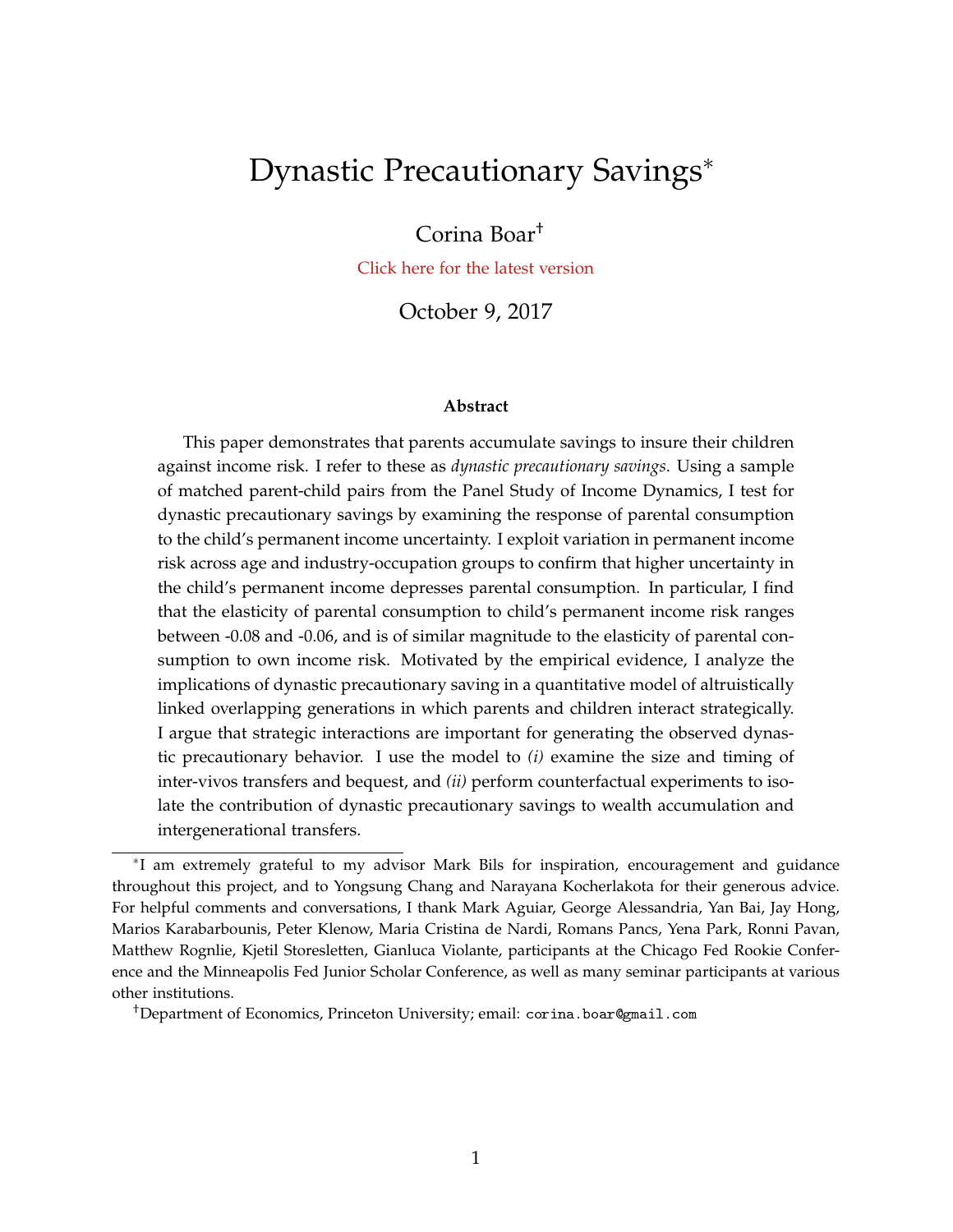# <span id="page-0-0"></span>Dynastic Precautionary Savings<sup>∗</sup>

## Corina Boar†

[Click here for the latest version](https://sites.google.com/site/corinaboar/research)

October 9, 2017

#### **Abstract**

This paper demonstrates that parents accumulate savings to insure their children against income risk. I refer to these as *dynastic precautionary savings*. Using a sample of matched parent-child pairs from the Panel Study of Income Dynamics, I test for dynastic precautionary savings by examining the response of parental consumption to the child's permanent income uncertainty. I exploit variation in permanent income risk across age and industry-occupation groups to confirm that higher uncertainty in the child's permanent income depresses parental consumption. In particular, I find that the elasticity of parental consumption to child's permanent income risk ranges between -0.08 and -0.06, and is of similar magnitude to the elasticity of parental consumption to own income risk. Motivated by the empirical evidence, I analyze the implications of dynastic precautionary saving in a quantitative model of altruistically linked overlapping generations in which parents and children interact strategically. I argue that strategic interactions are important for generating the observed dynastic precautionary behavior. I use the model to *(i)* examine the size and timing of inter-vivos transfers and bequest, and *(ii)* perform counterfactual experiments to isolate the contribution of dynastic precautionary savings to wealth accumulation and intergenerational transfers.

<sup>∗</sup> I am extremely grateful to my advisor Mark Bils for inspiration, encouragement and guidance throughout this project, and to Yongsung Chang and Narayana Kocherlakota for their generous advice. For helpful comments and conversations, I thank Mark Aguiar, George Alessandria, Yan Bai, Jay Hong, Marios Karabarbounis, Peter Klenow, Maria Cristina de Nardi, Romans Pancs, Yena Park, Ronni Pavan, Matthew Rognlie, Kjetil Storesletten, Gianluca Violante, participants at the Chicago Fed Rookie Conference and the Minneapolis Fed Junior Scholar Conference, as well as many seminar participants at various other institutions.

<sup>†</sup>Department of Economics, Princeton University; email: corina.boar@gmail.com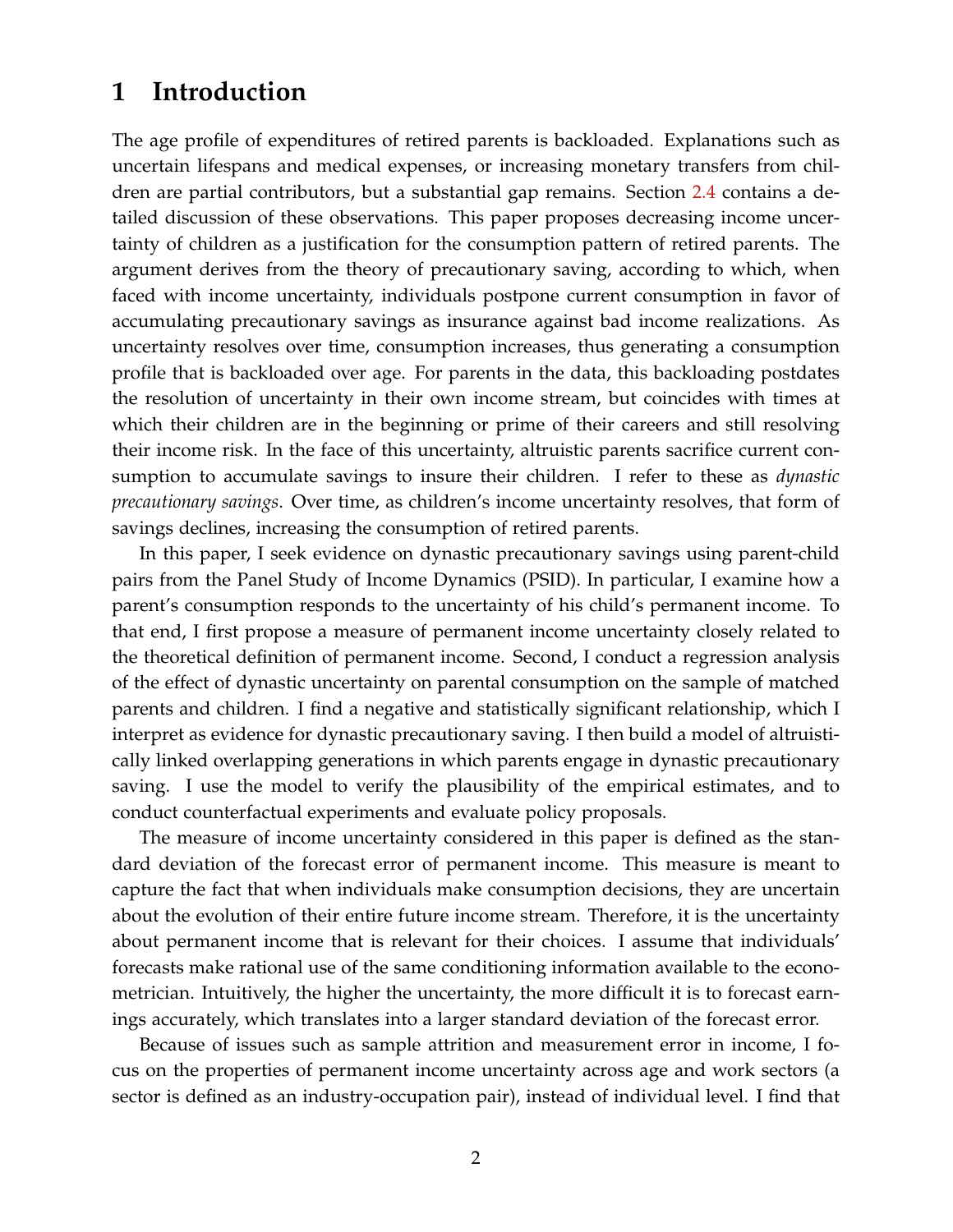## **1 Introduction**

The age profile of expenditures of retired parents is backloaded. Explanations such as uncertain lifespans and medical expenses, or increasing monetary transfers from children are partial contributors, but a substantial gap remains. Section [2.4](#page-16-0) contains a detailed discussion of these observations. This paper proposes decreasing income uncertainty of children as a justification for the consumption pattern of retired parents. The argument derives from the theory of precautionary saving, according to which, when faced with income uncertainty, individuals postpone current consumption in favor of accumulating precautionary savings as insurance against bad income realizations. As uncertainty resolves over time, consumption increases, thus generating a consumption profile that is backloaded over age. For parents in the data, this backloading postdates the resolution of uncertainty in their own income stream, but coincides with times at which their children are in the beginning or prime of their careers and still resolving their income risk. In the face of this uncertainty, altruistic parents sacrifice current consumption to accumulate savings to insure their children. I refer to these as *dynastic precautionary savings*. Over time, as children's income uncertainty resolves, that form of savings declines, increasing the consumption of retired parents.

In this paper, I seek evidence on dynastic precautionary savings using parent-child pairs from the Panel Study of Income Dynamics (PSID). In particular, I examine how a parent's consumption responds to the uncertainty of his child's permanent income. To that end, I first propose a measure of permanent income uncertainty closely related to the theoretical definition of permanent income. Second, I conduct a regression analysis of the effect of dynastic uncertainty on parental consumption on the sample of matched parents and children. I find a negative and statistically significant relationship, which I interpret as evidence for dynastic precautionary saving. I then build a model of altruistically linked overlapping generations in which parents engage in dynastic precautionary saving. I use the model to verify the plausibility of the empirical estimates, and to conduct counterfactual experiments and evaluate policy proposals.

The measure of income uncertainty considered in this paper is defined as the standard deviation of the forecast error of permanent income. This measure is meant to capture the fact that when individuals make consumption decisions, they are uncertain about the evolution of their entire future income stream. Therefore, it is the uncertainty about permanent income that is relevant for their choices. I assume that individuals' forecasts make rational use of the same conditioning information available to the econometrician. Intuitively, the higher the uncertainty, the more difficult it is to forecast earnings accurately, which translates into a larger standard deviation of the forecast error.

Because of issues such as sample attrition and measurement error in income, I focus on the properties of permanent income uncertainty across age and work sectors (a sector is defined as an industry-occupation pair), instead of individual level. I find that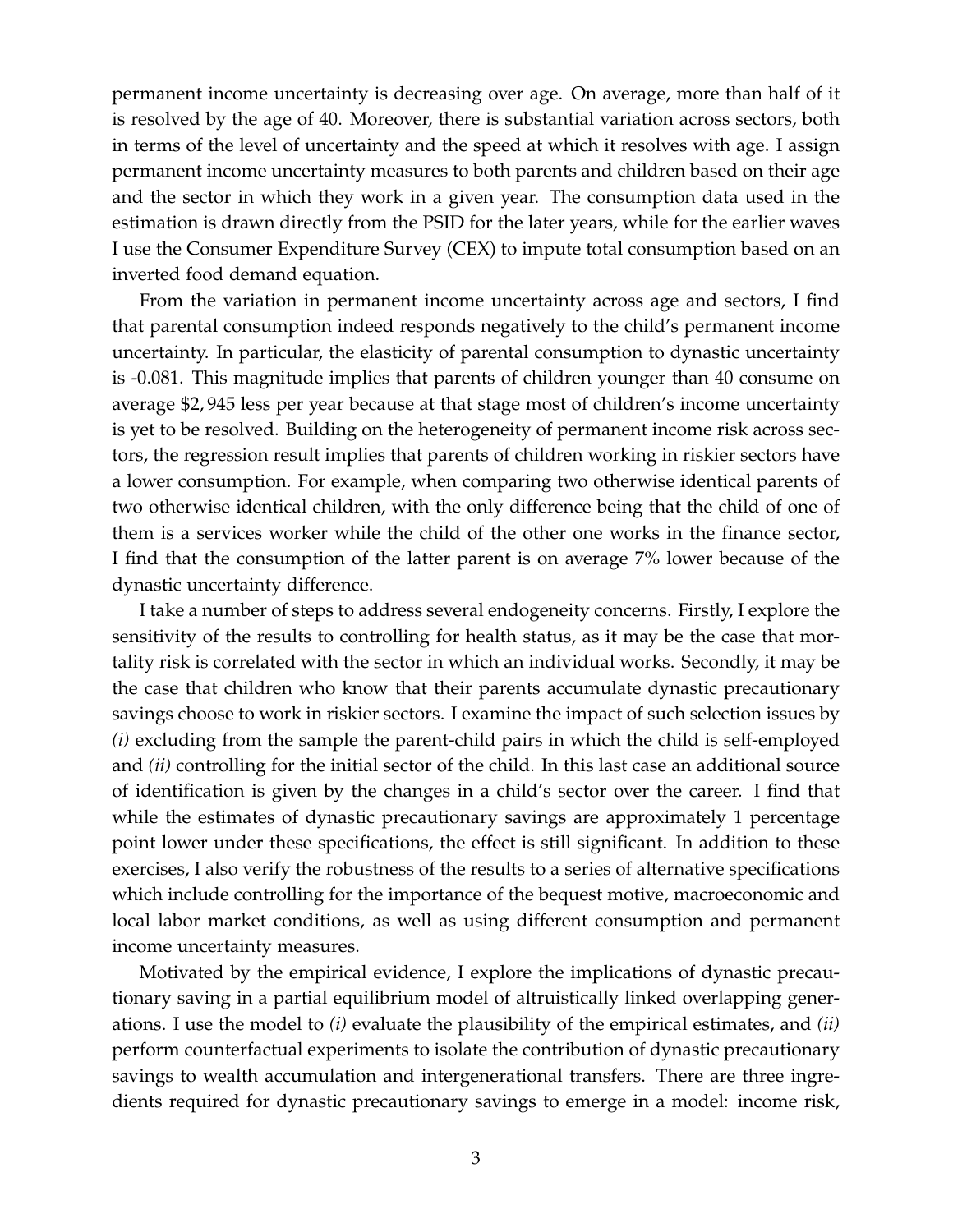permanent income uncertainty is decreasing over age. On average, more than half of it is resolved by the age of 40. Moreover, there is substantial variation across sectors, both in terms of the level of uncertainty and the speed at which it resolves with age. I assign permanent income uncertainty measures to both parents and children based on their age and the sector in which they work in a given year. The consumption data used in the estimation is drawn directly from the PSID for the later years, while for the earlier waves I use the Consumer Expenditure Survey (CEX) to impute total consumption based on an inverted food demand equation.

From the variation in permanent income uncertainty across age and sectors, I find that parental consumption indeed responds negatively to the child's permanent income uncertainty. In particular, the elasticity of parental consumption to dynastic uncertainty is -0.081. This magnitude implies that parents of children younger than 40 consume on average \$2, 945 less per year because at that stage most of children's income uncertainty is yet to be resolved. Building on the heterogeneity of permanent income risk across sectors, the regression result implies that parents of children working in riskier sectors have a lower consumption. For example, when comparing two otherwise identical parents of two otherwise identical children, with the only difference being that the child of one of them is a services worker while the child of the other one works in the finance sector, I find that the consumption of the latter parent is on average 7% lower because of the dynastic uncertainty difference.

I take a number of steps to address several endogeneity concerns. Firstly, I explore the sensitivity of the results to controlling for health status, as it may be the case that mortality risk is correlated with the sector in which an individual works. Secondly, it may be the case that children who know that their parents accumulate dynastic precautionary savings choose to work in riskier sectors. I examine the impact of such selection issues by *(i)* excluding from the sample the parent-child pairs in which the child is self-employed and *(ii)* controlling for the initial sector of the child. In this last case an additional source of identification is given by the changes in a child's sector over the career. I find that while the estimates of dynastic precautionary savings are approximately 1 percentage point lower under these specifications, the effect is still significant. In addition to these exercises, I also verify the robustness of the results to a series of alternative specifications which include controlling for the importance of the bequest motive, macroeconomic and local labor market conditions, as well as using different consumption and permanent income uncertainty measures.

Motivated by the empirical evidence, I explore the implications of dynastic precautionary saving in a partial equilibrium model of altruistically linked overlapping generations. I use the model to *(i)* evaluate the plausibility of the empirical estimates, and *(ii)* perform counterfactual experiments to isolate the contribution of dynastic precautionary savings to wealth accumulation and intergenerational transfers. There are three ingredients required for dynastic precautionary savings to emerge in a model: income risk,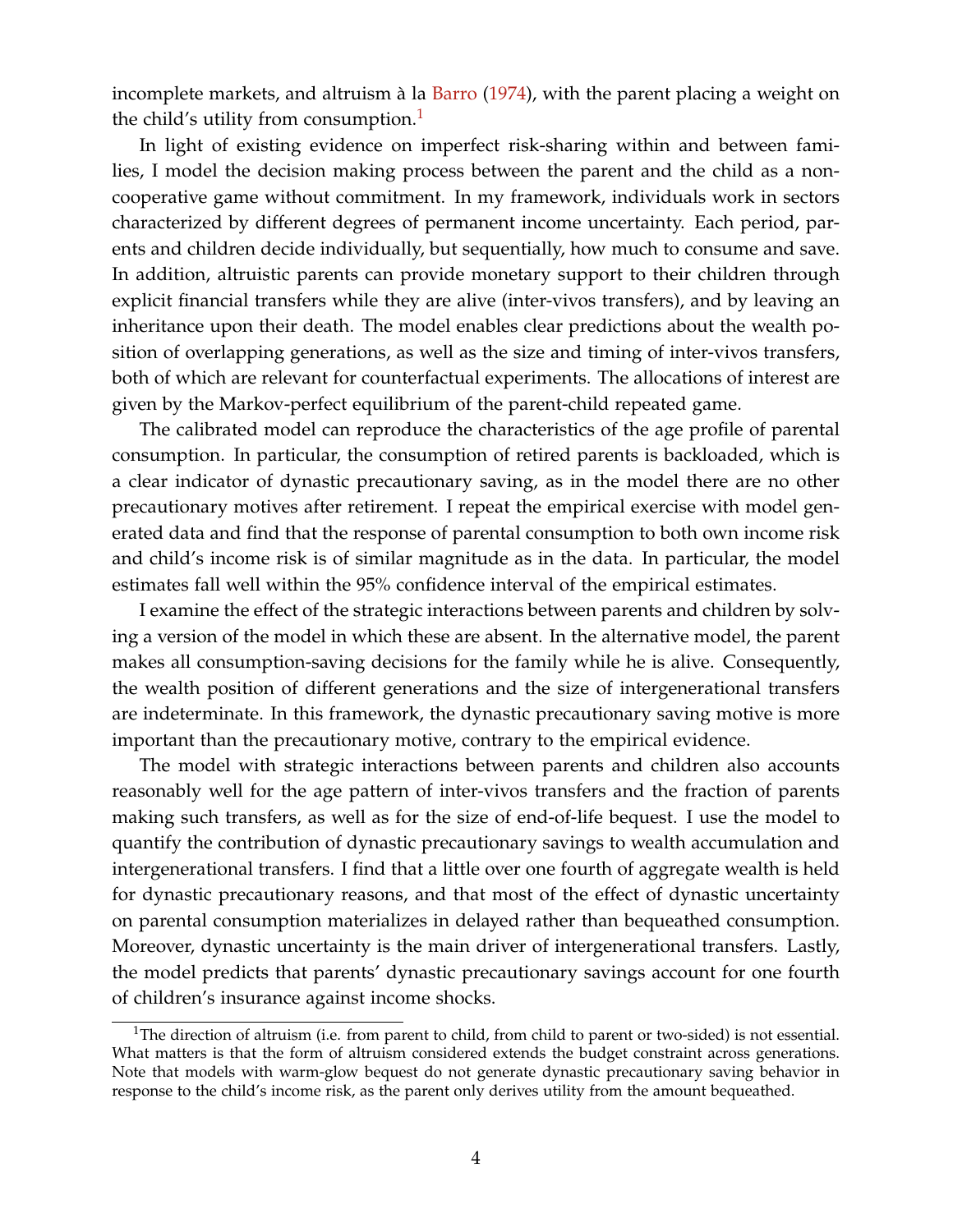incomplete markets, and altruism à la [Barro](#page-52-0) [\(1974\)](#page-52-0), with the parent placing a weight on the child's utility from consumption.<sup>[1](#page-0-0)</sup>

In light of existing evidence on imperfect risk-sharing within and between families, I model the decision making process between the parent and the child as a noncooperative game without commitment. In my framework, individuals work in sectors characterized by different degrees of permanent income uncertainty. Each period, parents and children decide individually, but sequentially, how much to consume and save. In addition, altruistic parents can provide monetary support to their children through explicit financial transfers while they are alive (inter-vivos transfers), and by leaving an inheritance upon their death. The model enables clear predictions about the wealth position of overlapping generations, as well as the size and timing of inter-vivos transfers, both of which are relevant for counterfactual experiments. The allocations of interest are given by the Markov-perfect equilibrium of the parent-child repeated game.

The calibrated model can reproduce the characteristics of the age profile of parental consumption. In particular, the consumption of retired parents is backloaded, which is a clear indicator of dynastic precautionary saving, as in the model there are no other precautionary motives after retirement. I repeat the empirical exercise with model generated data and find that the response of parental consumption to both own income risk and child's income risk is of similar magnitude as in the data. In particular, the model estimates fall well within the 95% confidence interval of the empirical estimates.

I examine the effect of the strategic interactions between parents and children by solving a version of the model in which these are absent. In the alternative model, the parent makes all consumption-saving decisions for the family while he is alive. Consequently, the wealth position of different generations and the size of intergenerational transfers are indeterminate. In this framework, the dynastic precautionary saving motive is more important than the precautionary motive, contrary to the empirical evidence.

The model with strategic interactions between parents and children also accounts reasonably well for the age pattern of inter-vivos transfers and the fraction of parents making such transfers, as well as for the size of end-of-life bequest. I use the model to quantify the contribution of dynastic precautionary savings to wealth accumulation and intergenerational transfers. I find that a little over one fourth of aggregate wealth is held for dynastic precautionary reasons, and that most of the effect of dynastic uncertainty on parental consumption materializes in delayed rather than bequeathed consumption. Moreover, dynastic uncertainty is the main driver of intergenerational transfers. Lastly, the model predicts that parents' dynastic precautionary savings account for one fourth of children's insurance against income shocks.

<sup>&</sup>lt;sup>1</sup>The direction of altruism (i.e. from parent to child, from child to parent or two-sided) is not essential. What matters is that the form of altruism considered extends the budget constraint across generations. Note that models with warm-glow bequest do not generate dynastic precautionary saving behavior in response to the child's income risk, as the parent only derives utility from the amount bequeathed.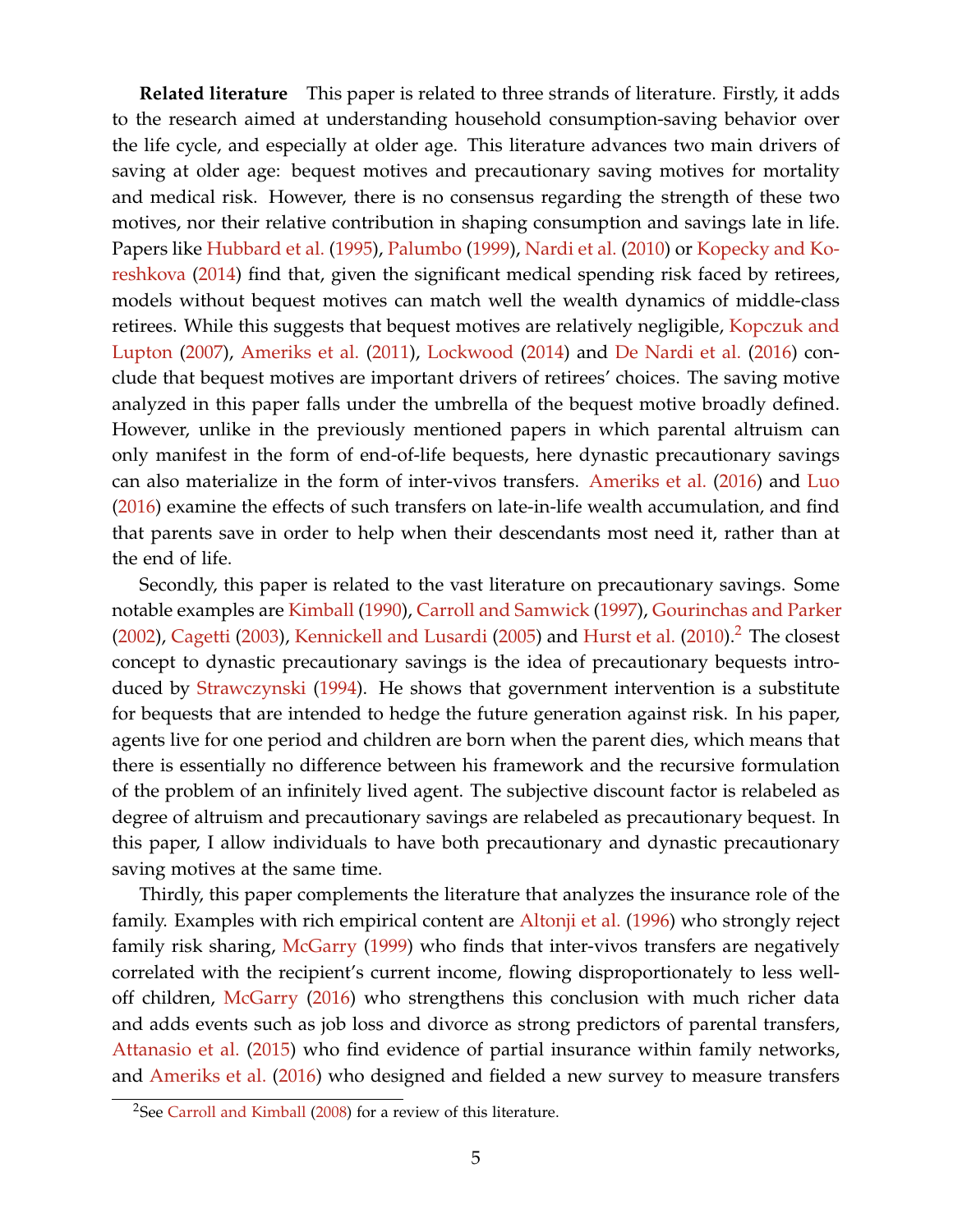**Related literature** This paper is related to three strands of literature. Firstly, it adds to the research aimed at understanding household consumption-saving behavior over the life cycle, and especially at older age. This literature advances two main drivers of saving at older age: bequest motives and precautionary saving motives for mortality and medical risk. However, there is no consensus regarding the strength of these two motives, nor their relative contribution in shaping consumption and savings late in life. Papers like [Hubbard et al.](#page-54-0) [\(1995\)](#page-54-0), [Palumbo](#page-55-0) [\(1999\)](#page-55-0), [Nardi et al.](#page-55-1) [\(2010\)](#page-55-1) or [Kopecky and Ko](#page-54-1)[reshkova](#page-54-1) [\(2014\)](#page-54-1) find that, given the significant medical spending risk faced by retirees, models without bequest motives can match well the wealth dynamics of middle-class retirees. While this suggests that bequest motives are relatively negligible, [Kopczuk and](#page-54-2) [Lupton](#page-54-2) [\(2007\)](#page-54-2), [Ameriks et al.](#page-52-1) [\(2011\)](#page-52-1), [Lockwood](#page-54-3) [\(2014\)](#page-54-3) and [De Nardi et al.](#page-53-0) [\(2016\)](#page-53-0) conclude that bequest motives are important drivers of retirees' choices. The saving motive analyzed in this paper falls under the umbrella of the bequest motive broadly defined. However, unlike in the previously mentioned papers in which parental altruism can only manifest in the form of end-of-life bequests, here dynastic precautionary savings can also materialize in the form of inter-vivos transfers. [Ameriks et al.](#page-52-2) [\(2016\)](#page-52-2) and [Luo](#page-55-2) [\(2016\)](#page-55-2) examine the effects of such transfers on late-in-life wealth accumulation, and find that parents save in order to help when their descendants most need it, rather than at the end of life.

Secondly, this paper is related to the vast literature on precautionary savings. Some notable examples are [Kimball](#page-54-4) [\(1990\)](#page-54-4), [Carroll and Samwick](#page-53-1) [\(1997\)](#page-53-1), [Gourinchas and Parker](#page-53-2) [\(2002\)](#page-53-2), [Cagetti](#page-52-3) [\(2003\)](#page-52-3), [Kennickell and Lusardi](#page-54-5) [\(2005\)](#page-54-5) and [Hurst et al.](#page-54-6) [\(2010\)](#page-54-6).<sup>[2](#page-0-0)</sup> The closest concept to dynastic precautionary savings is the idea of precautionary bequests introduced by [Strawczynski](#page-55-3) [\(1994\)](#page-55-3). He shows that government intervention is a substitute for bequests that are intended to hedge the future generation against risk. In his paper, agents live for one period and children are born when the parent dies, which means that there is essentially no difference between his framework and the recursive formulation of the problem of an infinitely lived agent. The subjective discount factor is relabeled as degree of altruism and precautionary savings are relabeled as precautionary bequest. In this paper, I allow individuals to have both precautionary and dynastic precautionary saving motives at the same time.

Thirdly, this paper complements the literature that analyzes the insurance role of the family. Examples with rich empirical content are [Altonji et al.](#page-52-4) [\(1996\)](#page-52-4) who strongly reject family risk sharing, [McGarry](#page-55-4) [\(1999\)](#page-55-4) who finds that inter-vivos transfers are negatively correlated with the recipient's current income, flowing disproportionately to less well-off children, [McGarry](#page-55-5) [\(2016\)](#page-55-5) who strengthens this conclusion with much richer data and adds events such as job loss and divorce as strong predictors of parental transfers, [Attanasio et al.](#page-52-5) [\(2015\)](#page-52-5) who find evidence of partial insurance within family networks, and [Ameriks et al.](#page-52-2) [\(2016\)](#page-52-2) who designed and fielded a new survey to measure transfers

<sup>&</sup>lt;sup>2</sup>See [Carroll and Kimball](#page-53-3) [\(2008\)](#page-53-3) for a review of this literature.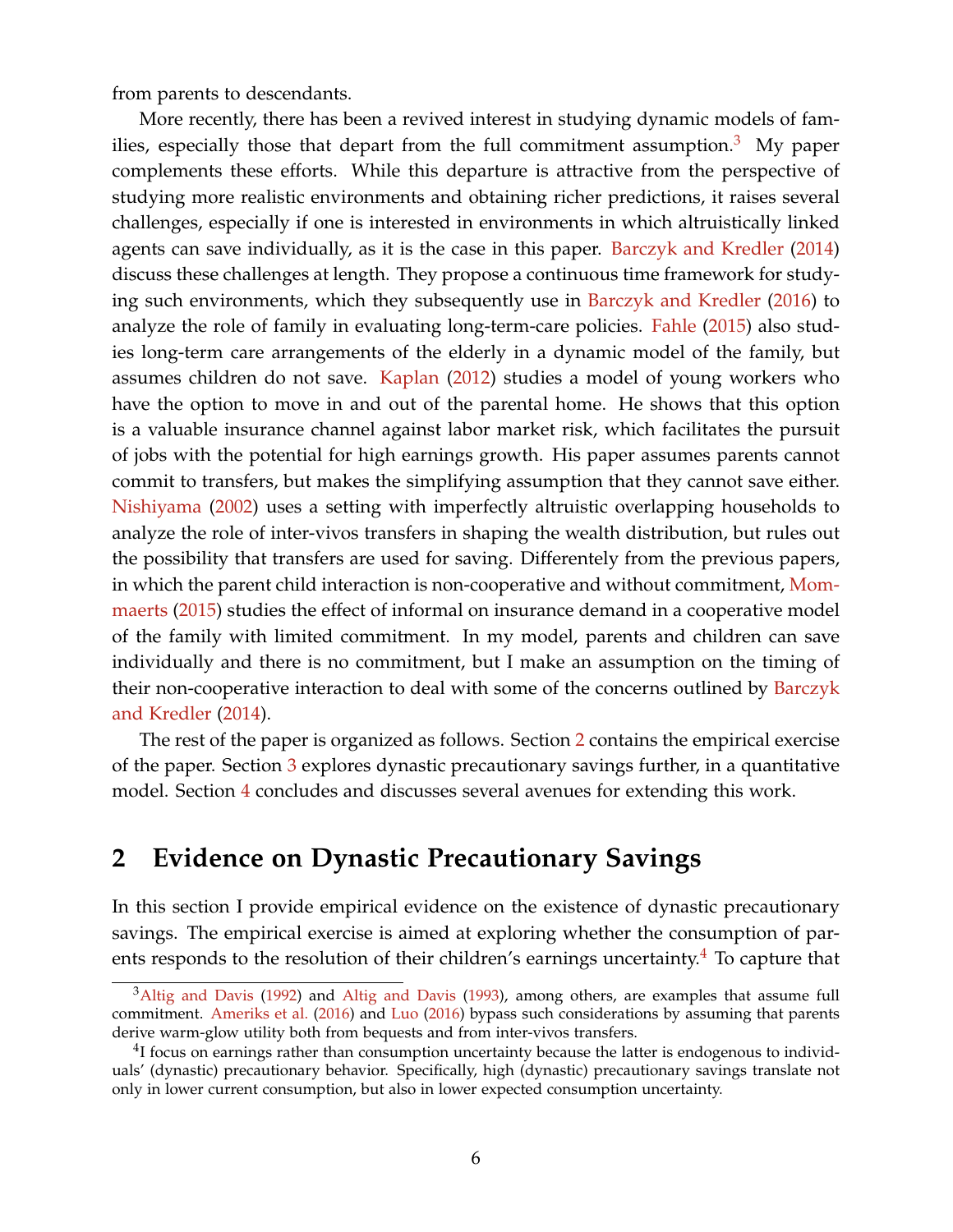from parents to descendants.

More recently, there has been a revived interest in studying dynamic models of fam-ilies, especially those that depart from the full commitment assumption.<sup>[3](#page-0-0)</sup> My paper complements these efforts. While this departure is attractive from the perspective of studying more realistic environments and obtaining richer predictions, it raises several challenges, especially if one is interested in environments in which altruistically linked agents can save individually, as it is the case in this paper. [Barczyk and Kredler](#page-52-6) [\(2014\)](#page-52-6) discuss these challenges at length. They propose a continuous time framework for studying such environments, which they subsequently use in [Barczyk and Kredler](#page-52-7) [\(2016\)](#page-52-7) to analyze the role of family in evaluating long-term-care policies. [Fahle](#page-53-4) [\(2015\)](#page-53-4) also studies long-term care arrangements of the elderly in a dynamic model of the family, but assumes children do not save. [Kaplan](#page-54-7) [\(2012\)](#page-54-7) studies a model of young workers who have the option to move in and out of the parental home. He shows that this option is a valuable insurance channel against labor market risk, which facilitates the pursuit of jobs with the potential for high earnings growth. His paper assumes parents cannot commit to transfers, but makes the simplifying assumption that they cannot save either. [Nishiyama](#page-55-6) [\(2002\)](#page-55-6) uses a setting with imperfectly altruistic overlapping households to analyze the role of inter-vivos transfers in shaping the wealth distribution, but rules out the possibility that transfers are used for saving. Differentely from the previous papers, in which the parent child interaction is non-cooperative and without commitment, [Mom](#page-55-7)[maerts](#page-55-7) [\(2015\)](#page-55-7) studies the effect of informal on insurance demand in a cooperative model of the family with limited commitment. In my model, parents and children can save individually and there is no commitment, but I make an assumption on the timing of their non-cooperative interaction to deal with some of the concerns outlined by [Barczyk](#page-52-6) [and Kredler](#page-52-6) [\(2014\)](#page-52-6).

The rest of the paper is organized as follows. Section [2](#page-5-0) contains the empirical exercise of the paper. Section [3](#page-30-0) explores dynastic precautionary savings further, in a quantitative model. Section [4](#page-50-0) concludes and discusses several avenues for extending this work.

## <span id="page-5-0"></span>**2 Evidence on Dynastic Precautionary Savings**

In this section I provide empirical evidence on the existence of dynastic precautionary savings. The empirical exercise is aimed at exploring whether the consumption of parents responds to the resolution of their children's earnings uncertainty. $4$  To capture that

<sup>&</sup>lt;sup>3</sup>[Altig and Davis](#page-52-9) [\(1992\)](#page-52-8) and Altig and Davis [\(1993\)](#page-52-9), among others, are examples that assume full commitment. [Ameriks et al.](#page-52-2) [\(2016\)](#page-52-2) and [Luo](#page-55-2) [\(2016\)](#page-55-2) bypass such considerations by assuming that parents derive warm-glow utility both from bequests and from inter-vivos transfers.

 $<sup>4</sup>I$  focus on earnings rather than consumption uncertainty because the latter is endogenous to individ-</sup> uals' (dynastic) precautionary behavior. Specifically, high (dynastic) precautionary savings translate not only in lower current consumption, but also in lower expected consumption uncertainty.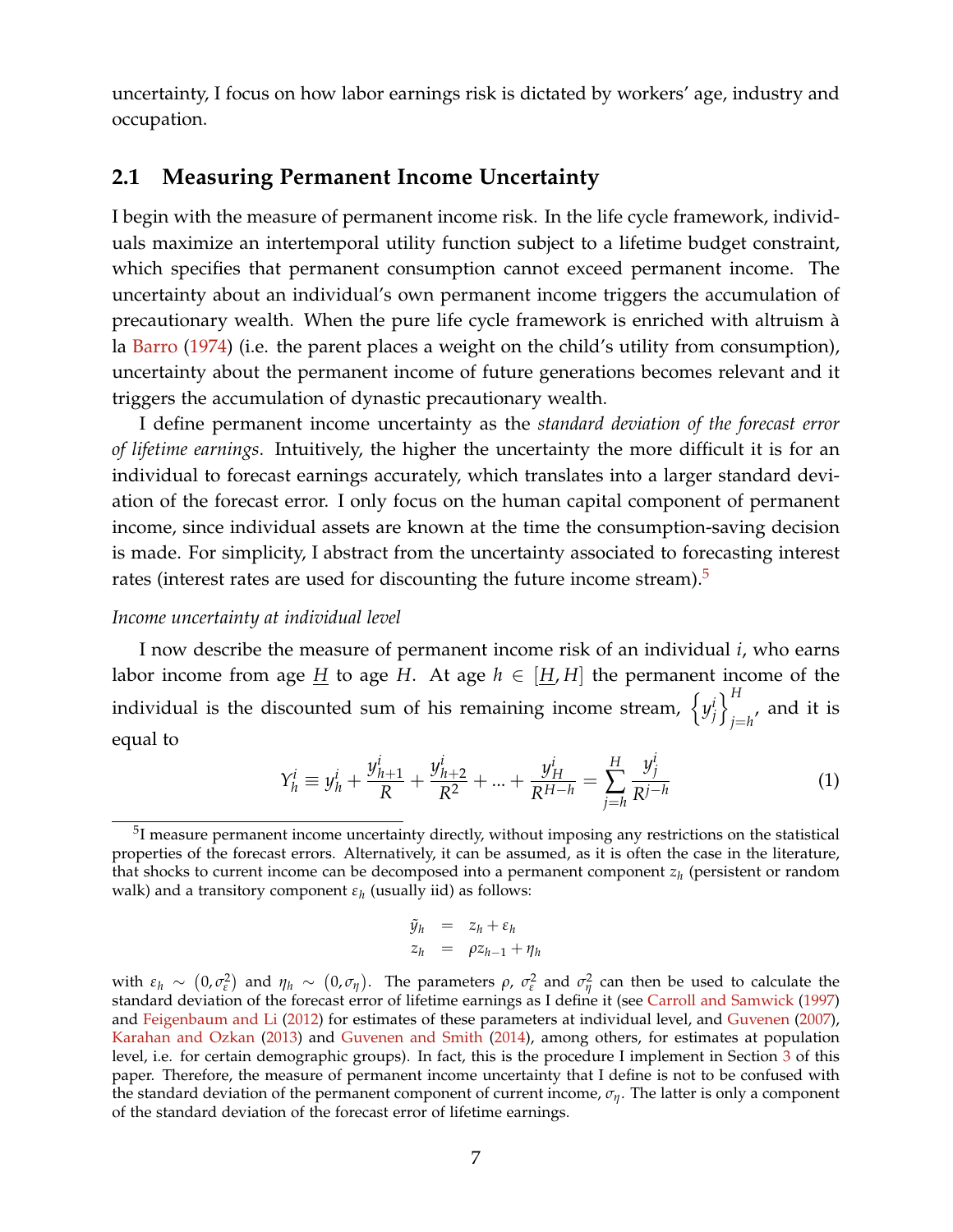uncertainty, I focus on how labor earnings risk is dictated by workers' age, industry and occupation.

## <span id="page-6-0"></span>**2.1 Measuring Permanent Income Uncertainty**

I begin with the measure of permanent income risk. In the life cycle framework, individuals maximize an intertemporal utility function subject to a lifetime budget constraint, which specifies that permanent consumption cannot exceed permanent income. The uncertainty about an individual's own permanent income triggers the accumulation of precautionary wealth. When the pure life cycle framework is enriched with altruism à la [Barro](#page-52-0) [\(1974\)](#page-52-0) (i.e. the parent places a weight on the child's utility from consumption), uncertainty about the permanent income of future generations becomes relevant and it triggers the accumulation of dynastic precautionary wealth.

I define permanent income uncertainty as the *standard deviation of the forecast error of lifetime earnings*. Intuitively, the higher the uncertainty the more difficult it is for an individual to forecast earnings accurately, which translates into a larger standard deviation of the forecast error. I only focus on the human capital component of permanent income, since individual assets are known at the time the consumption-saving decision is made. For simplicity, I abstract from the uncertainty associated to forecasting interest rates (interest rates are used for discounting the future income stream).<sup>[5](#page-0-0)</sup>

#### *Income uncertainty at individual level*

I now describe the measure of permanent income risk of an individual *i*, who earns labor income from age  $\underline{H}$  to age  $H$ . At age  $h \in [\underline{H}, H]$  the permanent income of the individual is the discounted sum of his remaining income stream,  $\{y_i^i\}$ *j*  $\iint$ <sup>H</sup>  $_{j=h^{\prime }}$  and it is equal to

$$
Y_h^i \equiv y_h^i + \frac{y_{h+1}^i}{R} + \frac{y_{h+2}^i}{R^2} + \dots + \frac{y_H^i}{R^{H-h}} = \sum_{j=h}^H \frac{y_j^i}{R^{j-h}}
$$
(1)

$$
\begin{array}{rcl}\n\tilde{y}_h & = & z_h + \varepsilon_h \\
z_h & = & \rho z_{h-1} + \eta_h\n\end{array}
$$

with  $\varepsilon_h \sim (0, \sigma_\varepsilon^2)$  and  $\eta_h \sim (0, \sigma_\eta)$ . The parameters  $\rho$ ,  $\sigma_\varepsilon^2$  and  $\sigma_\eta^2$  can then be used to calculate the standard deviation of the forecast error of lifetime earnings as I define it (see [Carroll and Samwick](#page-53-1) [\(1997\)](#page-53-1) and [Feigenbaum and Li](#page-53-5) [\(2012\)](#page-53-5) for estimates of these parameters at individual level, and [Guvenen](#page-53-6) [\(2007\)](#page-53-6), [Karahan and Ozkan](#page-54-8) [\(2013\)](#page-54-8) and [Guvenen and Smith](#page-53-7) [\(2014\)](#page-53-7), among others, for estimates at population level, i.e. for certain demographic groups). In fact, this is the procedure I implement in Section [3](#page-30-0) of this paper. Therefore, the measure of permanent income uncertainty that I define is not to be confused with the standard deviation of the permanent component of current income,  $\sigma_{\eta}$ . The latter is only a component of the standard deviation of the forecast error of lifetime earnings.

 $5$ I measure permanent income uncertainty directly, without imposing any restrictions on the statistical properties of the forecast errors. Alternatively, it can be assumed, as it is often the case in the literature, that shocks to current income can be decomposed into a permanent component *z<sup>h</sup>* (persistent or random walk) and a transitory component *ε<sup>h</sup>* (usually iid) as follows: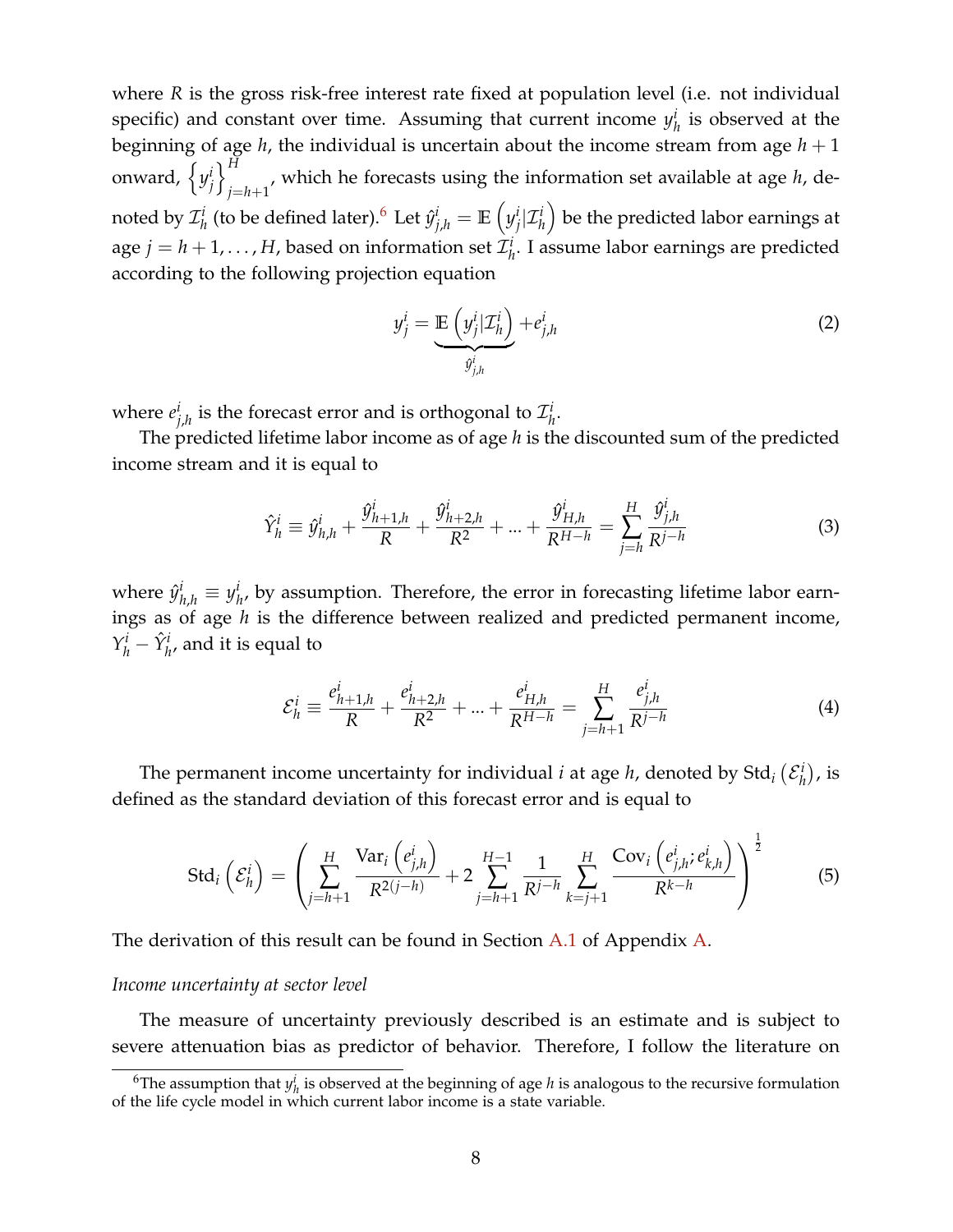where *R* is the gross risk-free interest rate fixed at population level (i.e. not individual specific) and constant over time. Assuming that current income  $y_i^i$  $h$ <sup> $l$ </sup> is observed at the beginning of age  $h$ , the individual is uncertain about the income stream from age  $h + 1$ onward,  $\left\{ y_i^i \right\}$ *j*  $\iota$ <sup>H</sup>  $j=h+1$ <sup>,</sup> which he forecasts using the information set available at age *h*, denoted by  $\mathcal{I}_h^i$  $y^i_h$  (to be defined later). $^6$  $^6$  Let  $\hat{y}^i_{j,h} = \mathbb{E}\left(y^i_j\right)$  $j$   $|\mathcal{I}_h^i|$  be the predicted labor earnings at age  $j = h + 1, \ldots, H$ , based on information set  $\mathcal{I}_h^i$ *h* . I assume labor earnings are predicted according to the following projection equation

$$
y_j^i = \underbrace{\mathbb{E}\left(y_j^i | \mathcal{I}_h^i\right)}_{\hat{y}_{j,h}^i} + e_{j,h}^i
$$
 (2)

where *e i*  $j_{j,h}^i$  is the forecast error and is orthogonal to  $\mathcal{I}^i_h$ *h* .

The predicted lifetime labor income as of age *h* is the discounted sum of the predicted income stream and it is equal to

$$
\hat{Y}_{h}^{i} \equiv \hat{y}_{h,h}^{i} + \frac{\hat{y}_{h+1,h}^{i}}{R} + \frac{\hat{y}_{h+2,h}^{i}}{R^{2}} + \ldots + \frac{\hat{y}_{H,h}^{i}}{R^{H-h}} = \sum_{j=h}^{H} \frac{\hat{y}_{j,h}^{i}}{R^{j-h}}
$$
(3)

where  $\hat{y}_{h,h}^i \equiv y_h^i$  $h\atop h$ , by assumption. Therefore, the error in forecasting lifetime labor earnings as of age *h* is the difference between realized and predicted permanent income,  $Y_h^i - \hat{Y}_{h'}^i$ , and it is equal to

$$
\mathcal{E}_h^i \equiv \frac{e_{h+1,h}^i}{R} + \frac{e_{h+2,h}^i}{R^2} + \dots + \frac{e_{H,h}^i}{R^{H-h}} = \sum_{j=h+1}^H \frac{e_{j,h}^i}{R^{j-h}}
$$
(4)

The permanent income uncertainty for individual *i* at age *h*, denoted by Std<sub>i</sub>  $(\mathcal{E}_{h}^{i})$  $\binom{i}{h}$ , is defined as the standard deviation of this forecast error and is equal to

$$
\text{Std}_i\left(\mathcal{E}_h^i\right) = \left(\sum_{j=h+1}^H \frac{\text{Var}_i\left(e_{j,h}^i\right)}{R^{2(j-h)}} + 2\sum_{j=h+1}^{H-1} \frac{1}{R^{j-h}} \sum_{k=j+1}^H \frac{\text{Cov}_i\left(e_{j,h}^i; e_{k,h}^i\right)}{R^{k-h}}\right)^{\frac{1}{2}}
$$
(5)

The derivation of this result can be found in Section [A.1](#page-56-0) of Appendix [A.](#page-56-1)

#### *Income uncertainty at sector level*

The measure of uncertainty previously described is an estimate and is subject to severe attenuation bias as predictor of behavior. Therefore, I follow the literature on

<sup>&</sup>lt;sup>6</sup>The assumption that  $y_h^i$  is observed at the beginning of age *h* is analogous to the recursive formulation of the life cycle model in which current labor income is a state variable.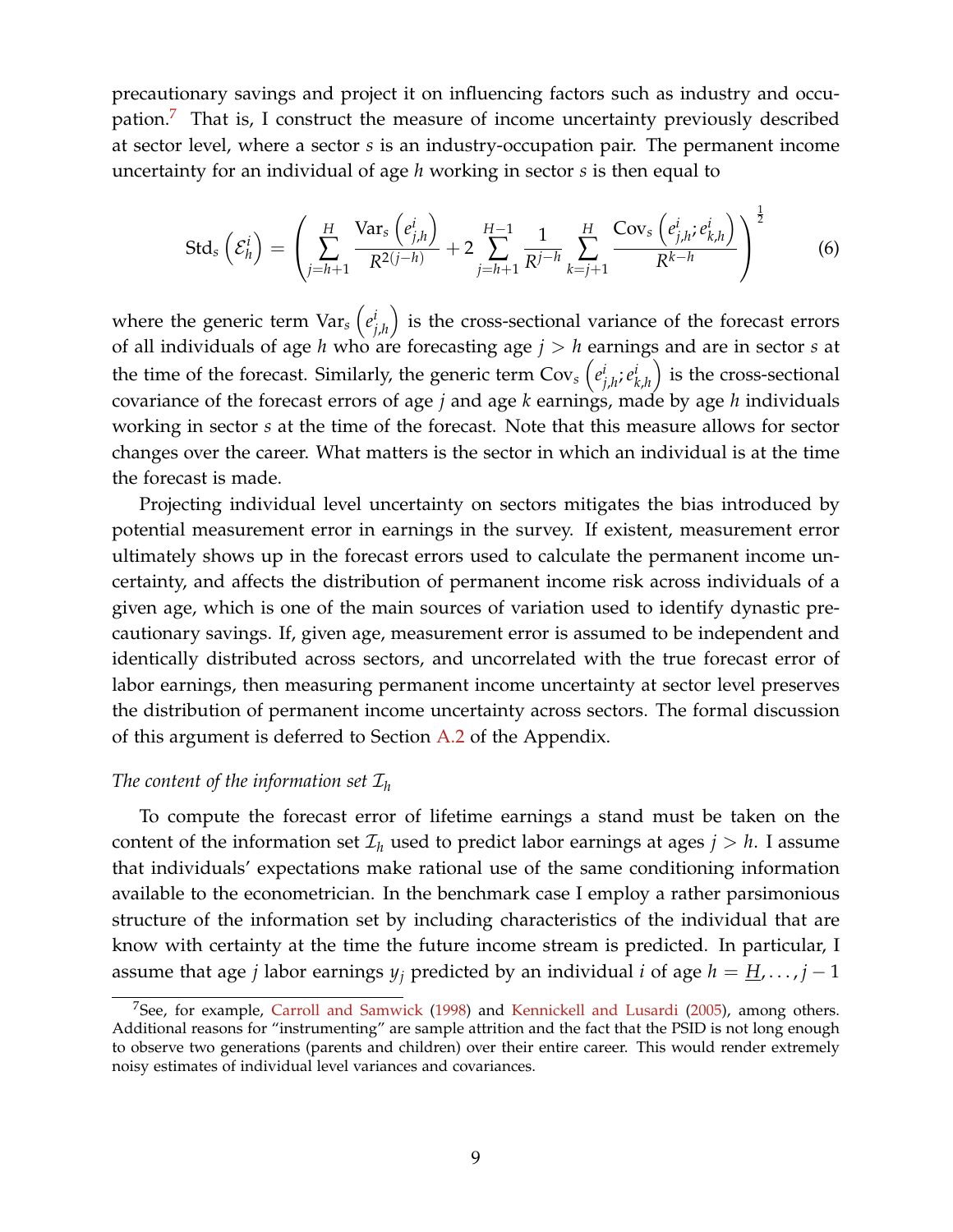precautionary savings and project it on influencing factors such as industry and occu-pation.<sup>[7](#page-0-0)</sup> That is, I construct the measure of income uncertainty previously described at sector level, where a sector *s* is an industry-occupation pair. The permanent income uncertainty for an individual of age *h* working in sector *s* is then equal to

<span id="page-8-0"></span>
$$
\text{Std}_{s}\left(\mathcal{E}_{h}^{i}\right) = \left(\sum_{j=h+1}^{H} \frac{\text{Var}_{s}\left(e_{j,h}^{i}\right)}{R^{2(j-h)}} + 2\sum_{j=h+1}^{H-1} \frac{1}{R^{j-h}} \sum_{k=j+1}^{H} \frac{\text{Cov}_{s}\left(e_{j,h}^{i}; e_{k,h}^{i}\right)}{R^{k-h}}\right)^{\frac{1}{2}}
$$
(6)

where the generic term  $\text{Var}_s\left(e^i\right)$ *j*,*h* ) is the cross-sectional variance of the forecast errors of all individuals of age *h* who are forecasting age *j* > *h* earnings and are in sector *s* at the time of the forecast. Similarly, the generic term  $\text{Cov}_s\left(e_i^{\text{in}}\right)$ *j*,*h* ;*e i k*,*h* ) is the cross-sectional covariance of the forecast errors of age *j* and age *k* earnings, made by age *h* individuals working in sector *s* at the time of the forecast. Note that this measure allows for sector changes over the career. What matters is the sector in which an individual is at the time the forecast is made.

Projecting individual level uncertainty on sectors mitigates the bias introduced by potential measurement error in earnings in the survey. If existent, measurement error ultimately shows up in the forecast errors used to calculate the permanent income uncertainty, and affects the distribution of permanent income risk across individuals of a given age, which is one of the main sources of variation used to identify dynastic precautionary savings. If, given age, measurement error is assumed to be independent and identically distributed across sectors, and uncorrelated with the true forecast error of labor earnings, then measuring permanent income uncertainty at sector level preserves the distribution of permanent income uncertainty across sectors. The formal discussion of this argument is deferred to Section [A.2](#page-57-0) of the Appendix.

#### *The content of the information set*  $\mathcal{I}_h$

To compute the forecast error of lifetime earnings a stand must be taken on the content of the information set  $\mathcal{I}_h$  used to predict labor earnings at ages  $j > h$ . I assume that individuals' expectations make rational use of the same conditioning information available to the econometrician. In the benchmark case I employ a rather parsimonious structure of the information set by including characteristics of the individual that are know with certainty at the time the future income stream is predicted. In particular, I assume that age *j* labor earnings  $y_j$  predicted by an individual *i* of age  $h = \underline{H}, \ldots, j - 1$ 

<sup>&</sup>lt;sup>7</sup>See, for example, [Carroll and Samwick](#page-53-8) [\(1998\)](#page-53-8) and [Kennickell and Lusardi](#page-54-5) [\(2005\)](#page-54-5), among others. Additional reasons for "instrumenting" are sample attrition and the fact that the PSID is not long enough to observe two generations (parents and children) over their entire career. This would render extremely noisy estimates of individual level variances and covariances.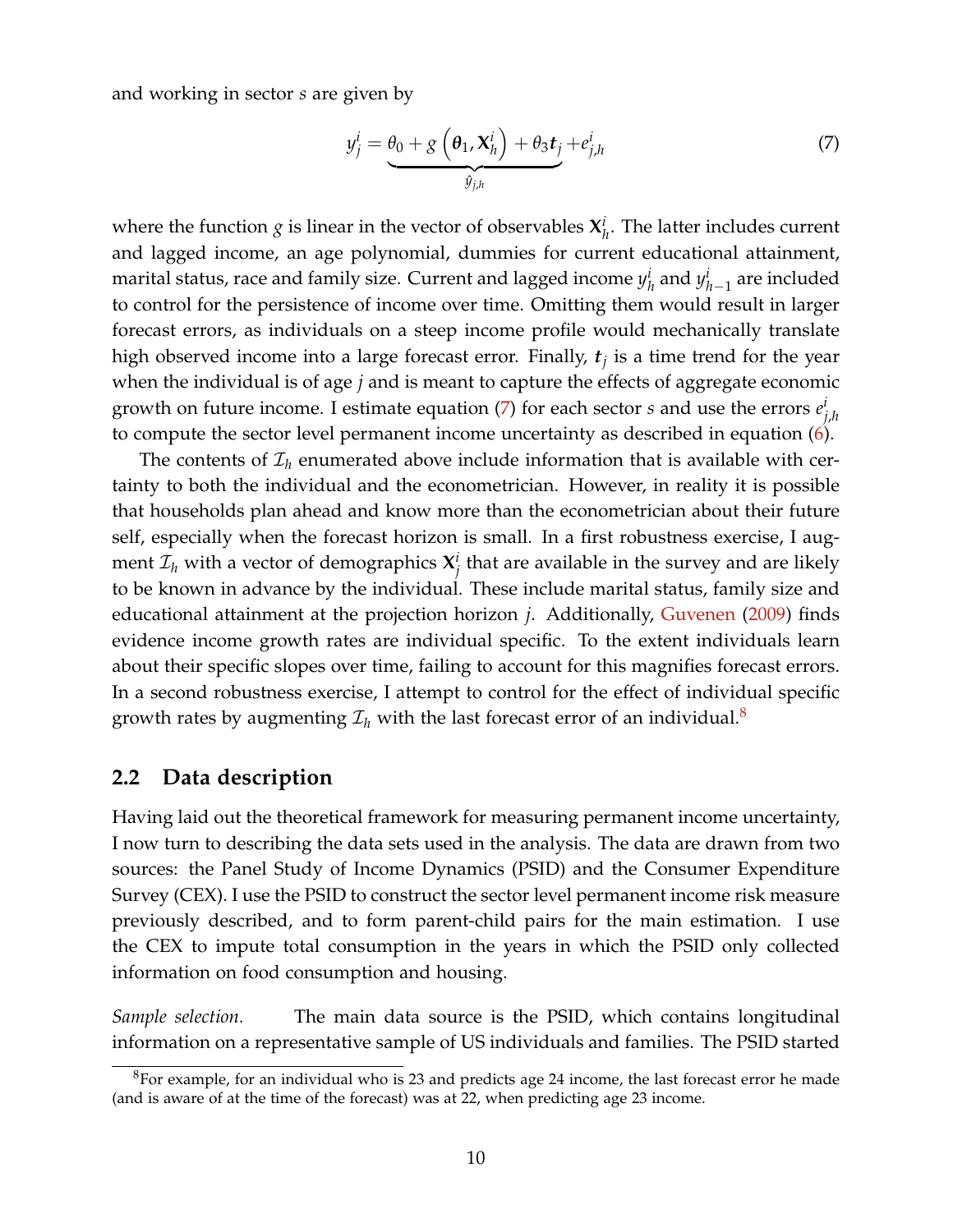and working in sector *s* are given by

<span id="page-9-0"></span>
$$
y_j^i = \underbrace{\theta_0 + g\left(\theta_1, \mathbf{X}_h^i\right) + \theta_3 t_j}_{\hat{y}_{j,h}} + e_{j,h}^i \tag{7}
$$

where the function  $g$  is linear in the vector of observables  $X^i_p$  $h^l_h$ . The latter includes current and lagged income, an age polynomial, dummies for current educational attainment, marital status, race and family size. Current and lagged income *y i*  $\frac{d}{dt}$  and  $y^i_{h-1}$  are included to control for the persistence of income over time. Omitting them would result in larger forecast errors, as individuals on a steep income profile would mechanically translate high observed income into a large forecast error. Finally, *t<sup>j</sup>* is a time trend for the year when the individual is of age *j* and is meant to capture the effects of aggregate economic growth on future income. I estimate equation [\(7\)](#page-9-0) for each sector *s* and use the errors *e i j*,*h* to compute the sector level permanent income uncertainty as described in equation [\(6\)](#page-8-0).

The contents of  $\mathcal{I}_h$  enumerated above include information that is available with certainty to both the individual and the econometrician. However, in reality it is possible that households plan ahead and know more than the econometrician about their future self, especially when the forecast horizon is small. In a first robustness exercise, I augment  $\mathcal{I}_h$  with a vector of demographics  $\mathbf{X}_i^i$ *j* that are available in the survey and are likely to be known in advance by the individual. These include marital status, family size and educational attainment at the projection horizon *j*. Additionally, [Guvenen](#page-53-9) [\(2009\)](#page-53-9) finds evidence income growth rates are individual specific. To the extent individuals learn about their specific slopes over time, failing to account for this magnifies forecast errors. In a second robustness exercise, I attempt to control for the effect of individual specific growth rates by augmenting  $\mathcal{I}_h$  with the last forecast error of an individual.<sup>[8](#page-0-0)</sup>

### <span id="page-9-1"></span>**2.2 Data description**

Having laid out the theoretical framework for measuring permanent income uncertainty, I now turn to describing the data sets used in the analysis. The data are drawn from two sources: the Panel Study of Income Dynamics (PSID) and the Consumer Expenditure Survey (CEX). I use the PSID to construct the sector level permanent income risk measure previously described, and to form parent-child pairs for the main estimation. I use the CEX to impute total consumption in the years in which the PSID only collected information on food consumption and housing.

*Sample selection.* The main data source is the PSID, which contains longitudinal information on a representative sample of US individuals and families. The PSID started

<sup>8</sup>For example, for an individual who is 23 and predicts age 24 income, the last forecast error he made (and is aware of at the time of the forecast) was at 22, when predicting age 23 income.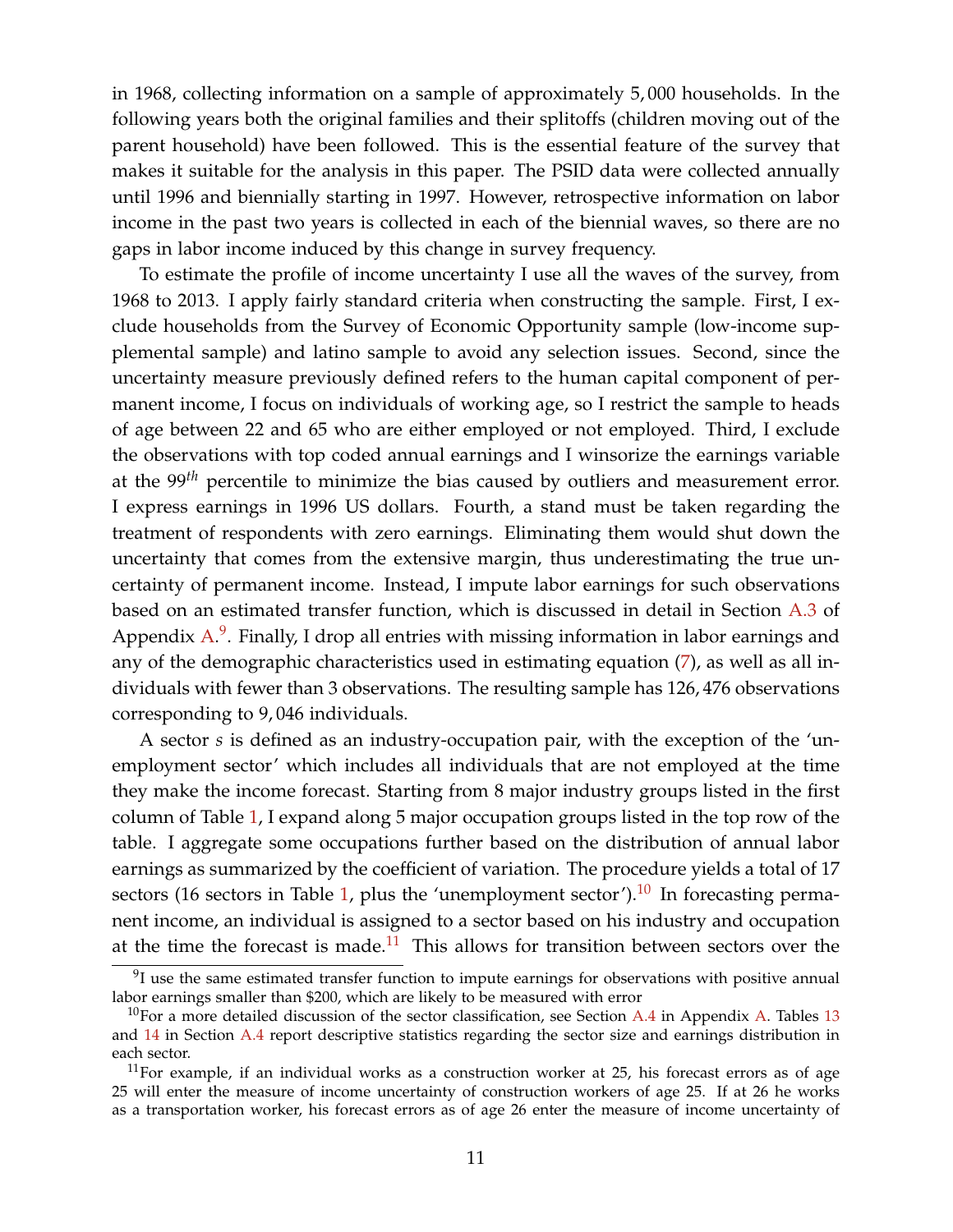in 1968, collecting information on a sample of approximately 5, 000 households. In the following years both the original families and their splitoffs (children moving out of the parent household) have been followed. This is the essential feature of the survey that makes it suitable for the analysis in this paper. The PSID data were collected annually until 1996 and biennially starting in 1997. However, retrospective information on labor income in the past two years is collected in each of the biennial waves, so there are no gaps in labor income induced by this change in survey frequency.

To estimate the profile of income uncertainty I use all the waves of the survey, from 1968 to 2013. I apply fairly standard criteria when constructing the sample. First, I exclude households from the Survey of Economic Opportunity sample (low-income supplemental sample) and latino sample to avoid any selection issues. Second, since the uncertainty measure previously defined refers to the human capital component of permanent income, I focus on individuals of working age, so I restrict the sample to heads of age between 22 and 65 who are either employed or not employed. Third, I exclude the observations with top coded annual earnings and I winsorize the earnings variable at the 99*th* percentile to minimize the bias caused by outliers and measurement error. I express earnings in 1996 US dollars. Fourth, a stand must be taken regarding the treatment of respondents with zero earnings. Eliminating them would shut down the uncertainty that comes from the extensive margin, thus underestimating the true uncertainty of permanent income. Instead, I impute labor earnings for such observations based on an estimated transfer function, which is discussed in detail in Section [A.3](#page-58-0) of Appendix [A.](#page-56-1)<sup>[9](#page-0-0)</sup>. Finally, I drop all entries with missing information in labor earnings and any of the demographic characteristics used in estimating equation [\(7\)](#page-9-0), as well as all individuals with fewer than 3 observations. The resulting sample has 126, 476 observations corresponding to 9, 046 individuals.

A sector *s* is defined as an industry-occupation pair, with the exception of the 'unemployment sector' which includes all individuals that are not employed at the time they make the income forecast. Starting from 8 major industry groups listed in the first column of Table [1,](#page-11-0) I expand along 5 major occupation groups listed in the top row of the table. I aggregate some occupations further based on the distribution of annual labor earnings as summarized by the coefficient of variation. The procedure yields a total of 17 sectors (16 sectors in Table [1,](#page-11-0) plus the 'unemployment sector'). $10$  In forecasting permanent income, an individual is assigned to a sector based on his industry and occupation at the time the forecast is made.<sup>[11](#page-0-0)</sup> This allows for transition between sectors over the

 $9$ I use the same estimated transfer function to impute earnings for observations with positive annual labor earnings smaller than \$200, which are likely to be measured with error

<sup>&</sup>lt;sup>10</sup>For a more detailed discussion of the sector classification, see Section [A.4](#page-58-1) in Appendix [A.](#page-56-1) Tables [13](#page-59-0) and [14](#page-60-0) in Section [A.4](#page-58-1) report descriptive statistics regarding the sector size and earnings distribution in each sector.

 $11$ For example, if an individual works as a construction worker at 25, his forecast errors as of age 25 will enter the measure of income uncertainty of construction workers of age 25. If at 26 he works as a transportation worker, his forecast errors as of age 26 enter the measure of income uncertainty of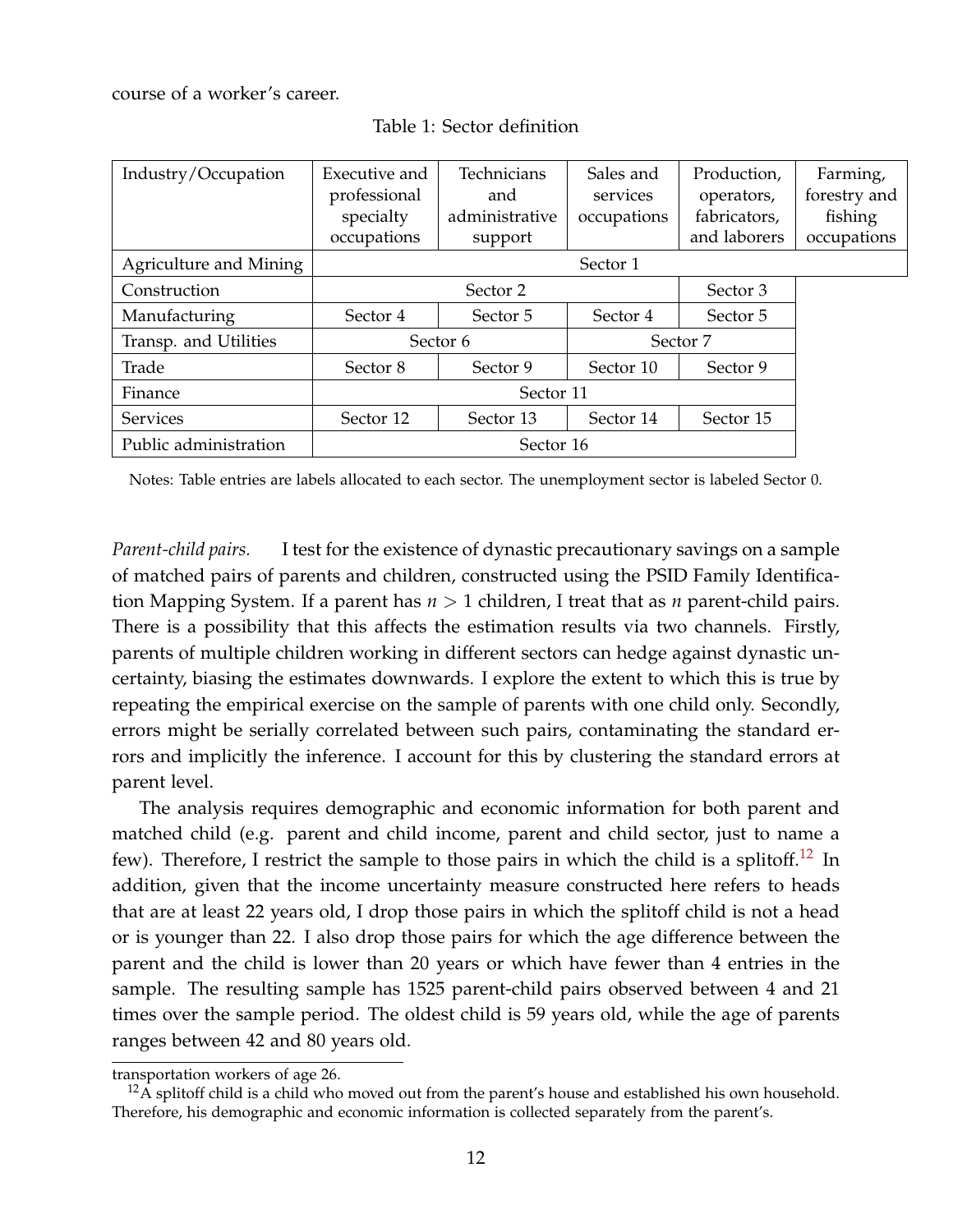<span id="page-11-0"></span>course of a worker's career.

| Industry/Occupation    | Executive and       | Technicians    | Sales and   | Production,  | Farming,     |
|------------------------|---------------------|----------------|-------------|--------------|--------------|
|                        | professional        | and            | services    | operators,   | forestry and |
|                        | specialty           | administrative | occupations | fabricators, | fishing      |
|                        | occupations         | support        |             | and laborers | occupations  |
| Agriculture and Mining |                     |                | Sector 1    |              |              |
| Construction           | Sector 2            |                |             | Sector 3     |              |
| Manufacturing          | Sector 4            | Sector 5       | Sector 4    | Sector 5     |              |
| Transp. and Utilities  | Sector <sub>6</sub> |                |             | Sector 7     |              |
| Trade                  | Sector 8            | Sector 9       | Sector 10   | Sector 9     |              |
| Finance                |                     |                |             |              |              |
| <b>Services</b>        | Sector 12           | Sector 13      | Sector 14   | Sector 15    |              |
| Public administration  |                     |                |             |              |              |

Table 1: Sector definition

Notes: Table entries are labels allocated to each sector. The unemployment sector is labeled Sector 0.

*Parent-child pairs.* I test for the existence of dynastic precautionary savings on a sample of matched pairs of parents and children, constructed using the PSID Family Identification Mapping System. If a parent has *n* > 1 children, I treat that as *n* parent-child pairs. There is a possibility that this affects the estimation results via two channels. Firstly, parents of multiple children working in different sectors can hedge against dynastic uncertainty, biasing the estimates downwards. I explore the extent to which this is true by repeating the empirical exercise on the sample of parents with one child only. Secondly, errors might be serially correlated between such pairs, contaminating the standard errors and implicitly the inference. I account for this by clustering the standard errors at parent level.

The analysis requires demographic and economic information for both parent and matched child (e.g. parent and child income, parent and child sector, just to name a few). Therefore, I restrict the sample to those pairs in which the child is a splitoff.<sup>[12](#page-0-0)</sup> In addition, given that the income uncertainty measure constructed here refers to heads that are at least 22 years old, I drop those pairs in which the splitoff child is not a head or is younger than 22. I also drop those pairs for which the age difference between the parent and the child is lower than 20 years or which have fewer than 4 entries in the sample. The resulting sample has 1525 parent-child pairs observed between 4 and 21 times over the sample period. The oldest child is 59 years old, while the age of parents ranges between 42 and 80 years old.

transportation workers of age 26.

 $12A$  splitoff child is a child who moved out from the parent's house and established his own household. Therefore, his demographic and economic information is collected separately from the parent's.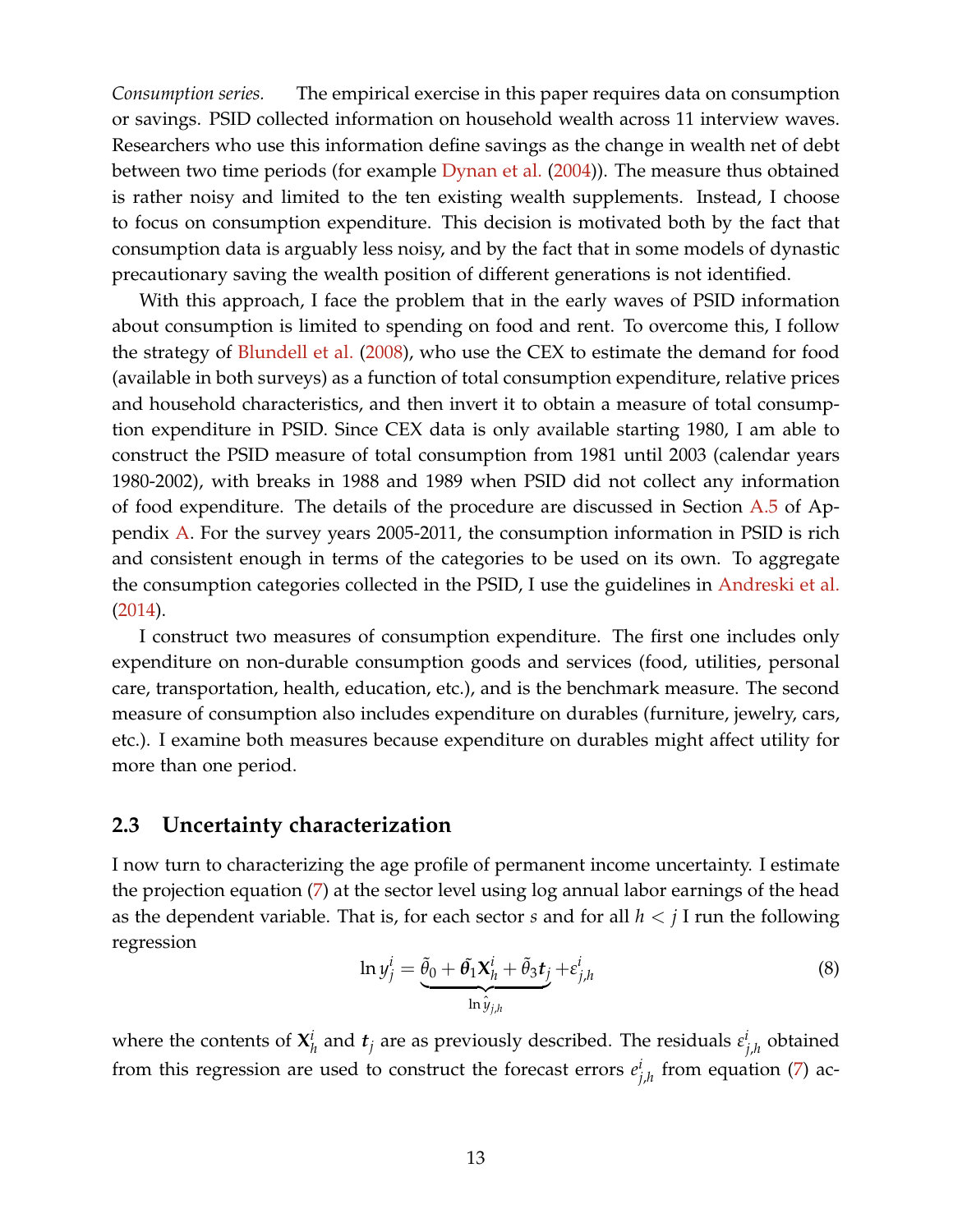*Consumption series.* The empirical exercise in this paper requires data on consumption or savings. PSID collected information on household wealth across 11 interview waves. Researchers who use this information define savings as the change in wealth net of debt between two time periods (for example [Dynan et al.](#page-53-10) [\(2004\)](#page-53-10)). The measure thus obtained is rather noisy and limited to the ten existing wealth supplements. Instead, I choose to focus on consumption expenditure. This decision is motivated both by the fact that consumption data is arguably less noisy, and by the fact that in some models of dynastic precautionary saving the wealth position of different generations is not identified.

With this approach, I face the problem that in the early waves of PSID information about consumption is limited to spending on food and rent. To overcome this, I follow the strategy of [Blundell et al.](#page-52-10) [\(2008\)](#page-52-10), who use the CEX to estimate the demand for food (available in both surveys) as a function of total consumption expenditure, relative prices and household characteristics, and then invert it to obtain a measure of total consumption expenditure in PSID. Since CEX data is only available starting 1980, I am able to construct the PSID measure of total consumption from 1981 until 2003 (calendar years 1980-2002), with breaks in 1988 and 1989 when PSID did not collect any information of food expenditure. The details of the procedure are discussed in Section [A.5](#page-58-2) of Appendix [A.](#page-56-1) For the survey years 2005-2011, the consumption information in PSID is rich and consistent enough in terms of the categories to be used on its own. To aggregate the consumption categories collected in the PSID, I use the guidelines in [Andreski et al.](#page-52-11) [\(2014\)](#page-52-11).

I construct two measures of consumption expenditure. The first one includes only expenditure on non-durable consumption goods and services (food, utilities, personal care, transportation, health, education, etc.), and is the benchmark measure. The second measure of consumption also includes expenditure on durables (furniture, jewelry, cars, etc.). I examine both measures because expenditure on durables might affect utility for more than one period.

### **2.3 Uncertainty characterization**

I now turn to characterizing the age profile of permanent income uncertainty. I estimate the projection equation [\(7\)](#page-9-0) at the sector level using log annual labor earnings of the head as the dependent variable. That is, for each sector *s* and for all *h* < *j* I run the following regression

$$
\ln y_j^i = \underbrace{\tilde{\theta}_0 + \tilde{\theta}_1 X_h^i + \tilde{\theta}_3 t_j}_{\ln \hat{y}_{j,h}} + \varepsilon_{j,h}^i \tag{8}
$$

where the contents of  $X^i_k$  $\mathbf{z}_h^i$  and  $\mathbf{t}_j$  are as previously described. The residuals  $\mathbf{\epsilon}_j^i$ *j*,*h* obtained from this regression are used to construct the forecast errors  $e_i^i$ *j*,*h* from equation [\(7\)](#page-9-0) ac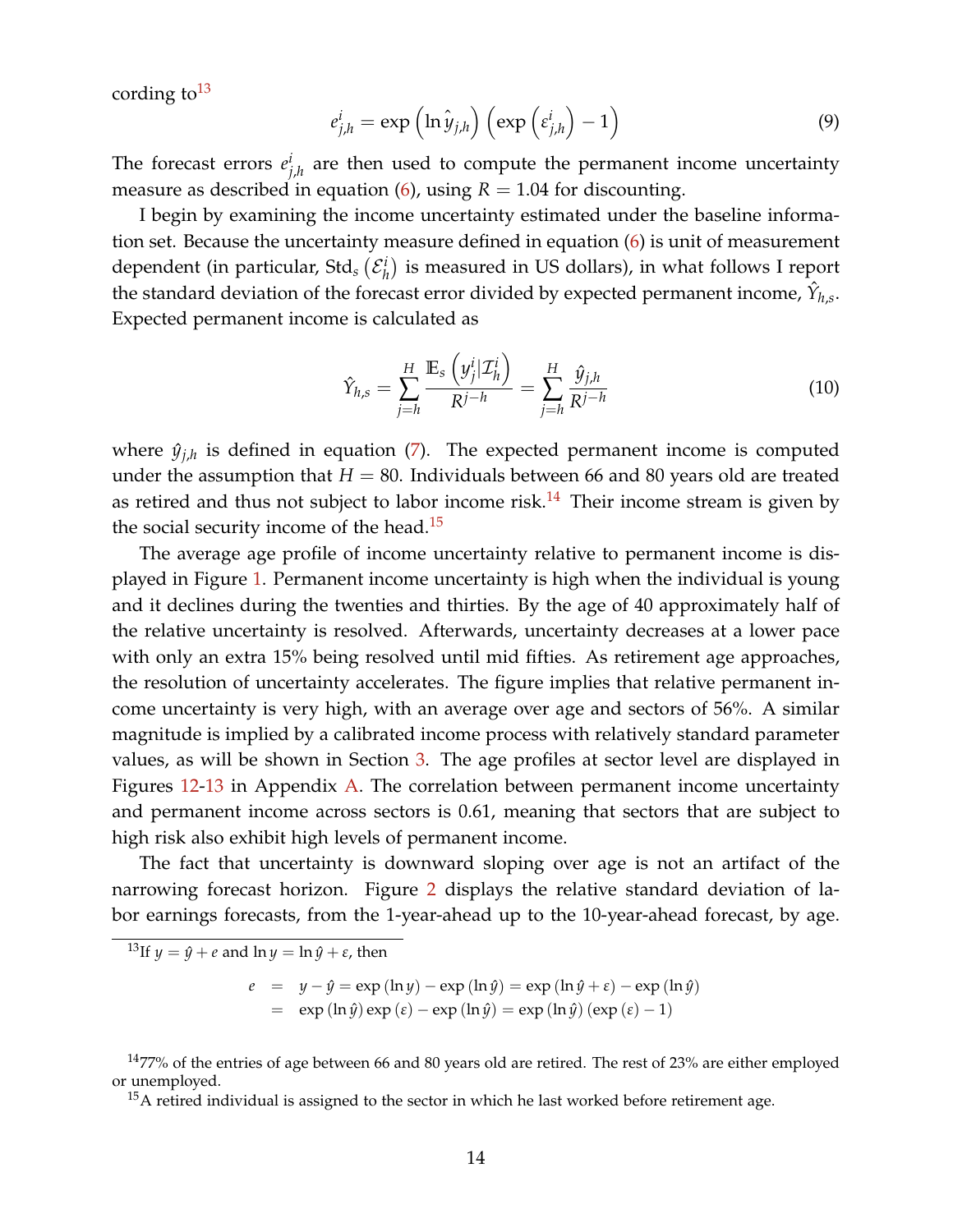cording to  $13$ 

$$
e_{j,h}^i = \exp\left(\ln \hat{y}_{j,h}\right) \left(\exp\left(\epsilon_{j,h}^i\right) - 1\right) \tag{9}
$$

The forecast errors  $e_i^i$ *j*,*h* are then used to compute the permanent income uncertainty measure as described in equation  $(6)$ , using  $R = 1.04$  for discounting.

I begin by examining the income uncertainty estimated under the baseline information set. Because the uncertainty measure defined in equation [\(6\)](#page-8-0) is unit of measurement dependent (in particular, Std<sub>s</sub>  $(\mathcal{E}_{h}^{i})$  $\binom{i}{h}$  is measured in US dollars), in what follows I report the standard deviation of the forecast error divided by expected permanent income,  $\hat{Y}_{h,s}.$ Expected permanent income is calculated as

<span id="page-13-0"></span>
$$
\hat{Y}_{h,s} = \sum_{j=h}^{H} \frac{\mathbb{E}_s \left( y_j^i | \mathcal{I}_h^i \right)}{R^{j-h}} = \sum_{j=h}^{H} \frac{\hat{y}_{j,h}}{R^{j-h}}
$$
(10)

where  $\hat{y}_{j,h}$  is defined in equation [\(7\)](#page-9-0). The expected permanent income is computed under the assumption that  $H = 80$ . Individuals between 66 and 80 years old are treated as retired and thus not subject to labor income risk.<sup>[14](#page-0-0)</sup> Their income stream is given by the social security income of the head.<sup>[15](#page-0-0)</sup>

The average age profile of income uncertainty relative to permanent income is displayed in Figure [1.](#page-14-0) Permanent income uncertainty is high when the individual is young and it declines during the twenties and thirties. By the age of 40 approximately half of the relative uncertainty is resolved. Afterwards, uncertainty decreases at a lower pace with only an extra 15% being resolved until mid fifties. As retirement age approaches, the resolution of uncertainty accelerates. The figure implies that relative permanent income uncertainty is very high, with an average over age and sectors of 56%. A similar magnitude is implied by a calibrated income process with relatively standard parameter values, as will be shown in Section [3.](#page-30-0) The age profiles at sector level are displayed in Figures [12-](#page-61-0)[13](#page-62-0) in Appendix [A.](#page-56-1) The correlation between permanent income uncertainty and permanent income across sectors is 0.61, meaning that sectors that are subject to high risk also exhibit high levels of permanent income.

The fact that uncertainty is downward sloping over age is not an artifact of the narrowing forecast horizon. Figure [2](#page-15-0) displays the relative standard deviation of labor earnings forecasts, from the 1-year-ahead up to the 10-year-ahead forecast, by age.

<sup>13</sup>If  $y = \hat{y} + e$  and  $\ln y = \ln \hat{y} + \varepsilon$ , then

 $e = y - \hat{y} = \exp(\ln y) - \exp(\ln \hat{y}) = \exp(\ln \hat{y} + \varepsilon) - \exp(\ln \hat{y})$  $=$  exp  $(\ln \hat{y}) \exp (\epsilon) - \exp (\ln \hat{y}) = \exp (\ln \hat{y}) (\exp (\epsilon) - 1)$ 

 $1477\%$  of the entries of age between 66 and 80 years old are retired. The rest of 23% are either employed or unemployed.

 $15A$  retired individual is assigned to the sector in which he last worked before retirement age.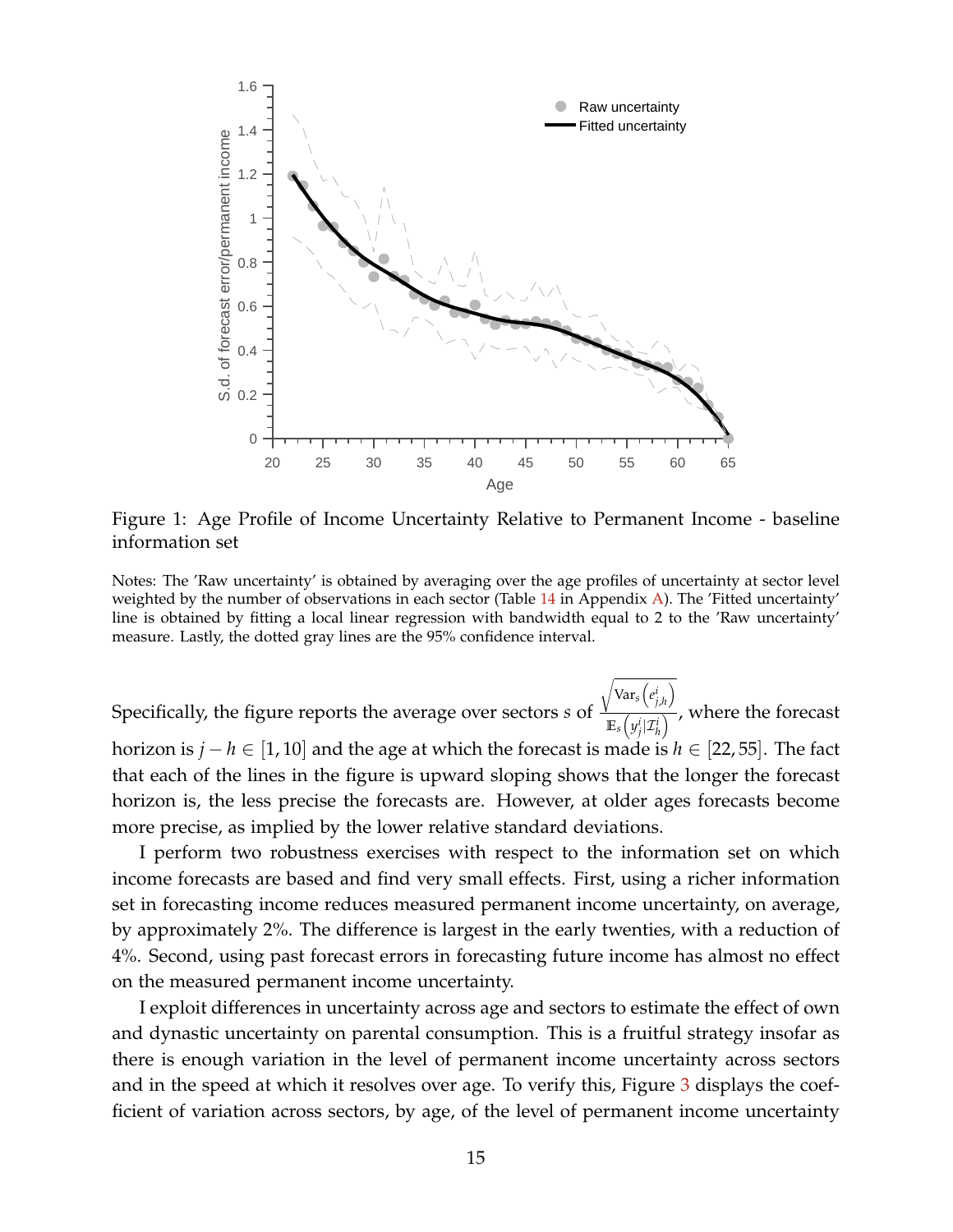<span id="page-14-0"></span>

Figure 1: Age Profile of Income Uncertainty Relative to Permanent Income - baseline information set

Notes: The 'Raw uncertainty' is obtained by averaging over the age profiles of uncertainty at sector level weighted by the number of observations in each sector (Table  $14$  in Appendix [A\)](#page-56-1). The 'Fitted uncertainty' line is obtained by fitting a local linear regression with bandwidth equal to 2 to the 'Raw uncertainty' measure. Lastly, the dotted gray lines are the 95% confidence interval.

Specifically, the figure reports the average over sectors *s* of  $\frac{V}{I}$ <sup>1</sup> Var*s*  $\sqrt{ }$ *e i j*,*h*  $\setminus$  $\mathbb{E}_s \left( y_j^i | \mathcal{I}_h^i \right)$  , where the forecast horizon is *j* − *h* ∈ [1, 10] and the age at which the forecast is made is *h* ∈ [22, 55]. The fact that each of the lines in the figure is upward sloping shows that the longer the forecast horizon is, the less precise the forecasts are. However, at older ages forecasts become more precise, as implied by the lower relative standard deviations.

I perform two robustness exercises with respect to the information set on which income forecasts are based and find very small effects. First, using a richer information set in forecasting income reduces measured permanent income uncertainty, on average, by approximately 2%. The difference is largest in the early twenties, with a reduction of 4%. Second, using past forecast errors in forecasting future income has almost no effect on the measured permanent income uncertainty.

I exploit differences in uncertainty across age and sectors to estimate the effect of own and dynastic uncertainty on parental consumption. This is a fruitful strategy insofar as there is enough variation in the level of permanent income uncertainty across sectors and in the speed at which it resolves over age. To verify this, Figure [3](#page-16-1) displays the coefficient of variation across sectors, by age, of the level of permanent income uncertainty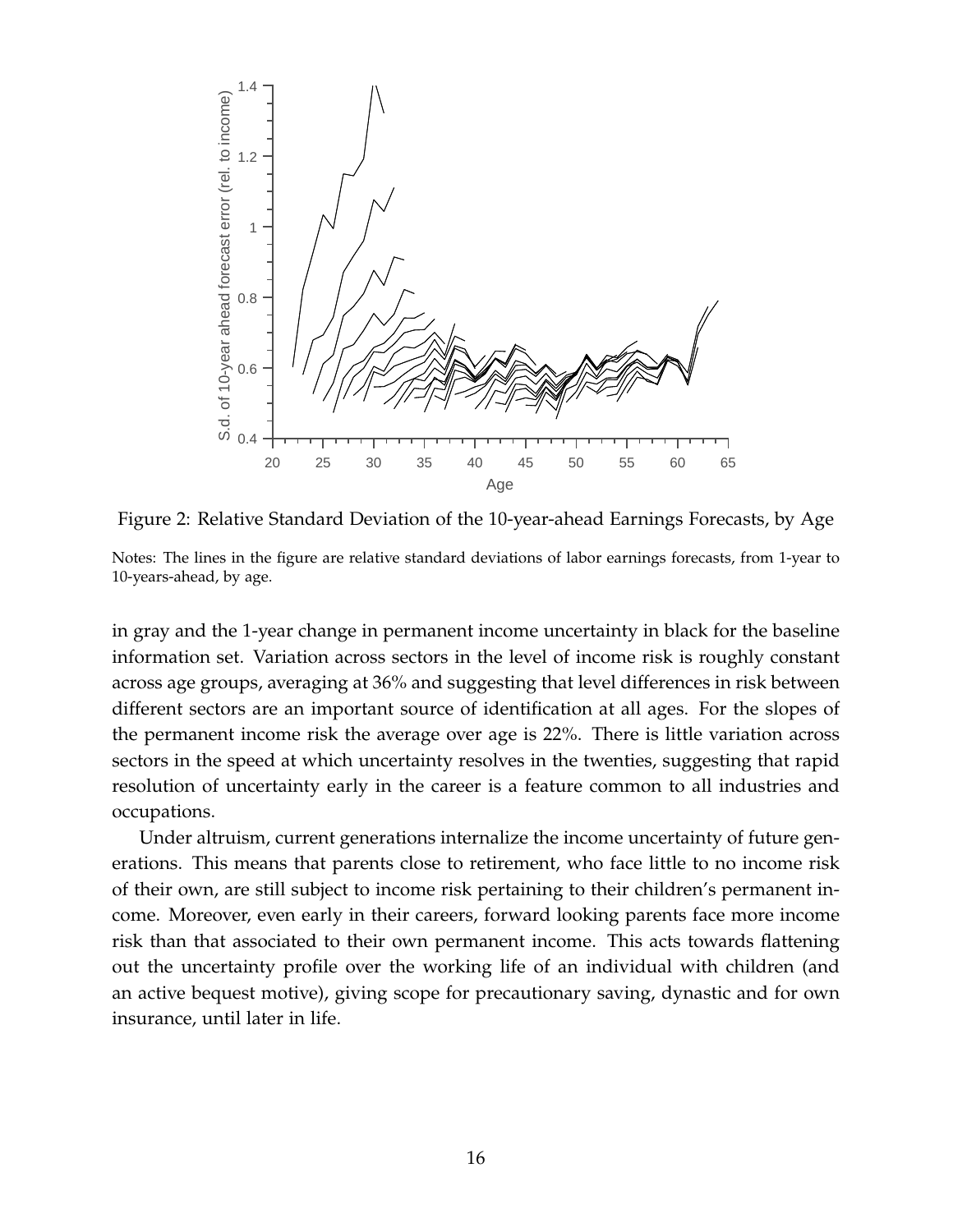<span id="page-15-0"></span>

Figure 2: Relative Standard Deviation of the 10-year-ahead Earnings Forecasts, by Age

Notes: The lines in the figure are relative standard deviations of labor earnings forecasts, from 1-year to 10-years-ahead, by age.

in gray and the 1-year change in permanent income uncertainty in black for the baseline information set. Variation across sectors in the level of income risk is roughly constant across age groups, averaging at 36% and suggesting that level differences in risk between different sectors are an important source of identification at all ages. For the slopes of the permanent income risk the average over age is 22%. There is little variation across sectors in the speed at which uncertainty resolves in the twenties, suggesting that rapid resolution of uncertainty early in the career is a feature common to all industries and occupations.

Under altruism, current generations internalize the income uncertainty of future generations. This means that parents close to retirement, who face little to no income risk of their own, are still subject to income risk pertaining to their children's permanent income. Moreover, even early in their careers, forward looking parents face more income risk than that associated to their own permanent income. This acts towards flattening out the uncertainty profile over the working life of an individual with children (and an active bequest motive), giving scope for precautionary saving, dynastic and for own insurance, until later in life.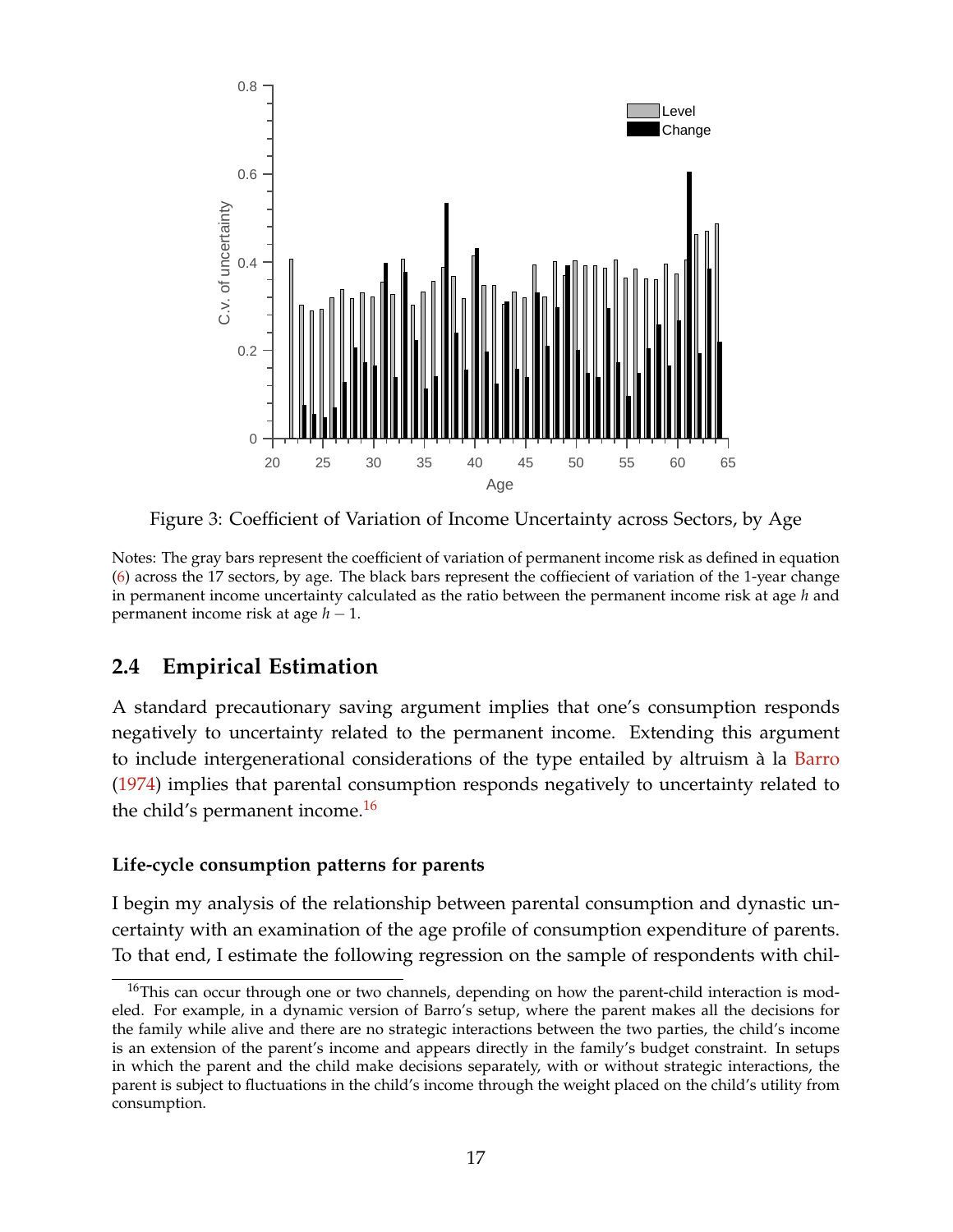<span id="page-16-1"></span>

Figure 3: Coefficient of Variation of Income Uncertainty across Sectors, by Age

Notes: The gray bars represent the coefficient of variation of permanent income risk as defined in equation [\(6\)](#page-8-0) across the 17 sectors, by age. The black bars represent the coffiecient of variation of the 1-year change in permanent income uncertainty calculated as the ratio between the permanent income risk at age *h* and permanent income risk at age *h* − 1.

## <span id="page-16-0"></span>**2.4 Empirical Estimation**

A standard precautionary saving argument implies that one's consumption responds negatively to uncertainty related to the permanent income. Extending this argument to include intergenerational considerations of the type entailed by altruism à la [Barro](#page-52-0) [\(1974\)](#page-52-0) implies that parental consumption responds negatively to uncertainty related to the child's permanent income.<sup>[16](#page-0-0)</sup>

### **Life-cycle consumption patterns for parents**

I begin my analysis of the relationship between parental consumption and dynastic uncertainty with an examination of the age profile of consumption expenditure of parents. To that end, I estimate the following regression on the sample of respondents with chil-

<sup>&</sup>lt;sup>16</sup>This can occur through one or two channels, depending on how the parent-child interaction is modeled. For example, in a dynamic version of Barro's setup, where the parent makes all the decisions for the family while alive and there are no strategic interactions between the two parties, the child's income is an extension of the parent's income and appears directly in the family's budget constraint. In setups in which the parent and the child make decisions separately, with or without strategic interactions, the parent is subject to fluctuations in the child's income through the weight placed on the child's utility from consumption.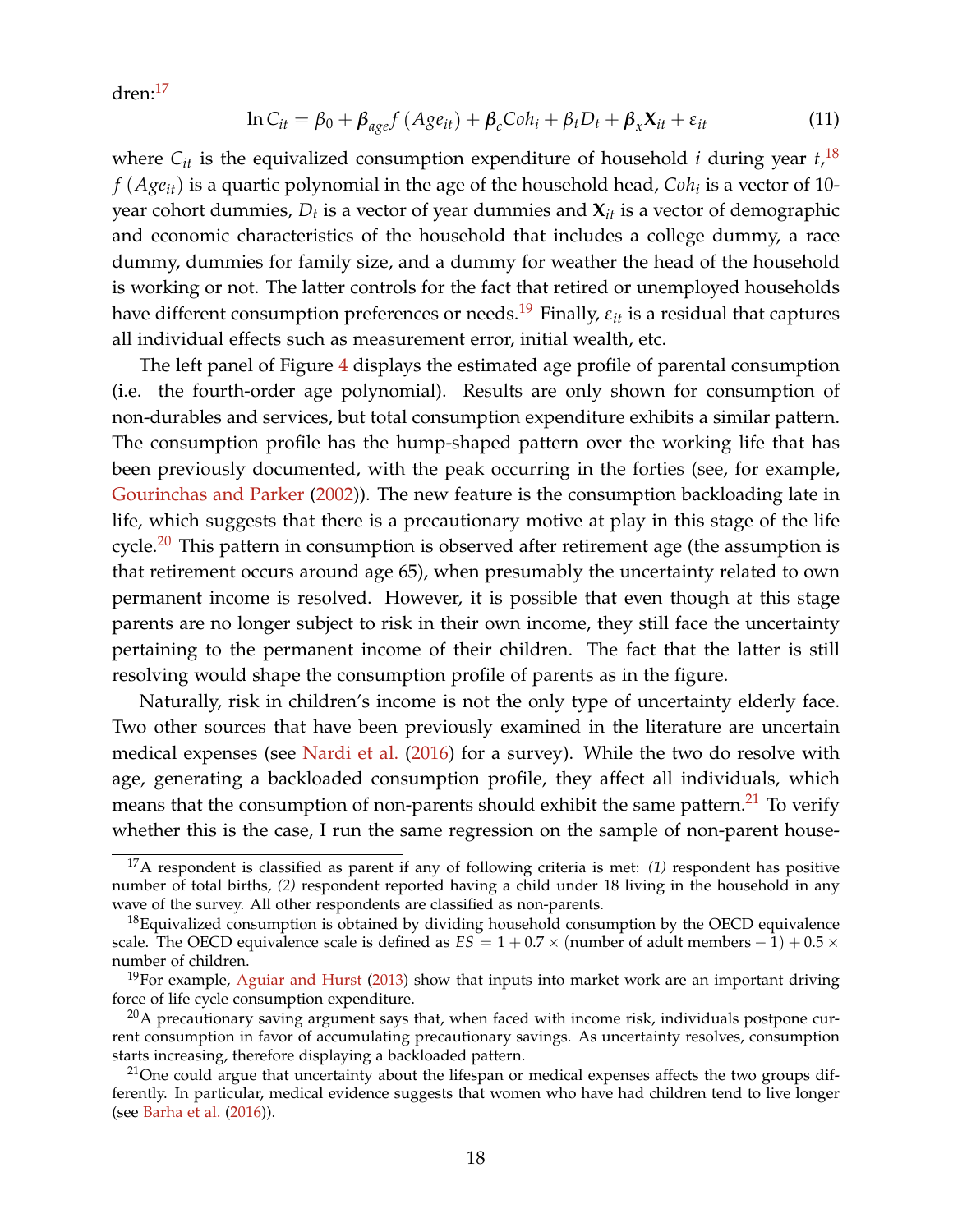dren:[17](#page-0-0)

<span id="page-17-0"></span>
$$
\ln C_{it} = \beta_0 + \beta_{age} f (Age_{it}) + \beta_c Coh_i + \beta_t D_t + \beta_x X_{it} + \varepsilon_{it}
$$
\n(11)

where  $C_{it}$  is the equivalized consumption expenditure of household *i* during year  $t$ ,  $^{18}$  $^{18}$  $^{18}$ *f* (*Ageit*) is a quartic polynomial in the age of the household head, *Coh<sup>i</sup>* is a vector of 10 year cohort dummies, *D<sup>t</sup>* is a vector of year dummies and **X***it* is a vector of demographic and economic characteristics of the household that includes a college dummy, a race dummy, dummies for family size, and a dummy for weather the head of the household is working or not. The latter controls for the fact that retired or unemployed households have different consumption preferences or needs.<sup>[19](#page-0-0)</sup> Finally,  $\varepsilon_{it}$  is a residual that captures all individual effects such as measurement error, initial wealth, etc.

The left panel of Figure [4](#page-18-0) displays the estimated age profile of parental consumption (i.e. the fourth-order age polynomial). Results are only shown for consumption of non-durables and services, but total consumption expenditure exhibits a similar pattern. The consumption profile has the hump-shaped pattern over the working life that has been previously documented, with the peak occurring in the forties (see, for example, [Gourinchas and Parker](#page-53-2) [\(2002\)](#page-53-2)). The new feature is the consumption backloading late in life, which suggests that there is a precautionary motive at play in this stage of the life cycle.<sup>[20](#page-0-0)</sup> This pattern in consumption is observed after retirement age (the assumption is that retirement occurs around age 65), when presumably the uncertainty related to own permanent income is resolved. However, it is possible that even though at this stage parents are no longer subject to risk in their own income, they still face the uncertainty pertaining to the permanent income of their children. The fact that the latter is still resolving would shape the consumption profile of parents as in the figure.

Naturally, risk in children's income is not the only type of uncertainty elderly face. Two other sources that have been previously examined in the literature are uncertain medical expenses (see [Nardi et al.](#page-55-8) [\(2016\)](#page-55-8) for a survey). While the two do resolve with age, generating a backloaded consumption profile, they affect all individuals, which means that the consumption of non-parents should exhibit the same pattern. $21$  To verify whether this is the case, I run the same regression on the sample of non-parent house-

<sup>17</sup>A respondent is classified as parent if any of following criteria is met: *(1)* respondent has positive number of total births, *(2)* respondent reported having a child under 18 living in the household in any wave of the survey. All other respondents are classified as non-parents.

 $18$ Equivalized consumption is obtained by dividing household consumption by the OECD equivalence scale. The OECD equivalence scale is defined as  $ES = 1 + 0.7 \times$  (number of adult members  $-1$ ) + 0.5  $\times$ number of children.

 $19$ For example, [Aguiar and Hurst](#page-52-12) [\(2013\)](#page-52-12) show that inputs into market work are an important driving force of life cycle consumption expenditure.

 $^{20}$ A precautionary saving argument says that, when faced with income risk, individuals postpone current consumption in favor of accumulating precautionary savings. As uncertainty resolves, consumption starts increasing, therefore displaying a backloaded pattern.

 $21$ One could argue that uncertainty about the lifespan or medical expenses affects the two groups differently. In particular, medical evidence suggests that women who have had children tend to live longer (see [Barha et al.](#page-52-13) [\(2016\)](#page-52-13)).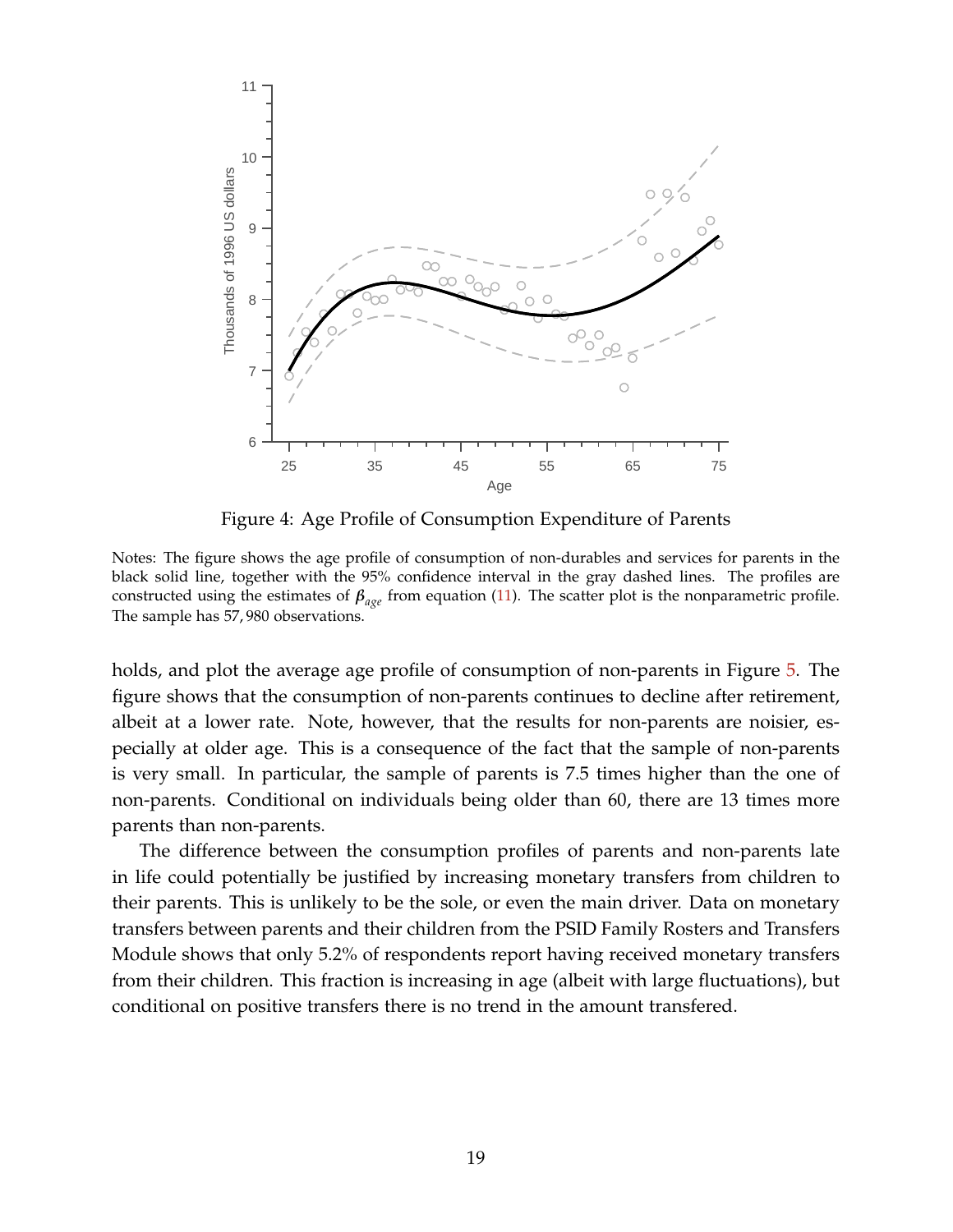<span id="page-18-0"></span>

Figure 4: Age Profile of Consumption Expenditure of Parents

Notes: The figure shows the age profile of consumption of non-durables and services for parents in the black solid line, together with the 95% confidence interval in the gray dashed lines. The profiles are constructed using the estimates of *βage* from equation [\(11\)](#page-17-0). The scatter plot is the nonparametric profile. The sample has 57, 980 observations.

holds, and plot the average age profile of consumption of non-parents in Figure [5.](#page-19-0) The figure shows that the consumption of non-parents continues to decline after retirement, albeit at a lower rate. Note, however, that the results for non-parents are noisier, especially at older age. This is a consequence of the fact that the sample of non-parents is very small. In particular, the sample of parents is 7.5 times higher than the one of non-parents. Conditional on individuals being older than 60, there are 13 times more parents than non-parents.

The difference between the consumption profiles of parents and non-parents late in life could potentially be justified by increasing monetary transfers from children to their parents. This is unlikely to be the sole, or even the main driver. Data on monetary transfers between parents and their children from the PSID Family Rosters and Transfers Module shows that only 5.2% of respondents report having received monetary transfers from their children. This fraction is increasing in age (albeit with large fluctuations), but conditional on positive transfers there is no trend in the amount transfered.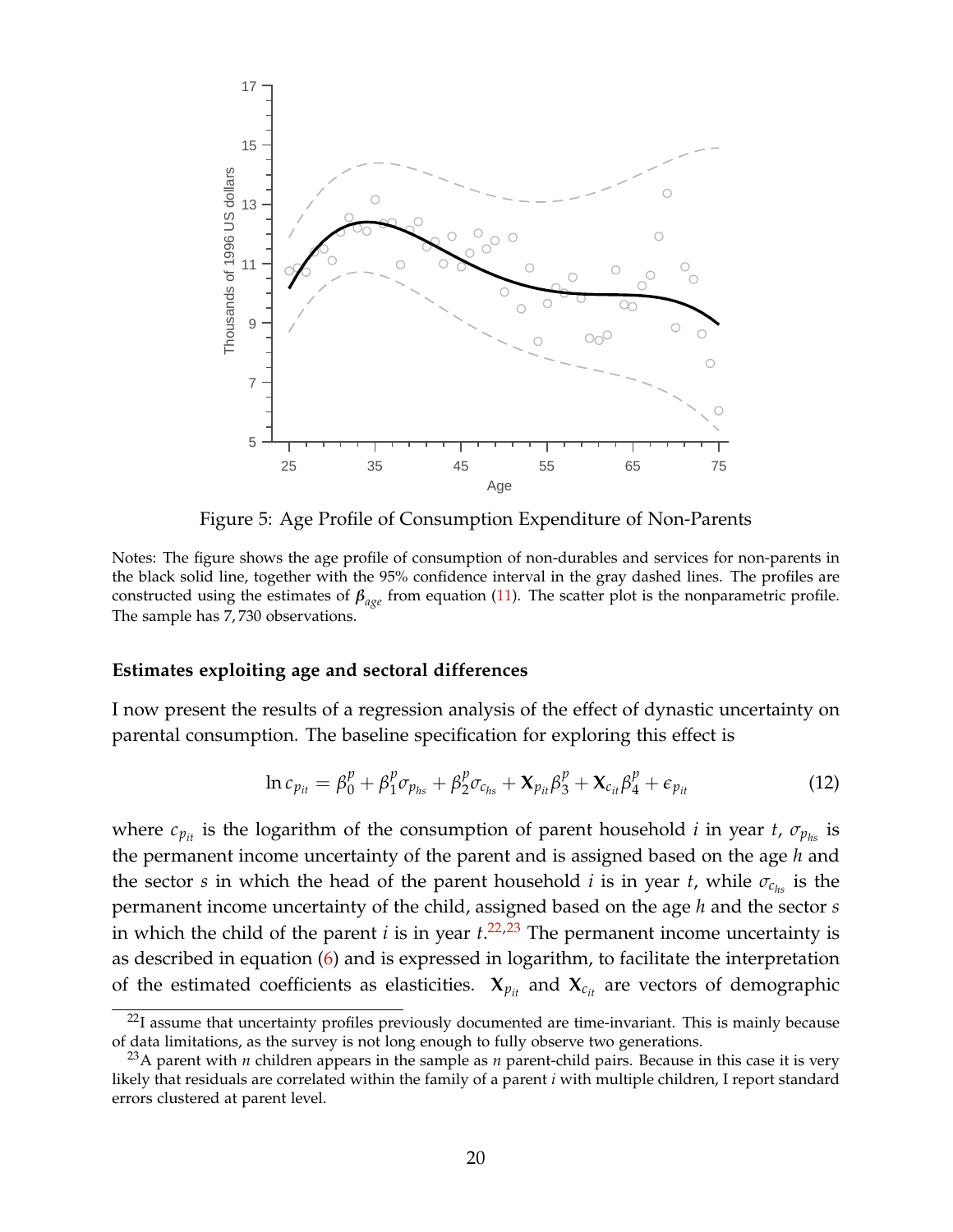<span id="page-19-0"></span>

Figure 5: Age Profile of Consumption Expenditure of Non-Parents

Notes: The figure shows the age profile of consumption of non-durables and services for non-parents in the black solid line, together with the 95% confidence interval in the gray dashed lines. The profiles are constructed using the estimates of *βage* from equation [\(11\)](#page-17-0). The scatter plot is the nonparametric profile. The sample has 7, 730 observations.

#### **Estimates exploiting age and sectoral differences**

I now present the results of a regression analysis of the effect of dynastic uncertainty on parental consumption. The baseline specification for exploring this effect is

<span id="page-19-1"></span>
$$
\ln c_{p_{it}} = \beta_0^p + \beta_1^p \sigma_{p_{hs}} + \beta_2^p \sigma_{c_{hs}} + \mathbf{X}_{p_{it}} \beta_3^p + \mathbf{X}_{c_{it}} \beta_4^p + \epsilon_{p_{it}} \tag{12}
$$

where  $c_{p_{it}}$  is the logarithm of the consumption of parent household *i* in year *t*,  $\sigma_{p_{hs}}$  is the permanent income uncertainty of the parent and is assigned based on the age *h* and the sector *s* in which the head of the parent household *i* is in year *t*, while  $\sigma_{c_{hs}}$  is the permanent income uncertainty of the child, assigned based on the age *h* and the sector *s* in which the child of the parent *i* is in year *t*. [22,23](#page-0-0) The permanent income uncertainty is as described in equation [\(6\)](#page-8-0) and is expressed in logarithm, to facilitate the interpretation of the estimated coefficients as elasticities.  $X_{p_{it}}$  and  $X_{c_{it}}$  are vectors of demographic

 $22$ I assume that uncertainty profiles previously documented are time-invariant. This is mainly because of data limitations, as the survey is not long enough to fully observe two generations.

<sup>23</sup>A parent with *n* children appears in the sample as *n* parent-child pairs. Because in this case it is very likely that residuals are correlated within the family of a parent *i* with multiple children, I report standard errors clustered at parent level.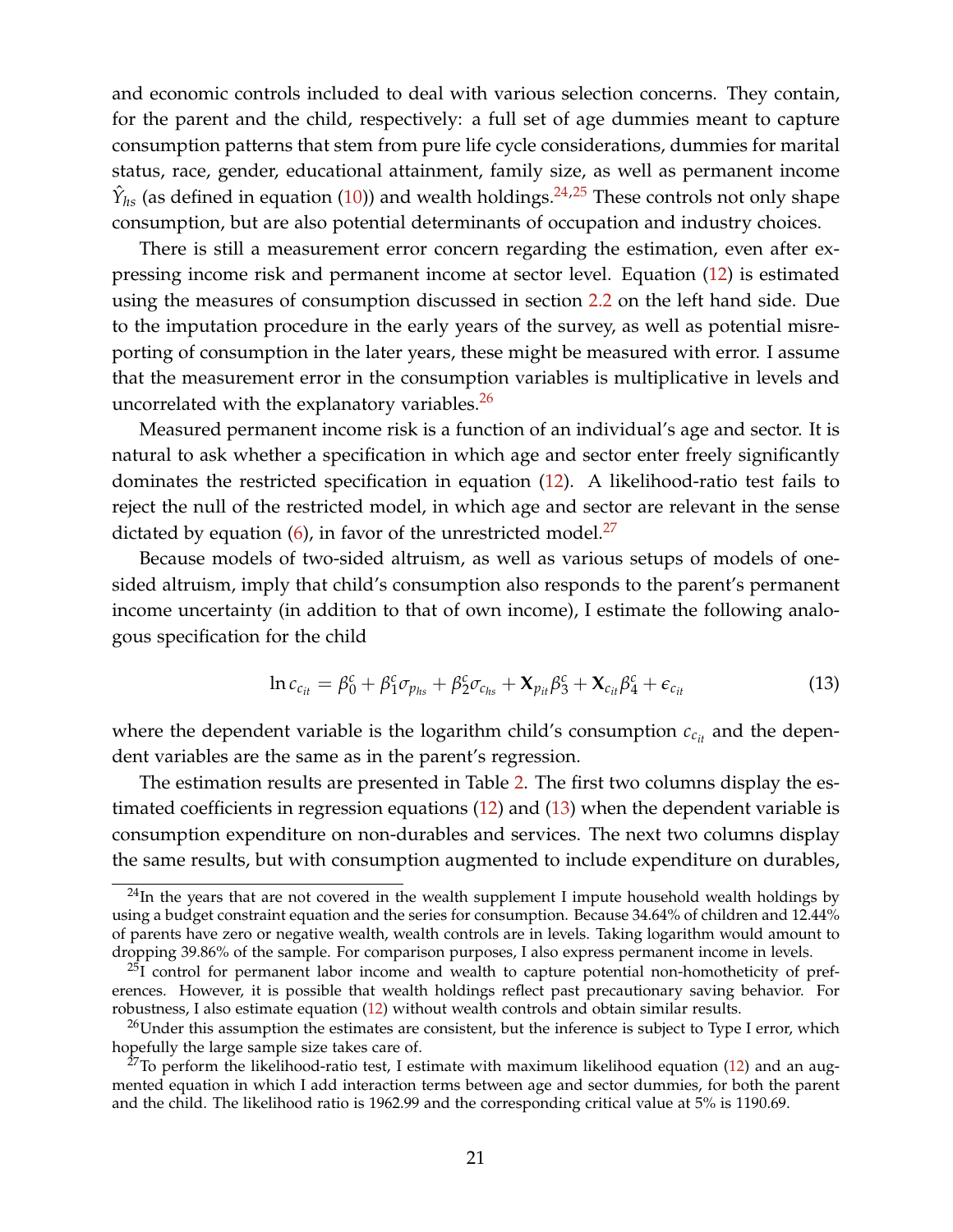and economic controls included to deal with various selection concerns. They contain, for the parent and the child, respectively: a full set of age dummies meant to capture consumption patterns that stem from pure life cycle considerations, dummies for marital status, race, gender, educational attainment, family size, as well as permanent income  $\hat{Y}_{hs}$  (as defined in equation [\(10\)](#page-13-0)) and wealth holdings.<sup>[24,25](#page-0-0)</sup> These controls not only shape consumption, but are also potential determinants of occupation and industry choices.

There is still a measurement error concern regarding the estimation, even after expressing income risk and permanent income at sector level. Equation [\(12\)](#page-19-1) is estimated using the measures of consumption discussed in section [2.2](#page-9-1) on the left hand side. Due to the imputation procedure in the early years of the survey, as well as potential misreporting of consumption in the later years, these might be measured with error. I assume that the measurement error in the consumption variables is multiplicative in levels and uncorrelated with the explanatory variables. $^{26}$  $^{26}$  $^{26}$ 

Measured permanent income risk is a function of an individual's age and sector. It is natural to ask whether a specification in which age and sector enter freely significantly dominates the restricted specification in equation [\(12\)](#page-19-1). A likelihood-ratio test fails to reject the null of the restricted model, in which age and sector are relevant in the sense dictated by equation  $(6)$ , in favor of the unrestricted model.<sup>[27](#page-0-0)</sup>

Because models of two-sided altruism, as well as various setups of models of onesided altruism, imply that child's consumption also responds to the parent's permanent income uncertainty (in addition to that of own income), I estimate the following analogous specification for the child

<span id="page-20-0"></span>
$$
\ln c_{c_{it}} = \beta_0^c + \beta_1^c \sigma_{p_{hs}} + \beta_2^c \sigma_{c_{hs}} + \mathbf{X}_{p_{it}} \beta_3^c + \mathbf{X}_{c_{it}} \beta_4^c + \epsilon_{c_{it}} \tag{13}
$$

where the dependent variable is the logarithm child's consumption  $c_{c_{it}}$  and the dependent variables are the same as in the parent's regression.

The estimation results are presented in Table [2.](#page-22-0) The first two columns display the estimated coefficients in regression equations [\(12\)](#page-19-1) and [\(13\)](#page-20-0) when the dependent variable is consumption expenditure on non-durables and services. The next two columns display the same results, but with consumption augmented to include expenditure on durables,

 $24$ In the years that are not covered in the wealth supplement I impute household wealth holdings by using a budget constraint equation and the series for consumption. Because 34.64% of children and 12.44% of parents have zero or negative wealth, wealth controls are in levels. Taking logarithm would amount to dropping 39.86% of the sample. For comparison purposes, I also express permanent income in levels.

 $^{25}I$  control for permanent labor income and wealth to capture potential non-homotheticity of preferences. However, it is possible that wealth holdings reflect past precautionary saving behavior. For robustness, I also estimate equation [\(12\)](#page-19-1) without wealth controls and obtain similar results.

<sup>&</sup>lt;sup>26</sup>Under this assumption the estimates are consistent, but the inference is subject to Type I error, which hopefully the large sample size takes care of.

<sup>&</sup>lt;sup>27</sup>To perform the likelihood-ratio test, I estimate with maximum likelihood equation [\(12\)](#page-19-1) and an augmented equation in which I add interaction terms between age and sector dummies, for both the parent and the child. The likelihood ratio is 1962.99 and the corresponding critical value at 5% is 1190.69.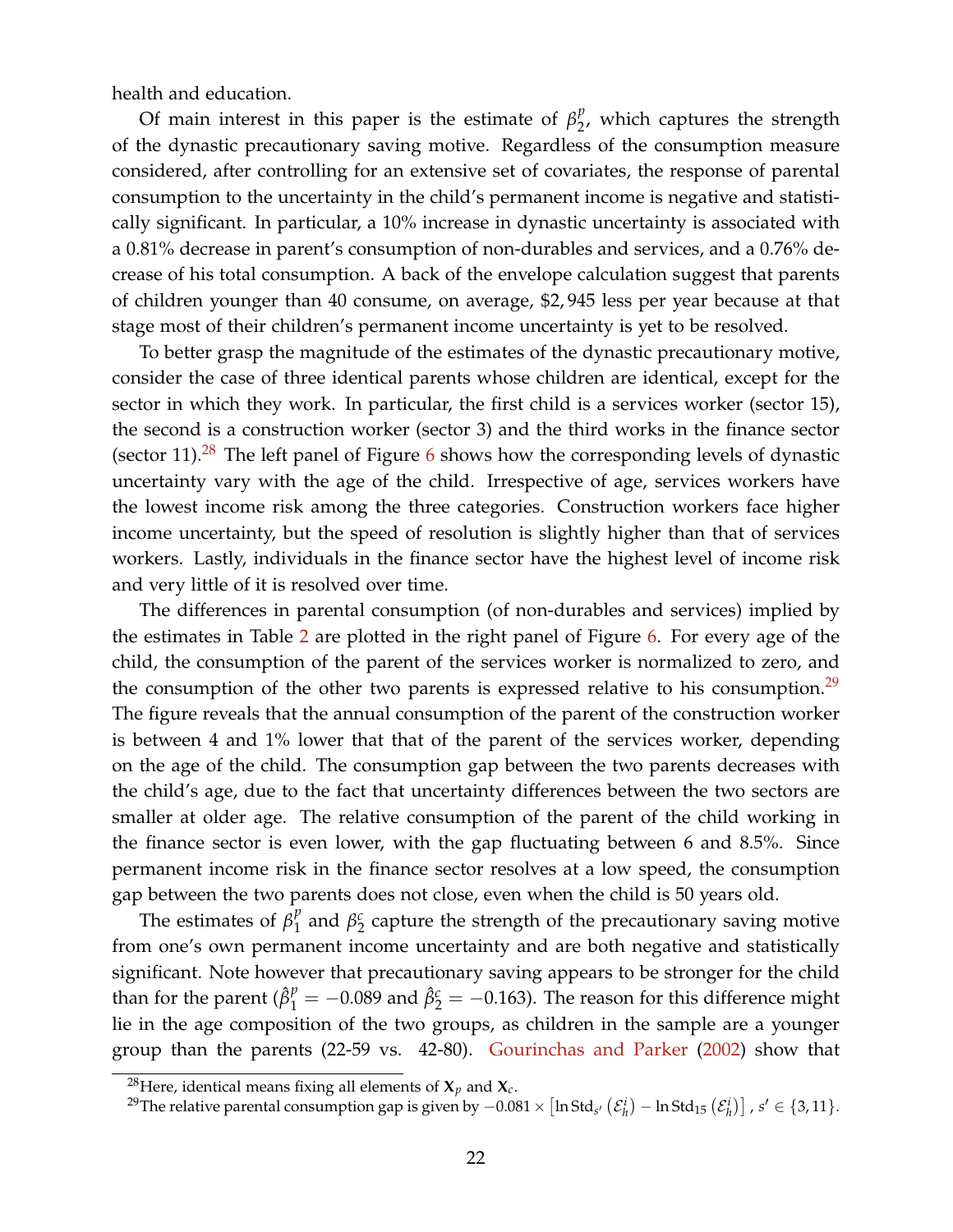health and education.

Of main interest in this paper is the estimate of  $\beta_2^p$  $\frac{p}{2}$ , which captures the strength of the dynastic precautionary saving motive. Regardless of the consumption measure considered, after controlling for an extensive set of covariates, the response of parental consumption to the uncertainty in the child's permanent income is negative and statistically significant. In particular, a 10% increase in dynastic uncertainty is associated with a 0.81% decrease in parent's consumption of non-durables and services, and a 0.76% decrease of his total consumption. A back of the envelope calculation suggest that parents of children younger than 40 consume, on average, \$2, 945 less per year because at that stage most of their children's permanent income uncertainty is yet to be resolved.

To better grasp the magnitude of the estimates of the dynastic precautionary motive, consider the case of three identical parents whose children are identical, except for the sector in which they work. In particular, the first child is a services worker (sector 15), the second is a construction worker (sector 3) and the third works in the finance sector (sector 11).<sup>[28](#page-0-0)</sup> The left panel of Figure  $6$  shows how the corresponding levels of dynastic uncertainty vary with the age of the child. Irrespective of age, services workers have the lowest income risk among the three categories. Construction workers face higher income uncertainty, but the speed of resolution is slightly higher than that of services workers. Lastly, individuals in the finance sector have the highest level of income risk and very little of it is resolved over time.

The differences in parental consumption (of non-durables and services) implied by the estimates in Table [2](#page-22-0) are plotted in the right panel of Figure [6.](#page-23-0) For every age of the child, the consumption of the parent of the services worker is normalized to zero, and the consumption of the other two parents is expressed relative to his consumption.<sup>[29](#page-0-0)</sup> The figure reveals that the annual consumption of the parent of the construction worker is between 4 and 1% lower that that of the parent of the services worker, depending on the age of the child. The consumption gap between the two parents decreases with the child's age, due to the fact that uncertainty differences between the two sectors are smaller at older age. The relative consumption of the parent of the child working in the finance sector is even lower, with the gap fluctuating between 6 and 8.5%. Since permanent income risk in the finance sector resolves at a low speed, the consumption gap between the two parents does not close, even when the child is 50 years old.

The estimates of  $\beta_1^p$  $\frac{p}{1}$  and  $\beta_2^c$  $\frac{c}{2}$  capture the strength of the precautionary saving motive from one's own permanent income uncertainty and are both negative and statistically significant. Note however that precautionary saving appears to be stronger for the child than for the parent ( $\hat{\beta}_1^p = -0.089$  and  $\hat{\beta}_2^c = -0.163$ ). The reason for this difference might lie in the age composition of the two groups, as children in the sample are a younger group than the parents (22-59 vs. 42-80). [Gourinchas and Parker](#page-53-2) [\(2002\)](#page-53-2) show that

<sup>&</sup>lt;sup>28</sup>Here, identical means fixing all elements of  $X_p$  and  $X_c$ .

<sup>&</sup>lt;sup>29</sup>The relative parental consumption gap is given by  $-0.081 \times [\ln \text{Std}_{s'}(\mathcal{E}^i_h) - \ln \text{Std}_{15}(\mathcal{E}^i_h)]$  , s' ∈ {3,11}.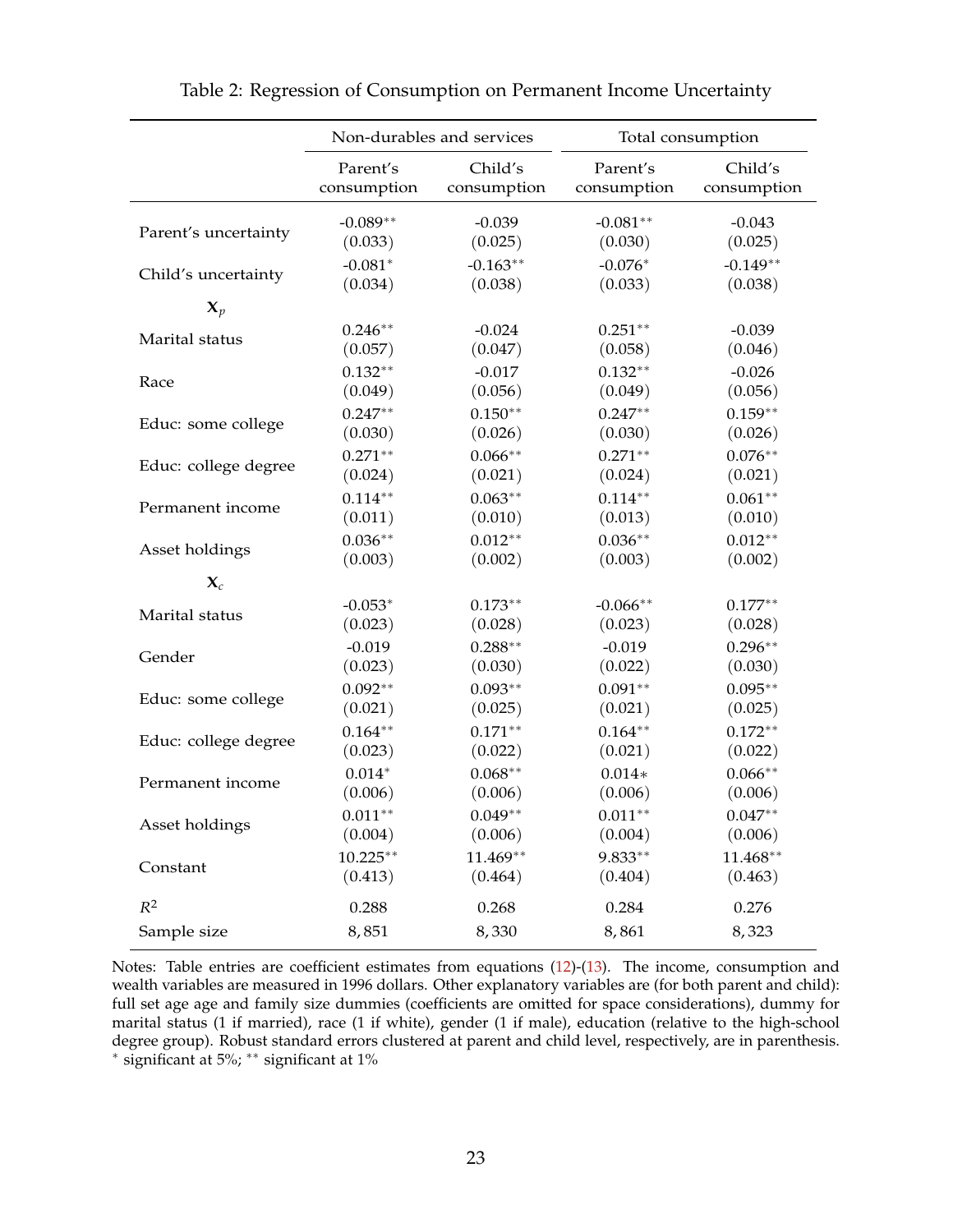<span id="page-22-0"></span>

|                      | Non-durables and services |             |             | Total consumption |
|----------------------|---------------------------|-------------|-------------|-------------------|
|                      | Parent's                  | Child's     | Parent's    | Child's           |
|                      | consumption               | consumption | consumption | consumption       |
| Parent's uncertainty | $-0.089**$                | $-0.039$    | $-0.081**$  | $-0.043$          |
|                      | (0.033)                   | (0.025)     | (0.030)     | (0.025)           |
| Child's uncertainty  | $-0.081*$                 | $-0.163**$  | $-0.076*$   | $-0.149**$        |
|                      | (0.034)                   | (0.038)     | (0.033)     | (0.038)           |
| $\mathbf{X}_p$       |                           |             |             |                   |
| Marital status       | $0.246**$                 | $-0.024$    | $0.251**$   | $-0.039$          |
|                      | (0.057)                   | (0.047)     | (0.058)     | (0.046)           |
| Race                 | $0.132**$                 | $-0.017$    | $0.132**$   | $-0.026$          |
|                      | (0.049)                   | (0.056)     | (0.049)     | (0.056)           |
| Educ: some college   | $0.247**$                 | $0.150**$   | $0.247**$   | $0.159**$         |
|                      | (0.030)                   | (0.026)     | (0.030)     | (0.026)           |
| Educ: college degree | $0.271**$                 | $0.066**$   | $0.271**$   | $0.076**$         |
|                      | (0.024)                   | (0.021)     | (0.024)     | (0.021)           |
| Permanent income     | $0.114**$                 | $0.063**$   | $0.114**$   | $0.061**$         |
|                      | (0.011)                   | (0.010)     | (0.013)     | (0.010)           |
| Asset holdings       | $0.036**$                 | $0.012**$   | $0.036**$   | $0.012**$         |
|                      | (0.003)                   | (0.002)     | (0.003)     | (0.002)           |
| $\mathbf{X}_c$       |                           |             |             |                   |
| Marital status       | $-0.053*$                 | $0.173**$   | $-0.066**$  | $0.177**$         |
|                      | (0.023)                   | (0.028)     | (0.023)     | (0.028)           |
| Gender               | $-0.019$                  | $0.288**$   | $-0.019$    | $0.296**$         |
|                      | (0.023)                   | (0.030)     | (0.022)     | (0.030)           |
| Educ: some college   | $0.092**$                 | $0.093**$   | $0.091**$   | $0.095**$         |
|                      | (0.021)                   | (0.025)     | (0.021)     | (0.025)           |
| Educ: college degree | $0.164**$                 | $0.171**$   | $0.164**$   | $0.172**$         |
|                      | (0.023)                   | (0.022)     | (0.021)     | (0.022)           |
| Permanent income     | $0.014*$                  | $0.068**$   | $0.014*$    | $0.066**$         |
|                      | (0.006)                   | (0.006)     | (0.006)     | (0.006)           |
| Asset holdings       | $0.011**$                 | $0.049**$   | $0.011**$   | $0.047**$         |
|                      | (0.004)                   | (0.006)     | (0.004)     | (0.006)           |
| Constant             | $10.225**$                | 11.469**    | 9.833**     | $11.468**$        |
|                      | (0.413)                   | (0.464)     | (0.404)     | (0.463)           |
| $R^2$                | 0.288                     | 0.268       | 0.284       | 0.276             |
| Sample size          | 8,851                     | 8,330       | 8,861       | 8,323             |

Table 2: Regression of Consumption on Permanent Income Uncertainty

Notes: Table entries are coefficient estimates from equations [\(12\)](#page-19-1)-[\(13\)](#page-20-0). The income, consumption and wealth variables are measured in 1996 dollars. Other explanatory variables are (for both parent and child): full set age age and family size dummies (coefficients are omitted for space considerations), dummy for marital status (1 if married), race (1 if white), gender (1 if male), education (relative to the high-school degree group). Robust standard errors clustered at parent and child level, respectively, are in parenthesis. ∗ significant at 5%; ∗∗ significant at 1%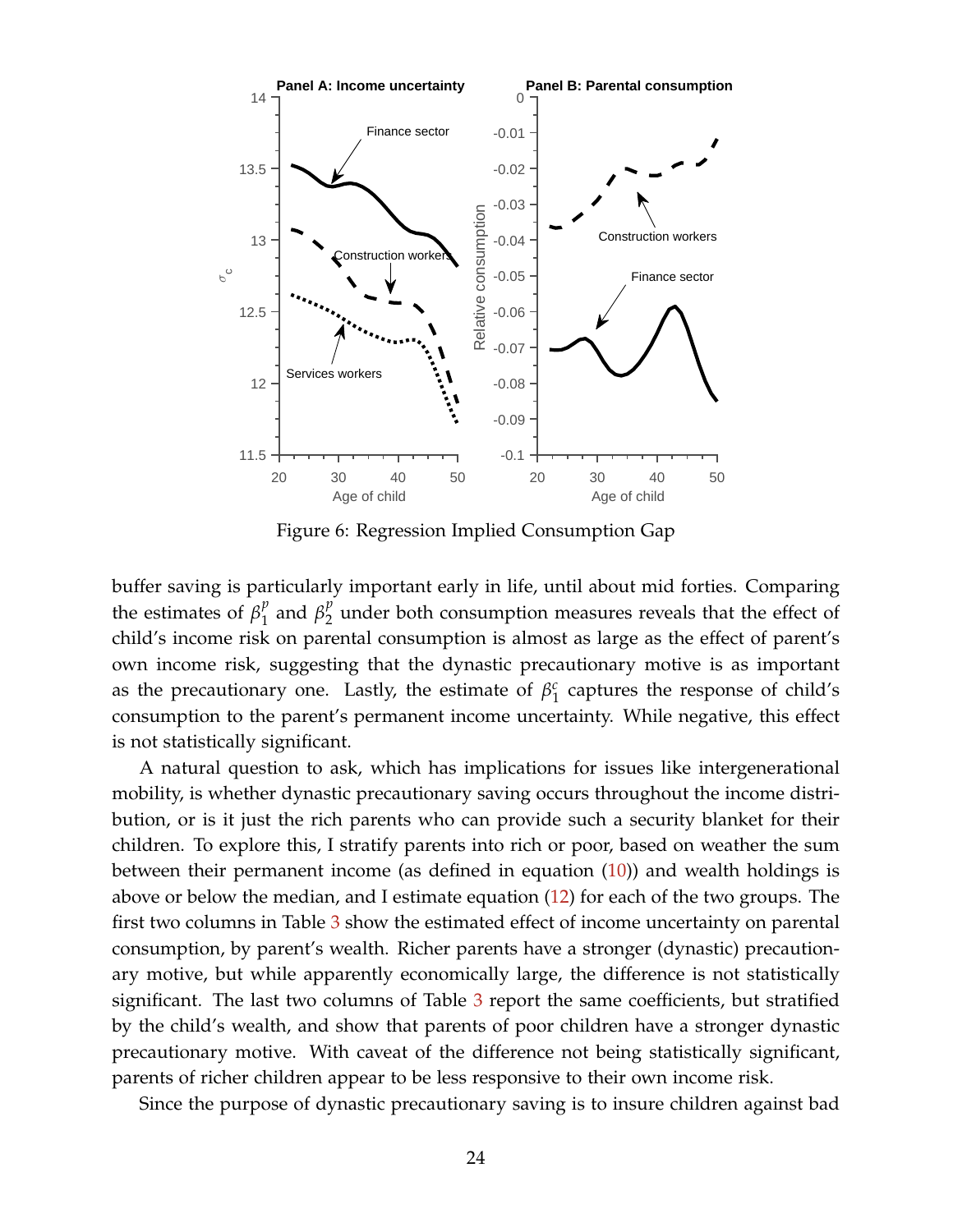<span id="page-23-0"></span>

Figure 6: Regression Implied Consumption Gap

buffer saving is particularly important early in life, until about mid forties. Comparing the estimates of  $\beta_1^p$  $\int_1^p$  and  $\beta_2^p$  $\frac{p}{2}$  under both consumption measures reveals that the effect of child's income risk on parental consumption is almost as large as the effect of parent's own income risk, suggesting that the dynastic precautionary motive is as important as the precautionary one. Lastly, the estimate of  $\beta_1^c$  $\frac{c}{1}$  captures the response of child's consumption to the parent's permanent income uncertainty. While negative, this effect is not statistically significant.

A natural question to ask, which has implications for issues like intergenerational mobility, is whether dynastic precautionary saving occurs throughout the income distribution, or is it just the rich parents who can provide such a security blanket for their children. To explore this, I stratify parents into rich or poor, based on weather the sum between their permanent income (as defined in equation [\(10\)](#page-13-0)) and wealth holdings is above or below the median, and I estimate equation [\(12\)](#page-19-1) for each of the two groups. The first two columns in Table [3](#page-24-0) show the estimated effect of income uncertainty on parental consumption, by parent's wealth. Richer parents have a stronger (dynastic) precautionary motive, but while apparently economically large, the difference is not statistically significant. The last two columns of Table [3](#page-24-0) report the same coefficients, but stratified by the child's wealth, and show that parents of poor children have a stronger dynastic precautionary motive. With caveat of the difference not being statistically significant, parents of richer children appear to be less responsive to their own income risk.

Since the purpose of dynastic precautionary saving is to insure children against bad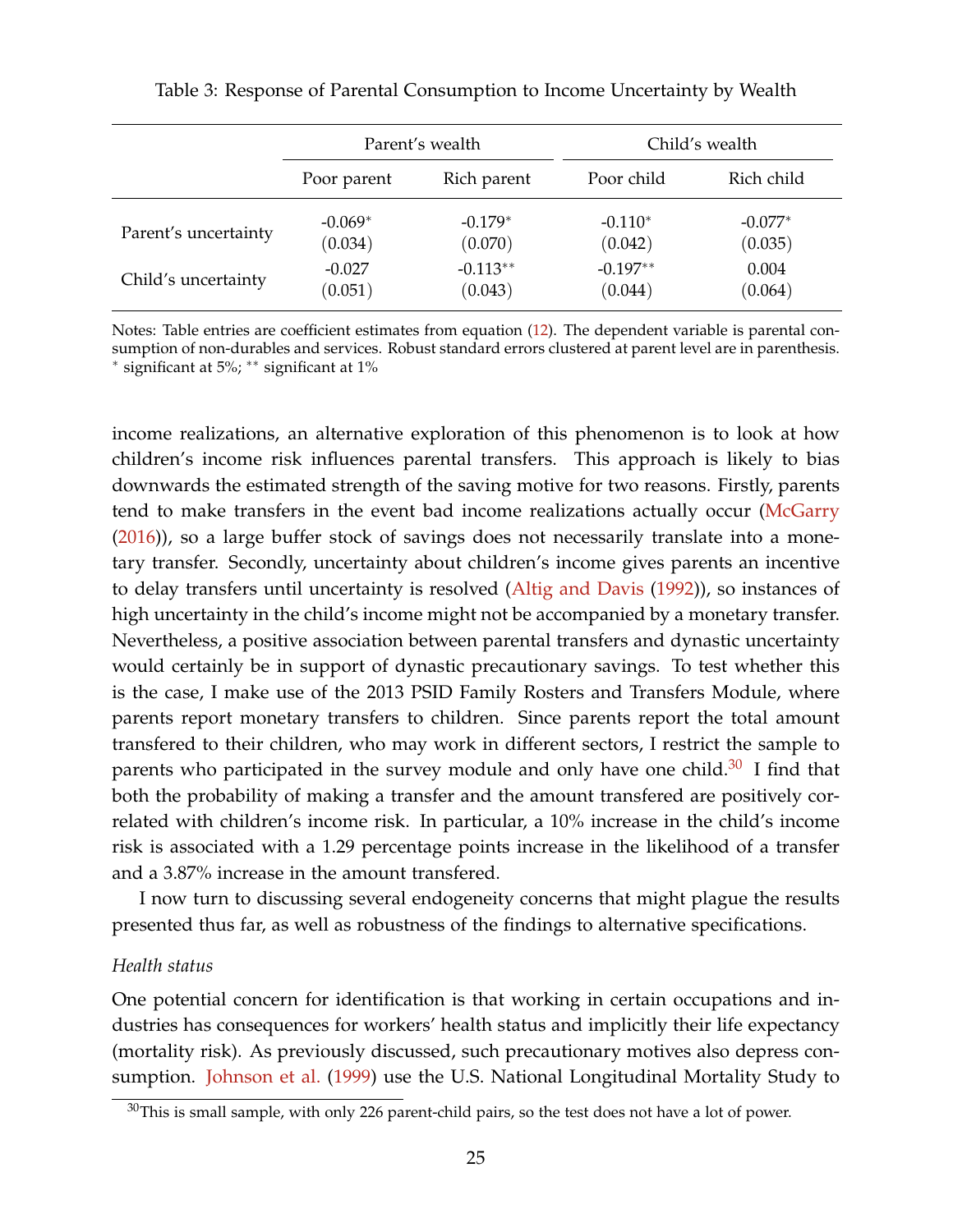|                      |           | Parent's wealth |            | Child's wealth |
|----------------------|-----------|-----------------|------------|----------------|
| Poor parent          |           | Rich parent     | Poor child | Rich child     |
| Parent's uncertainty | $-0.069*$ | $-0.179*$       | $-0.110*$  | $-0.077*$      |
|                      | (0.034)   | (0.070)         | (0.042)    | (0.035)        |
| Child's uncertainty  | $-0.027$  | $-0.113**$      | $-0.197**$ | 0.004          |
|                      | (0.051)   | (0.043)         | (0.044)    | (0.064)        |

<span id="page-24-0"></span>Table 3: Response of Parental Consumption to Income Uncertainty by Wealth

Notes: Table entries are coefficient estimates from equation [\(12\)](#page-19-1). The dependent variable is parental consumption of non-durables and services. Robust standard errors clustered at parent level are in parenthesis. ∗ significant at 5%; ∗∗ significant at 1%

income realizations, an alternative exploration of this phenomenon is to look at how children's income risk influences parental transfers. This approach is likely to bias downwards the estimated strength of the saving motive for two reasons. Firstly, parents tend to make transfers in the event bad income realizations actually occur [\(McGarry](#page-55-5) [\(2016\)](#page-55-5)), so a large buffer stock of savings does not necessarily translate into a monetary transfer. Secondly, uncertainty about children's income gives parents an incentive to delay transfers until uncertainty is resolved [\(Altig and Davis](#page-52-8) [\(1992\)](#page-52-8)), so instances of high uncertainty in the child's income might not be accompanied by a monetary transfer. Nevertheless, a positive association between parental transfers and dynastic uncertainty would certainly be in support of dynastic precautionary savings. To test whether this is the case, I make use of the 2013 PSID Family Rosters and Transfers Module, where parents report monetary transfers to children. Since parents report the total amount transfered to their children, who may work in different sectors, I restrict the sample to parents who participated in the survey module and only have one child.<sup>[30](#page-0-0)</sup> I find that both the probability of making a transfer and the amount transfered are positively correlated with children's income risk. In particular, a 10% increase in the child's income risk is associated with a 1.29 percentage points increase in the likelihood of a transfer and a 3.87% increase in the amount transfered.

I now turn to discussing several endogeneity concerns that might plague the results presented thus far, as well as robustness of the findings to alternative specifications.

### *Health status*

One potential concern for identification is that working in certain occupations and industries has consequences for workers' health status and implicitly their life expectancy (mortality risk). As previously discussed, such precautionary motives also depress consumption. [Johnson et al.](#page-54-9) [\(1999\)](#page-54-9) use the U.S. National Longitudinal Mortality Study to

 $30$ This is small sample, with only 226 parent-child pairs, so the test does not have a lot of power.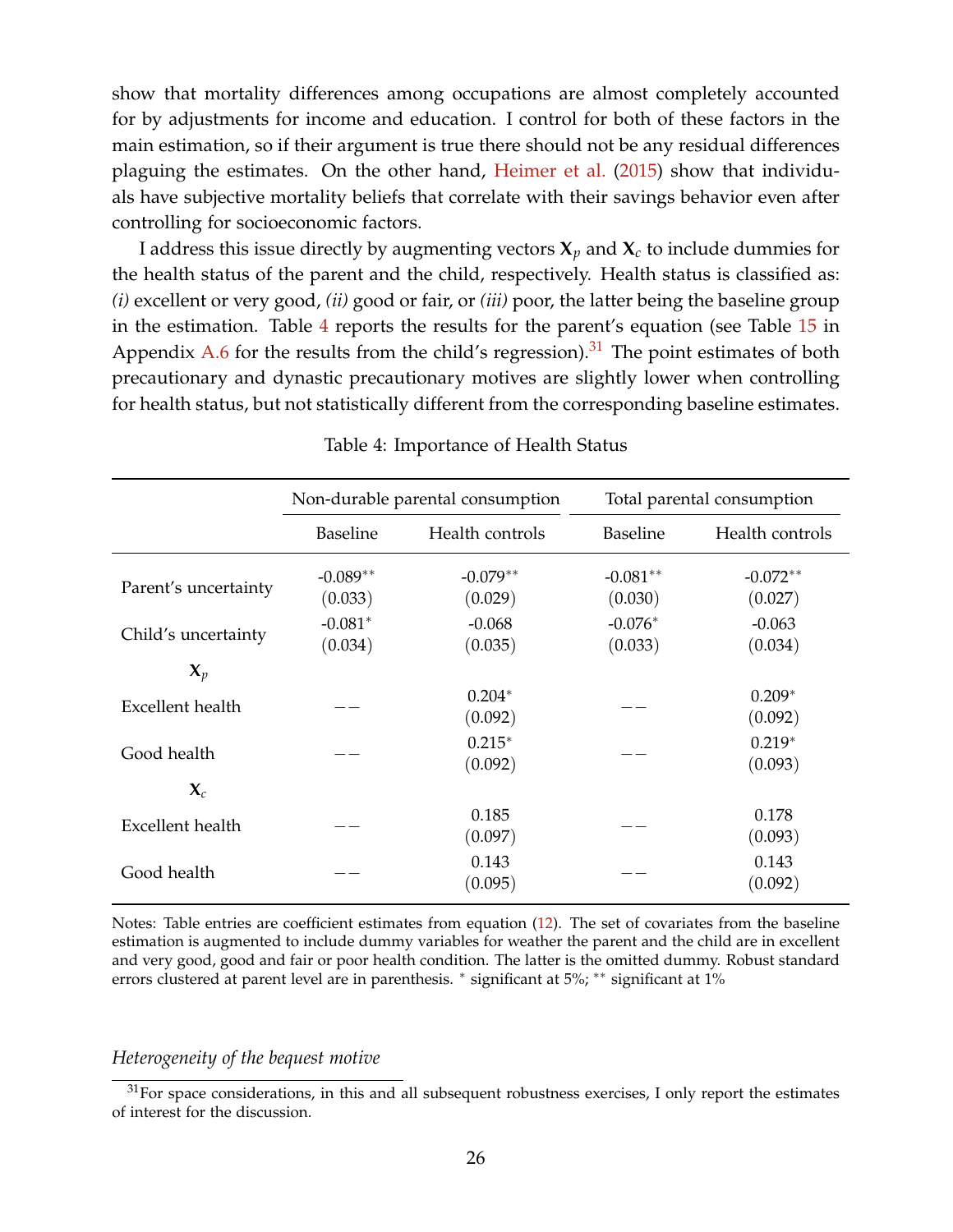show that mortality differences among occupations are almost completely accounted for by adjustments for income and education. I control for both of these factors in the main estimation, so if their argument is true there should not be any residual differences plaguing the estimates. On the other hand, [Heimer et al.](#page-53-11) [\(2015\)](#page-53-11) show that individuals have subjective mortality beliefs that correlate with their savings behavior even after controlling for socioeconomic factors.

I address this issue directly by augmenting vectors  $X_p$  and  $X_c$  to include dummies for the health status of the parent and the child, respectively. Health status is classified as: *(i)* excellent or very good, *(ii)* good or fair, or *(iii)* poor, the latter being the baseline group in the estimation. Table [4](#page-25-0) reports the results for the parent's equation (see Table [15](#page-63-0) in Appendix [A.6](#page-62-1) for the results from the child's regression).<sup>[31](#page-0-0)</sup> The point estimates of both precautionary and dynastic precautionary motives are slightly lower when controlling for health status, but not statistically different from the corresponding baseline estimates.

<span id="page-25-0"></span>

|                      | Non-durable parental consumption |                       |                       | Total parental consumption |
|----------------------|----------------------------------|-----------------------|-----------------------|----------------------------|
|                      | <b>Baseline</b>                  | Health controls       | <b>Baseline</b>       | Health controls            |
| Parent's uncertainty | $-0.089**$<br>(0.033)            | $-0.079**$<br>(0.029) | $-0.081**$<br>(0.030) | $-0.072**$<br>(0.027)      |
| Child's uncertainty  | $-0.081*$<br>(0.034)             | $-0.068$<br>(0.035)   | $-0.076*$<br>(0.033)  | $-0.063$<br>(0.034)        |
| $\mathbf{X}_p$       |                                  |                       |                       |                            |
| Excellent health     |                                  | $0.204*$<br>(0.092)   |                       | $0.209*$<br>(0.092)        |
| Good health          |                                  | $0.215*$<br>(0.092)   |                       | $0.219*$<br>(0.093)        |
| $\mathbf{X}_c$       |                                  |                       |                       |                            |
| Excellent health     |                                  | 0.185<br>(0.097)      |                       | 0.178<br>(0.093)           |
| Good health          |                                  | 0.143<br>(0.095)      |                       | 0.143<br>(0.092)           |

#### Table 4: Importance of Health Status

Notes: Table entries are coefficient estimates from equation [\(12\)](#page-19-1). The set of covariates from the baseline estimation is augmented to include dummy variables for weather the parent and the child are in excellent and very good, good and fair or poor health condition. The latter is the omitted dummy. Robust standard errors clustered at parent level are in parenthesis. <sup>∗</sup> significant at 5%; ∗∗ significant at 1%

#### *Heterogeneity of the bequest motive*

 $31$  For space considerations, in this and all subsequent robustness exercises, I only report the estimates of interest for the discussion.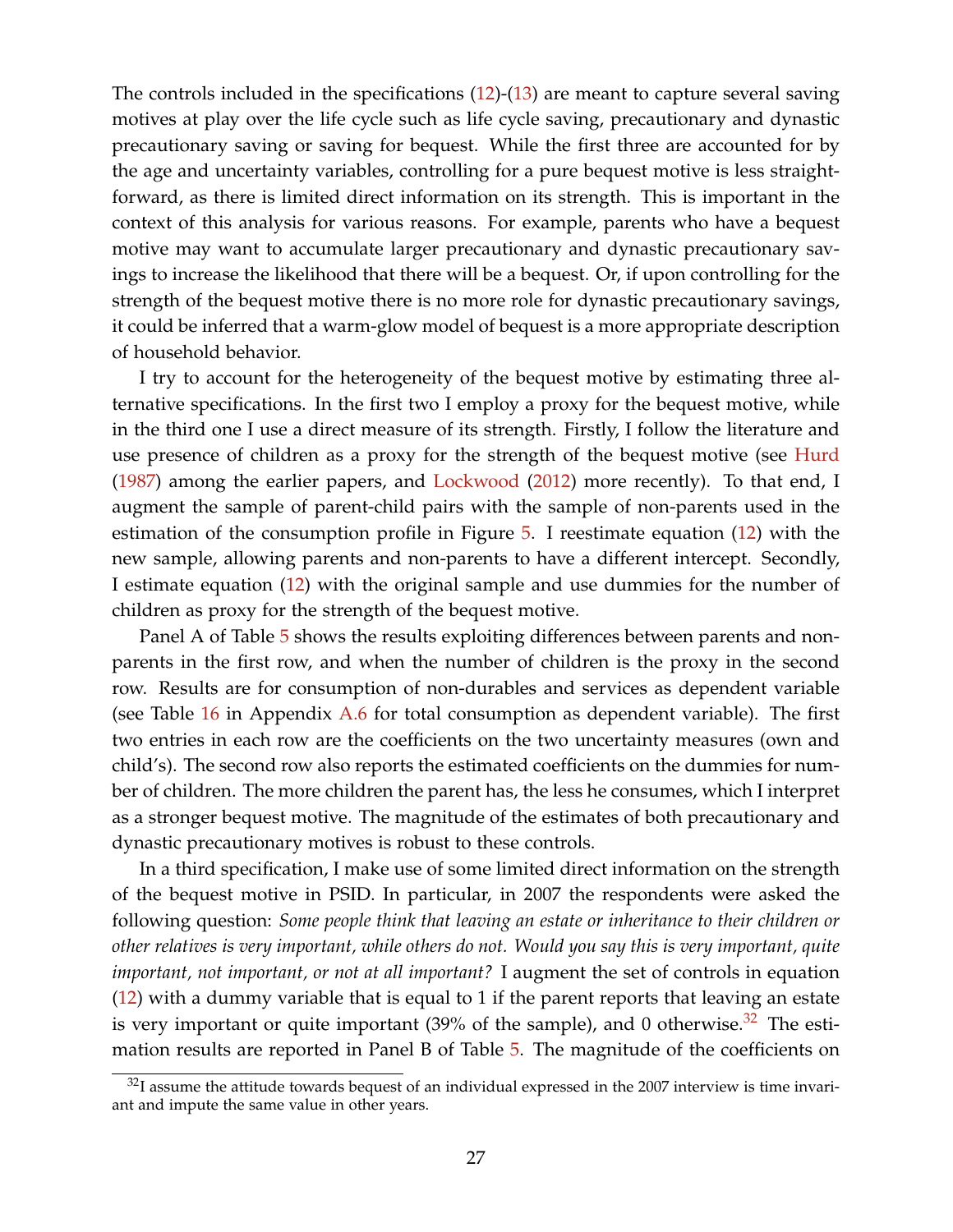The controls included in the specifications  $(12)-(13)$  $(12)-(13)$  $(12)-(13)$  are meant to capture several saving motives at play over the life cycle such as life cycle saving, precautionary and dynastic precautionary saving or saving for bequest. While the first three are accounted for by the age and uncertainty variables, controlling for a pure bequest motive is less straightforward, as there is limited direct information on its strength. This is important in the context of this analysis for various reasons. For example, parents who have a bequest motive may want to accumulate larger precautionary and dynastic precautionary savings to increase the likelihood that there will be a bequest. Or, if upon controlling for the strength of the bequest motive there is no more role for dynastic precautionary savings, it could be inferred that a warm-glow model of bequest is a more appropriate description of household behavior.

I try to account for the heterogeneity of the bequest motive by estimating three alternative specifications. In the first two I employ a proxy for the bequest motive, while in the third one I use a direct measure of its strength. Firstly, I follow the literature and use presence of children as a proxy for the strength of the bequest motive (see [Hurd](#page-54-10) [\(1987\)](#page-54-10) among the earlier papers, and [Lockwood](#page-55-9) [\(2012\)](#page-55-9) more recently). To that end, I augment the sample of parent-child pairs with the sample of non-parents used in the estimation of the consumption profile in Figure [5.](#page-19-0) I reestimate equation [\(12\)](#page-19-1) with the new sample, allowing parents and non-parents to have a different intercept. Secondly, I estimate equation [\(12\)](#page-19-1) with the original sample and use dummies for the number of children as proxy for the strength of the bequest motive.

Panel A of Table [5](#page-27-0) shows the results exploiting differences between parents and nonparents in the first row, and when the number of children is the proxy in the second row. Results are for consumption of non-durables and services as dependent variable (see Table [16](#page-64-0) in Appendix [A.6](#page-62-1) for total consumption as dependent variable). The first two entries in each row are the coefficients on the two uncertainty measures (own and child's). The second row also reports the estimated coefficients on the dummies for number of children. The more children the parent has, the less he consumes, which I interpret as a stronger bequest motive. The magnitude of the estimates of both precautionary and dynastic precautionary motives is robust to these controls.

In a third specification, I make use of some limited direct information on the strength of the bequest motive in PSID. In particular, in 2007 the respondents were asked the following question: *Some people think that leaving an estate or inheritance to their children or other relatives is very important, while others do not. Would you say this is very important, quite important, not important, or not at all important?* I augment the set of controls in equation [\(12\)](#page-19-1) with a dummy variable that is equal to 1 if the parent reports that leaving an estate is very important or quite important  $(39\%$  of the sample), and 0 otherwise.<sup>[32](#page-0-0)</sup> The estimation results are reported in Panel B of Table [5.](#page-27-0) The magnitude of the coefficients on

 $32$ I assume the attitude towards bequest of an individual expressed in the 2007 interview is time invariant and impute the same value in other years.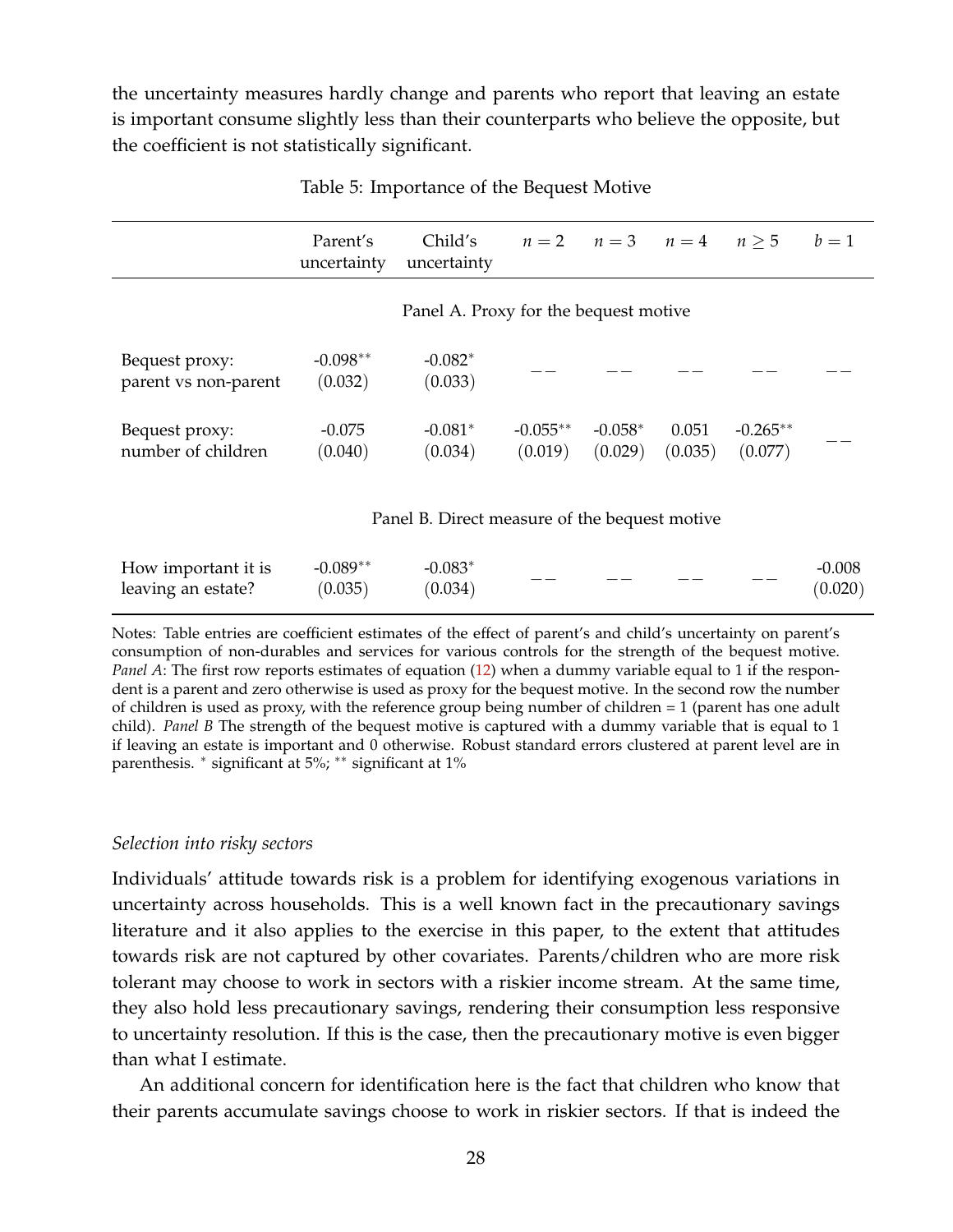the uncertainty measures hardly change and parents who report that leaving an estate is important consume slightly less than their counterparts who believe the opposite, but the coefficient is not statistically significant.

<span id="page-27-0"></span>

|                                           | Parent's<br>uncertainty | Child's<br>uncertainty                        |                       | $n = 2$ $n = 3$ $n = 4$ $n \ge 5$ |                  |                       | $b=1$               |
|-------------------------------------------|-------------------------|-----------------------------------------------|-----------------------|-----------------------------------|------------------|-----------------------|---------------------|
|                                           |                         | Panel A. Proxy for the bequest motive         |                       |                                   |                  |                       |                     |
| Bequest proxy:<br>parent vs non-parent    | $-0.098**$<br>(0.032)   | $-0.082*$<br>(0.033)                          |                       |                                   |                  |                       |                     |
| Bequest proxy:<br>number of children      | $-0.075$<br>(0.040)     | $-0.081*$<br>(0.034)                          | $-0.055**$<br>(0.019) | $-0.058*$<br>(0.029)              | 0.051<br>(0.035) | $-0.265**$<br>(0.077) |                     |
|                                           |                         | Panel B. Direct measure of the bequest motive |                       |                                   |                  |                       |                     |
| How important it is<br>leaving an estate? | $-0.089**$<br>(0.035)   | $-0.083*$<br>(0.034)                          |                       |                                   |                  |                       | $-0.008$<br>(0.020) |

| Table 5: Importance of the Bequest Motive |  |  |  |
|-------------------------------------------|--|--|--|
|-------------------------------------------|--|--|--|

Notes: Table entries are coefficient estimates of the effect of parent's and child's uncertainty on parent's consumption of non-durables and services for various controls for the strength of the bequest motive. *Panel A*: The first row reports estimates of equation [\(12\)](#page-19-1) when a dummy variable equal to 1 if the respondent is a parent and zero otherwise is used as proxy for the bequest motive. In the second row the number of children is used as proxy, with the reference group being number of children = 1 (parent has one adult child). *Panel B* The strength of the bequest motive is captured with a dummy variable that is equal to 1 if leaving an estate is important and 0 otherwise. Robust standard errors clustered at parent level are in parenthesis. <sup>∗</sup> significant at 5%; ∗∗ significant at 1%

## *Selection into risky sectors*

Individuals' attitude towards risk is a problem for identifying exogenous variations in uncertainty across households. This is a well known fact in the precautionary savings literature and it also applies to the exercise in this paper, to the extent that attitudes towards risk are not captured by other covariates. Parents/children who are more risk tolerant may choose to work in sectors with a riskier income stream. At the same time, they also hold less precautionary savings, rendering their consumption less responsive to uncertainty resolution. If this is the case, then the precautionary motive is even bigger than what I estimate.

An additional concern for identification here is the fact that children who know that their parents accumulate savings choose to work in riskier sectors. If that is indeed the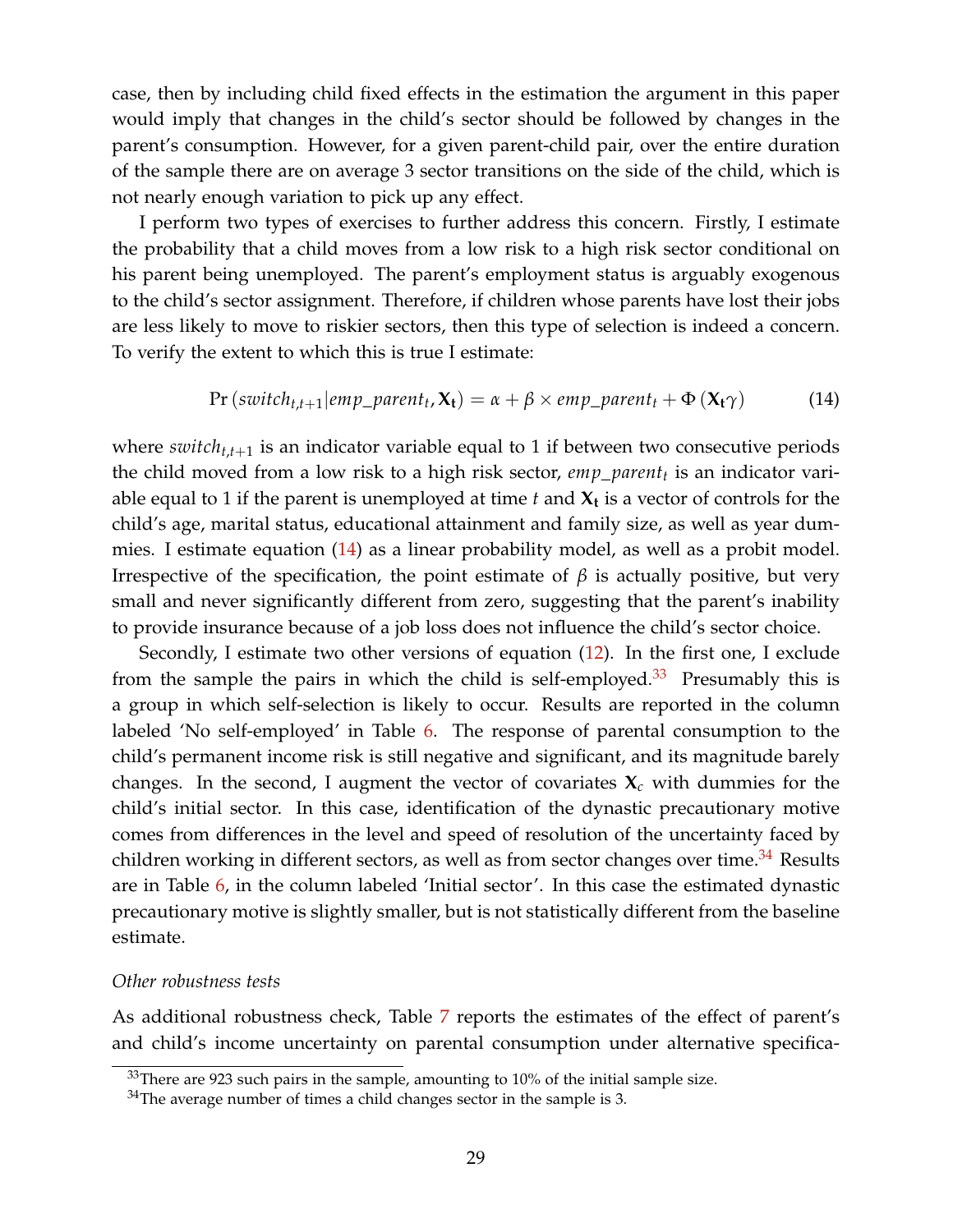case, then by including child fixed effects in the estimation the argument in this paper would imply that changes in the child's sector should be followed by changes in the parent's consumption. However, for a given parent-child pair, over the entire duration of the sample there are on average 3 sector transitions on the side of the child, which is not nearly enough variation to pick up any effect.

I perform two types of exercises to further address this concern. Firstly, I estimate the probability that a child moves from a low risk to a high risk sector conditional on his parent being unemployed. The parent's employment status is arguably exogenous to the child's sector assignment. Therefore, if children whose parents have lost their jobs are less likely to move to riskier sectors, then this type of selection is indeed a concern. To verify the extent to which this is true I estimate:

<span id="page-28-0"></span>
$$
Pr\left(\text{switch}_{t,t+1}|\text{emp\_parent}_t, \mathbf{X_t}\right) = \alpha + \beta \times \text{emp\_parent}_t + \Phi\left(\mathbf{X_t}\gamma\right) \tag{14}
$$

where  $switch_{t,t+1}$  is an indicator variable equal to 1 if between two consecutive periods the child moved from a low risk to a high risk sector, *emp*\_*parent<sup>t</sup>* is an indicator variable equal to 1 if the parent is unemployed at time *t* and **X<sup>t</sup>** is a vector of controls for the child's age, marital status, educational attainment and family size, as well as year dummies. I estimate equation [\(14\)](#page-28-0) as a linear probability model, as well as a probit model. Irrespective of the specification, the point estimate of *β* is actually positive, but very small and never significantly different from zero, suggesting that the parent's inability to provide insurance because of a job loss does not influence the child's sector choice.

Secondly, I estimate two other versions of equation [\(12\)](#page-19-1). In the first one, I exclude from the sample the pairs in which the child is self-employed. $33$  Presumably this is a group in which self-selection is likely to occur. Results are reported in the column labeled 'No self-employed' in Table [6.](#page-29-0) The response of parental consumption to the child's permanent income risk is still negative and significant, and its magnitude barely changes. In the second, I augment the vector of covariates  $\mathbf{X}_c$  with dummies for the child's initial sector. In this case, identification of the dynastic precautionary motive comes from differences in the level and speed of resolution of the uncertainty faced by children working in different sectors, as well as from sector changes over time.<sup>[34](#page-0-0)</sup> Results are in Table [6,](#page-29-0) in the column labeled 'Initial sector'. In this case the estimated dynastic precautionary motive is slightly smaller, but is not statistically different from the baseline estimate.

#### *Other robustness tests*

As additional robustness check, Table [7](#page-30-1) reports the estimates of the effect of parent's and child's income uncertainty on parental consumption under alternative specifica-

 $33$ There are 923 such pairs in the sample, amounting to 10% of the initial sample size.

 $34$ The average number of times a child changes sector in the sample is 3.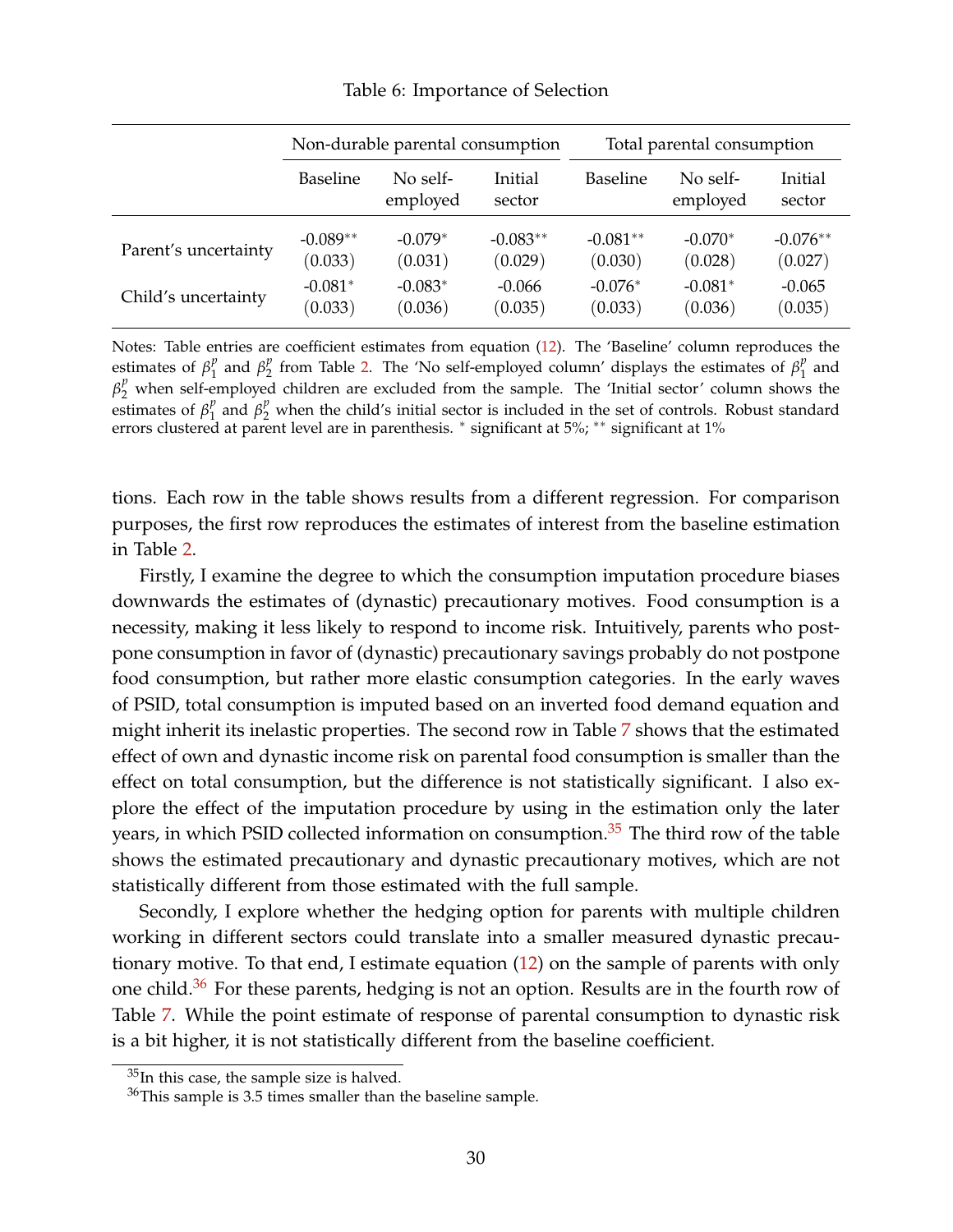<span id="page-29-0"></span>

|                      | Non-durable parental consumption |                      |                   | Total parental consumption |                      |                   |  |
|----------------------|----------------------------------|----------------------|-------------------|----------------------------|----------------------|-------------------|--|
|                      | <b>Baseline</b>                  | No self-<br>employed | Initial<br>sector | <b>Baseline</b>            | No self-<br>employed | Initial<br>sector |  |
| Parent's uncertainty | $-0.089**$                       | $-0.079*$            | $-0.083**$        | $-0.081**$                 | $-0.070*$            | $-0.076**$        |  |
|                      | (0.033)                          | (0.031)              | (0.029)           | (0.030)                    | (0.028)              | (0.027)           |  |
| Child's uncertainty  | $-0.081*$                        | $-0.083*$            | $-0.066$          | $-0.076*$                  | $-0.081*$            | $-0.065$          |  |
|                      | (0.033)                          | (0.036)              | (0.035)           | (0.033)                    | (0.036)              | (0.035)           |  |

Table 6: Importance of Selection

Notes: Table entries are coefficient estimates from equation [\(12\)](#page-19-1). The 'Baseline' column reproduces the estimates of  $\beta_1^p$  $\int_1^p$  and  $\beta_2^p$  $P_2$  from Table [2.](#page-22-0) The 'No self-employed column' displays the estimates of  $\beta_1^p$  $\frac{p}{1}$  and  $\beta_2^p$  when self-employed children are excluded from the sample. The 'Initial sector' column shows the estimates of  $\beta_1^p$  $\frac{p}{1}$  and  $\beta_2^p$  when the child's initial sector is included in the set of controls. Robust standard errors clustered at parent level are in parenthesis. <sup>\*</sup> significant at 5%; <sup>\*\*</sup> significant at 1%

tions. Each row in the table shows results from a different regression. For comparison purposes, the first row reproduces the estimates of interest from the baseline estimation in Table [2.](#page-22-0)

Firstly, I examine the degree to which the consumption imputation procedure biases downwards the estimates of (dynastic) precautionary motives. Food consumption is a necessity, making it less likely to respond to income risk. Intuitively, parents who postpone consumption in favor of (dynastic) precautionary savings probably do not postpone food consumption, but rather more elastic consumption categories. In the early waves of PSID, total consumption is imputed based on an inverted food demand equation and might inherit its inelastic properties. The second row in Table [7](#page-30-1) shows that the estimated effect of own and dynastic income risk on parental food consumption is smaller than the effect on total consumption, but the difference is not statistically significant. I also explore the effect of the imputation procedure by using in the estimation only the later years, in which PSID collected information on consumption. $35$  The third row of the table shows the estimated precautionary and dynastic precautionary motives, which are not statistically different from those estimated with the full sample.

Secondly, I explore whether the hedging option for parents with multiple children working in different sectors could translate into a smaller measured dynastic precautionary motive. To that end, I estimate equation [\(12\)](#page-19-1) on the sample of parents with only one child.<sup>[36](#page-0-0)</sup> For these parents, hedging is not an option. Results are in the fourth row of Table [7.](#page-30-1) While the point estimate of response of parental consumption to dynastic risk is a bit higher, it is not statistically different from the baseline coefficient.

<sup>&</sup>lt;sup>35</sup>In this case, the sample size is halved.

 $36$ This sample is 3.5 times smaller than the baseline sample.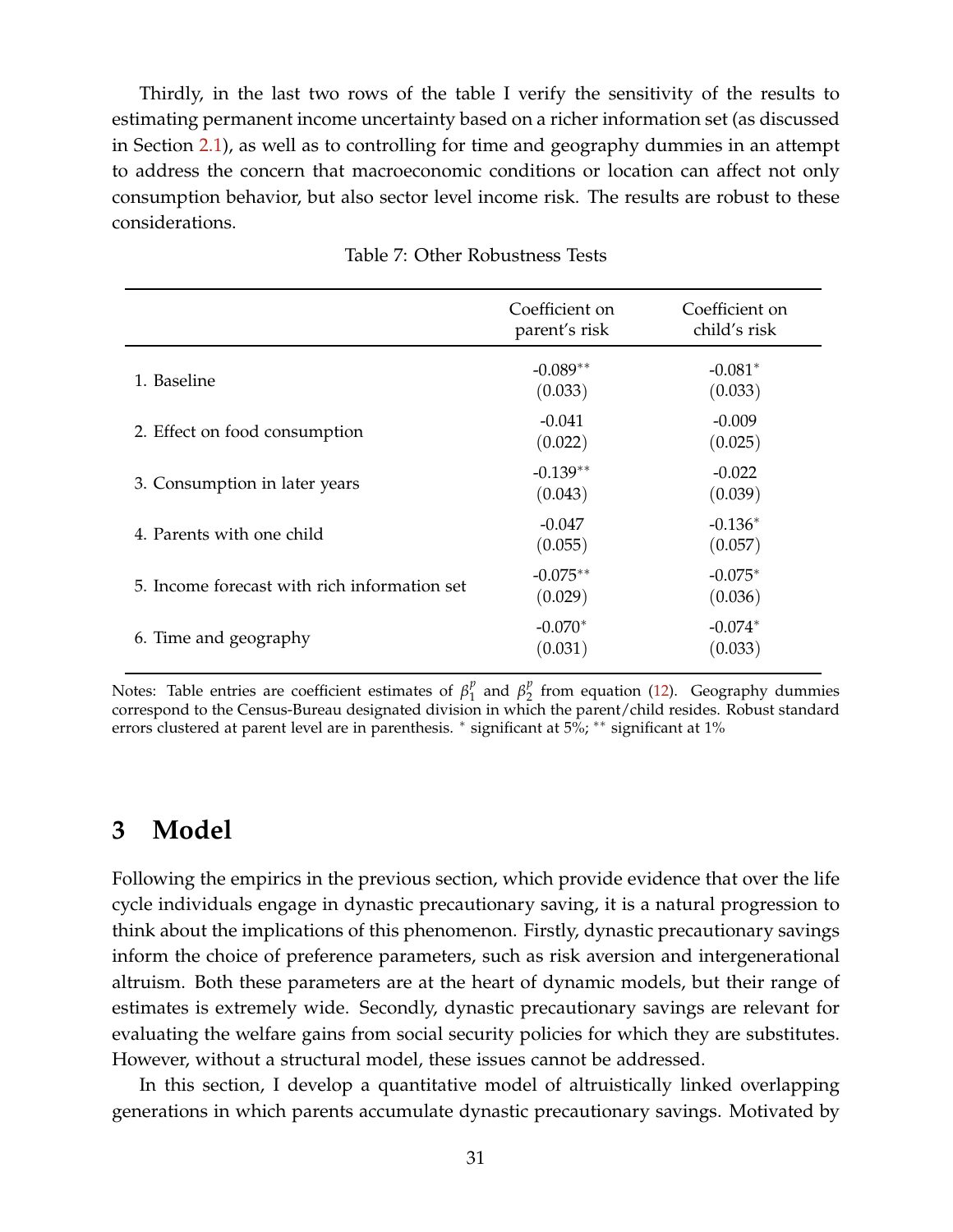Thirdly, in the last two rows of the table I verify the sensitivity of the results to estimating permanent income uncertainty based on a richer information set (as discussed in Section [2.1\)](#page-6-0), as well as to controlling for time and geography dummies in an attempt to address the concern that macroeconomic conditions or location can affect not only consumption behavior, but also sector level income risk. The results are robust to these considerations.

<span id="page-30-1"></span>

|                                              | Coefficient on<br>parent's risk | Coefficient on<br>child's risk |
|----------------------------------------------|---------------------------------|--------------------------------|
| 1. Baseline                                  | $-0.089**$<br>(0.033)           | $-0.081*$<br>(0.033)           |
| 2. Effect on food consumption                | $-0.041$<br>(0.022)             | $-0.009$<br>(0.025)            |
| 3. Consumption in later years                | $-0.139**$<br>(0.043)           | $-0.022$<br>(0.039)            |
| 4. Parents with one child                    | $-0.047$<br>(0.055)             | $-0.136*$<br>(0.057)           |
| 5. Income forecast with rich information set | $-0.075**$<br>(0.029)           | $-0.075*$<br>(0.036)           |
| 6. Time and geography                        | $-0.070*$<br>(0.031)            | $-0.074*$<br>(0.033)           |

#### Table 7: Other Robustness Tests

Notes: Table entries are coefficient estimates of *β p*  $\int_{1}^{p}$  and  $\beta_{2}^{p}$  $\frac{p}{2}$  from equation [\(12\)](#page-19-1). Geography dummies correspond to the Census-Bureau designated division in which the parent/child resides. Robust standard errors clustered at parent level are in parenthesis. <sup>∗</sup> significant at 5%; ∗∗ significant at 1%

## <span id="page-30-0"></span>**3 Model**

Following the empirics in the previous section, which provide evidence that over the life cycle individuals engage in dynastic precautionary saving, it is a natural progression to think about the implications of this phenomenon. Firstly, dynastic precautionary savings inform the choice of preference parameters, such as risk aversion and intergenerational altruism. Both these parameters are at the heart of dynamic models, but their range of estimates is extremely wide. Secondly, dynastic precautionary savings are relevant for evaluating the welfare gains from social security policies for which they are substitutes. However, without a structural model, these issues cannot be addressed.

In this section, I develop a quantitative model of altruistically linked overlapping generations in which parents accumulate dynastic precautionary savings. Motivated by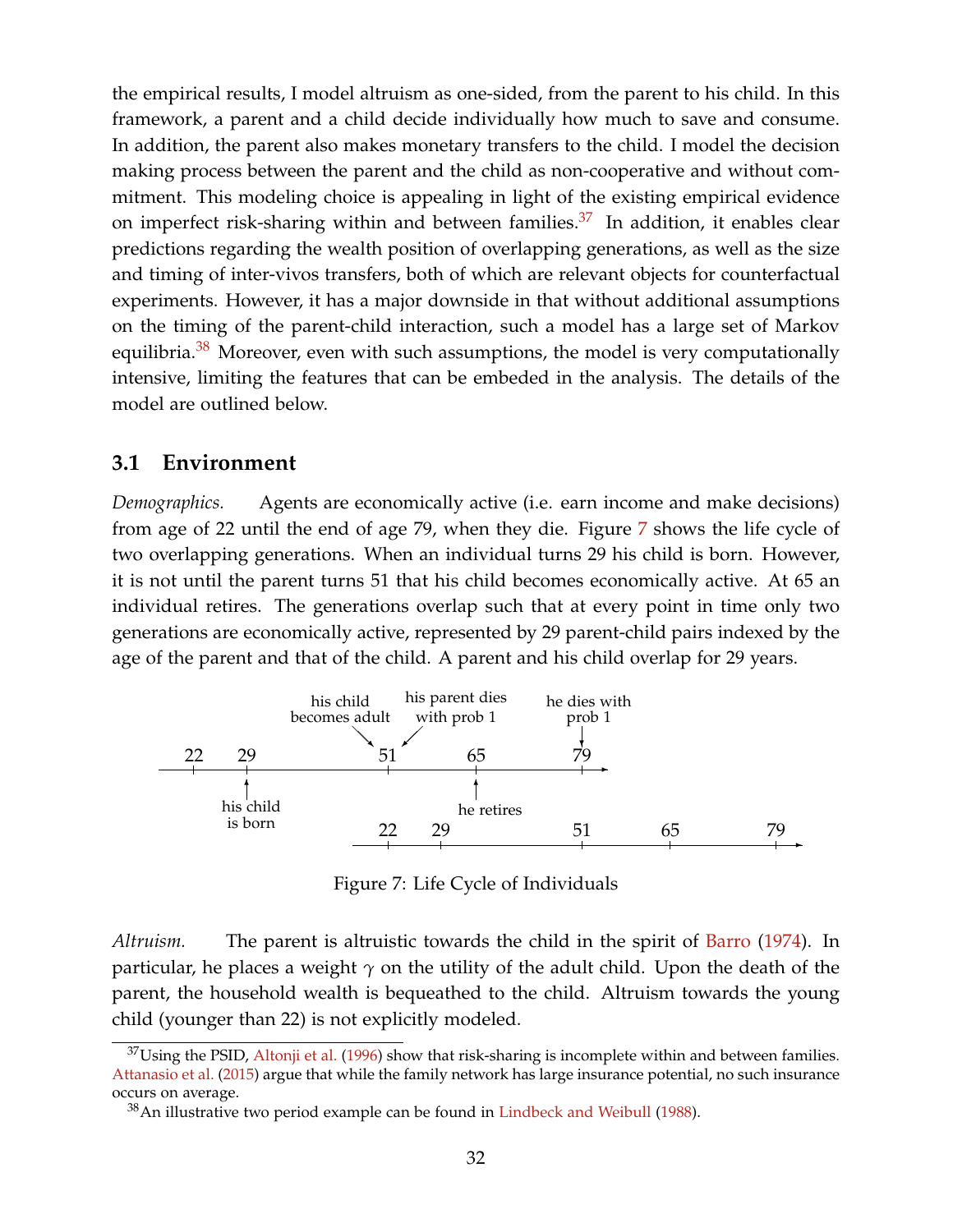the empirical results, I model altruism as one-sided, from the parent to his child. In this framework, a parent and a child decide individually how much to save and consume. In addition, the parent also makes monetary transfers to the child. I model the decision making process between the parent and the child as non-cooperative and without commitment. This modeling choice is appealing in light of the existing empirical evidence on imperfect risk-sharing within and between families. $37$  In addition, it enables clear predictions regarding the wealth position of overlapping generations, as well as the size and timing of inter-vivos transfers, both of which are relevant objects for counterfactual experiments. However, it has a major downside in that without additional assumptions on the timing of the parent-child interaction, such a model has a large set of Markov equilibria. $38$  Moreover, even with such assumptions, the model is very computationally intensive, limiting the features that can be embeded in the analysis. The details of the model are outlined below.

## **3.1 Environment**

*Demographics.* Agents are economically active (i.e. earn income and make decisions) from age of 22 until the end of age 79, when they die. Figure [7](#page-31-0) shows the life cycle of two overlapping generations. When an individual turns 29 his child is born. However, it is not until the parent turns 51 that his child becomes economically active. At 65 an individual retires. The generations overlap such that at every point in time only two generations are economically active, represented by 29 parent-child pairs indexed by the age of the parent and that of the child. A parent and his child overlap for 29 years.

<span id="page-31-0"></span>

Figure 7: Life Cycle of Individuals

*Altruism.* The parent is altruistic towards the child in the spirit of [Barro](#page-52-0) [\(1974\)](#page-52-0). In particular, he places a weight  $\gamma$  on the utility of the adult child. Upon the death of the parent, the household wealth is bequeathed to the child. Altruism towards the young child (younger than 22) is not explicitly modeled.

 $37$ Using the PSID, [Altonji et al.](#page-52-4) [\(1996\)](#page-52-4) show that risk-sharing is incomplete within and between families. [Attanasio et al.](#page-52-5) [\(2015\)](#page-52-5) argue that while the family network has large insurance potential, no such insurance occurs on average.

 $38$ An illustrative two period example can be found in [Lindbeck and Weibull](#page-54-11) [\(1988\)](#page-54-11).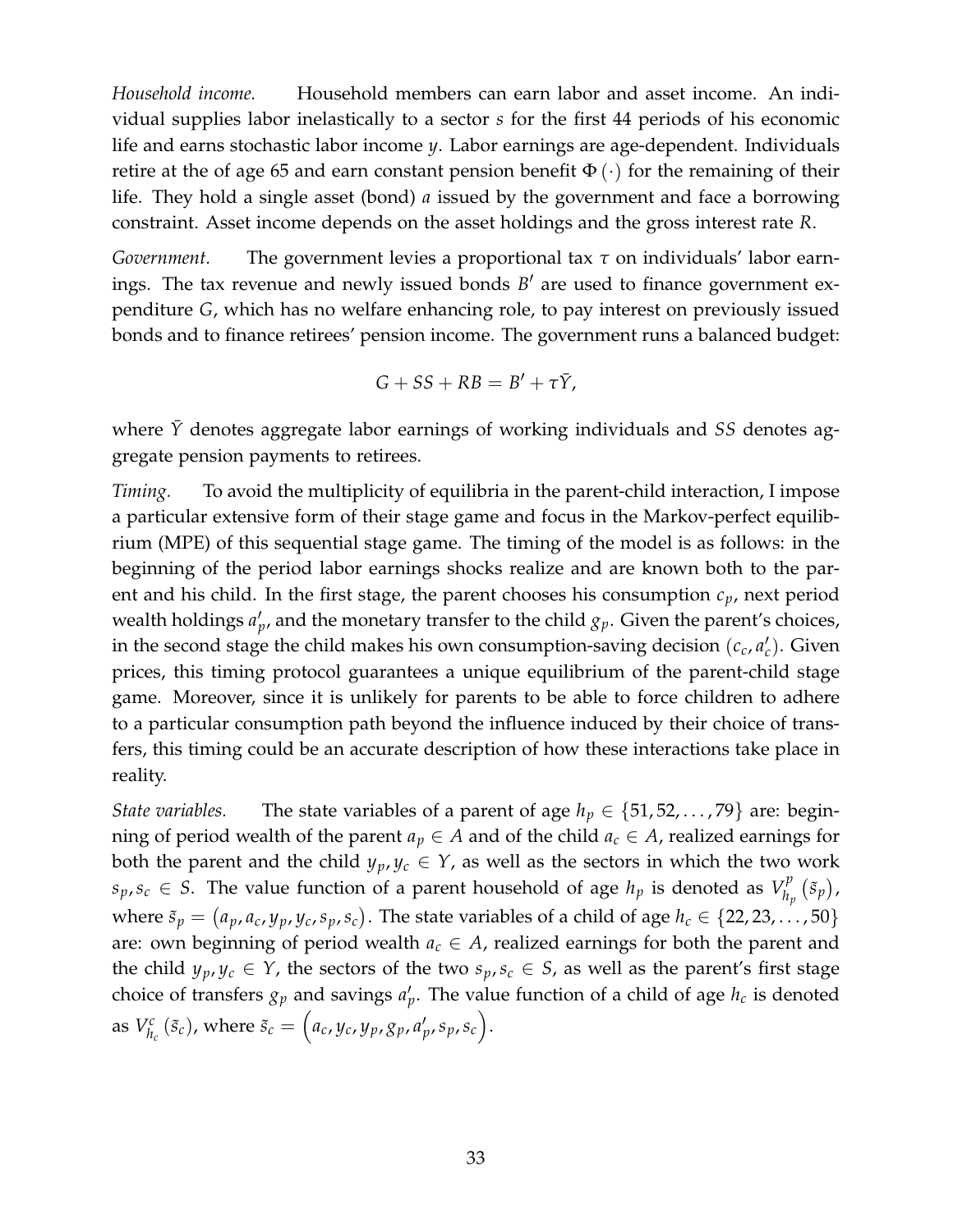*Household income.* Household members can earn labor and asset income. An individual supplies labor inelastically to a sector *s* for the first 44 periods of his economic life and earns stochastic labor income *y*. Labor earnings are age-dependent. Individuals retire at the of age 65 and earn constant pension benefit  $\Phi(\cdot)$  for the remaining of their life. They hold a single asset (bond) *a* issued by the government and face a borrowing constraint. Asset income depends on the asset holdings and the gross interest rate *R*.

*Government.* The government levies a proportional tax *τ* on individuals' labor earnings. The tax revenue and newly issued bonds B' are used to finance government expenditure *G*, which has no welfare enhancing role, to pay interest on previously issued bonds and to finance retirees' pension income. The government runs a balanced budget:

$$
G+SS+RB=B'+\tau\bar{Y},
$$

where  $\bar{Y}$  denotes aggregate labor earnings of working individuals and *SS* denotes aggregate pension payments to retirees.

*Timing.* To avoid the multiplicity of equilibria in the parent-child interaction, I impose a particular extensive form of their stage game and focus in the Markov-perfect equilibrium (MPE) of this sequential stage game. The timing of the model is as follows: in the beginning of the period labor earnings shocks realize and are known both to the parent and his child. In the first stage, the parent chooses his consumption *cp*, next period wealth holdings  $a'_{p}$ , and the monetary transfer to the child  $g_{p}$ . Given the parent's choices, in the second stage the child makes his own consumption-saving decision  $(c_c, a_c')$ . Given prices, this timing protocol guarantees a unique equilibrium of the parent-child stage game. Moreover, since it is unlikely for parents to be able to force children to adhere to a particular consumption path beyond the influence induced by their choice of transfers, this timing could be an accurate description of how these interactions take place in reality.

*State variables.* The state variables of a parent of age  $h_p \in \{51, 52, \ldots, 79\}$  are: beginning of period wealth of the parent  $a_p \in A$  and of the child  $a_c \in A$ , realized earnings for both the parent and the child  $y_p, y_c \in Y$ , as well as the sectors in which the two work  $s_p, s_c \in S$ . The value function of a parent household of age  $h_p$  is denoted as  $V_h^p$ .  $\binom{p}{h_p}(\tilde{s}_p)$  , where  $\tilde{s}_p = (a_p, a_c, y_p, y_c, s_p, s_c)$ . The state variables of a child of age  $h_c \in \{22, 23, \ldots, 50\}$ are: own beginning of period wealth  $a_c \in A$ , realized earnings for both the parent and the child  $y_p, y_c \in Y$ , the sectors of the two  $s_p, s_c \in S$ , as well as the parent's first stage choice of transfers  $g_p$  and savings  $a'_p$ . The value function of a child of age  $h_c$  is denoted as *V c*  $\delta_{h_c}^c$  ( $\tilde{s}_c$ ), where  $\tilde{s}_c = (a_c, y_c, y_p, g_p, a'_p, s_p, s_c)$ .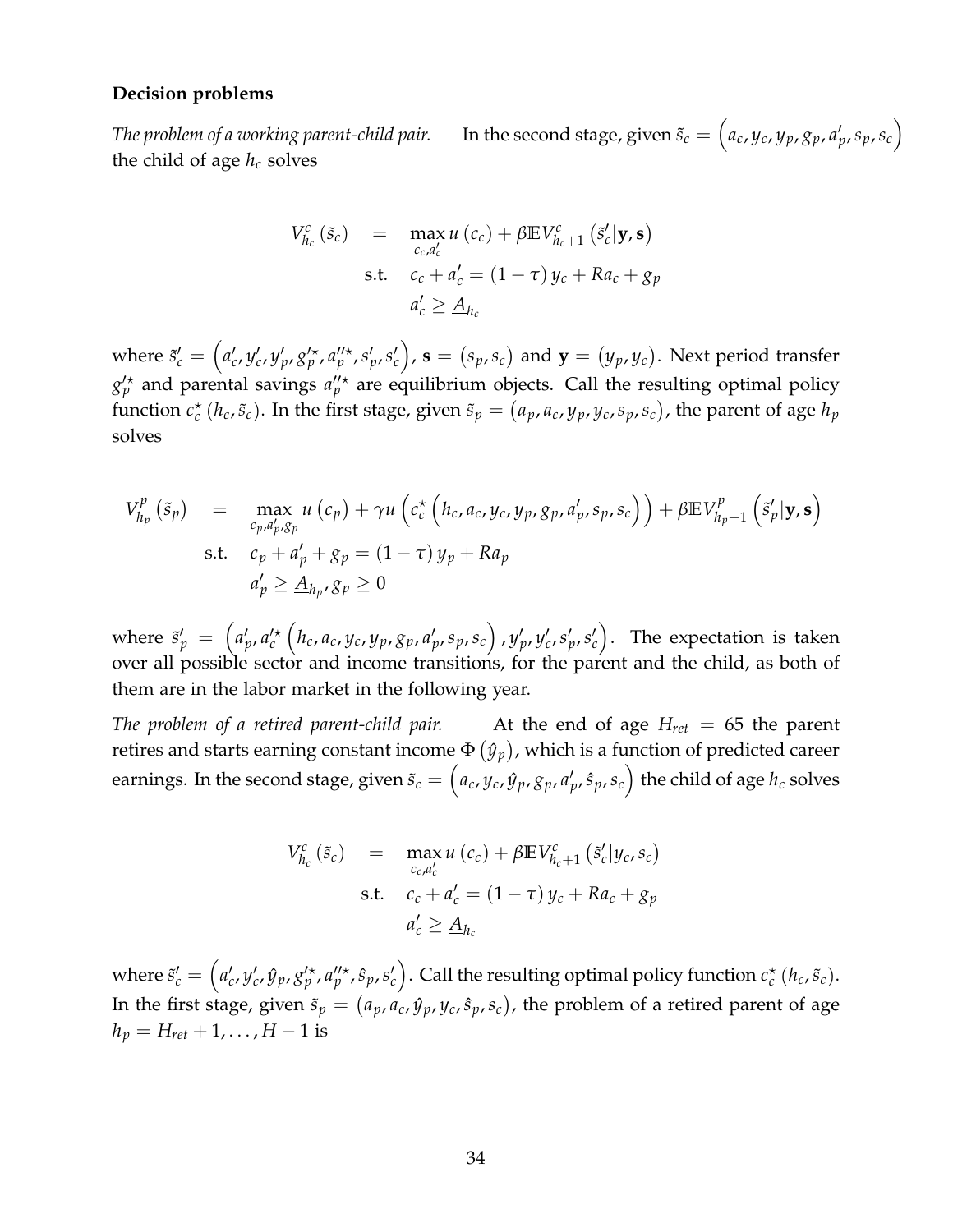#### **Decision problems**

*The problem of a working parent-child pair.*  $(a_c, y_c, y_p, g_p, a'_p, s_p, s_c)$ the child of age  $h_c$  solves

$$
V_{h_c}^c(\tilde{s}_c) = \max_{c_c, a'_c} u(c_c) + \beta \mathbb{E} V_{h_c+1}^c(\tilde{s}'_c | \mathbf{y}, \mathbf{s})
$$
  
s.t. 
$$
c_c + a'_c = (1 - \tau) y_c + Ra_c + g_p
$$

$$
a'_c \ge \underline{A}_{h_c}
$$

where  $\tilde{s}'_c=\left(a'_c,y'_c,y'_p,g'^\star_p,a''^{\star}_p,s'_p,s'_c\right)$ ,  ${\bf s}=(s_p,s_c)$  and  ${\bf y}=(y_p,y_c).$  Next period transfer  $g'^{\star} _{p}$  and parental savings  $a''^{\star} _{p}$  are equilibrium objects. Call the resulting optimal policy function  $c_c^{\star}(h_c, \tilde{s}_c)$ . In the first stage, given  $\tilde{s}_p = (a_p, a_c, y_p, y_c, s_p, s_c)$ , the parent of age  $h_p$ solves

$$
V_{h_p}^p(\tilde{s}_p) = \max_{\substack{c_p, a'_p, g_p \\ \text{s.t.}}} u(c_p) + \gamma u \left( c_c^{\star} \left( h_c, a_c, y_c, y_p, g_p, a'_p, s_p, s_c \right) \right) + \beta \mathbb{E} V_{h_p+1}^p \left( \tilde{s}'_p | \mathbf{y}, \mathbf{s} \right)
$$
  
s.t.  $c_p + a'_p + g_p = (1 - \tau) y_p + R a_p$   

$$
a'_p \geq \underline{A}_{h_p}, g_p \geq 0
$$

where  $\tilde{s}'_p~=~\left(a'_p,a'^\star_c\left(h_c,a_c,y_c,y_p,g_p,a'_p,s_p,s_c\right),y'_p,y'_c,s'_p,s'_c\right).$  The expectation is taken over all possible sector and income transitions, for the parent and the child, as both of them are in the labor market in the following year.

*The problem of a retired parent-child pair.* At the end of age *Hret* = 65 the parent retires and starts earning constant income  $\Phi\left(\hat{y}_p\right)$ , which is a function of predicted career earnings. In the second stage, given  $\tilde{s}_c=\left(a_c,y_c,\hat{y}_p,g_p,a'_p,\hat{s}_p,s_c\right)$  the child of age  $h_c$  solves

$$
V_{h_c}^c(\tilde{s}_c) = \max_{c_c, a_c'} u(c_c) + \beta \mathbb{E} V_{h_c+1}^c(\tilde{s}_c'|y_c, s_c)
$$
  
s.t. 
$$
c_c + a_c' = (1 - \tau) y_c + Ra_c + g_p
$$

$$
a_c' \ge \underline{A}_{h_c}
$$

where  $\tilde{s}'_c=\left(a'_c,y'_c,\hat{y}_p,g'^\star_p,a''^\star_p,\hat{s}_p,s'_c\right)$ . Call the resulting optimal policy function  $c_c^\star$   $(h_c,\tilde{s}_c)$ . In the first stage, given  $\tilde{s}_p = (a_p, a_c, \hat{y}_p, y_c, \hat{s}_p, s_c)$ , the problem of a retired parent of age  $h_p = H_{\text{ref}} + 1, \ldots, H - 1$  is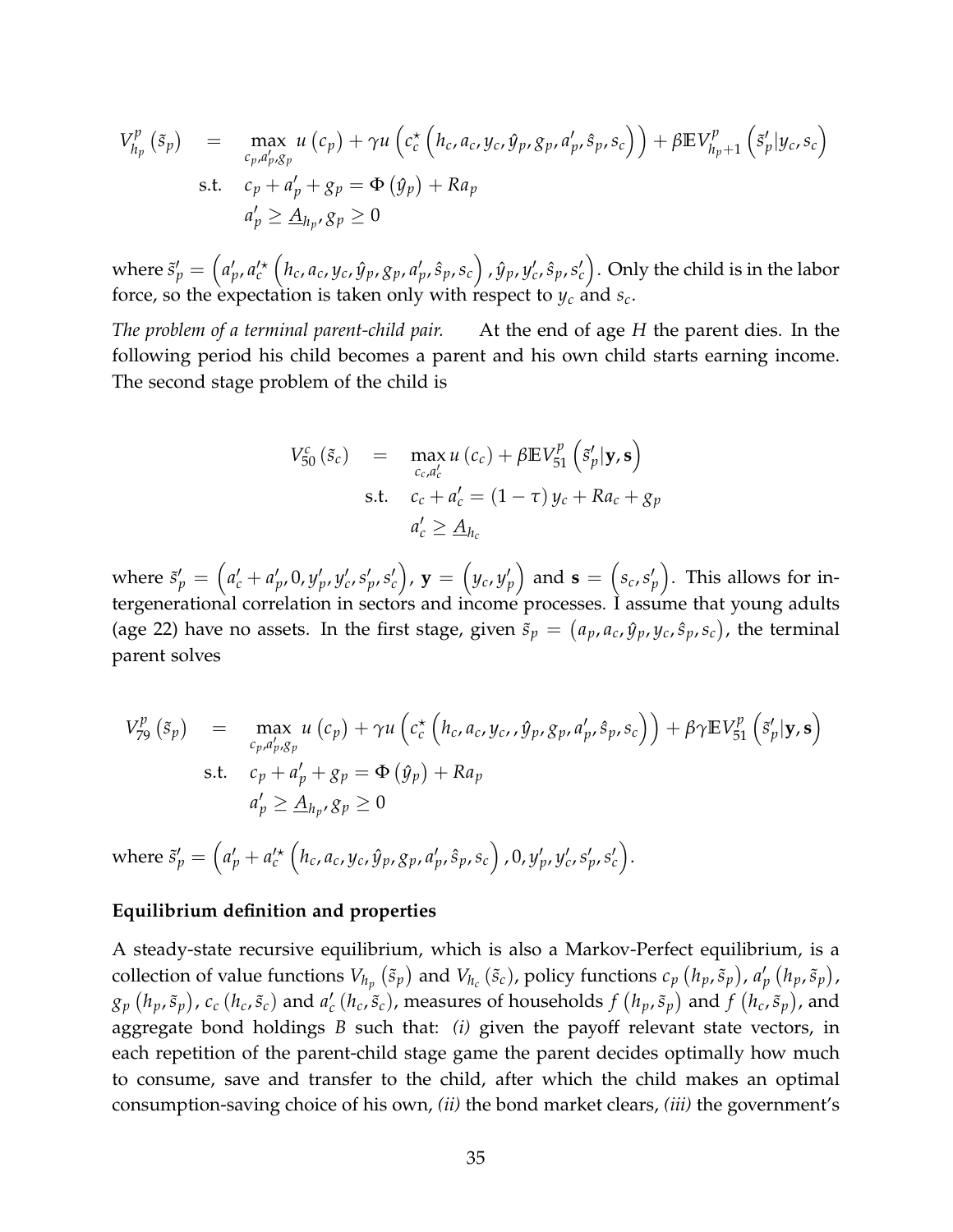$$
V_{h_p}^p(\tilde{s}_p) = \max_{\substack{c_p, a'_p, g_p \\ \text{s.t.}}} u(c_p) + \gamma u \left( c_c^{\star} \left( h_c, a_c, y_c, \hat{y}_p, g_p, a'_p, \hat{s}_p, s_c \right) \right) + \beta \mathbb{E} V_{h_p+1}^p \left( \tilde{s}'_p | y_c, s_c \right)
$$
  
s.t.  $c_p + a'_p + g_p = \Phi(\hat{y}_p) + Ra_p$   

$$
a'_p \geq \underline{A}_{h_p}, g_p \geq 0
$$

where  $\tilde{s}'_p=\left(a'_p,a'^\star_c\left(h_c,a_c,y_c,\hat{y}_p,g_p,a'_p,\hat{s}_p,s_c\right),\hat{y}_p,y'_c,\hat{s}_p,s'_c\right).$  Only the child is in the labor force, so the expectation is taken only with respect to  $y_c$  and  $s_c$ .

*The problem of a terminal parent-child pair.* At the end of age *H* the parent dies. In the following period his child becomes a parent and his own child starts earning income. The second stage problem of the child is

$$
V_{50}^{c} (\tilde{s}_{c}) = \max_{c_{c}, a'_{c}} u (c_{c}) + \beta \mathbb{E} V_{51}^{p} (\tilde{s}'_{p} | \mathbf{y}, \mathbf{s})
$$
  
s.t. 
$$
c_{c} + a'_{c} = (1 - \tau) y_{c} + Ra_{c} + g_{p}
$$

$$
a'_{c} \geq \underline{A}_{h_{c}}
$$

where  $\tilde{s}'_p=\left(a'_c+a'_p,0,y'_p,y'_c,s'_p,s'_c\right)$ ,  ${\bf y}=\left(y_c,y'_p\right)$  and  ${\bf s}=\left(s_c,s'_p\right)$ . This allows for intergenerational correlation in sectors and income processes. I assume that young adults (age 22) have no assets. In the first stage, given  $\tilde{s}_p = (a_p, a_c, \hat{y}_p, y_c, \hat{s}_p, s_c)$ , the terminal parent solves

$$
V_{79}^{p}(\tilde{s}_{p}) = \max_{\begin{array}{l} c_{p}, a'_{p}, g_{p} \\ \text{s.t.} \end{array}} u(c_{p}) + \gamma u \left( c_{c}^{*} \left( h_{c}, a_{c}, y_{c}, \hat{y}_{p}, g_{p}, a'_{p}, \hat{s}_{p}, s_{c} \right) \right) + \beta \gamma \mathbb{E} V_{51}^{p} \left( \tilde{s}'_{p} | \mathbf{y}, \mathbf{s} \right)
$$
  
s.t.  $c_{p} + a'_{p} + g_{p} = \Phi(\hat{y}_{p}) + Ra_{p}$   

$$
a'_{p} \geq \underline{A}_{h_{p}}, g_{p} \geq 0
$$

where  $\tilde{s}'_p=\left(a'_p+a'^\star_c\left(h_c,a_c,y_c,\hat{y}_p,g_p,a'_p,\hat{s}_p,s_c\right),0,y'_p,y'_c,s'_p,s'_c\right).$ 

#### **Equilibrium definition and properties**

A steady-state recursive equilibrium, which is also a Markov-Perfect equilibrium, is a collection of value functions  $V_{h_p}(\tilde{s}_p)$  and  $V_{h_c}(\tilde{s}_c)$ , policy functions  $c_p(h_p, \tilde{s}_p)$ ,  $a'_p(h_p, \tilde{s}_p)$ ,  $g_p\left(h_p,\tilde{s}_p\right)$ ,  $c_c\left(h_c,\tilde{s}_c\right)$  and  $a_c'\left(h_c,\tilde{s}_c\right)$ , measures of households  $f\left(h_p,\tilde{s}_p\right)$  and  $f\left(h_c,\tilde{s}_p\right)$ , and aggregate bond holdings *B* such that: *(i)* given the payoff relevant state vectors, in each repetition of the parent-child stage game the parent decides optimally how much to consume, save and transfer to the child, after which the child makes an optimal consumption-saving choice of his own, *(ii)* the bond market clears, *(iii)* the government's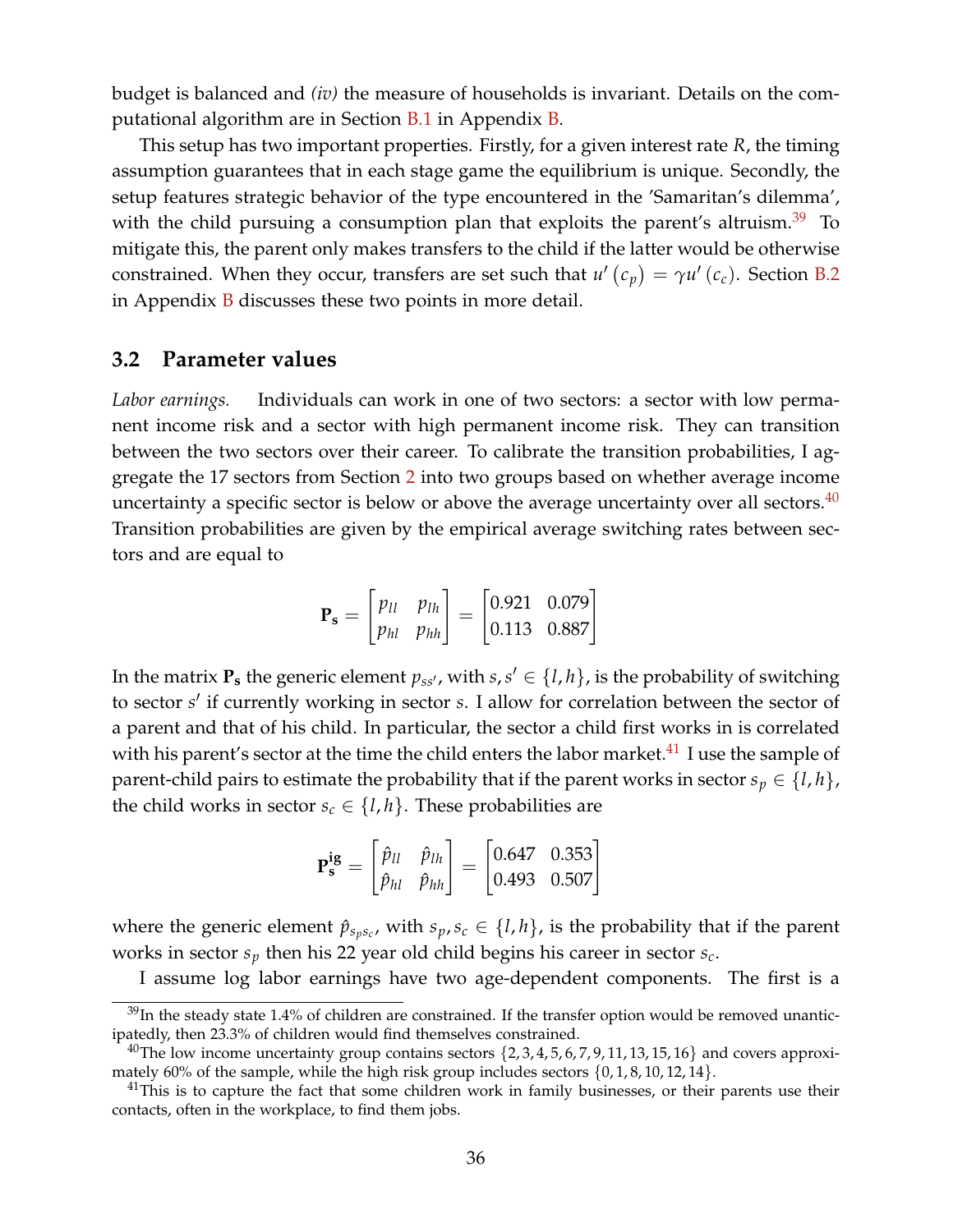budget is balanced and *(iv)* the measure of households is invariant. Details on the computational algorithm are in Section [B.1](#page-62-2) in Appendix [B.](#page-62-3)

This setup has two important properties. Firstly, for a given interest rate *R*, the timing assumption guarantees that in each stage game the equilibrium is unique. Secondly, the setup features strategic behavior of the type encountered in the 'Samaritan's dilemma', with the child pursuing a consumption plan that exploits the parent's altruism. $39$  To mitigate this, the parent only makes transfers to the child if the latter would be otherwise constrained. When they occur, transfers are set such that  $u'(c_p) = \gamma u'(c_c)$ . Section [B.2](#page-68-0) in Appendix  $\overline{B}$  $\overline{B}$  $\overline{B}$  discusses these two points in more detail.

### **3.2 Parameter values**

*Labor earnings.* Individuals can work in one of two sectors: a sector with low permanent income risk and a sector with high permanent income risk. They can transition between the two sectors over their career. To calibrate the transition probabilities, I aggregate the 17 sectors from Section [2](#page-5-0) into two groups based on whether average income uncertainty a specific sector is below or above the average uncertainty over all sectors. $40$ Transition probabilities are given by the empirical average switching rates between sectors and are equal to

$$
\mathbf{P_s} = \begin{bmatrix} p_{ll} & p_{lh} \\ p_{hl} & p_{hh} \end{bmatrix} = \begin{bmatrix} 0.921 & 0.079 \\ 0.113 & 0.887 \end{bmatrix}
$$

In the matrix  $\mathbf{P}_{\mathbf{s}}$  the generic element  $p_{ss'}$ , with  $s, s' \in \{l, h\}$ , is the probability of switching to sector *s'* if currently working in sector *s*. I allow for correlation between the sector of a parent and that of his child. In particular, the sector a child first works in is correlated with his parent's sector at the time the child enters the labor market. $^{41}$  $^{41}$  $^{41}$  I use the sample of parent-child pairs to estimate the probability that if the parent works in sector  $s_p \in \{l, h\}$ , the child works in sector  $s_c \in \{l, h\}$ . These probabilities are

$$
\mathbf{P}_{\mathbf{s}}^{\mathbf{ig}} = \begin{bmatrix} \hat{p}_{ll} & \hat{p}_{lh} \\ \hat{p}_{hl} & \hat{p}_{hh} \end{bmatrix} = \begin{bmatrix} 0.647 & 0.353 \\ 0.493 & 0.507 \end{bmatrix}
$$

where the generic element  $\hat{p}_{s_p s_c}$ , with  $s_p, s_c \in \{l, h\}$ , is the probability that if the parent works in sector *s<sup>p</sup>* then his 22 year old child begins his career in sector *sc*.

I assume log labor earnings have two age-dependent components. The first is a

 $39$ In the steady state 1.4% of children are constrained. If the transfer option would be removed unanticipatedly, then 23.3% of children would find themselves constrained.

<sup>&</sup>lt;sup>40</sup>The low income uncertainty group contains sectors  $\{2, 3, 4, 5, 6, 7, 9, 11, 13, 15, 16\}$  and covers approximately 60% of the sample, while the high risk group includes sectors  $\{0, 1, 8, 10, 12, 14\}$ .

 $41$ This is to capture the fact that some children work in family businesses, or their parents use their contacts, often in the workplace, to find them jobs.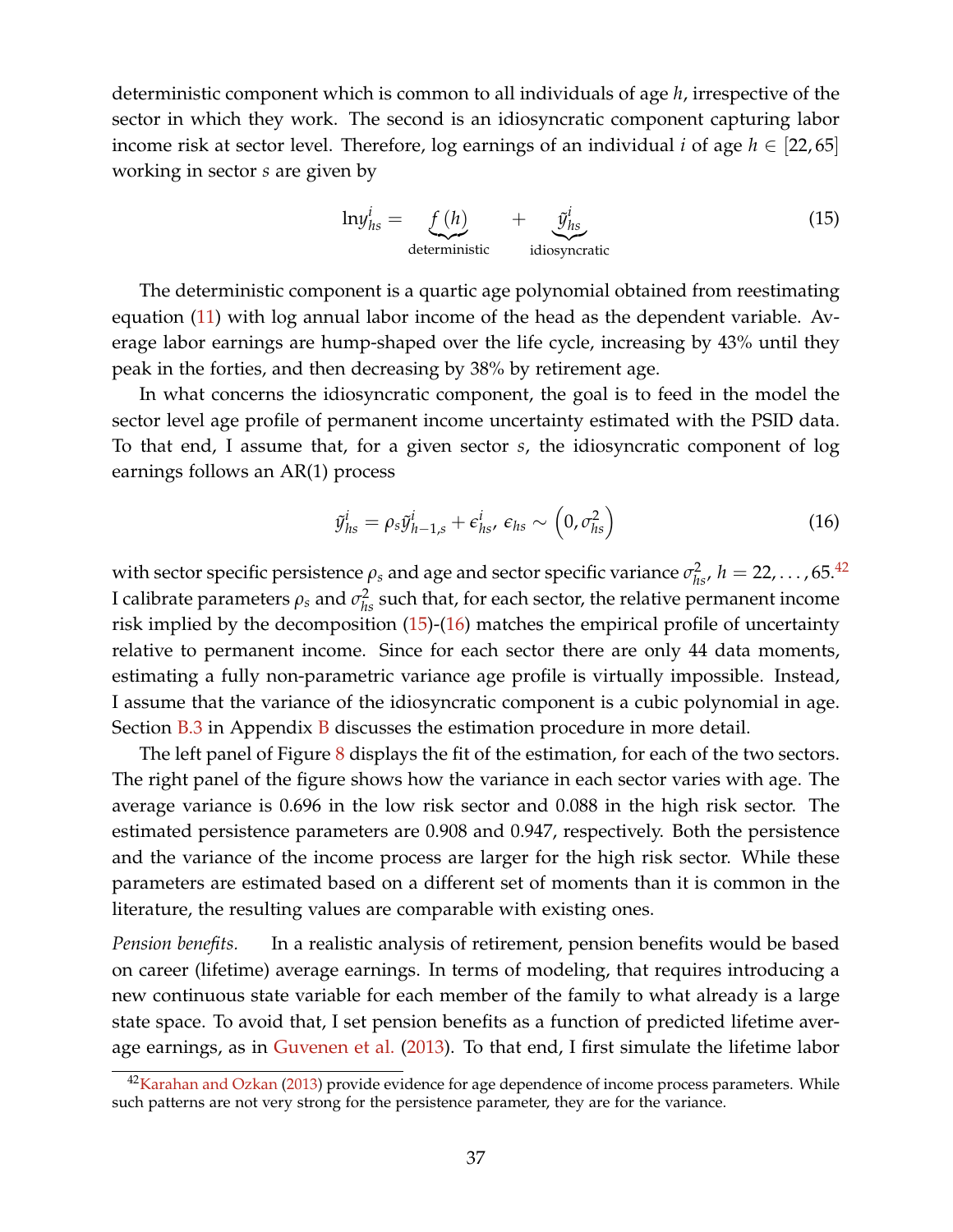deterministic component which is common to all individuals of age *h*, irrespective of the sector in which they work. The second is an idiosyncratic component capturing labor income risk at sector level. Therefore, log earnings of an individual *i* of age  $h \in [22, 65]$ working in sector *s* are given by

<span id="page-36-0"></span>
$$
\ln y_{hs}^i = \underbrace{f(h)}_{\text{deterministic}} + \underbrace{\tilde{y}_{hs}^i}_{\text{idiosyncratic}}
$$
 (15)

The deterministic component is a quartic age polynomial obtained from reestimating equation [\(11\)](#page-17-0) with log annual labor income of the head as the dependent variable. Average labor earnings are hump-shaped over the life cycle, increasing by 43% until they peak in the forties, and then decreasing by 38% by retirement age.

In what concerns the idiosyncratic component, the goal is to feed in the model the sector level age profile of permanent income uncertainty estimated with the PSID data. To that end, I assume that, for a given sector *s*, the idiosyncratic component of log earnings follows an AR(1) process

<span id="page-36-1"></span>
$$
\tilde{y}_{hs}^i = \rho_s \tilde{y}_{h-1,s}^i + \epsilon_{hs}^i, \epsilon_{hs} \sim \left(0, \sigma_{hs}^2\right)
$$
\n(16)

with sector specific persistence  $\rho_s$  and age and sector specific variance  $\sigma_{hs}^2$ ,  $h = 22, \ldots$ , 65.<sup>[42](#page-0-0)</sup> I calibrate parameters  $\rho_s$  and  $\sigma_{hs}^2$  such that, for each sector, the relative permanent income risk implied by the decomposition  $(15)-(16)$  $(15)-(16)$  $(15)-(16)$  matches the empirical profile of uncertainty relative to permanent income. Since for each sector there are only 44 data moments, estimating a fully non-parametric variance age profile is virtually impossible. Instead, I assume that the variance of the idiosyncratic component is a cubic polynomial in age. Section  $B.3$  in Appendix  $B$  discusses the estimation procedure in more detail.

The left panel of Figure [8](#page-37-0) displays the fit of the estimation, for each of the two sectors. The right panel of the figure shows how the variance in each sector varies with age. The average variance is 0.696 in the low risk sector and 0.088 in the high risk sector. The estimated persistence parameters are 0.908 and 0.947, respectively. Both the persistence and the variance of the income process are larger for the high risk sector. While these parameters are estimated based on a different set of moments than it is common in the literature, the resulting values are comparable with existing ones.

*Pension benefits.* In a realistic analysis of retirement, pension benefits would be based on career (lifetime) average earnings. In terms of modeling, that requires introducing a new continuous state variable for each member of the family to what already is a large state space. To avoid that, I set pension benefits as a function of predicted lifetime aver-age earnings, as in [Guvenen et al.](#page-53-0) [\(2013\)](#page-53-0). To that end, I first simulate the lifetime labor

<sup>&</sup>lt;sup>42</sup>[Karahan and Ozkan](#page-54-0) [\(2013\)](#page-54-0) provide evidence for age dependence of income process parameters. While such patterns are not very strong for the persistence parameter, they are for the variance.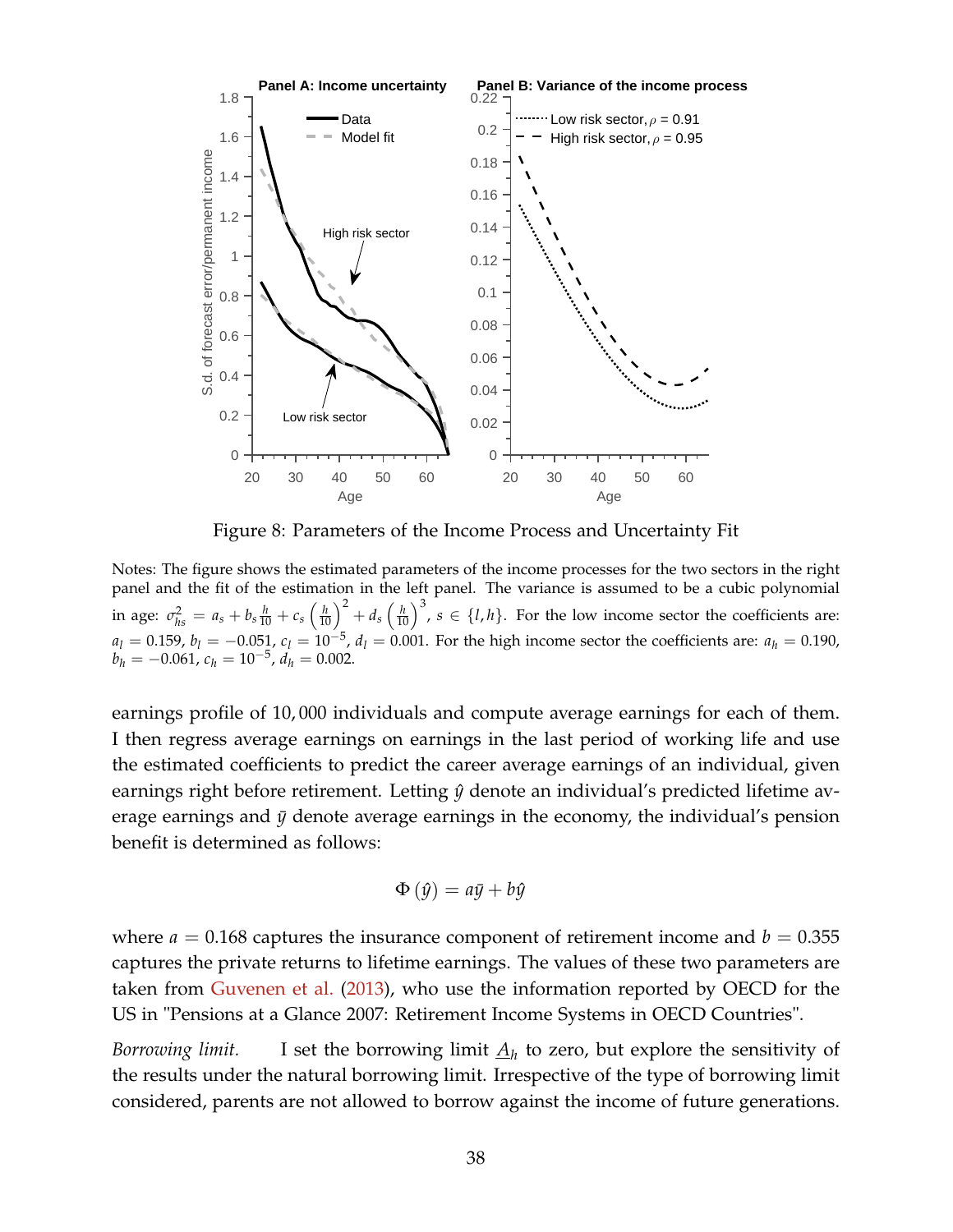<span id="page-37-0"></span>

Figure 8: Parameters of the Income Process and Uncertainty Fit

Notes: The figure shows the estimated parameters of the income processes for the two sectors in the right panel and the fit of the estimation in the left panel. The variance is assumed to be a cubic polynomial in age:  $\sigma_{hs}^2 = a_s + b_s \frac{h}{10} + c_s \left(\frac{h}{10}\right)^2 + d_s \left(\frac{h}{10}\right)^3$ ,  $s \in \{l, h\}$ . For the low income sector the coefficients are:  $a_l = 0.159$ ,  $b_l = -0.051$ ,  $c_l = 10^{-5}$ ,  $d_l = 0.001$ . For the high income sector the coefficients are:  $a_h = 0.190$ ,  $b_h = -0.061$ ,  $c_h = 10^{-5}$ ,  $d_h = 0.002$ .

earnings profile of 10, 000 individuals and compute average earnings for each of them. I then regress average earnings on earnings in the last period of working life and use the estimated coefficients to predict the career average earnings of an individual, given earnings right before retirement. Letting  $\hat{y}$  denote an individual's predicted lifetime average earnings and  $\bar{y}$  denote average earnings in the economy, the individual's pension benefit is determined as follows:

$$
\Phi\left(\hat{y}\right) = a\bar{y} + b\hat{y}
$$

where  $a = 0.168$  captures the insurance component of retirement income and  $b = 0.355$ captures the private returns to lifetime earnings. The values of these two parameters are taken from [Guvenen et al.](#page-53-0) [\(2013\)](#page-53-0), who use the information reported by OECD for the US in "Pensions at a Glance 2007: Retirement Income Systems in OECD Countries".

*Borrowing limit.* I set the borrowing limit  $\underline{A}_h$  to zero, but explore the sensitivity of the results under the natural borrowing limit. Irrespective of the type of borrowing limit considered, parents are not allowed to borrow against the income of future generations.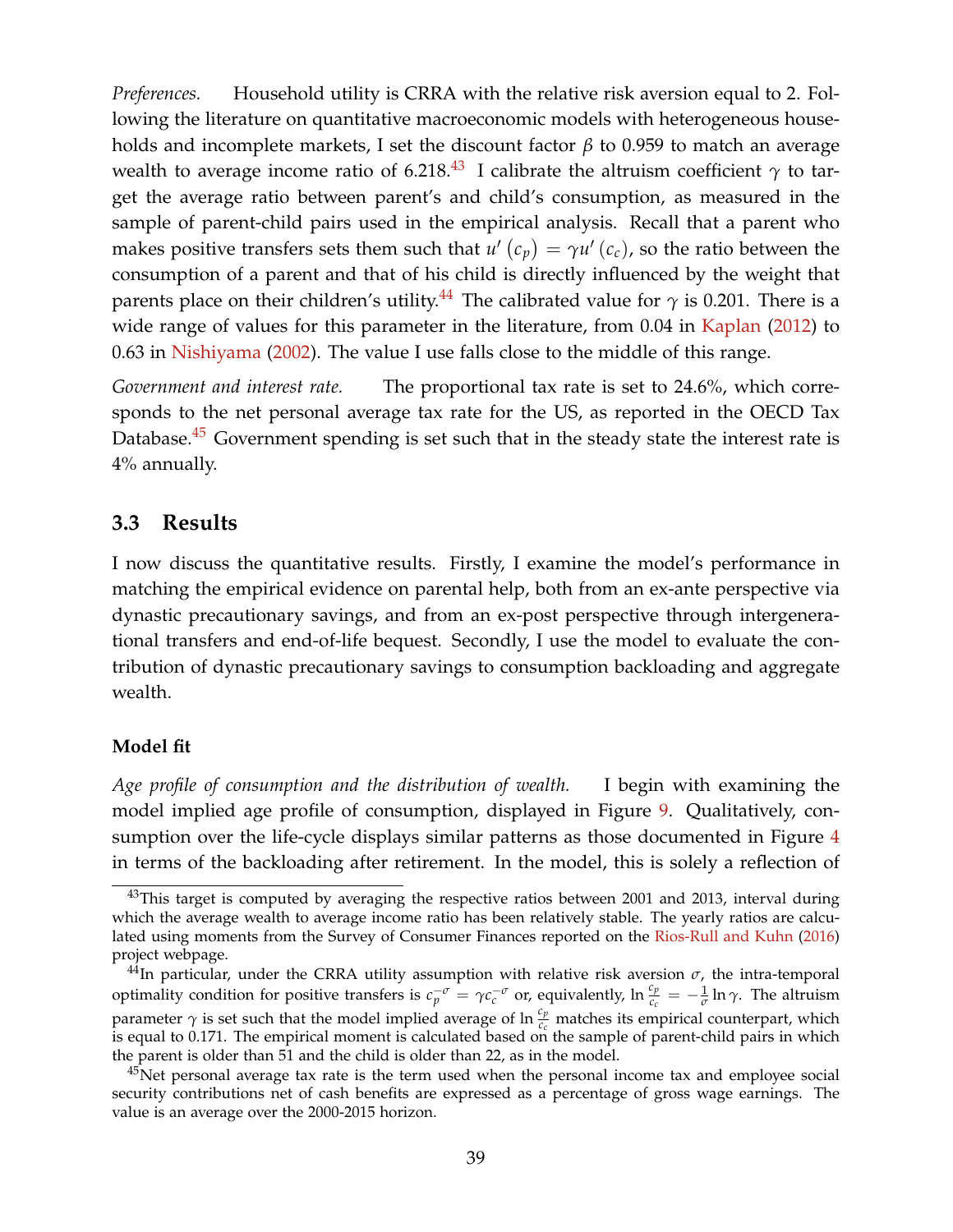*Preferences.* Household utility is CRRA with the relative risk aversion equal to 2. Following the literature on quantitative macroeconomic models with heterogeneous households and incomplete markets, I set the discount factor *β* to 0.959 to match an average wealth to average income ratio of 6.218.<sup>[43](#page-0-0)</sup> I calibrate the altruism coefficient  $\gamma$  to target the average ratio between parent's and child's consumption, as measured in the sample of parent-child pairs used in the empirical analysis. Recall that a parent who makes positive transfers sets them such that  $u'$  ( $c_p$ ) =  $\gamma u'$  ( $c_c$ ), so the ratio between the consumption of a parent and that of his child is directly influenced by the weight that parents place on their children's utility.<sup>[44](#page-0-0)</sup> The calibrated value for  $\gamma$  is 0.201. There is a wide range of values for this parameter in the literature, from 0.04 in [Kaplan](#page-54-1) [\(2012\)](#page-54-1) to 0.63 in [Nishiyama](#page-55-0) [\(2002\)](#page-55-0). The value I use falls close to the middle of this range.

*Government and interest rate.* The proportional tax rate is set to 24.6%, which corresponds to the net personal average tax rate for the US, as reported in the OECD Tax Database. $45$  Government spending is set such that in the steady state the interest rate is 4% annually.

### **3.3 Results**

I now discuss the quantitative results. Firstly, I examine the model's performance in matching the empirical evidence on parental help, both from an ex-ante perspective via dynastic precautionary savings, and from an ex-post perspective through intergenerational transfers and end-of-life bequest. Secondly, I use the model to evaluate the contribution of dynastic precautionary savings to consumption backloading and aggregate wealth.

#### **Model fit**

*Age profile of consumption and the distribution of wealth.* I begin with examining the model implied age profile of consumption, displayed in Figure [9.](#page-39-0) Qualitatively, consumption over the life-cycle displays similar patterns as those documented in Figure [4](#page-18-0) in terms of the backloading after retirement. In the model, this is solely a reflection of

<sup>&</sup>lt;sup>43</sup>This target is computed by averaging the respective ratios between 2001 and 2013, interval during which the average wealth to average income ratio has been relatively stable. The yearly ratios are calculated using moments from the Survey of Consumer Finances reported on the [Rios-Rull and Kuhn](#page-55-1) [\(2016\)](#page-55-1) project webpage.

<sup>&</sup>lt;sup>44</sup>In particular, under the CRRA utility assumption with relative risk aversion  $\sigma$ , the intra-temporal optimality condition for positive transfers is  $c_p^{-\sigma} = \gamma c_c^{-\sigma}$  or, equivalently,  $\ln \frac{c_p}{c_c} = -\frac{1}{\sigma} \ln \gamma$ . The altruism parameter  $\gamma$  is set such that the model implied average of ln  $\frac{c_p}{c_c}$  matches its empirical counterpart, which is equal to 0.171. The empirical moment is calculated based on the sample of parent-child pairs in which the parent is older than 51 and the child is older than 22, as in the model.

<sup>&</sup>lt;sup>45</sup>Net personal average tax rate is the term used when the personal income tax and employee social security contributions net of cash benefits are expressed as a percentage of gross wage earnings. The value is an average over the 2000-2015 horizon.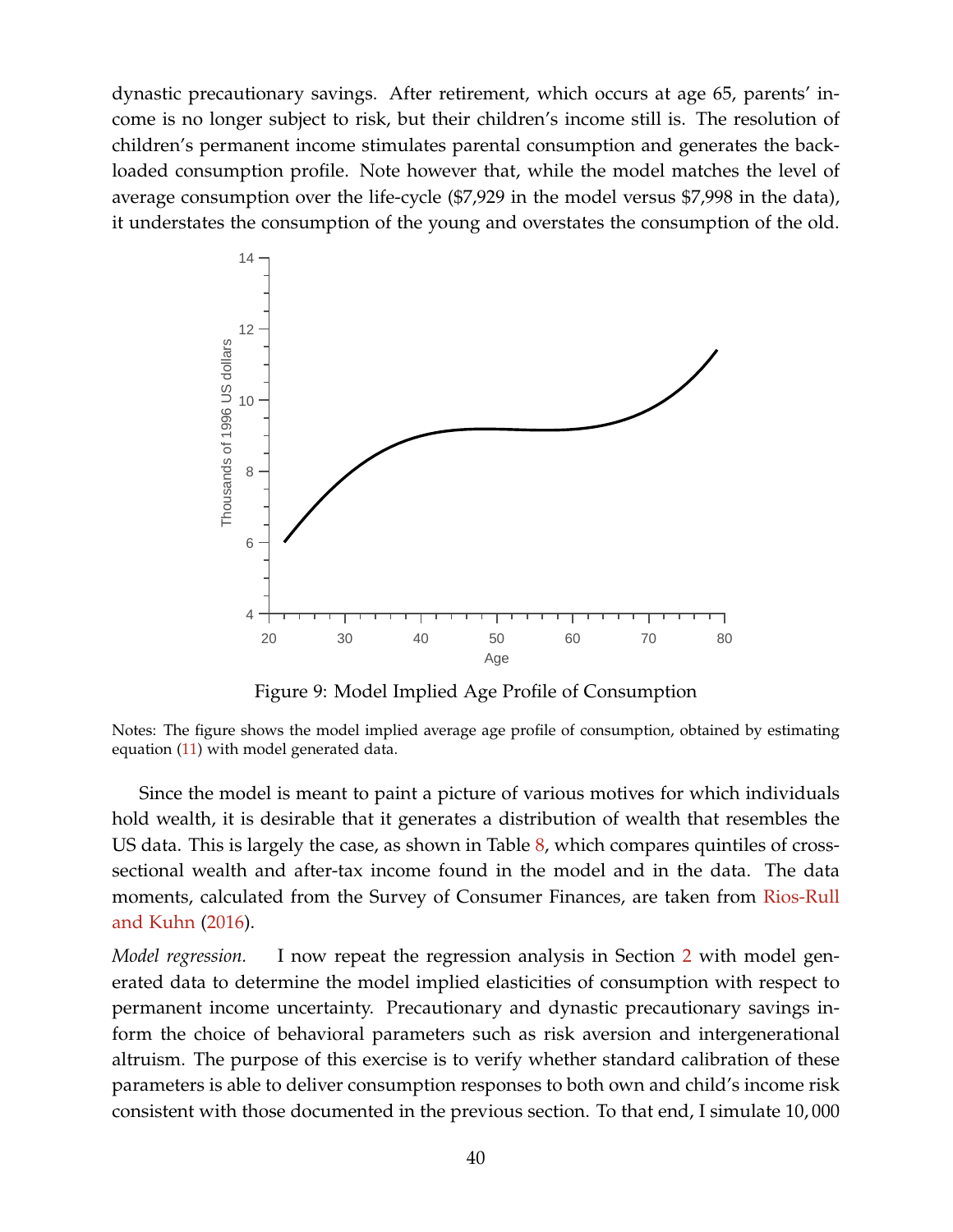dynastic precautionary savings. After retirement, which occurs at age 65, parents' income is no longer subject to risk, but their children's income still is. The resolution of children's permanent income stimulates parental consumption and generates the backloaded consumption profile. Note however that, while the model matches the level of average consumption over the life-cycle (\$7,929 in the model versus \$7,998 in the data), it understates the consumption of the young and overstates the consumption of the old.

<span id="page-39-0"></span>

Figure 9: Model Implied Age Profile of Consumption

Notes: The figure shows the model implied average age profile of consumption, obtained by estimating equation [\(11\)](#page-17-0) with model generated data.

Since the model is meant to paint a picture of various motives for which individuals hold wealth, it is desirable that it generates a distribution of wealth that resembles the US data. This is largely the case, as shown in Table  $\delta$ , which compares quintiles of crosssectional wealth and after-tax income found in the model and in the data. The data moments, calculated from the Survey of Consumer Finances, are taken from [Rios-Rull](#page-55-1) [and Kuhn](#page-55-1) [\(2016\)](#page-55-1).

*Model regression.* I now repeat the regression analysis in Section [2](#page-5-0) with model generated data to determine the model implied elasticities of consumption with respect to permanent income uncertainty. Precautionary and dynastic precautionary savings inform the choice of behavioral parameters such as risk aversion and intergenerational altruism. The purpose of this exercise is to verify whether standard calibration of these parameters is able to deliver consumption responses to both own and child's income risk consistent with those documented in the previous section. To that end, I simulate 10, 000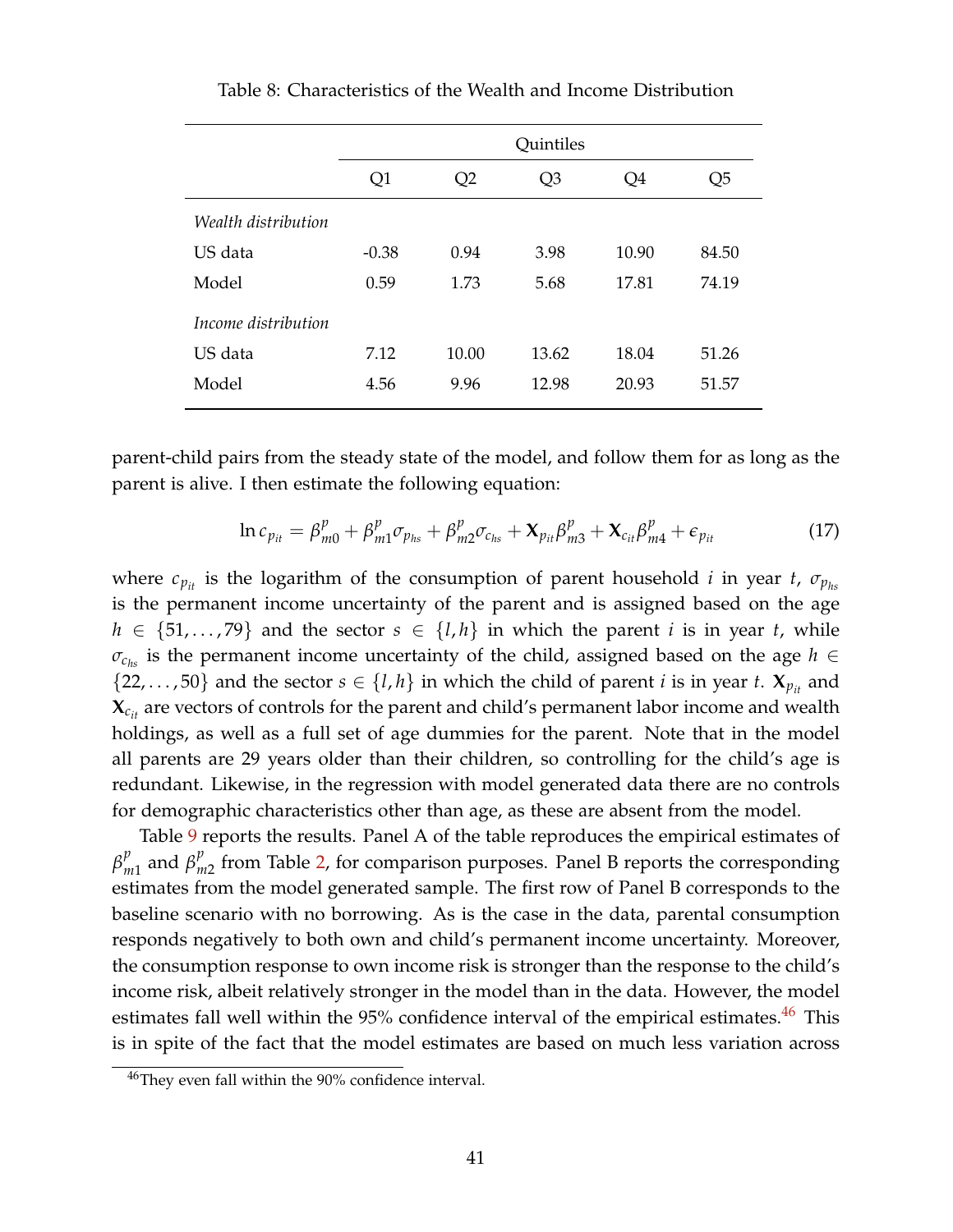<span id="page-40-0"></span>

|                     |         | <b>Quintiles</b> |                |       |       |  |  |  |  |
|---------------------|---------|------------------|----------------|-------|-------|--|--|--|--|
|                     | Q1      | Q2               | Q <sub>3</sub> | Q4    | Q5    |  |  |  |  |
| Wealth distribution |         |                  |                |       |       |  |  |  |  |
| US data             | $-0.38$ | 0.94             | 3.98           | 10.90 | 84.50 |  |  |  |  |
| Model               | 0.59    | 1.73             | 5.68           | 17.81 | 74.19 |  |  |  |  |
| Income distribution |         |                  |                |       |       |  |  |  |  |
| US data             | 7.12    | 10.00            | 13.62          | 18.04 | 51.26 |  |  |  |  |
| Model               | 4.56    | 9.96             | 12.98          | 20.93 | 51.57 |  |  |  |  |

Table 8: Characteristics of the Wealth and Income Distribution

parent-child pairs from the steady state of the model, and follow them for as long as the parent is alive. I then estimate the following equation:

<span id="page-40-1"></span>
$$
\ln c_{p_{it}} = \beta_{m0}^p + \beta_{m1}^p \sigma_{p_{hs}} + \beta_{m2}^p \sigma_{c_{hs}} + \mathbf{X}_{p_{it}} \beta_{m3}^p + \mathbf{X}_{c_{it}} \beta_{m4}^p + \epsilon_{p_{it}} \tag{17}
$$

where  $c_{p_{it}}$  is the logarithm of the consumption of parent household *i* in year *t*,  $\sigma_{p_{hs}}$ is the permanent income uncertainty of the parent and is assigned based on the age  $h \in \{51,\ldots,79\}$  and the sector  $s \in \{l,h\}$  in which the parent *i* is in year *t*, while  $\sigma_{c_{hs}}$  is the permanent income uncertainty of the child, assigned based on the age  $h \in$  $\{22, \ldots, 50\}$  and the sector  $s \in \{l, h\}$  in which the child of parent *i* is in year *t*.  $\mathbf{X}_{p_{it}}$  and  $\mathbf{X}_{c_{it}}$  are vectors of controls for the parent and child's permanent labor income and wealth holdings, as well as a full set of age dummies for the parent. Note that in the model all parents are 29 years older than their children, so controlling for the child's age is redundant. Likewise, in the regression with model generated data there are no controls for demographic characteristics other than age, as these are absent from the model.

Table [9](#page-42-0) reports the results. Panel A of the table reproduces the empirical estimates of *β p*  $_{m1}^{p}$  and  $\beta_{n}^{p}$  $_{m2}^{\nu}$  from Table [2,](#page-22-0) for comparison purposes. Panel B reports the corresponding estimates from the model generated sample. The first row of Panel B corresponds to the baseline scenario with no borrowing. As is the case in the data, parental consumption responds negatively to both own and child's permanent income uncertainty. Moreover, the consumption response to own income risk is stronger than the response to the child's income risk, albeit relatively stronger in the model than in the data. However, the model estimates fall well within the  $95\%$  confidence interval of the empirical estimates.<sup>[46](#page-0-0)</sup> This is in spite of the fact that the model estimates are based on much less variation across

<sup>46</sup>They even fall within the 90% confidence interval.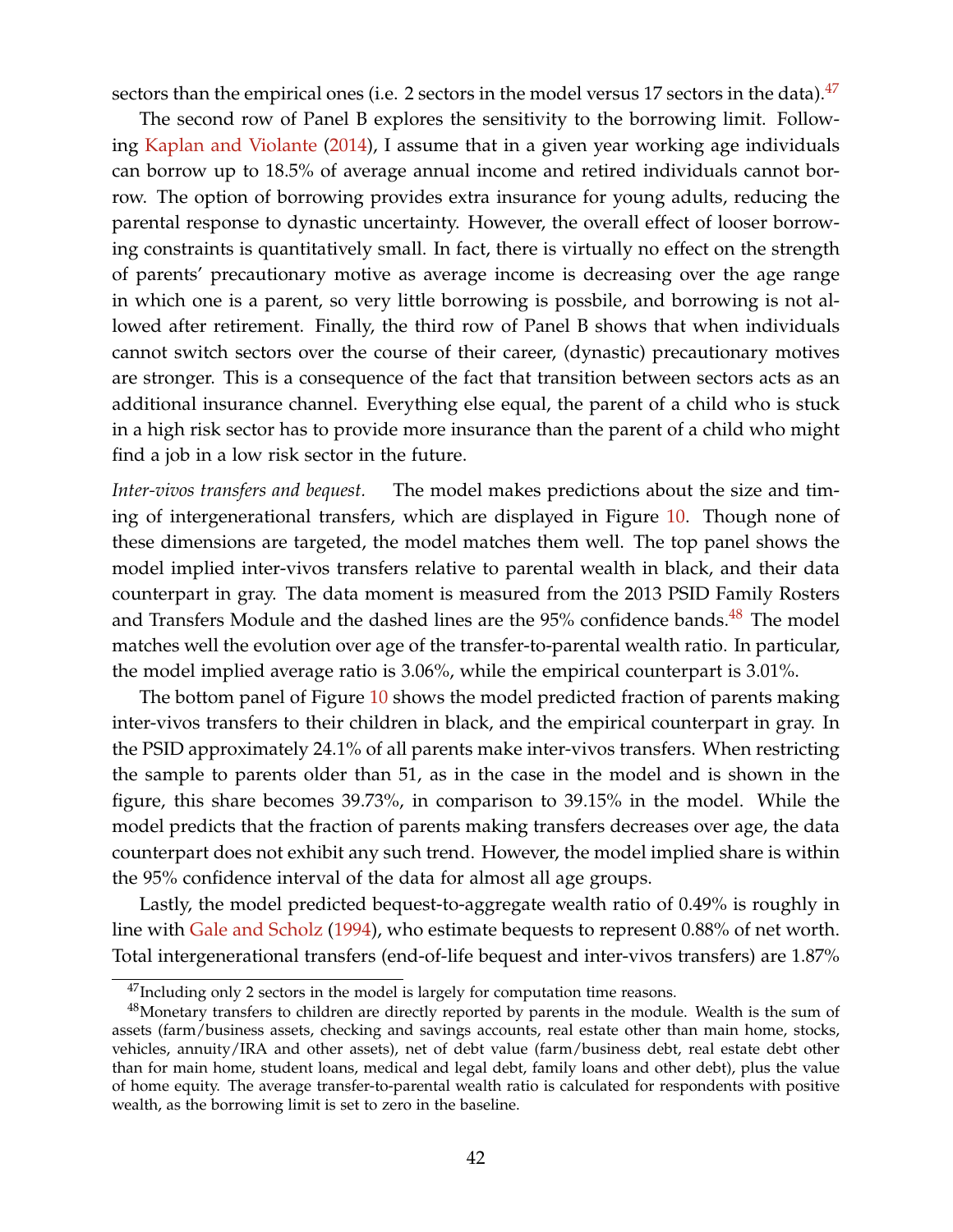sectors than the empirical ones (i.e. 2 sectors in the model versus 17 sectors in the data). $47$ 

The second row of Panel B explores the sensitivity to the borrowing limit. Following [Kaplan and Violante](#page-54-2) [\(2014\)](#page-54-2), I assume that in a given year working age individuals can borrow up to 18.5% of average annual income and retired individuals cannot borrow. The option of borrowing provides extra insurance for young adults, reducing the parental response to dynastic uncertainty. However, the overall effect of looser borrowing constraints is quantitatively small. In fact, there is virtually no effect on the strength of parents' precautionary motive as average income is decreasing over the age range in which one is a parent, so very little borrowing is possbile, and borrowing is not allowed after retirement. Finally, the third row of Panel B shows that when individuals cannot switch sectors over the course of their career, (dynastic) precautionary motives are stronger. This is a consequence of the fact that transition between sectors acts as an additional insurance channel. Everything else equal, the parent of a child who is stuck in a high risk sector has to provide more insurance than the parent of a child who might find a job in a low risk sector in the future.

*Inter-vivos transfers and bequest.* The model makes predictions about the size and timing of intergenerational transfers, which are displayed in Figure [10.](#page-43-0) Though none of these dimensions are targeted, the model matches them well. The top panel shows the model implied inter-vivos transfers relative to parental wealth in black, and their data counterpart in gray. The data moment is measured from the 2013 PSID Family Rosters and Transfers Module and the dashed lines are the  $95\%$  confidence bands.<sup>[48](#page-0-0)</sup> The model matches well the evolution over age of the transfer-to-parental wealth ratio. In particular, the model implied average ratio is 3.06%, while the empirical counterpart is 3.01%.

The bottom panel of Figure [10](#page-43-0) shows the model predicted fraction of parents making inter-vivos transfers to their children in black, and the empirical counterpart in gray. In the PSID approximately 24.1% of all parents make inter-vivos transfers. When restricting the sample to parents older than 51, as in the case in the model and is shown in the figure, this share becomes 39.73%, in comparison to 39.15% in the model. While the model predicts that the fraction of parents making transfers decreases over age, the data counterpart does not exhibit any such trend. However, the model implied share is within the 95% confidence interval of the data for almost all age groups.

Lastly, the model predicted bequest-to-aggregate wealth ratio of 0.49% is roughly in line with [Gale and Scholz](#page-53-1) [\(1994\)](#page-53-1), who estimate bequests to represent 0.88% of net worth. Total intergenerational transfers (end-of-life bequest and inter-vivos transfers) are 1.87%

 $47$ Including only 2 sectors in the model is largely for computation time reasons.

<sup>&</sup>lt;sup>48</sup>Monetary transfers to children are directly reported by parents in the module. Wealth is the sum of assets (farm/business assets, checking and savings accounts, real estate other than main home, stocks, vehicles, annuity/IRA and other assets), net of debt value (farm/business debt, real estate debt other than for main home, student loans, medical and legal debt, family loans and other debt), plus the value of home equity. The average transfer-to-parental wealth ratio is calculated for respondents with positive wealth, as the borrowing limit is set to zero in the baseline.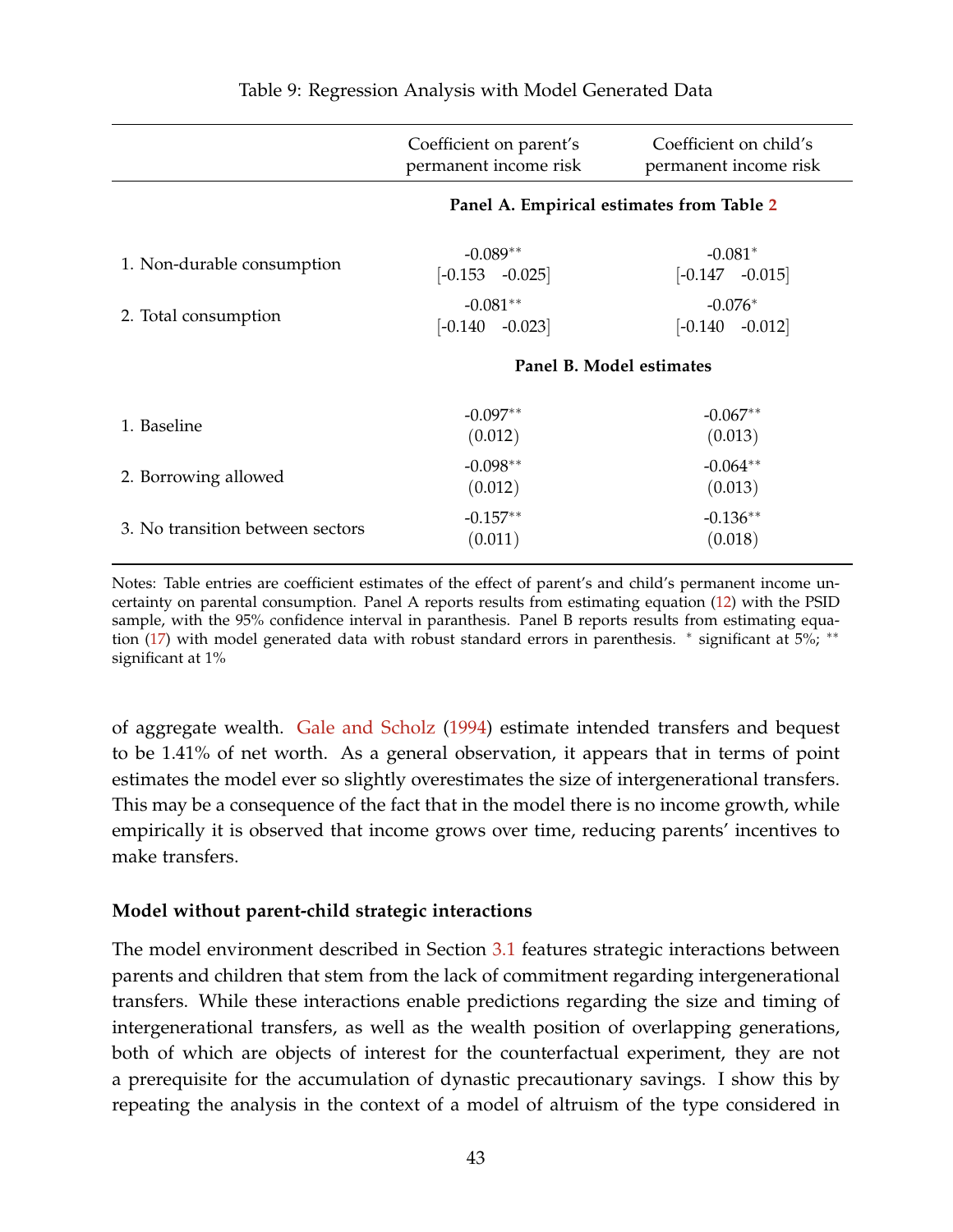<span id="page-42-0"></span>

|                                  | Coefficient on parent's<br>permanent income risk | Coefficient on child's<br>permanent income risk |
|----------------------------------|--------------------------------------------------|-------------------------------------------------|
|                                  | Panel A. Empirical estimates from Table 2        |                                                 |
| 1. Non-durable consumption       | $-0.089**$<br>$[-0.153 -0.025]$                  | $-0.081*$<br>$[-0.147 -0.015]$                  |
| 2. Total consumption             | $-0.081**$<br>$[-0.140 -0.023]$                  | $-0.076*$<br>$[-0.140$ $-0.012]$                |
|                                  | Panel B. Model estimates                         |                                                 |
| 1. Baseline                      | $-0.097**$<br>(0.012)                            | $-0.067**$<br>(0.013)                           |
| 2. Borrowing allowed             | $-0.098**$<br>(0.012)                            | $-0.064**$<br>(0.013)                           |
| 3. No transition between sectors | $-0.157**$<br>(0.011)                            | $-0.136**$<br>(0.018)                           |

Notes: Table entries are coefficient estimates of the effect of parent's and child's permanent income uncertainty on parental consumption. Panel A reports results from estimating equation [\(12\)](#page-19-0) with the PSID sample, with the 95% confidence interval in paranthesis. Panel B reports results from estimating equa-tion [\(17\)](#page-40-1) with model generated data with robust standard errors in parenthesis. \* significant at 5%; \*\* significant at 1%

of aggregate wealth. [Gale and Scholz](#page-53-1) [\(1994\)](#page-53-1) estimate intended transfers and bequest to be 1.41% of net worth. As a general observation, it appears that in terms of point estimates the model ever so slightly overestimates the size of intergenerational transfers. This may be a consequence of the fact that in the model there is no income growth, while empirically it is observed that income grows over time, reducing parents' incentives to make transfers.

#### **Model without parent-child strategic interactions**

The model environment described in Section [3.1](#page-31-0) features strategic interactions between parents and children that stem from the lack of commitment regarding intergenerational transfers. While these interactions enable predictions regarding the size and timing of intergenerational transfers, as well as the wealth position of overlapping generations, both of which are objects of interest for the counterfactual experiment, they are not a prerequisite for the accumulation of dynastic precautionary savings. I show this by repeating the analysis in the context of a model of altruism of the type considered in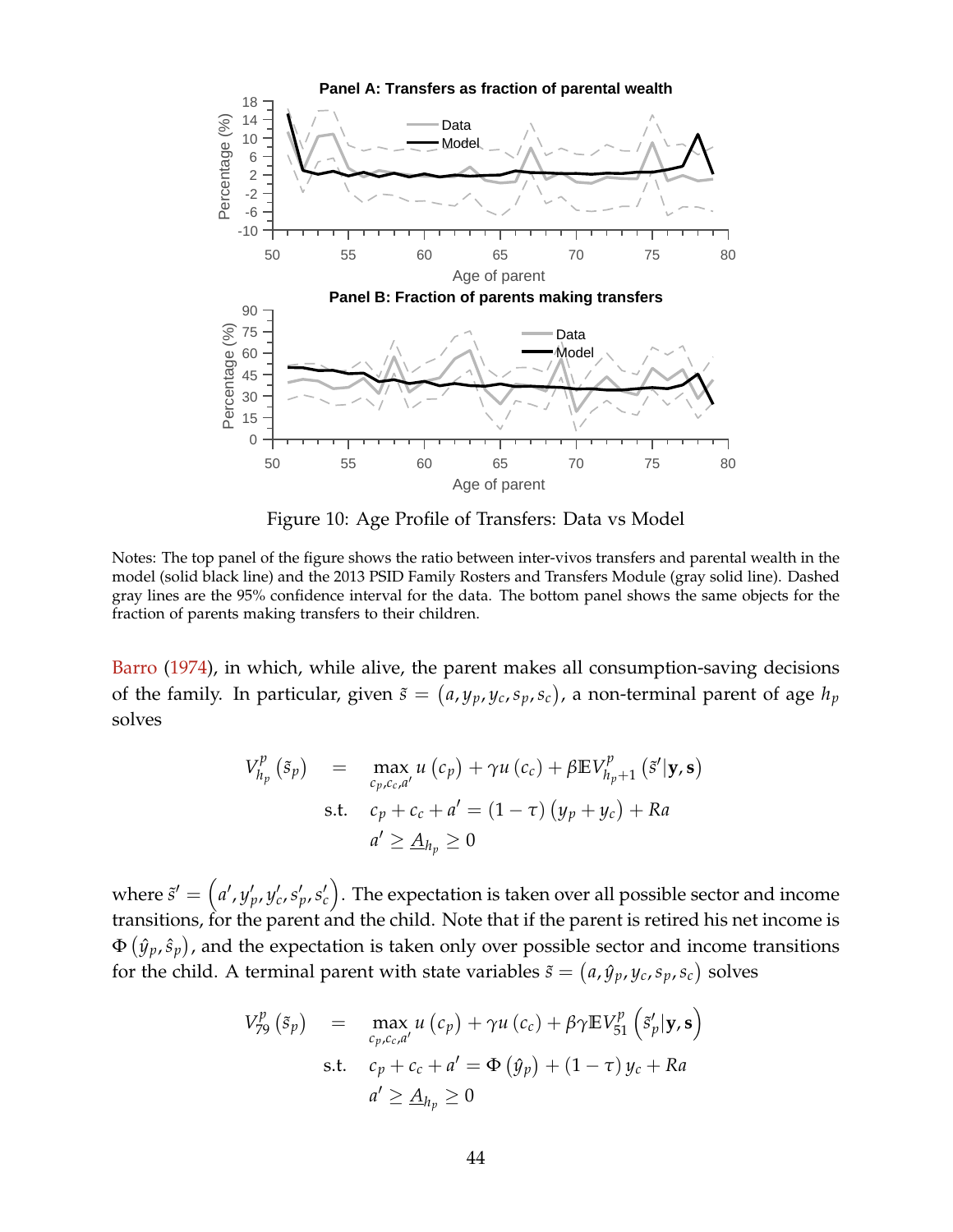<span id="page-43-0"></span>

Figure 10: Age Profile of Transfers: Data vs Model

Notes: The top panel of the figure shows the ratio between inter-vivos transfers and parental wealth in the model (solid black line) and the 2013 PSID Family Rosters and Transfers Module (gray solid line). Dashed gray lines are the 95% confidence interval for the data. The bottom panel shows the same objects for the fraction of parents making transfers to their children.

[Barro](#page-52-0) [\(1974\)](#page-52-0), in which, while alive, the parent makes all consumption-saving decisions of the family. In particular, given  $\tilde{s} = (a, y_p, y_c, s_p, s_c)$ , a non-terminal parent of age  $h_p$ solves

$$
V_{h_p}^p(\tilde{s}_p) = \max_{c_p, c_c, a'} u(c_p) + \gamma u(c_c) + \beta \mathbb{E} V_{h_p+1}^p(\tilde{s}'|\mathbf{y}, \mathbf{s})
$$
  
s.t.  $c_p + c_c + a' = (1 - \tau) (y_p + y_c) + Ra$   

$$
a' \ge \underline{A}_{h_p} \ge 0
$$

where  $\tilde{s}'=\left(a',y'_p,y'_c,s'_p,s'_c\right)$ . The expectation is taken over all possible sector and income transitions, for the parent and the child. Note that if the parent is retired his net income is  $\Phi\left(\hat{y}_p,\hat{s}_p\right)$ , and the expectation is taken only over possible sector and income transitions for the child. A terminal parent with state variables  $\tilde{s} = (a, \hat{y}_p, y_c, s_p, s_c)$  solves

$$
V_{79}^{p}(\tilde{s}_{p}) = \max_{c_{p}, c_{c}, a'} u(c_{p}) + \gamma u(c_{c}) + \beta \gamma \mathbb{E} V_{51}^{p}(\tilde{s}'_{p}|\mathbf{y}, \mathbf{s})
$$
  
s.t.  $c_{p} + c_{c} + a' = \Phi(\hat{y}_{p}) + (1 - \tau) y_{c} + Ra$   

$$
a' \ge \underline{A}_{h_{p}} \ge 0
$$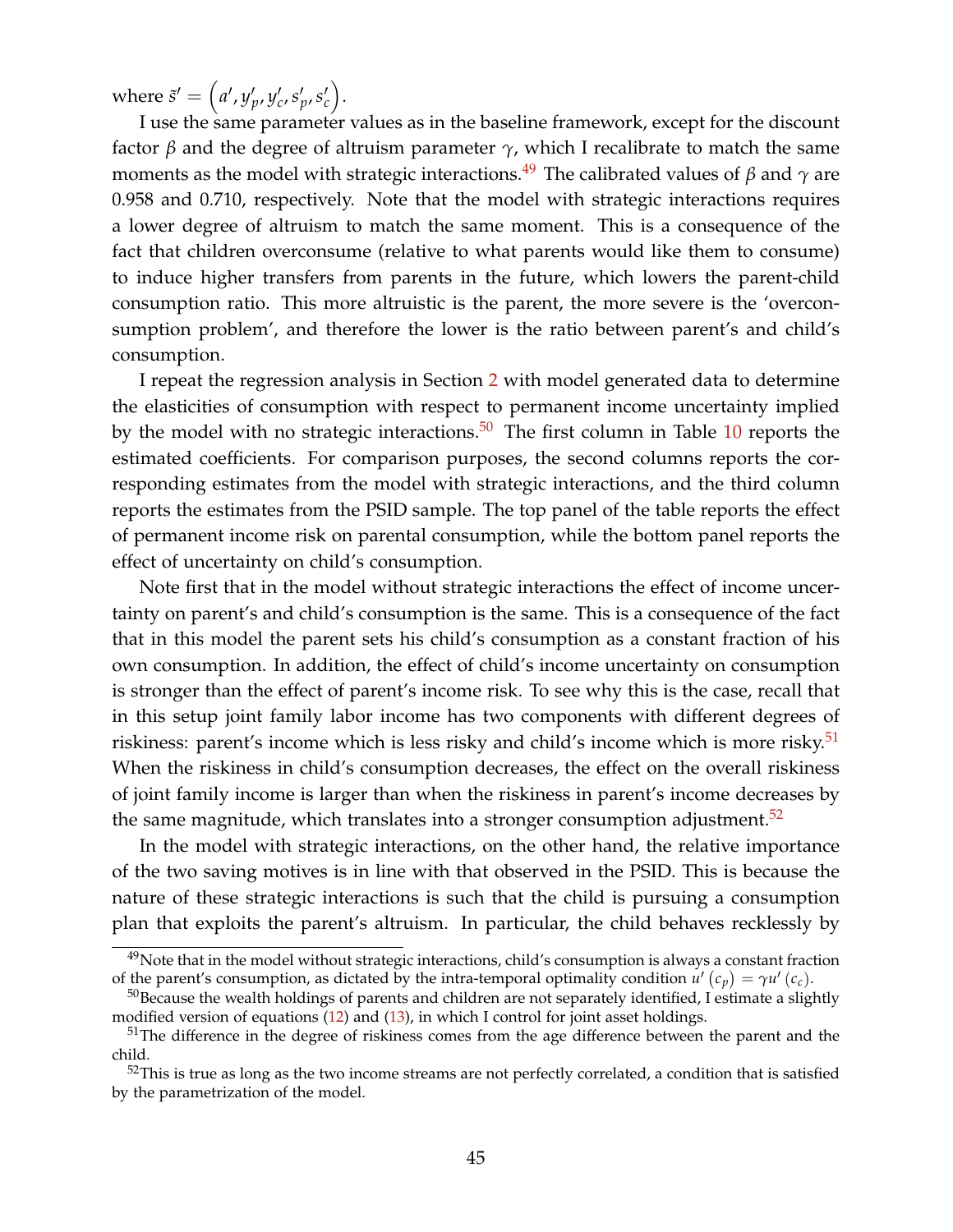where  $\tilde{s}' = (a', y'_{p}, y'_{c}, s'_{p}, s'_{c}).$ 

I use the same parameter values as in the baseline framework, except for the discount factor *β* and the degree of altruism parameter *γ*, which I recalibrate to match the same moments as the model with strategic interactions.<sup>[49](#page-0-0)</sup> The calibrated values of  $\beta$  and  $\gamma$  are 0.958 and 0.710, respectively. Note that the model with strategic interactions requires a lower degree of altruism to match the same moment. This is a consequence of the fact that children overconsume (relative to what parents would like them to consume) to induce higher transfers from parents in the future, which lowers the parent-child consumption ratio. This more altruistic is the parent, the more severe is the 'overconsumption problem', and therefore the lower is the ratio between parent's and child's consumption.

I repeat the regression analysis in Section [2](#page-5-0) with model generated data to determine the elasticities of consumption with respect to permanent income uncertainty implied by the model with no strategic interactions.<sup>[50](#page-0-0)</sup> The first column in Table [10](#page-45-0) reports the estimated coefficients. For comparison purposes, the second columns reports the corresponding estimates from the model with strategic interactions, and the third column reports the estimates from the PSID sample. The top panel of the table reports the effect of permanent income risk on parental consumption, while the bottom panel reports the effect of uncertainty on child's consumption.

Note first that in the model without strategic interactions the effect of income uncertainty on parent's and child's consumption is the same. This is a consequence of the fact that in this model the parent sets his child's consumption as a constant fraction of his own consumption. In addition, the effect of child's income uncertainty on consumption is stronger than the effect of parent's income risk. To see why this is the case, recall that in this setup joint family labor income has two components with different degrees of riskiness: parent's income which is less risky and child's income which is more risky.<sup>[51](#page-0-0)</sup> When the riskiness in child's consumption decreases, the effect on the overall riskiness of joint family income is larger than when the riskiness in parent's income decreases by the same magnitude, which translates into a stronger consumption adjustment.<sup>[52](#page-0-0)</sup>

In the model with strategic interactions, on the other hand, the relative importance of the two saving motives is in line with that observed in the PSID. This is because the nature of these strategic interactions is such that the child is pursuing a consumption plan that exploits the parent's altruism. In particular, the child behaves recklessly by

 $^{49}$ Note that in the model without strategic interactions, child's consumption is always a constant fraction of the parent's consumption, as dictated by the intra-temporal optimality condition  $u'(c_p) = \gamma u'(c_c)$ .

 $50B$  Because the wealth holdings of parents and children are not separately identified, I estimate a slightly modified version of equations [\(12\)](#page-19-0) and [\(13\)](#page-20-0), in which I control for joint asset holdings.

<sup>&</sup>lt;sup>51</sup>The difference in the degree of riskiness comes from the age difference between the parent and the child.

 $52$ This is true as long as the two income streams are not perfectly correlated, a condition that is satisfied by the parametrization of the model.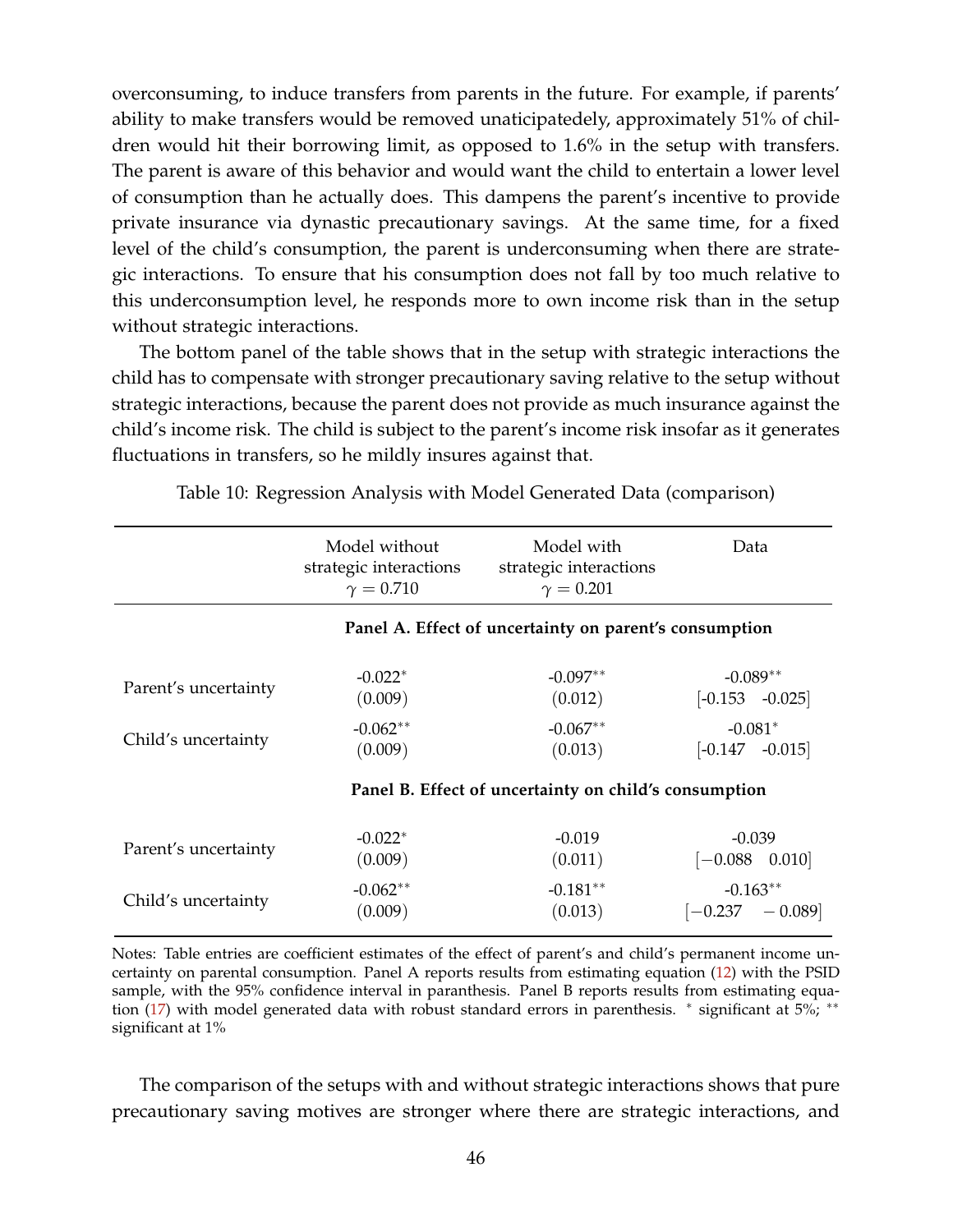overconsuming, to induce transfers from parents in the future. For example, if parents' ability to make transfers would be removed unaticipatedely, approximately 51% of children would hit their borrowing limit, as opposed to 1.6% in the setup with transfers. The parent is aware of this behavior and would want the child to entertain a lower level of consumption than he actually does. This dampens the parent's incentive to provide private insurance via dynastic precautionary savings. At the same time, for a fixed level of the child's consumption, the parent is underconsuming when there are strategic interactions. To ensure that his consumption does not fall by too much relative to this underconsumption level, he responds more to own income risk than in the setup without strategic interactions.

The bottom panel of the table shows that in the setup with strategic interactions the child has to compensate with stronger precautionary saving relative to the setup without strategic interactions, because the parent does not provide as much insurance against the child's income risk. The child is subject to the parent's income risk insofar as it generates fluctuations in transfers, so he mildly insures against that.

<span id="page-45-0"></span>

|                      | Model without<br>strategic interactions<br>$\gamma = 0.710$ | Model with<br>strategic interactions<br>$\gamma = 0.201$ | Data                                  |  |  |
|----------------------|-------------------------------------------------------------|----------------------------------------------------------|---------------------------------------|--|--|
|                      |                                                             | Panel A. Effect of uncertainty on parent's consumption   |                                       |  |  |
| Parent's uncertainty | $-0.022*$<br>(0.009)                                        | $-0.097**$<br>(0.012)                                    | $-0.089**$<br>$[-0.153 \quad -0.025]$ |  |  |
| Child's uncertainty  | $-0.062**$<br>(0.009)                                       | $-0.067**$<br>(0.013)                                    | $-0.081*$<br>$[-0.147$ $-0.015]$      |  |  |
|                      |                                                             | Panel B. Effect of uncertainty on child's consumption    |                                       |  |  |
| Parent's uncertainty | $-0.022*$<br>(0.009)                                        | $-0.019$<br>(0.011)                                      | $-0.039$<br>$[-0.088 \quad 0.010]$    |  |  |
| Child's uncertainty  | $-0.062**$<br>(0.009)                                       | $-0.181**$<br>(0.013)                                    | $-0.163**$<br>$[-0.237]$<br>$-0.089$  |  |  |

Table 10: Regression Analysis with Model Generated Data (comparison)

Notes: Table entries are coefficient estimates of the effect of parent's and child's permanent income uncertainty on parental consumption. Panel A reports results from estimating equation [\(12\)](#page-19-0) with the PSID sample, with the 95% confidence interval in paranthesis. Panel B reports results from estimating equa-tion [\(17\)](#page-40-1) with model generated data with robust standard errors in parenthesis. \* significant at 5%; \*\* significant at 1%

The comparison of the setups with and without strategic interactions shows that pure precautionary saving motives are stronger where there are strategic interactions, and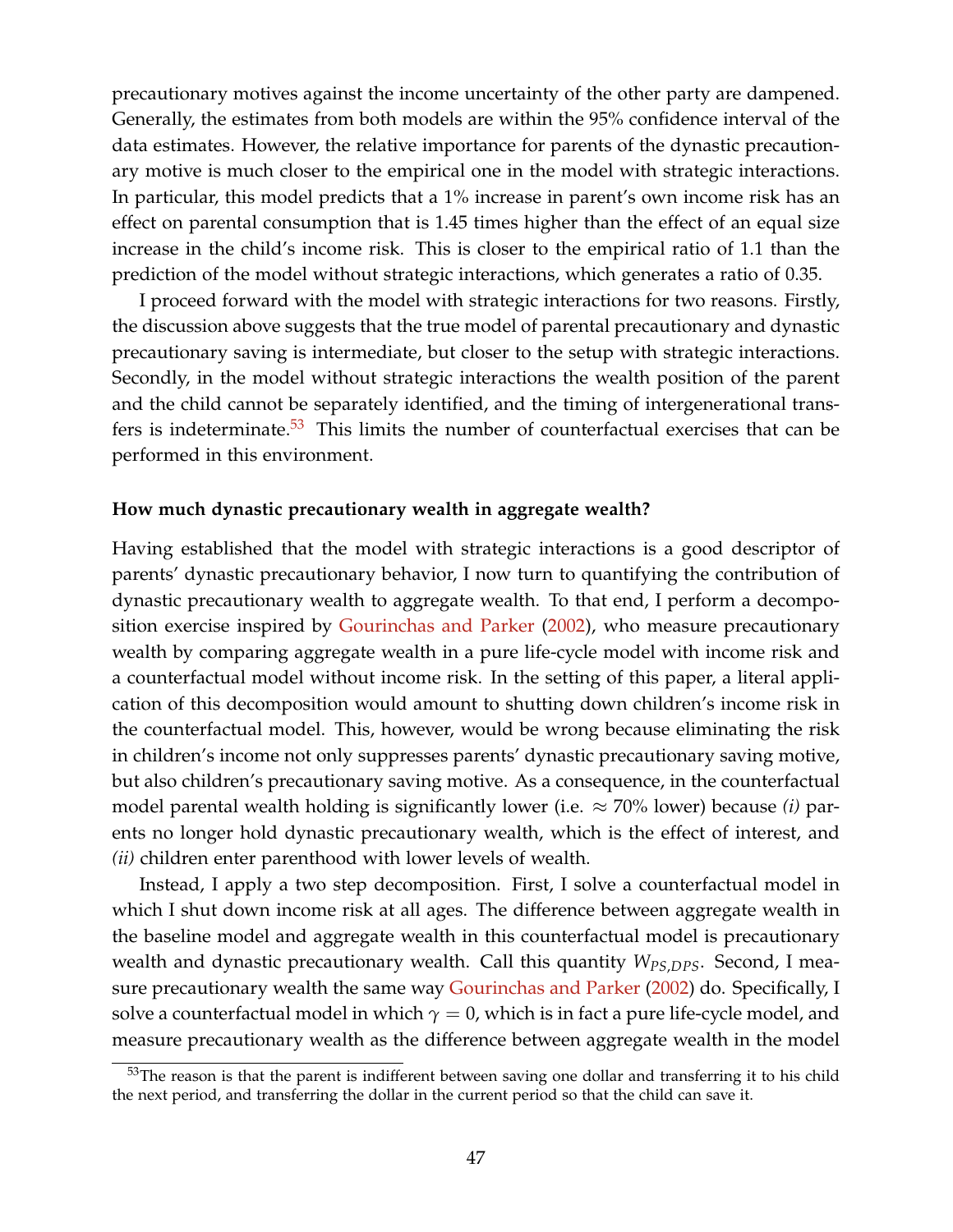precautionary motives against the income uncertainty of the other party are dampened. Generally, the estimates from both models are within the 95% confidence interval of the data estimates. However, the relative importance for parents of the dynastic precautionary motive is much closer to the empirical one in the model with strategic interactions. In particular, this model predicts that a 1% increase in parent's own income risk has an effect on parental consumption that is 1.45 times higher than the effect of an equal size increase in the child's income risk. This is closer to the empirical ratio of 1.1 than the prediction of the model without strategic interactions, which generates a ratio of 0.35.

I proceed forward with the model with strategic interactions for two reasons. Firstly, the discussion above suggests that the true model of parental precautionary and dynastic precautionary saving is intermediate, but closer to the setup with strategic interactions. Secondly, in the model without strategic interactions the wealth position of the parent and the child cannot be separately identified, and the timing of intergenerational transfers is indeterminate. $53$  This limits the number of counterfactual exercises that can be performed in this environment.

#### **How much dynastic precautionary wealth in aggregate wealth?**

Having established that the model with strategic interactions is a good descriptor of parents' dynastic precautionary behavior, I now turn to quantifying the contribution of dynastic precautionary wealth to aggregate wealth. To that end, I perform a decomposition exercise inspired by [Gourinchas and Parker](#page-53-2) [\(2002\)](#page-53-2), who measure precautionary wealth by comparing aggregate wealth in a pure life-cycle model with income risk and a counterfactual model without income risk. In the setting of this paper, a literal application of this decomposition would amount to shutting down children's income risk in the counterfactual model. This, however, would be wrong because eliminating the risk in children's income not only suppresses parents' dynastic precautionary saving motive, but also children's precautionary saving motive. As a consequence, in the counterfactual model parental wealth holding is significantly lower (i.e.  $\approx$  70% lower) because *(i)* parents no longer hold dynastic precautionary wealth, which is the effect of interest, and *(ii)* children enter parenthood with lower levels of wealth.

Instead, I apply a two step decomposition. First, I solve a counterfactual model in which I shut down income risk at all ages. The difference between aggregate wealth in the baseline model and aggregate wealth in this counterfactual model is precautionary wealth and dynastic precautionary wealth. Call this quantity  $W_{PS,DPS}$ . Second, I measure precautionary wealth the same way [Gourinchas and Parker](#page-53-2) [\(2002\)](#page-53-2) do. Specifically, I solve a counterfactual model in which  $\gamma = 0$ , which is in fact a pure life-cycle model, and measure precautionary wealth as the difference between aggregate wealth in the model

 $53$ The reason is that the parent is indifferent between saving one dollar and transferring it to his child the next period, and transferring the dollar in the current period so that the child can save it.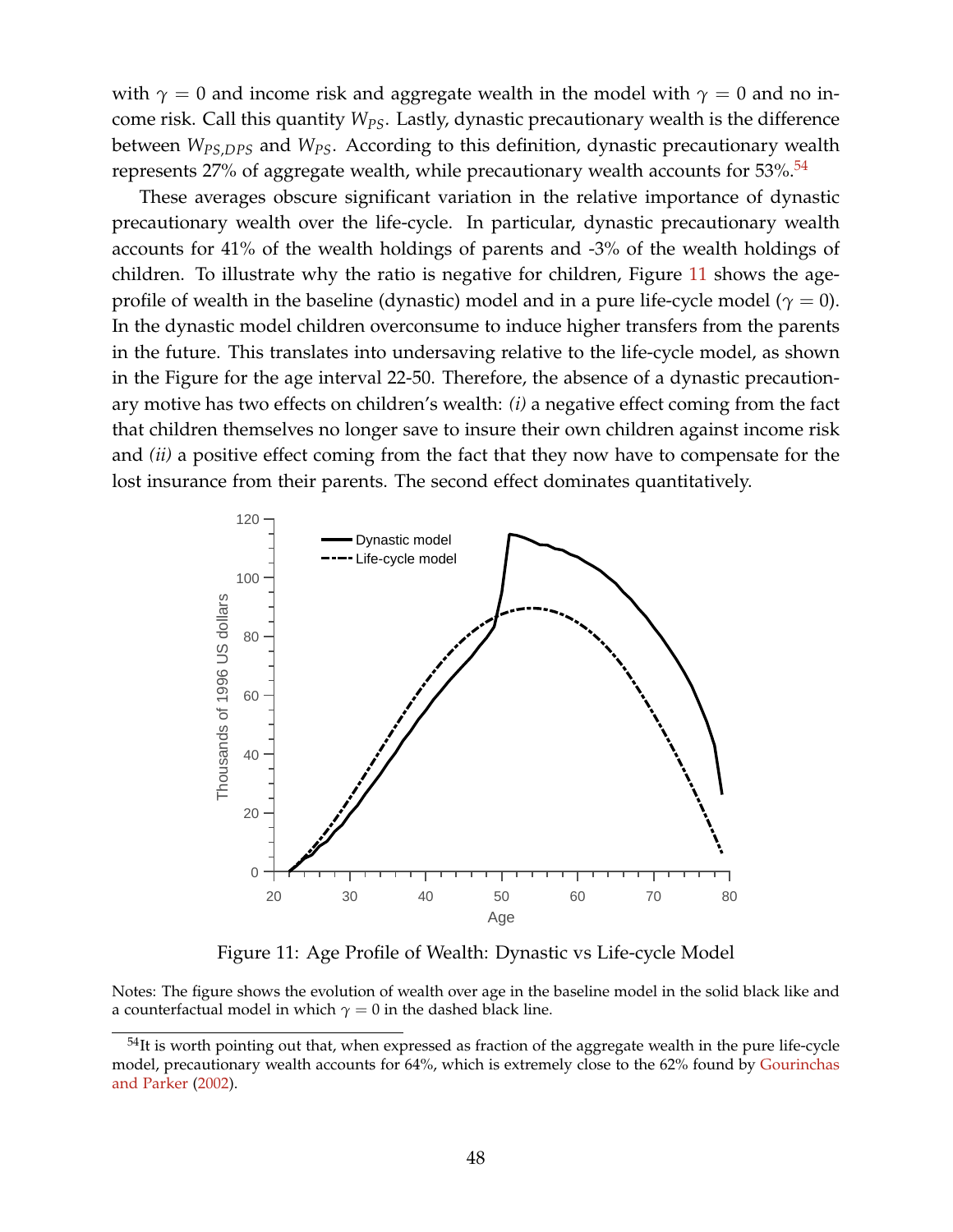with  $\gamma = 0$  and income risk and aggregate wealth in the model with  $\gamma = 0$  and no income risk. Call this quantity *WPS*. Lastly, dynastic precautionary wealth is the difference between *WPS*,*DPS* and *WPS*. According to this definition, dynastic precautionary wealth represents  $27\%$  of aggregate wealth, while precautionary wealth accounts for  $53\%$ .<sup>[54](#page-0-0)</sup>

These averages obscure significant variation in the relative importance of dynastic precautionary wealth over the life-cycle. In particular, dynastic precautionary wealth accounts for 41% of the wealth holdings of parents and -3% of the wealth holdings of children. To illustrate why the ratio is negative for children, Figure [11](#page-47-0) shows the ageprofile of wealth in the baseline (dynastic) model and in a pure life-cycle model ( $\gamma = 0$ ). In the dynastic model children overconsume to induce higher transfers from the parents in the future. This translates into undersaving relative to the life-cycle model, as shown in the Figure for the age interval 22-50. Therefore, the absence of a dynastic precautionary motive has two effects on children's wealth: *(i)* a negative effect coming from the fact that children themselves no longer save to insure their own children against income risk and *(ii)* a positive effect coming from the fact that they now have to compensate for the lost insurance from their parents. The second effect dominates quantitatively.

<span id="page-47-0"></span>

Figure 11: Age Profile of Wealth: Dynastic vs Life-cycle Model

Notes: The figure shows the evolution of wealth over age in the baseline model in the solid black like and a counterfactual model in which  $\gamma = 0$  in the dashed black line.

 $54$ It is worth pointing out that, when expressed as fraction of the aggregate wealth in the pure life-cycle model, precautionary wealth accounts for 64%, which is extremely close to the 62% found by [Gourinchas](#page-53-2) [and Parker](#page-53-2) [\(2002\)](#page-53-2).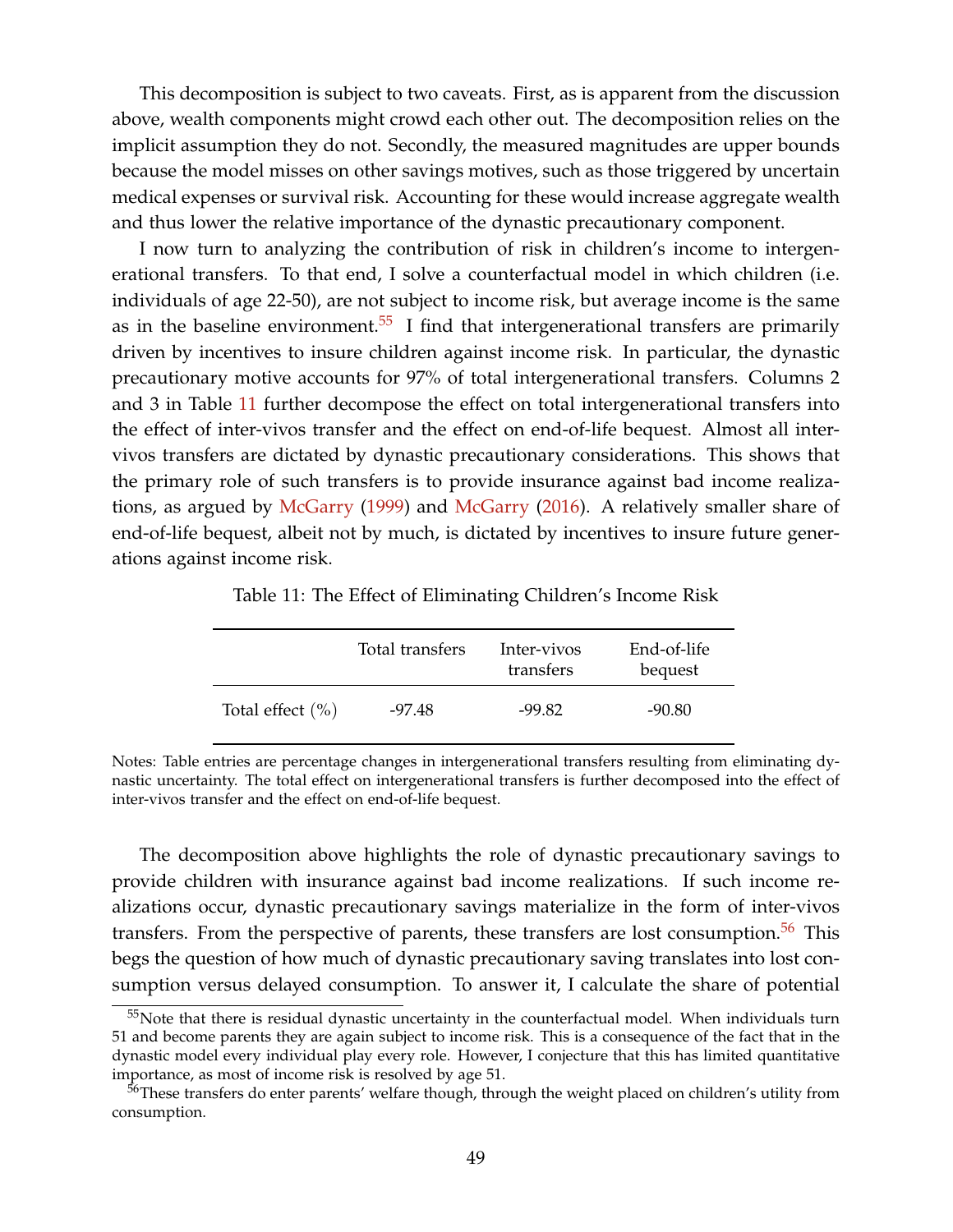This decomposition is subject to two caveats. First, as is apparent from the discussion above, wealth components might crowd each other out. The decomposition relies on the implicit assumption they do not. Secondly, the measured magnitudes are upper bounds because the model misses on other savings motives, such as those triggered by uncertain medical expenses or survival risk. Accounting for these would increase aggregate wealth and thus lower the relative importance of the dynastic precautionary component.

I now turn to analyzing the contribution of risk in children's income to intergenerational transfers. To that end, I solve a counterfactual model in which children (i.e. individuals of age 22-50), are not subject to income risk, but average income is the same as in the baseline environment.<sup>[55](#page-0-0)</sup> I find that intergenerational transfers are primarily driven by incentives to insure children against income risk. In particular, the dynastic precautionary motive accounts for 97% of total intergenerational transfers. Columns 2 and 3 in Table [11](#page-48-0) further decompose the effect on total intergenerational transfers into the effect of inter-vivos transfer and the effect on end-of-life bequest. Almost all intervivos transfers are dictated by dynastic precautionary considerations. This shows that the primary role of such transfers is to provide insurance against bad income realizations, as argued by [McGarry](#page-55-2) [\(1999\)](#page-55-2) and [McGarry](#page-55-3) [\(2016\)](#page-55-3). A relatively smaller share of end-of-life bequest, albeit not by much, is dictated by incentives to insure future generations against income risk.

Table 11: The Effect of Eliminating Children's Income Risk

<span id="page-48-0"></span>

|                      | Total transfers | Inter-vivos<br>transfers | End-of-life<br>bequest |  |
|----------------------|-----------------|--------------------------|------------------------|--|
| Total effect $(\% )$ | -97.48          | $-99.82$                 | $-90.80$               |  |

Notes: Table entries are percentage changes in intergenerational transfers resulting from eliminating dynastic uncertainty. The total effect on intergenerational transfers is further decomposed into the effect of inter-vivos transfer and the effect on end-of-life bequest.

The decomposition above highlights the role of dynastic precautionary savings to provide children with insurance against bad income realizations. If such income realizations occur, dynastic precautionary savings materialize in the form of inter-vivos transfers. From the perspective of parents, these transfers are lost consumption. $56$  This begs the question of how much of dynastic precautionary saving translates into lost consumption versus delayed consumption. To answer it, I calculate the share of potential

 $55$ Note that there is residual dynastic uncertainty in the counterfactual model. When individuals turn 51 and become parents they are again subject to income risk. This is a consequence of the fact that in the dynastic model every individual play every role. However, I conjecture that this has limited quantitative importance, as most of income risk is resolved by age 51.

<sup>&</sup>lt;sup>56</sup>These transfers do enter parents' welfare though, through the weight placed on children's utility from consumption.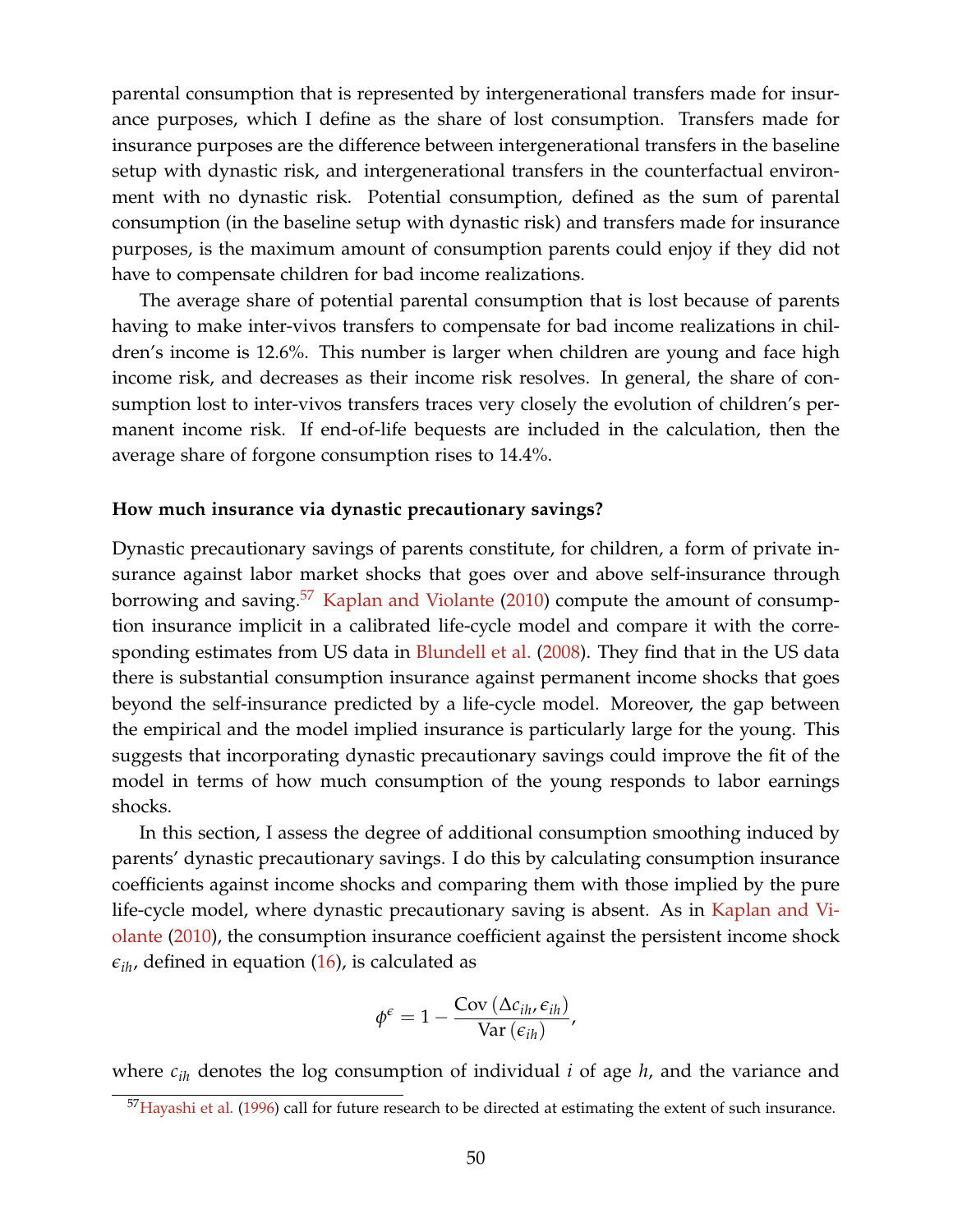parental consumption that is represented by intergenerational transfers made for insurance purposes, which I define as the share of lost consumption. Transfers made for insurance purposes are the difference between intergenerational transfers in the baseline setup with dynastic risk, and intergenerational transfers in the counterfactual environment with no dynastic risk. Potential consumption, defined as the sum of parental consumption (in the baseline setup with dynastic risk) and transfers made for insurance purposes, is the maximum amount of consumption parents could enjoy if they did not have to compensate children for bad income realizations.

The average share of potential parental consumption that is lost because of parents having to make inter-vivos transfers to compensate for bad income realizations in children's income is 12.6%. This number is larger when children are young and face high income risk, and decreases as their income risk resolves. In general, the share of consumption lost to inter-vivos transfers traces very closely the evolution of children's permanent income risk. If end-of-life bequests are included in the calculation, then the average share of forgone consumption rises to 14.4%.

#### **How much insurance via dynastic precautionary savings?**

Dynastic precautionary savings of parents constitute, for children, a form of private insurance against labor market shocks that goes over and above self-insurance through borrowing and saving.<sup>[57](#page-0-0)</sup> [Kaplan and Violante](#page-54-3)  $(2010)$  compute the amount of consumption insurance implicit in a calibrated life-cycle model and compare it with the corre-sponding estimates from US data in [Blundell et al.](#page-52-1) [\(2008\)](#page-52-1). They find that in the US data there is substantial consumption insurance against permanent income shocks that goes beyond the self-insurance predicted by a life-cycle model. Moreover, the gap between the empirical and the model implied insurance is particularly large for the young. This suggests that incorporating dynastic precautionary savings could improve the fit of the model in terms of how much consumption of the young responds to labor earnings shocks.

In this section, I assess the degree of additional consumption smoothing induced by parents' dynastic precautionary savings. I do this by calculating consumption insurance coefficients against income shocks and comparing them with those implied by the pure life-cycle model, where dynastic precautionary saving is absent. As in [Kaplan and Vi](#page-54-3)[olante](#page-54-3) [\(2010\)](#page-54-3), the consumption insurance coefficient against the persistent income shock  $\epsilon_{ih}$ , defined in equation [\(16\)](#page-36-1), is calculated as

$$
\phi^{\epsilon} = 1 - \frac{\text{Cov}(\Delta c_{ih}, \epsilon_{ih})}{\text{Var}(\epsilon_{ih})},
$$

where *cih* denotes the log consumption of individual *i* of age *h*, and the variance and

<sup>&</sup>lt;sup>57</sup>[Hayashi et al.](#page-53-3) [\(1996\)](#page-53-3) call for future research to be directed at estimating the extent of such insurance.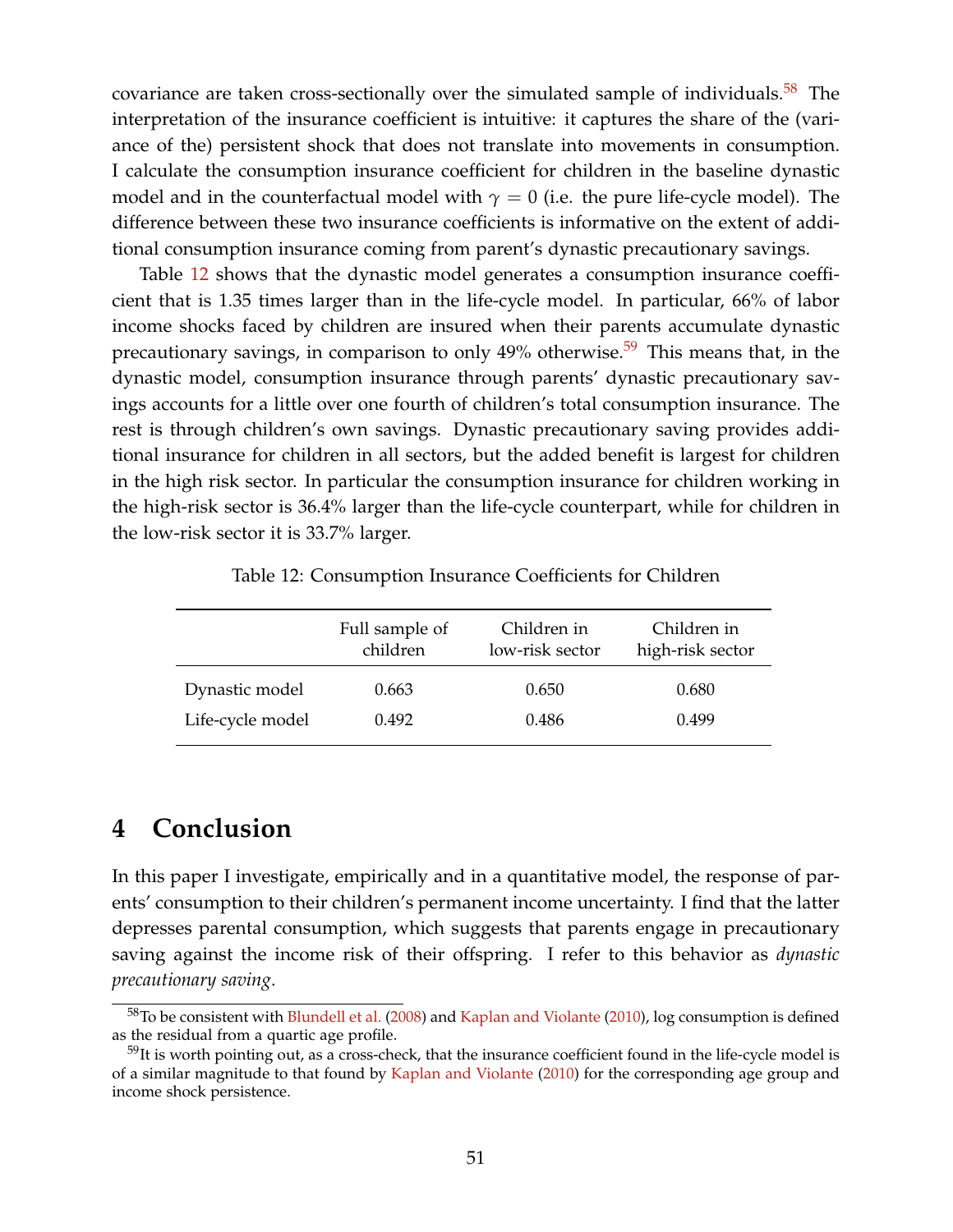covariance are taken cross-sectionally over the simulated sample of individuals.<sup>[58](#page-0-0)</sup> The interpretation of the insurance coefficient is intuitive: it captures the share of the (variance of the) persistent shock that does not translate into movements in consumption. I calculate the consumption insurance coefficient for children in the baseline dynastic model and in the counterfactual model with  $\gamma = 0$  (i.e. the pure life-cycle model). The difference between these two insurance coefficients is informative on the extent of additional consumption insurance coming from parent's dynastic precautionary savings.

Table [12](#page-50-0) shows that the dynastic model generates a consumption insurance coefficient that is 1.35 times larger than in the life-cycle model. In particular, 66% of labor income shocks faced by children are insured when their parents accumulate dynastic precautionary savings, in comparison to only  $49\%$  otherwise.<sup>[59](#page-0-0)</sup> This means that, in the dynastic model, consumption insurance through parents' dynastic precautionary savings accounts for a little over one fourth of children's total consumption insurance. The rest is through children's own savings. Dynastic precautionary saving provides additional insurance for children in all sectors, but the added benefit is largest for children in the high risk sector. In particular the consumption insurance for children working in the high-risk sector is 36.4% larger than the life-cycle counterpart, while for children in the low-risk sector it is 33.7% larger.

| Table 12: Consumption Insurance Coefficients for Children |  |
|-----------------------------------------------------------|--|
|                                                           |  |

<span id="page-50-0"></span>

|                  | Full sample of<br>children | Children in<br>low-risk sector | Children in<br>high-risk sector |  |  |
|------------------|----------------------------|--------------------------------|---------------------------------|--|--|
| Dynastic model   | 0.663                      | 0.650                          | 0.680                           |  |  |
| Life-cycle model | 0.492                      | 0.486                          | 0.499                           |  |  |

# **4 Conclusion**

In this paper I investigate, empirically and in a quantitative model, the response of parents' consumption to their children's permanent income uncertainty. I find that the latter depresses parental consumption, which suggests that parents engage in precautionary saving against the income risk of their offspring. I refer to this behavior as *dynastic precautionary saving*.

 $58$ To be consistent with [Blundell et al.](#page-52-1) [\(2008\)](#page-52-1) and [Kaplan and Violante](#page-54-3) [\(2010\)](#page-54-3), log consumption is defined as the residual from a quartic age profile.

<sup>&</sup>lt;sup>59</sup>It is worth pointing out, as a cross-check, that the insurance coefficient found in the life-cycle model is of a similar magnitude to that found by [Kaplan and Violante](#page-54-3) [\(2010\)](#page-54-3) for the corresponding age group and income shock persistence.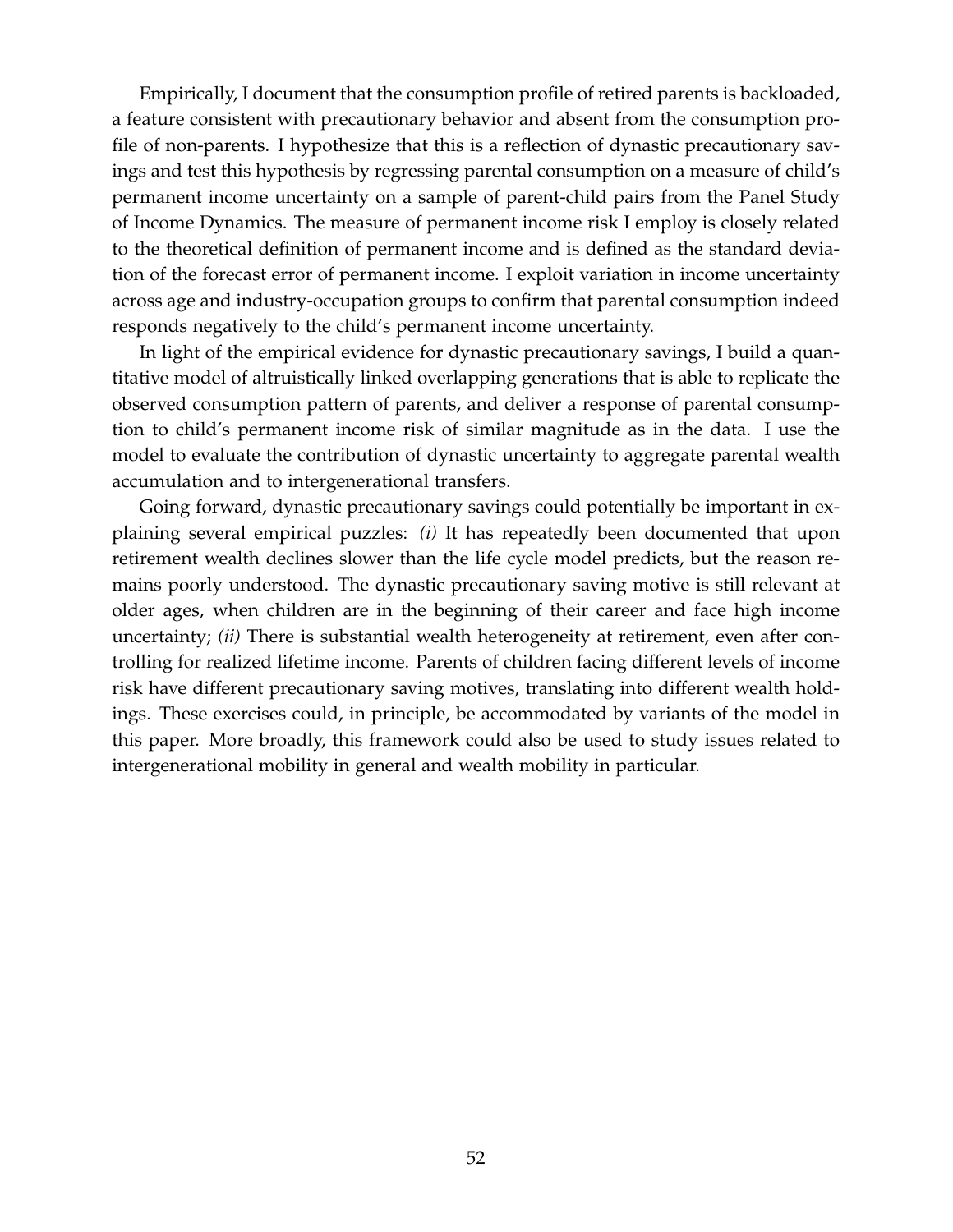Empirically, I document that the consumption profile of retired parents is backloaded, a feature consistent with precautionary behavior and absent from the consumption profile of non-parents. I hypothesize that this is a reflection of dynastic precautionary savings and test this hypothesis by regressing parental consumption on a measure of child's permanent income uncertainty on a sample of parent-child pairs from the Panel Study of Income Dynamics. The measure of permanent income risk I employ is closely related to the theoretical definition of permanent income and is defined as the standard deviation of the forecast error of permanent income. I exploit variation in income uncertainty across age and industry-occupation groups to confirm that parental consumption indeed responds negatively to the child's permanent income uncertainty.

In light of the empirical evidence for dynastic precautionary savings, I build a quantitative model of altruistically linked overlapping generations that is able to replicate the observed consumption pattern of parents, and deliver a response of parental consumption to child's permanent income risk of similar magnitude as in the data. I use the model to evaluate the contribution of dynastic uncertainty to aggregate parental wealth accumulation and to intergenerational transfers.

Going forward, dynastic precautionary savings could potentially be important in explaining several empirical puzzles: *(i)* It has repeatedly been documented that upon retirement wealth declines slower than the life cycle model predicts, but the reason remains poorly understood. The dynastic precautionary saving motive is still relevant at older ages, when children are in the beginning of their career and face high income uncertainty; *(ii)* There is substantial wealth heterogeneity at retirement, even after controlling for realized lifetime income. Parents of children facing different levels of income risk have different precautionary saving motives, translating into different wealth holdings. These exercises could, in principle, be accommodated by variants of the model in this paper. More broadly, this framework could also be used to study issues related to intergenerational mobility in general and wealth mobility in particular.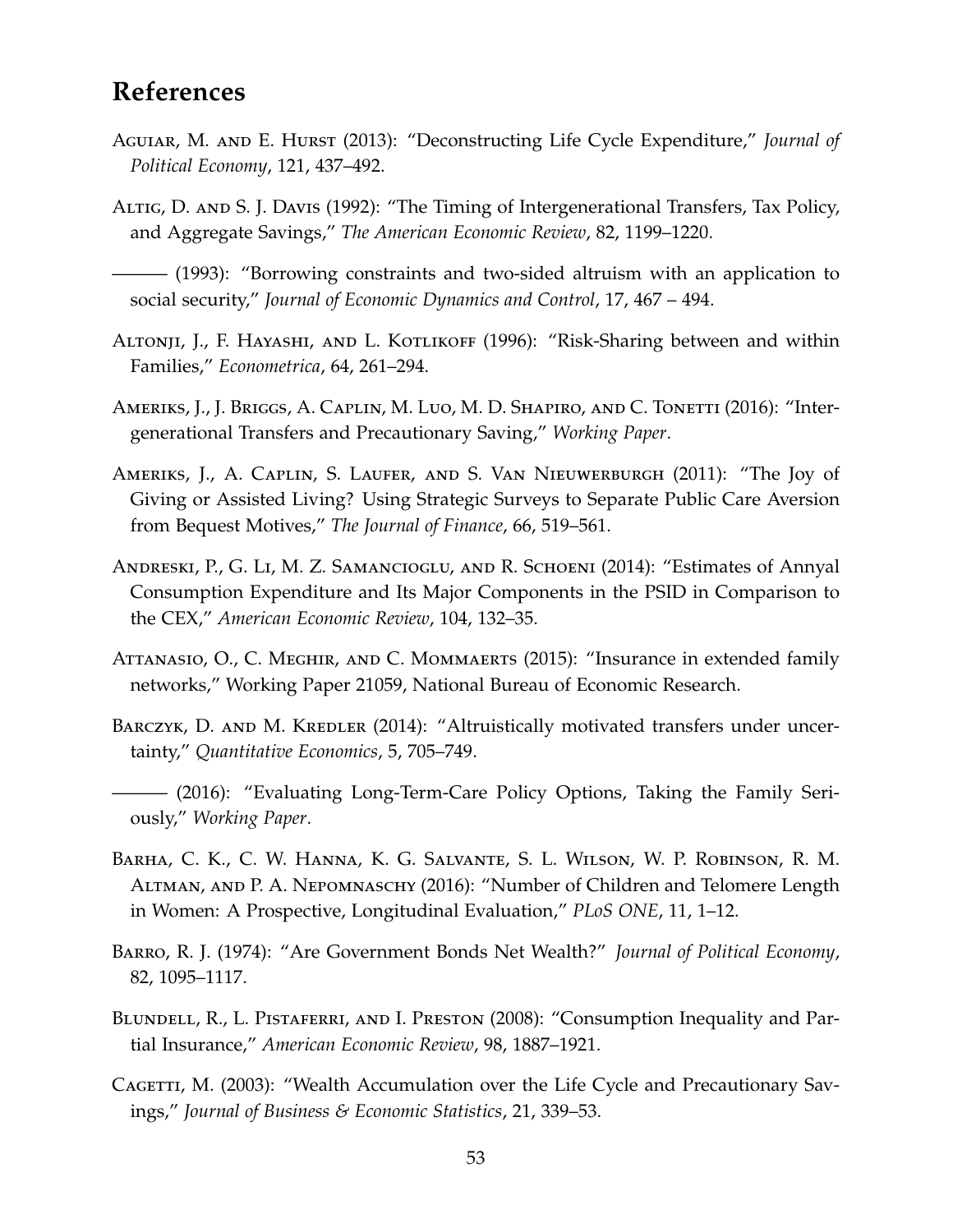# **References**

- Aguiar, M. and E. Hurst (2013): "Deconstructing Life Cycle Expenditure," *Journal of Political Economy*, 121, 437–492.
- ALTIG, D. AND S. J. DAVIS (1992): "The Timing of Intergenerational Transfers, Tax Policy, and Aggregate Savings," *The American Economic Review*, 82, 1199–1220.
- ——— (1993): "Borrowing constraints and two-sided altruism with an application to social security," *Journal of Economic Dynamics and Control*, 17, 467 – 494.
- ALTONJI, J., F. HAYASHI, AND L. KOTLIKOFF (1996): "Risk-Sharing between and within Families," *Econometrica*, 64, 261–294.
- AMERIKS, J., J. BRIGGS, A. CAPLIN, M. LUO, M. D. SHAPIRO, AND C. TONETTI (2016): "Intergenerational Transfers and Precautionary Saving," *Working Paper*.
- Ameriks, J., A. Caplin, S. Laufer, and S. Van Nieuwerburgh (2011): "The Joy of Giving or Assisted Living? Using Strategic Surveys to Separate Public Care Aversion from Bequest Motives," *The Journal of Finance*, 66, 519–561.
- Andreski, P., G. Li, M. Z. Samancioglu, and R. Schoeni (2014): "Estimates of Annyal Consumption Expenditure and Its Major Components in the PSID in Comparison to the CEX," *American Economic Review*, 104, 132–35.
- Attanasio, O., C. Meghir, and C. Mommaerts (2015): "Insurance in extended family networks," Working Paper 21059, National Bureau of Economic Research.
- BARCZYK, D. AND M. KREDLER (2014): "Altruistically motivated transfers under uncertainty," *Quantitative Economics*, 5, 705–749.
- ——— (2016): "Evaluating Long-Term-Care Policy Options, Taking the Family Seriously," *Working Paper*.
- Barha, C. K., C. W. Hanna, K. G. Salvante, S. L. Wilson, W. P. Robinson, R. M. Altman, and P. A. Nepomnaschy (2016): "Number of Children and Telomere Length in Women: A Prospective, Longitudinal Evaluation," *PLoS ONE*, 11, 1–12.
- <span id="page-52-0"></span>Barro, R. J. (1974): "Are Government Bonds Net Wealth?" *Journal of Political Economy*, 82, 1095–1117.
- <span id="page-52-1"></span>BLUNDELL, R., L. PISTAFERRI, AND I. PRESTON (2008): "Consumption Inequality and Partial Insurance," *American Economic Review*, 98, 1887–1921.
- Cagetti, M. (2003): "Wealth Accumulation over the Life Cycle and Precautionary Savings," *Journal of Business & Economic Statistics*, 21, 339–53.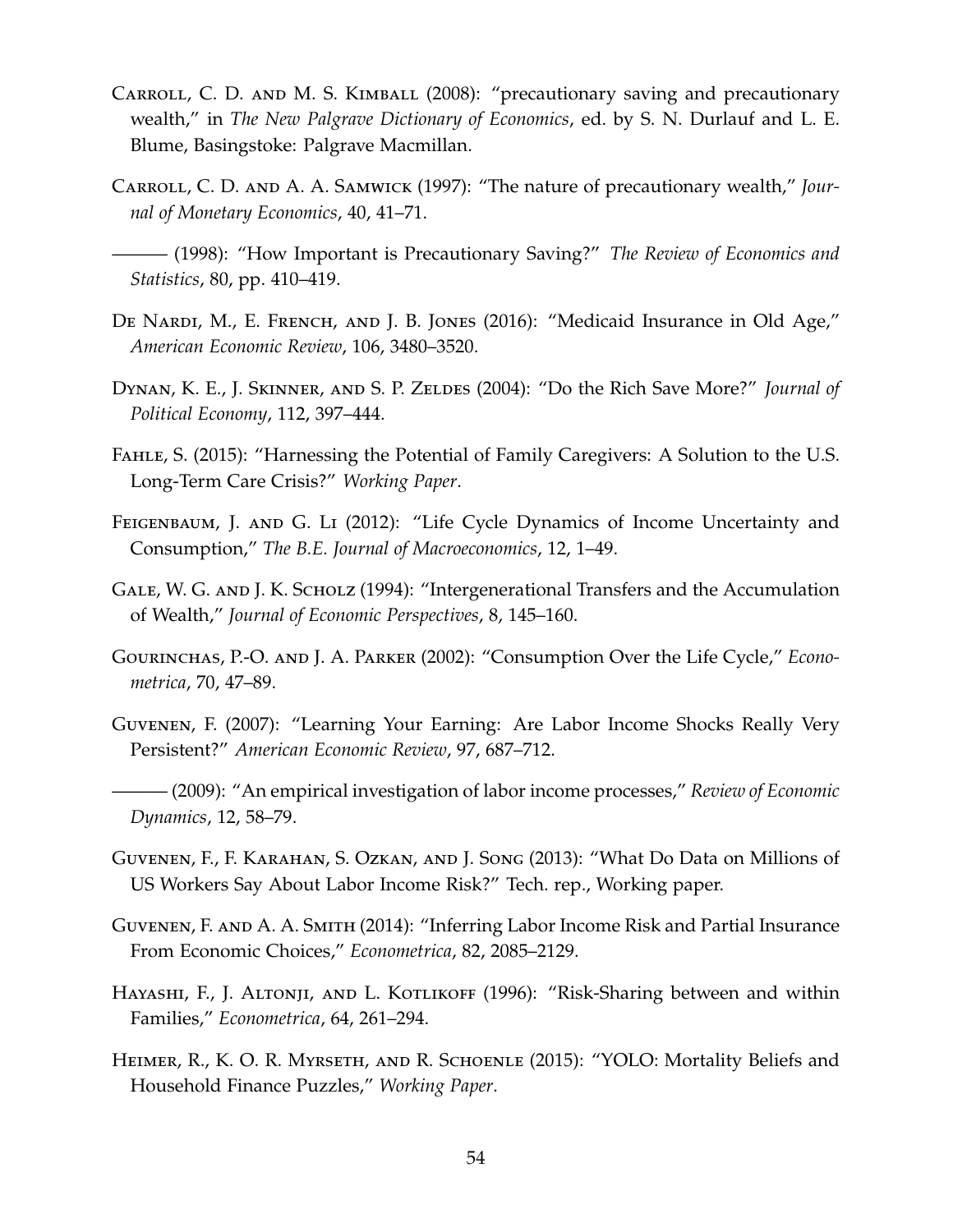- Carroll, C. D. and M. S. Kimball (2008): "precautionary saving and precautionary wealth," in *The New Palgrave Dictionary of Economics*, ed. by S. N. Durlauf and L. E. Blume, Basingstoke: Palgrave Macmillan.
- Carroll, C. D. and A. A. Samwick (1997): "The nature of precautionary wealth," *Journal of Monetary Economics*, 40, 41–71.
- ——— (1998): "How Important is Precautionary Saving?" *The Review of Economics and Statistics*, 80, pp. 410–419.
- DE NARDI, M., E. FRENCH, AND J. B. JONES (2016): "Medicaid Insurance in Old Age," *American Economic Review*, 106, 3480–3520.
- Dynan, K. E., J. Skinner, and S. P. Zeldes (2004): "Do the Rich Save More?" *Journal of Political Economy*, 112, 397–444.
- Fahle, S. (2015): "Harnessing the Potential of Family Caregivers: A Solution to the U.S. Long-Term Care Crisis?" *Working Paper*.
- FEIGENBAUM, J. AND G. LI (2012): "Life Cycle Dynamics of Income Uncertainty and Consumption," *The B.E. Journal of Macroeconomics*, 12, 1–49.
- <span id="page-53-1"></span>Gale, W. G. and J. K. Scholz (1994): "Intergenerational Transfers and the Accumulation of Wealth," *Journal of Economic Perspectives*, 8, 145–160.
- <span id="page-53-2"></span>Gourinchas, P.-O. and J. A. Parker (2002): "Consumption Over the Life Cycle," *Econometrica*, 70, 47–89.
- Guvenen, F. (2007): "Learning Your Earning: Are Labor Income Shocks Really Very Persistent?" *American Economic Review*, 97, 687–712.
- ——— (2009): "An empirical investigation of labor income processes," *Review of Economic Dynamics*, 12, 58–79.
- <span id="page-53-0"></span>Guvenen, F., F. Karahan, S. Ozkan, and J. Song (2013): "What Do Data on Millions of US Workers Say About Labor Income Risk?" Tech. rep., Working paper.
- Guvenen, F. and A. A. Smith (2014): "Inferring Labor Income Risk and Partial Insurance From Economic Choices," *Econometrica*, 82, 2085–2129.
- <span id="page-53-3"></span>Hayashi, F., J. Altonji, and L. Kotlikoff (1996): "Risk-Sharing between and within Families," *Econometrica*, 64, 261–294.
- Heimer, R., K. O. R. Myrseth, and R. Schoenle (2015): "YOLO: Mortality Beliefs and Household Finance Puzzles," *Working Paper*.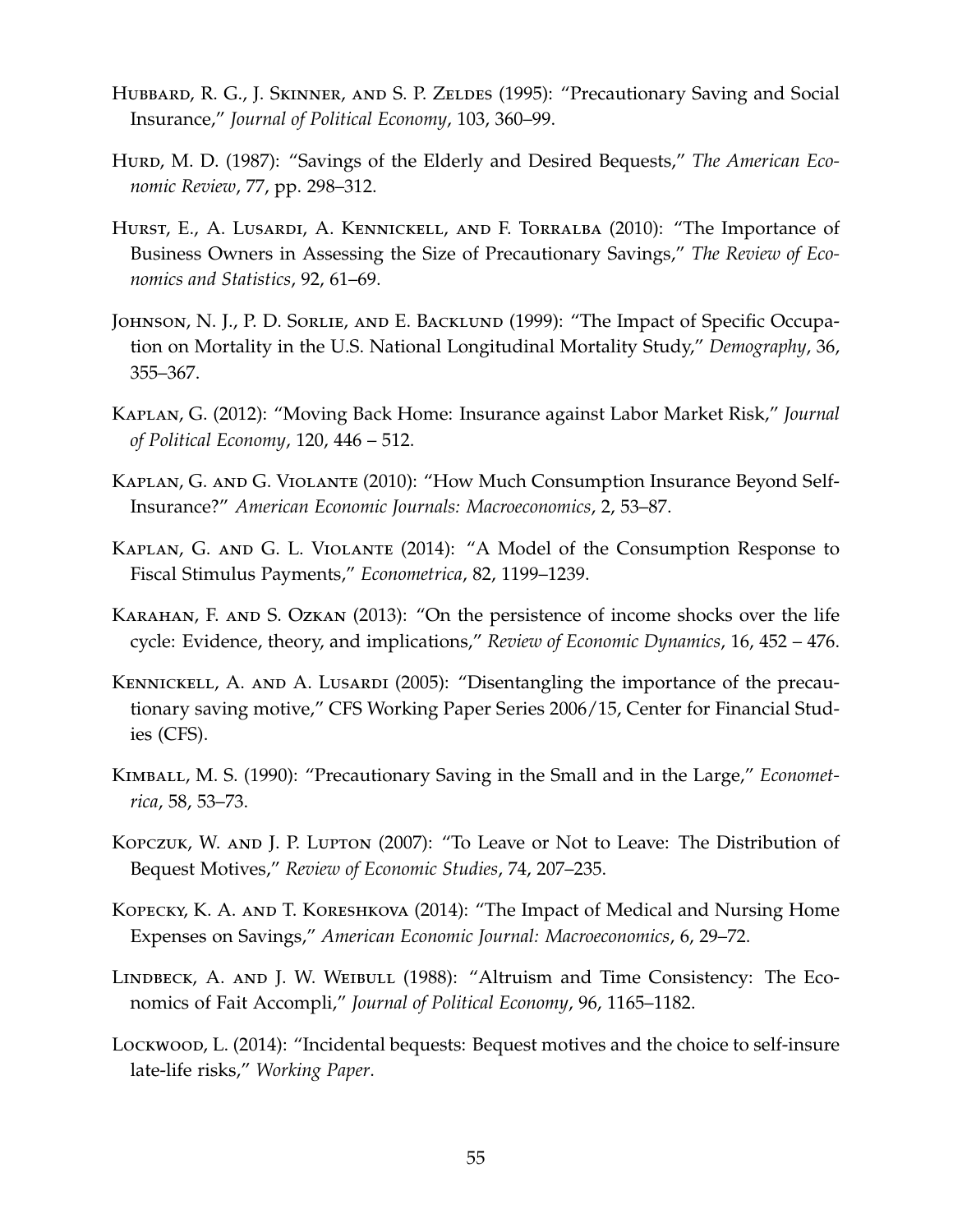- HUBBARD, R. G., J. SKINNER, AND S. P. ZELDES (1995): "Precautionary Saving and Social Insurance," *Journal of Political Economy*, 103, 360–99.
- HURD, M. D. (1987): "Savings of the Elderly and Desired Bequests," The American Eco*nomic Review*, 77, pp. 298–312.
- Hurst, E., A. Lusardi, A. Kennickell, and F. Torralba (2010): "The Importance of Business Owners in Assessing the Size of Precautionary Savings," *The Review of Economics and Statistics*, 92, 61–69.
- JOHNSON, N. J., P. D. SORLIE, AND E. BACKLUND (1999): "The Impact of Specific Occupation on Mortality in the U.S. National Longitudinal Mortality Study," *Demography*, 36, 355–367.
- <span id="page-54-1"></span>Kaplan, G. (2012): "Moving Back Home: Insurance against Labor Market Risk," *Journal of Political Economy*, 120, 446 – 512.
- <span id="page-54-3"></span>Kaplan, G. and G. Violante (2010): "How Much Consumption Insurance Beyond Self-Insurance?" *American Economic Journals: Macroeconomics*, 2, 53–87.
- <span id="page-54-2"></span>Kaplan, G. and G. L. Violante (2014): "A Model of the Consumption Response to Fiscal Stimulus Payments," *Econometrica*, 82, 1199–1239.
- <span id="page-54-0"></span>Karahan, F. and S. Ozkan (2013): "On the persistence of income shocks over the life cycle: Evidence, theory, and implications," *Review of Economic Dynamics*, 16, 452 – 476.
- KENNICKELL, A. AND A. LUSARDI (2005): "Disentangling the importance of the precautionary saving motive," CFS Working Paper Series 2006/15, Center for Financial Studies (CFS).
- KIMBALL, M. S. (1990): "Precautionary Saving in the Small and in the Large," *Econometrica*, 58, 53–73.
- Kopczuk, W. and J. P. Lupton (2007): "To Leave or Not to Leave: The Distribution of Bequest Motives," *Review of Economic Studies*, 74, 207–235.
- Kopecky, K. A. and T. Koreshkova (2014): "The Impact of Medical and Nursing Home Expenses on Savings," *American Economic Journal: Macroeconomics*, 6, 29–72.
- LINDBECK, A. AND J. W. WEIBULL (1988): "Altruism and Time Consistency: The Economics of Fait Accompli," *Journal of Political Economy*, 96, 1165–1182.
- Lockwood, L. (2014): "Incidental bequests: Bequest motives and the choice to self-insure late-life risks," *Working Paper*.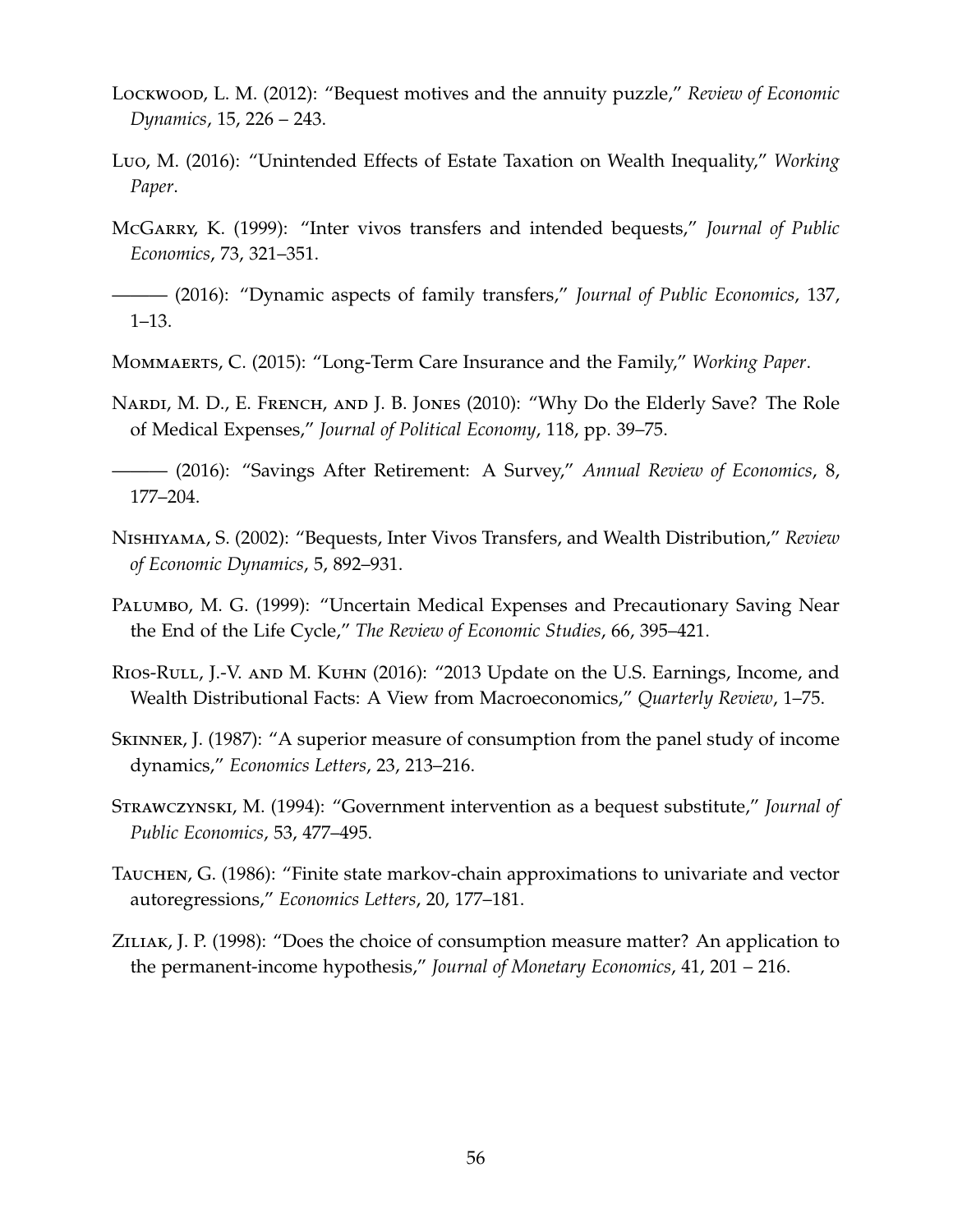- Lockwood, L. M. (2012): "Bequest motives and the annuity puzzle," *Review of Economic Dynamics*, 15, 226 – 243.
- Luo, M. (2016): "Unintended Effects of Estate Taxation on Wealth Inequality," *Working Paper*.
- <span id="page-55-2"></span>McGarry, K. (1999): "Inter vivos transfers and intended bequests," *Journal of Public Economics*, 73, 321–351.
- <span id="page-55-3"></span>——— (2016): "Dynamic aspects of family transfers," *Journal of Public Economics*, 137, 1–13.
- Mommaerts, C. (2015): "Long-Term Care Insurance and the Family," *Working Paper*.
- NARDI, M. D., E. FRENCH, AND J. B. JONES (2010): "Why Do the Elderly Save? The Role of Medical Expenses," *Journal of Political Economy*, 118, pp. 39–75.
- ——— (2016): "Savings After Retirement: A Survey," *Annual Review of Economics*, 8, 177–204.
- <span id="page-55-0"></span>Nishiyama, S. (2002): "Bequests, Inter Vivos Transfers, and Wealth Distribution," *Review of Economic Dynamics*, 5, 892–931.
- Palumbo, M. G. (1999): "Uncertain Medical Expenses and Precautionary Saving Near the End of the Life Cycle," *The Review of Economic Studies*, 66, 395–421.
- <span id="page-55-1"></span>RIOS-RULL, J.-V. AND M. KUHN (2016): "2013 Update on the U.S. Earnings, Income, and Wealth Distributional Facts: A View from Macroeconomics," *Quarterly Review*, 1–75.
- <span id="page-55-4"></span>Skinner, J. (1987): "A superior measure of consumption from the panel study of income dynamics," *Economics Letters*, 23, 213–216.
- Strawczynski, M. (1994): "Government intervention as a bequest substitute," *Journal of Public Economics*, 53, 477–495.
- <span id="page-55-6"></span>Tauchen, G. (1986): "Finite state markov-chain approximations to univariate and vector autoregressions," *Economics Letters*, 20, 177–181.
- <span id="page-55-5"></span>ZILIAK, J. P. (1998): "Does the choice of consumption measure matter? An application to the permanent-income hypothesis," *Journal of Monetary Economics*, 41, 201 – 216.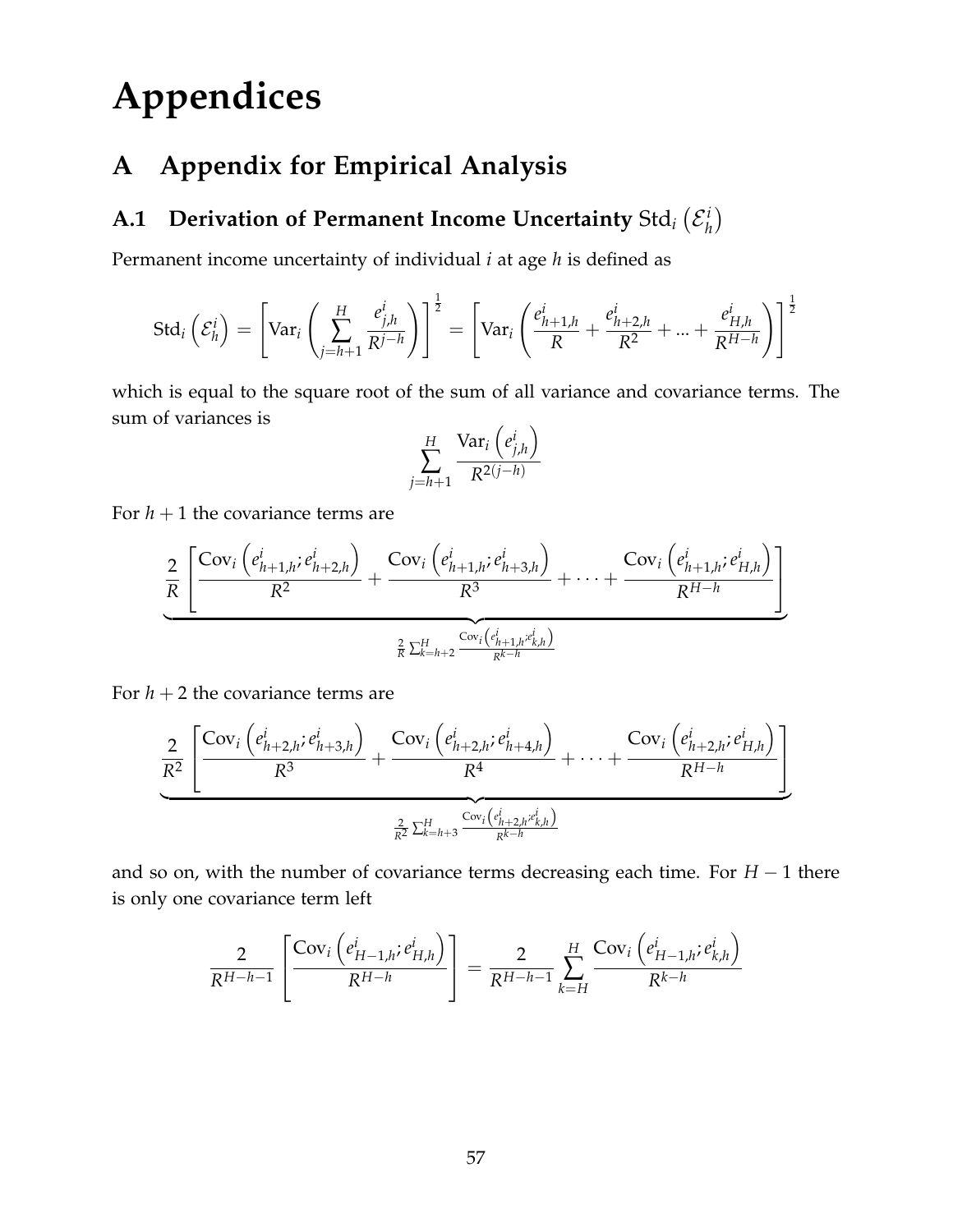# **Appendices**

# <span id="page-56-0"></span>**A Appendix for Empirical Analysis**

#### $\bf A.1\quad$  Derivation of Permanent Income Uncertainty  ${\rm Std}_i\left( {\cal E}_h^i\right)$ *h*

Permanent income uncertainty of individual *i* at age *h* is defined as

$$
\text{Std}_i\left(\mathcal{E}_h^i\right) = \left[\text{Var}_i\left(\sum_{j=h+1}^H \frac{e_{j,h}^i}{R^{j-h}}\right)\right]^{\frac{1}{2}} = \left[\text{Var}_i\left(\frac{e_{h+1,h}^i}{R} + \frac{e_{h+2,h}^i}{R^2} + \dots + \frac{e_{H,h}^i}{R^{H-h}}\right)\right]^{\frac{1}{2}}
$$

which is equal to the square root of the sum of all variance and covariance terms. The sum of variances is

$$
\sum_{j=h+1}^{H} \frac{\text{Var}_i\left(e_{j,h}^i\right)}{R^{2(j-h)}}
$$

For  $h + 1$  the covariance terms are

$$
\frac{2}{R}\frac{\left[\frac{\text{Cov}_{i}\left(e_{h+1,h}^{i};e_{h+2,h}^{i}\right)}{R^{2}}+\frac{\text{Cov}_{i}\left(e_{h+1,h}^{i};e_{h+3,h}^{i}\right)}{R^{3}}+\cdots+\frac{\text{Cov}_{i}\left(e_{h+1,h}^{i};e_{H,h}^{i}\right)}{R^{H-h}}\right]}{\frac{2}{R}\sum_{k=h+2}^{H}\frac{\text{Cov}_{i}\left(e_{h+1,h}^{i};e_{k,h}^{i}\right)}{R^{k-h}}}
$$

For  $h + 2$  the covariance terms are

$$
\frac{2}{R^2} \underbrace{\left[ \frac{\text{Cov}_i \left( e_{h+2,h}^i; e_{h+3,h}^i \right)}{R^3} + \frac{\text{Cov}_i \left( e_{h+2,h}^i; e_{h+4,h}^i \right)}{R^4} + \dots + \frac{\text{Cov}_i \left( e_{h+2,h}^i; e_{H,h}^i \right)}{R^{H-h}} \right]}_{\frac{2}{R^2} \sum_{k=h+3}^H \frac{\text{Cov}_i \left( e_{h+2,h}^i; e_{k,h}^i \right)}{R^{k-h}}}
$$

and so on, with the number of covariance terms decreasing each time. For *H* − 1 there is only one covariance term left

$$
\frac{2}{R^{H-h-1}} \left[ \frac{\text{Cov}_{i} \left( e_{H-1,h}^{i} \, e_{H,h}^{i} \right)}{R^{H-h}} \right] = \frac{2}{R^{H-h-1}} \sum_{k=H}^{H} \frac{\text{Cov}_{i} \left( e_{H-1,h}^{i} \, e_{k,h}^{i} \right)}{R^{k-h}}
$$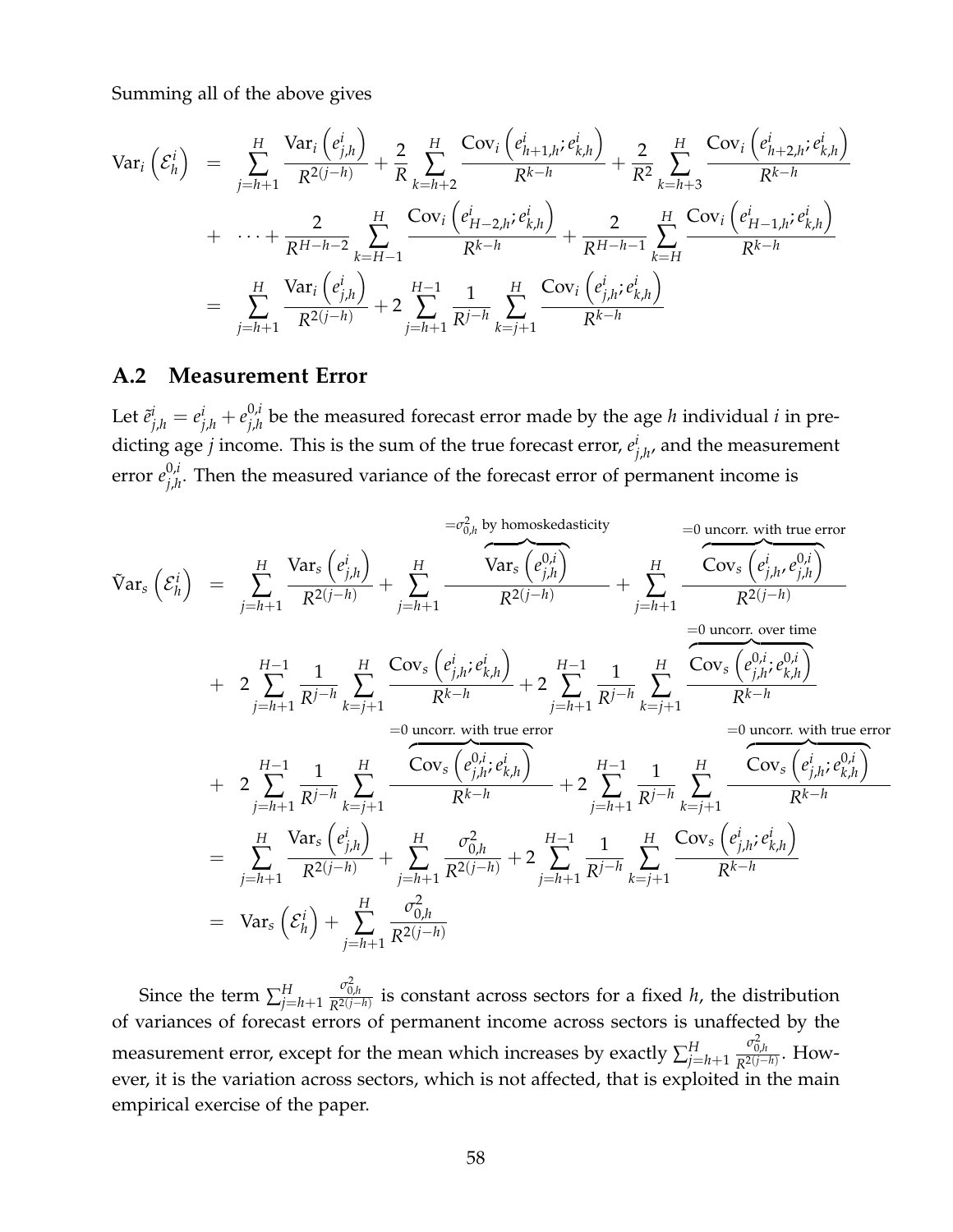Summing all of the above gives

$$
\begin{array}{lll}\n\text{Var}_{i}\left(\mathcal{E}_{h}^{i}\right) &=& \sum_{j=h+1}^{H} \frac{\text{Var}_{i}\left(e_{j,h}^{i}\right)}{R^{2(j-h)}} + \frac{2}{R} \sum_{k=h+2}^{H} \frac{\text{Cov}_{i}\left(e_{h+1,h}^{i};e_{k,h}^{i}\right)}{R^{k-h}} + \frac{2}{R^{2}} \sum_{k=h+3}^{H} \frac{\text{Cov}_{i}\left(e_{h+2,h}^{i};e_{k,h}^{i}\right)}{R^{k-h}} \\
&+ & \cdots + \frac{2}{R^{H-h-2}} \sum_{k=H-1}^{H} \frac{\text{Cov}_{i}\left(e_{H-2,h}^{i};e_{k,h}^{i}\right)}{R^{k-h}} + \frac{2}{R^{H-h-1}} \sum_{k=H}^{H} \frac{\text{Cov}_{i}\left(e_{H-1,h}^{i};e_{k,h}^{i}\right)}{R^{k-h}} \\
&=& \sum_{j=h+1}^{H} \frac{\text{Var}_{i}\left(e_{j,h}^{i}\right)}{R^{2(j-h)}} + 2 \sum_{j=h+1}^{H-1} \frac{1}{R^{j-h}} \sum_{k=j+1}^{H} \frac{\text{Cov}_{i}\left(e_{j,h}^{i};e_{k,h}^{i}\right)}{R^{k-h}}\n\end{array}
$$

### **A.2 Measurement Error**

Let  $\tilde{e}^i_{j,h} = e^i_{j,h} + e^{0,i}_{j,h}$  $j_{j,h}^{0,l}$  be the measured forecast error made by the age *h* individual *i* in predicting age *j* income. This is the sum of the true forecast error, *e i*  $\int_{j,h'}^t$  and the measurement error *e* 0,*i*  $j_{j,h}^{0,l}$ . Then the measured variance of the forecast error of permanent income is

$$
\tilde{V}ar_{s}\left(\mathcal{E}_{h}^{i}\right) = \sum_{j=h+1}^{H} \frac{\text{Var}_{s}\left(e_{j,h}^{i}\right)}{R^{2(j-h)}} + \sum_{j=h+1}^{H} \frac{\text{Var}_{s}\left(e_{j,h}^{0,i}\right)}{R^{2(j-h)}} + \sum_{j=h+1}^{H} \frac{\text{Cov}_{s}\left(e_{j,h}^{i},e_{j,h}^{0,i}\right)}{R^{2(j-h)}} + \sum_{j=h+1}^{H} \frac{\text{Cov}_{s}\left(e_{j,h}^{i},e_{j,h}^{0,i}\right)}{R^{2(j-h)}} + 2\sum_{j=h+1}^{H-1} \frac{1}{R^{j-h}} \sum_{k=j+1}^{H} \frac{\text{Cov}_{s}\left(e_{j,h}^{i},e_{k,h}^{0,i}\right)}{R^{k-h}} + 2\sum_{j=h+1}^{H-1} \frac{1}{R^{j-h}} \sum_{k=j+1}^{H} \frac{\text{Cov}_{s}\left(e_{j,h}^{0,i},e_{k,h}^{0,i}\right)}{R^{k-h}} + 2\sum_{j=h+1}^{H-1} \frac{1}{R^{j-h}} \sum_{k=j+1}^{H} \frac{\text{Cov}_{s}\left(e_{j,h}^{0,i},e_{k,h}^{0,i}\right)}{R^{k-h}} + 2\sum_{j=h+1}^{H-1} \frac{1}{R^{j-h}} \sum_{k=j+1}^{H} \frac{\text{Cov}_{s}\left(e_{j,h}^{0,i},e_{k,h}^{0,i}\right)}{R^{k-h}} + 2\sum_{j=h+1}^{H-1} \frac{1}{R^{j-h}} \sum_{k=j+1}^{H} \frac{\text{Cov}_{s}\left(e_{j,h}^{i},e_{k,h}^{0,i}\right)}{R^{k-h}} + \sum_{j=h+1}^{H} \frac{\text{Cov}_{s}\left(e_{j,h}^{i},e_{k,h}^{0,i}\right)}{R^{2(j-h)}} + 2\sum_{j=h+1}^{H-1} \frac{1}{R^{j-h}} \sum_{k=j+1}^{H} \frac{\text{Cov}_{s}\left(e_{j,h}^{i},e_{k,h}^{0,i}\right)}{R^{k-h}}
$$
\n
$$
= \sum_{j=h+1}^{H} \frac{\text{Var}_{s}\left(e_{j,h}^{i}\right)}{R^{2(j-h)}} + \sum_{j=h+1}^{H} \frac{\sigma_{0,h}^{
$$

Since the term  $\sum_{j=h+1}^{H}$  $\frac{\sigma_{0,h}^2}{R^{2(j-h)}}$  is constant across sectors for a fixed *h*, the distribution of variances of forecast errors of permanent income across sectors is unaffected by the measurement error, except for the mean which increases by exactly  $\sum_{j=h+1}^{H}$  $\frac{\sigma_{0,h}^2}{R^{2(j-h)}}$ . However, it is the variation across sectors, which is not affected, that is exploited in the main empirical exercise of the paper.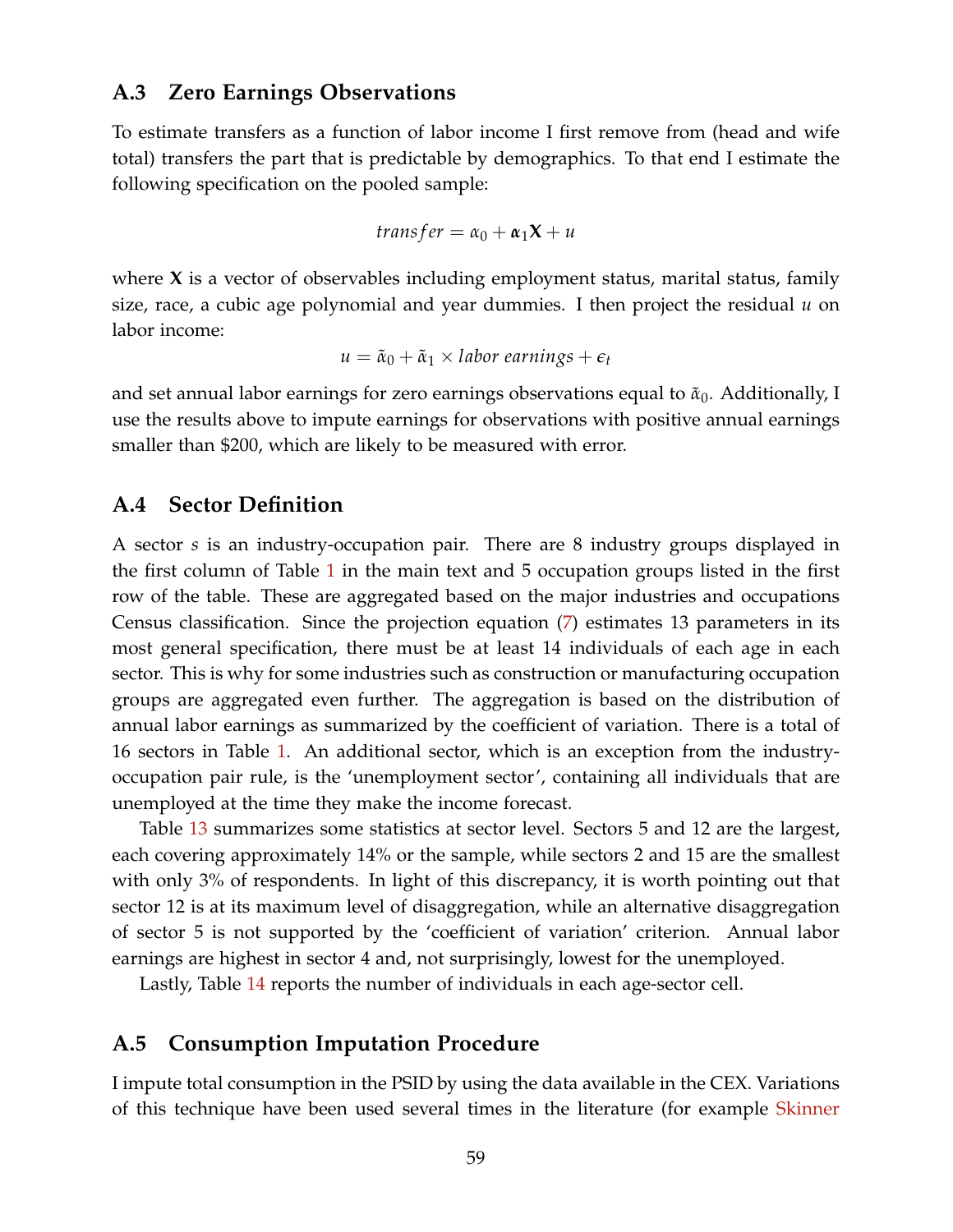### **A.3 Zero Earnings Observations**

To estimate transfers as a function of labor income I first remove from (head and wife total) transfers the part that is predictable by demographics. To that end I estimate the following specification on the pooled sample:

$$
transfer = \alpha_0 + \alpha_1 X + u
$$

where **X** is a vector of observables including employment status, marital status, family size, race, a cubic age polynomial and year dummies. I then project the residual *u* on labor income:

$$
u = \tilde{\alpha}_0 + \tilde{\alpha}_1 \times labor\ earnings + \epsilon_t
$$

and set annual labor earnings for zero earnings observations equal to  $\tilde{\alpha}_0$ . Additionally, I use the results above to impute earnings for observations with positive annual earnings smaller than \$200, which are likely to be measured with error.

#### **A.4 Sector Definition**

A sector *s* is an industry-occupation pair. There are 8 industry groups displayed in the first column of Table [1](#page-11-0) in the main text and 5 occupation groups listed in the first row of the table. These are aggregated based on the major industries and occupations Census classification. Since the projection equation [\(7\)](#page-9-0) estimates 13 parameters in its most general specification, there must be at least 14 individuals of each age in each sector. This is why for some industries such as construction or manufacturing occupation groups are aggregated even further. The aggregation is based on the distribution of annual labor earnings as summarized by the coefficient of variation. There is a total of 16 sectors in Table [1.](#page-11-0) An additional sector, which is an exception from the industryoccupation pair rule, is the 'unemployment sector', containing all individuals that are unemployed at the time they make the income forecast.

Table [13](#page-59-0) summarizes some statistics at sector level. Sectors 5 and 12 are the largest, each covering approximately 14% or the sample, while sectors 2 and 15 are the smallest with only 3% of respondents. In light of this discrepancy, it is worth pointing out that sector 12 is at its maximum level of disaggregation, while an alternative disaggregation of sector 5 is not supported by the 'coefficient of variation' criterion. Annual labor earnings are highest in sector 4 and, not surprisingly, lowest for the unemployed.

Lastly, Table [14](#page-60-0) reports the number of individuals in each age-sector cell.

### **A.5 Consumption Imputation Procedure**

I impute total consumption in the PSID by using the data available in the CEX. Variations of this technique have been used several times in the literature (for example [Skinner](#page-55-4)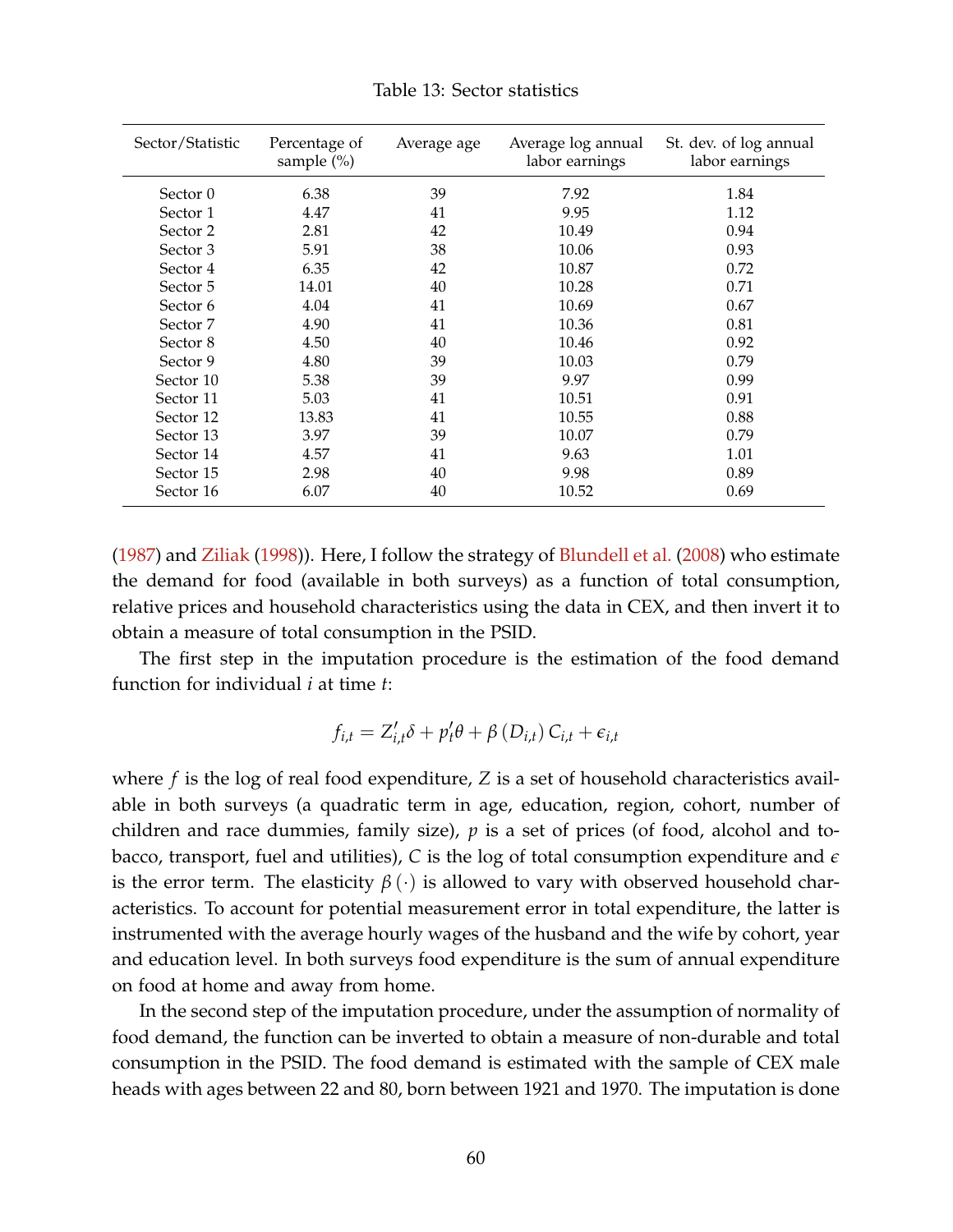<span id="page-59-0"></span>

| Sector/Statistic | Percentage of<br>sample $(\% )$ | Average age | Average log annual<br>labor earnings | St. dev. of log annual<br>labor earnings |
|------------------|---------------------------------|-------------|--------------------------------------|------------------------------------------|
| Sector 0         | 6.38                            | 39          | 7.92                                 | 1.84                                     |
| Sector 1         | 4.47                            | 41          | 9.95                                 | 1.12                                     |
| Sector 2         | 2.81                            | 42          | 10.49                                | 0.94                                     |
| Sector 3         | 5.91                            | 38          | 10.06                                | 0.93                                     |
| Sector 4         | 6.35                            | 42          | 10.87                                | 0.72                                     |
| Sector 5         | 14.01                           | 40          | 10.28                                | 0.71                                     |
| Sector 6         | 4.04                            | 41          | 10.69                                | 0.67                                     |
| Sector 7         | 4.90                            | 41          | 10.36                                | 0.81                                     |
| Sector 8         | 4.50                            | 40          | 10.46                                | 0.92                                     |
| Sector 9         | 4.80                            | 39          | 10.03                                | 0.79                                     |
| Sector 10        | 5.38                            | 39          | 9.97                                 | 0.99                                     |
| Sector 11        | 5.03                            | 41          | 10.51                                | 0.91                                     |
| Sector 12        | 13.83                           | 41          | 10.55                                | 0.88                                     |
| Sector 13        | 3.97                            | 39          | 10.07                                | 0.79                                     |
| Sector 14        | 4.57                            | 41          | 9.63                                 | 1.01                                     |
| Sector 15        | 2.98                            | 40          | 9.98                                 | 0.89                                     |
| Sector 16        | 6.07                            | 40          | 10.52                                | 0.69                                     |

Table 13: Sector statistics

[\(1987\)](#page-55-4) and [Ziliak](#page-55-5) [\(1998\)](#page-55-5)). Here, I follow the strategy of [Blundell et al.](#page-52-1) [\(2008\)](#page-52-1) who estimate the demand for food (available in both surveys) as a function of total consumption, relative prices and household characteristics using the data in CEX, and then invert it to obtain a measure of total consumption in the PSID.

The first step in the imputation procedure is the estimation of the food demand function for individual *i* at time *t*:

$$
f_{i,t} = Z'_{i,t} \delta + p'_t \theta + \beta (D_{i,t}) C_{i,t} + \epsilon_{i,t}
$$

where *f* is the log of real food expenditure, *Z* is a set of household characteristics available in both surveys (a quadratic term in age, education, region, cohort, number of children and race dummies, family size), *p* is a set of prices (of food, alcohol and tobacco, transport, fuel and utilities), *C* is the log of total consumption expenditure and *e* is the error term. The elasticity  $\beta(\cdot)$  is allowed to vary with observed household characteristics. To account for potential measurement error in total expenditure, the latter is instrumented with the average hourly wages of the husband and the wife by cohort, year and education level. In both surveys food expenditure is the sum of annual expenditure on food at home and away from home.

In the second step of the imputation procedure, under the assumption of normality of food demand, the function can be inverted to obtain a measure of non-durable and total consumption in the PSID. The food demand is estimated with the sample of CEX male heads with ages between 22 and 80, born between 1921 and 1970. The imputation is done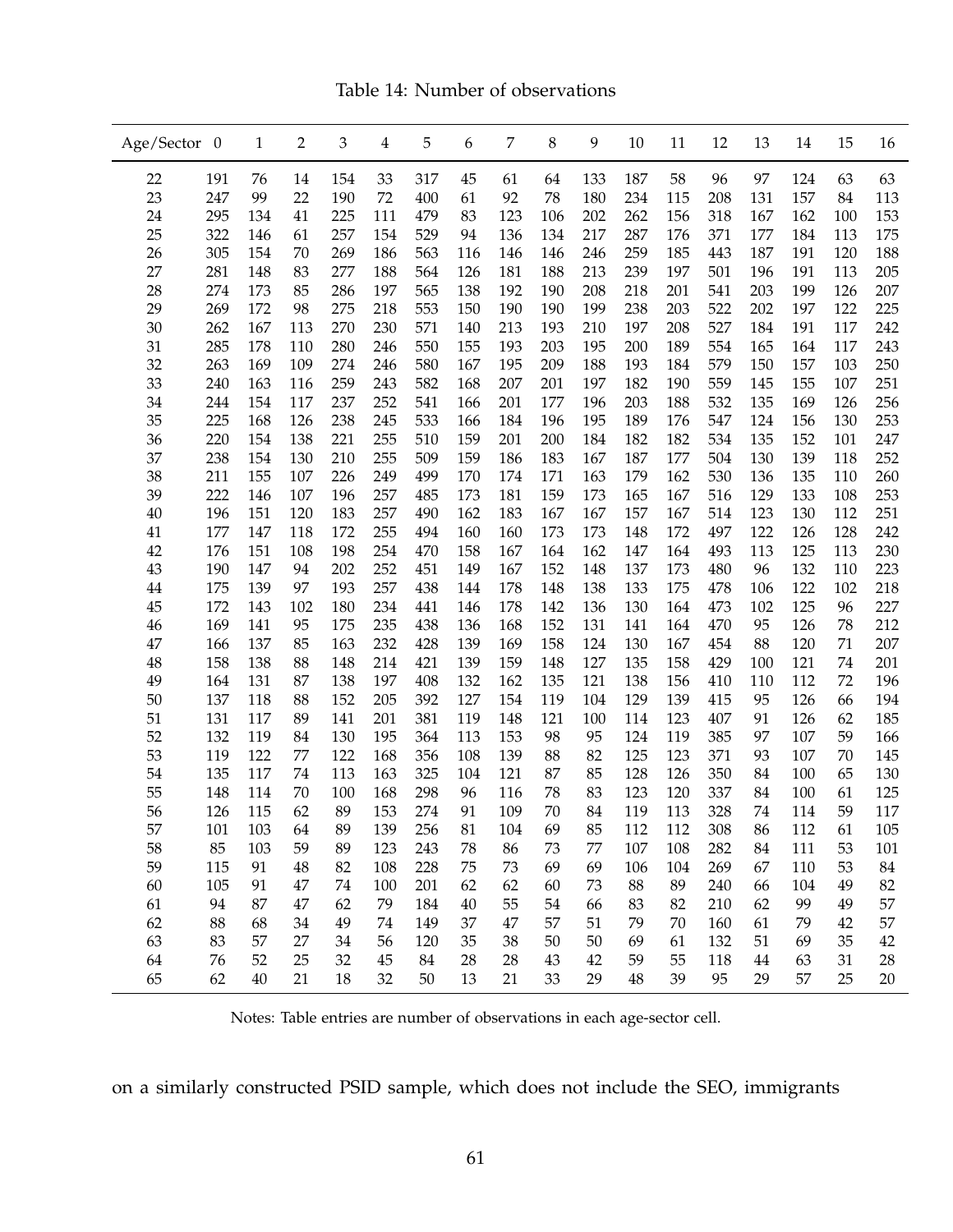Table 14: Number of observations

<span id="page-60-0"></span>

| Age/Sector 0 |     | 1      | 2      | 3   | $\overline{4}$ | 5   | 6      | 7   | 8      | 9      | 10       | 11  | 12  | 13     | 14  | 15  | 16  |
|--------------|-----|--------|--------|-----|----------------|-----|--------|-----|--------|--------|----------|-----|-----|--------|-----|-----|-----|
| 22           | 191 | 76     | 14     | 154 | 33             | 317 | 45     | 61  | 64     | 133    | 187      | 58  | 96  | 97     | 124 | 63  | 63  |
| 23           | 247 | 99     | 22     | 190 | 72             | 400 | 61     | 92  | 78     | 180    | 234      | 115 | 208 | 131    | 157 | 84  | 113 |
| 24           | 295 | 134    | 41     | 225 | 111            | 479 | 83     | 123 | 106    | 202    | 262      | 156 | 318 | 167    | 162 | 100 | 153 |
| 25           | 322 | 146    | 61     | 257 | 154            | 529 | 94     | 136 | 134    | 217    | 287      | 176 | 371 | 177    | 184 | 113 | 175 |
| 26           | 305 | 154    | 70     | 269 | 186            | 563 | 116    | 146 | 146    | 246    | 259      | 185 | 443 | 187    | 191 | 120 | 188 |
| 27           | 281 | 148    | 83     | 277 | 188            | 564 | 126    | 181 | 188    | 213    | 239      | 197 | 501 | 196    | 191 | 113 | 205 |
| 28           | 274 | 173    | 85     | 286 | 197            | 565 | 138    | 192 | 190    | 208    | 218      | 201 | 541 | 203    | 199 | 126 | 207 |
| 29           | 269 | 172    | 98     | 275 | 218            | 553 | 150    | 190 | 190    | 199    | 238      | 203 | 522 | 202    | 197 | 122 | 225 |
| 30           | 262 | 167    | 113    | 270 | 230            | 571 | 140    | 213 | 193    | 210    | 197      | 208 | 527 | 184    | 191 | 117 | 242 |
| 31           | 285 | 178    | 110    | 280 | 246            | 550 | 155    | 193 | 203    | 195    | 200      | 189 | 554 | 165    | 164 | 117 | 243 |
| 32           | 263 | 169    | 109    | 274 | 246            | 580 | 167    | 195 | 209    | 188    | 193      | 184 | 579 | 150    | 157 | 103 | 250 |
| 33           | 240 | 163    | 116    | 259 | 243            | 582 | 168    | 207 | 201    | 197    | 182      | 190 | 559 | 145    | 155 | 107 | 251 |
| 34           | 244 | 154    | 117    | 237 | 252            | 541 | 166    | 201 | 177    | 196    | 203      | 188 | 532 | 135    | 169 | 126 | 256 |
| 35           | 225 | 168    | 126    | 238 | 245            | 533 | 166    | 184 | 196    | 195    | 189      | 176 | 547 | 124    | 156 | 130 | 253 |
| 36           | 220 | 154    | 138    | 221 | 255            | 510 | 159    | 201 | 200    | 184    | 182      | 182 | 534 | 135    | 152 | 101 | 247 |
| 37           | 238 | 154    | 130    | 210 | 255            | 509 | 159    | 186 | 183    | 167    | 187      | 177 | 504 | 130    | 139 | 118 | 252 |
| 38           | 211 | 155    | 107    | 226 | 249            | 499 | 170    | 174 | 171    | 163    | 179      | 162 | 530 | 136    | 135 | 110 | 260 |
| 39           | 222 | 146    | 107    | 196 | 257            | 485 | 173    | 181 | 159    | 173    | 165      | 167 | 516 | 129    | 133 | 108 | 253 |
| 40           | 196 | 151    | 120    | 183 | 257            | 490 | 162    | 183 | 167    | 167    | 157      | 167 | 514 | 123    | 130 | 112 | 251 |
| 41           | 177 | 147    | 118    | 172 | 255            | 494 | 160    | 160 | 173    | 173    | 148      | 172 | 497 | 122    | 126 | 128 | 242 |
| 42           | 176 | 151    | 108    | 198 | 254            | 470 | 158    | 167 | 164    | 162    | 147      | 164 | 493 | 113    | 125 | 113 | 230 |
| 43           | 190 | 147    | 94     | 202 | 252            | 451 | 149    | 167 | 152    | 148    | 137      | 173 | 480 | 96     | 132 | 110 | 223 |
| 44           | 175 | 139    | 97     | 193 | 257            | 438 | 144    | 178 | 148    | 138    | 133      | 175 | 478 | 106    | 122 | 102 | 218 |
| 45           | 172 | 143    | 102    | 180 | 234            | 441 | 146    | 178 | 142    | 136    | 130      | 164 | 473 | 102    | 125 | 96  | 227 |
| 46           | 169 | 141    | 95     | 175 | 235            | 438 | 136    | 168 | 152    | 131    | 141      | 164 | 470 | 95     | 126 | 78  | 212 |
| 47           | 166 | 137    | 85     | 163 | 232            | 428 | 139    | 169 | 158    | 124    | 130      | 167 | 454 | 88     | 120 | 71  | 207 |
| 48           | 158 | 138    | 88     | 148 | 214            | 421 | 139    | 159 | 148    | 127    | 135      | 158 | 429 | 100    | 121 | 74  | 201 |
| 49           | 164 | 131    | 87     | 138 | 197            | 408 | 132    | 162 | 135    | 121    | 138      | 156 | 410 | 110    | 112 | 72  | 196 |
| 50           | 137 | 118    | 88     | 152 | 205            | 392 | 127    | 154 | 119    | 104    | 129      | 139 | 415 | 95     | 126 | 66  | 194 |
| 51           | 131 | 117    | 89     | 141 | 201            | 381 | 119    | 148 | 121    | 100    | 114      | 123 | 407 | 91     | 126 | 62  | 185 |
| 52           | 132 | 119    | 84     | 130 | 195            | 364 | 113    | 153 | 98     | 95     | 124      | 119 | 385 | 97     | 107 | 59  | 166 |
| 53           | 119 | 122    | 77     | 122 | 168            | 356 | 108    | 139 | 88     | 82     | 125      | 123 | 371 | 93     | 107 | 70  | 145 |
| 54           | 135 | 117    | $74\,$ | 113 | 163            | 325 | 104    | 121 | 87     | 85     | 128      | 126 | 350 | 84     | 100 | 65  | 130 |
| 55           | 148 | 114    | 70     | 100 | 168            | 298 | 96     | 116 | 78     | 83     | 123      | 120 | 337 | 84     | 100 | 61  | 125 |
| 56           | 126 | 115    | 62     | 89  | 153            | 274 | 91     | 109 | 70     | 84     | 119      | 113 | 328 | 74     | 114 | 59  | 117 |
| 57           | 101 | 103    | 64     | 89  | 139            | 256 | 81     | 104 | 69     | 85     | 112      | 112 | 308 | 86     | 112 | 61  | 105 |
| 58           | 85  | 103    | 59     | 89  | 123            | 243 | 78     | 86  | 73     | $77\,$ | 107      | 108 | 282 | 84     | 111 | 53  | 101 |
| 59           | 115 | 91     | 48     | 82  | 108            | 228 | 75     | 73  | 69     | 69     | 106      | 104 | 269 | 67     | 110 | 53  | 84  |
| 60           | 105 | 91     | $47\,$ | 74  | 100            | 201 | 62     | 62  | 60     | 73     | 88       | 89  | 240 | 66     | 104 | 49  | 82  |
| 61           | 94  | 87     | $47\,$ | 62  | 79             | 184 | $40\,$ | 55  | 54     | 66     | 83       | 82  | 210 | 62     | 99  | 49  | 57  |
| 62           | 88  | 68     | 34     | 49  | 74             | 149 | 37     | 47  | 57     | 51     | 79       | 70  | 160 | 61     | 79  | 42  | 57  |
| 63           | 83  | 57     | 27     | 34  | 56             | 120 | 35     | 38  | $50\,$ | 50     | 69       | 61  | 132 | 51     | 69  | 35  | 42  |
| 64           | 76  | 52     | 25     | 32  | 45             | 84  | 28     | 28  | 43     | 42     | 59       | 55  | 118 | $44\,$ | 63  | 31  | 28  |
| 65           | 62  | $40\,$ | 21     | 18  | 32             | 50  | 13     | 21  | 33     | 29     | $\rm 48$ | 39  | 95  | 29     | 57  | 25  | 20  |

Notes: Table entries are number of observations in each age-sector cell.

on a similarly constructed PSID sample, which does not include the SEO, immigrants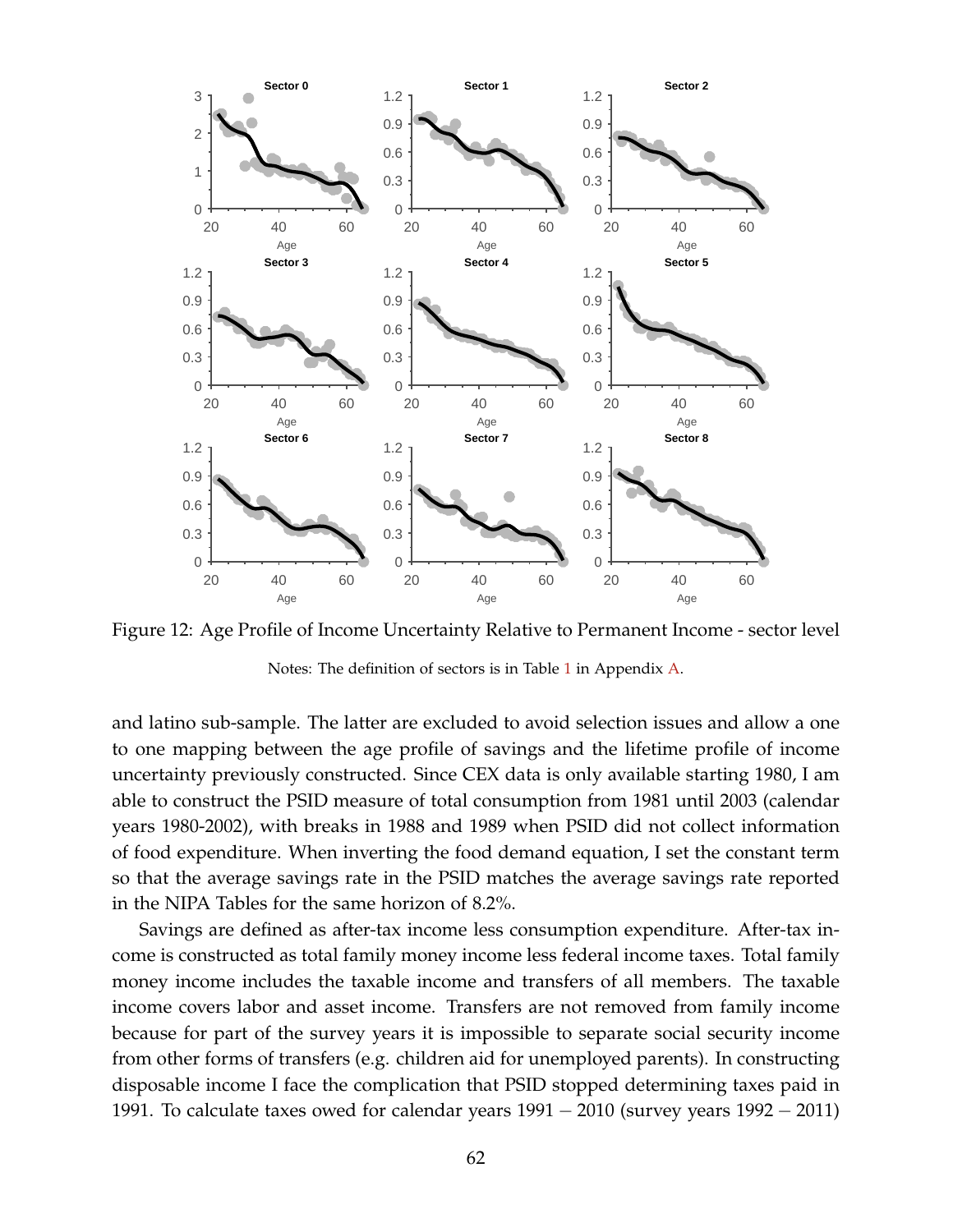

Figure 12: Age Profile of Income Uncertainty Relative to Permanent Income - sector level

Notes: The definition of sectors is in Table [1](#page-11-0) in Appendix [A.](#page-56-0)

and latino sub-sample. The latter are excluded to avoid selection issues and allow a one to one mapping between the age profile of savings and the lifetime profile of income uncertainty previously constructed. Since CEX data is only available starting 1980, I am able to construct the PSID measure of total consumption from 1981 until 2003 (calendar years 1980-2002), with breaks in 1988 and 1989 when PSID did not collect information of food expenditure. When inverting the food demand equation, I set the constant term so that the average savings rate in the PSID matches the average savings rate reported in the NIPA Tables for the same horizon of 8.2%.

Savings are defined as after-tax income less consumption expenditure. After-tax income is constructed as total family money income less federal income taxes. Total family money income includes the taxable income and transfers of all members. The taxable income covers labor and asset income. Transfers are not removed from family income because for part of the survey years it is impossible to separate social security income from other forms of transfers (e.g. children aid for unemployed parents). In constructing disposable income I face the complication that PSID stopped determining taxes paid in 1991. To calculate taxes owed for calendar years 1991 − 2010 (survey years 1992 − 2011)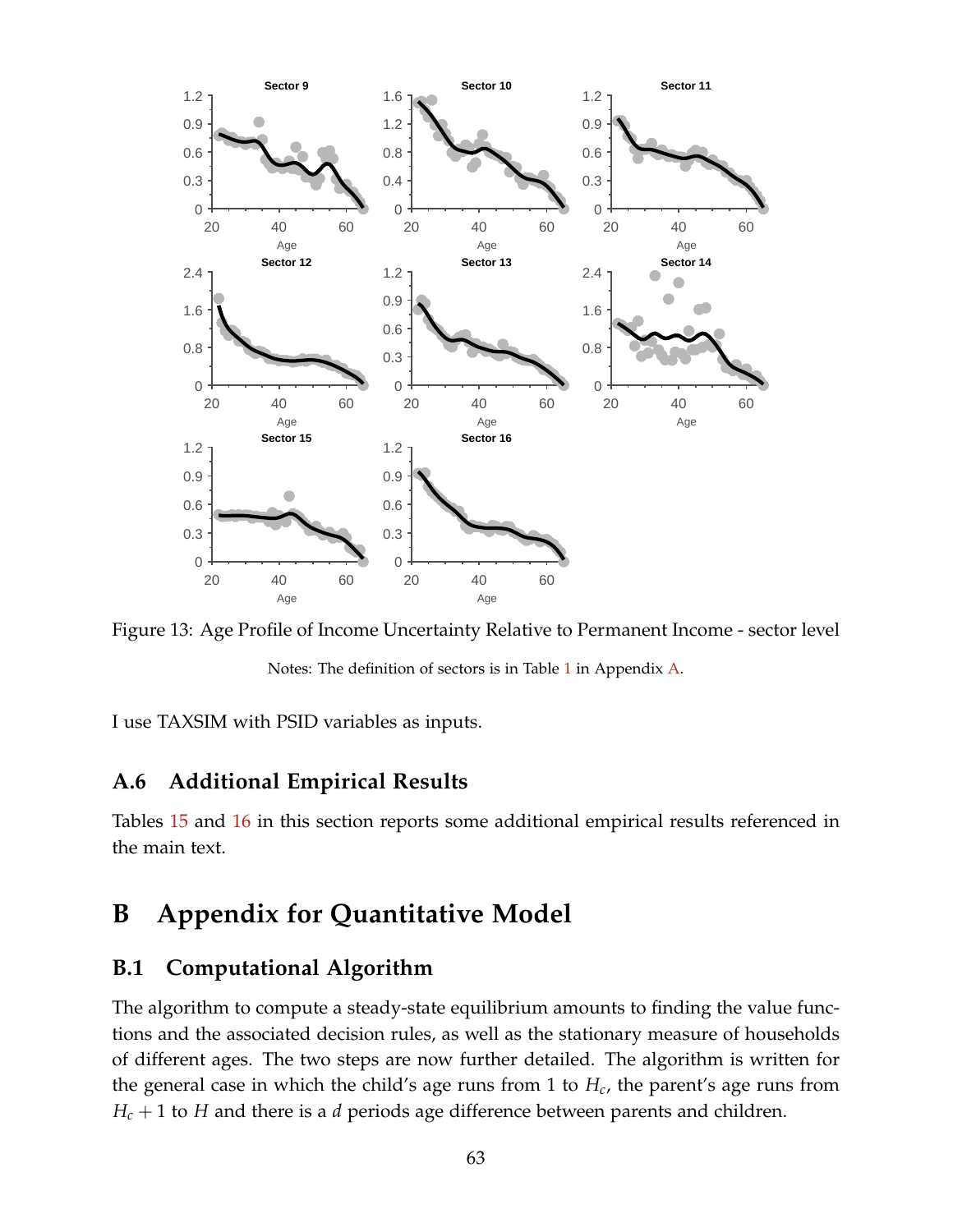

Figure 13: Age Profile of Income Uncertainty Relative to Permanent Income - sector level

Notes: The definition of sectors is in Table [1](#page-11-0) in Appendix [A.](#page-56-0)

I use TAXSIM with PSID variables as inputs.

# **A.6 Additional Empirical Results**

Tables [15](#page-63-0) and [16](#page-64-0) in this section reports some additional empirical results referenced in the main text.

# <span id="page-62-0"></span>**B Appendix for Quantitative Model**

# **B.1 Computational Algorithm**

The algorithm to compute a steady-state equilibrium amounts to finding the value functions and the associated decision rules, as well as the stationary measure of households of different ages. The two steps are now further detailed. The algorithm is written for the general case in which the child's age runs from 1 to *Hc*, the parent's age runs from  $H_c + 1$  to *H* and there is a *d* periods age difference between parents and children.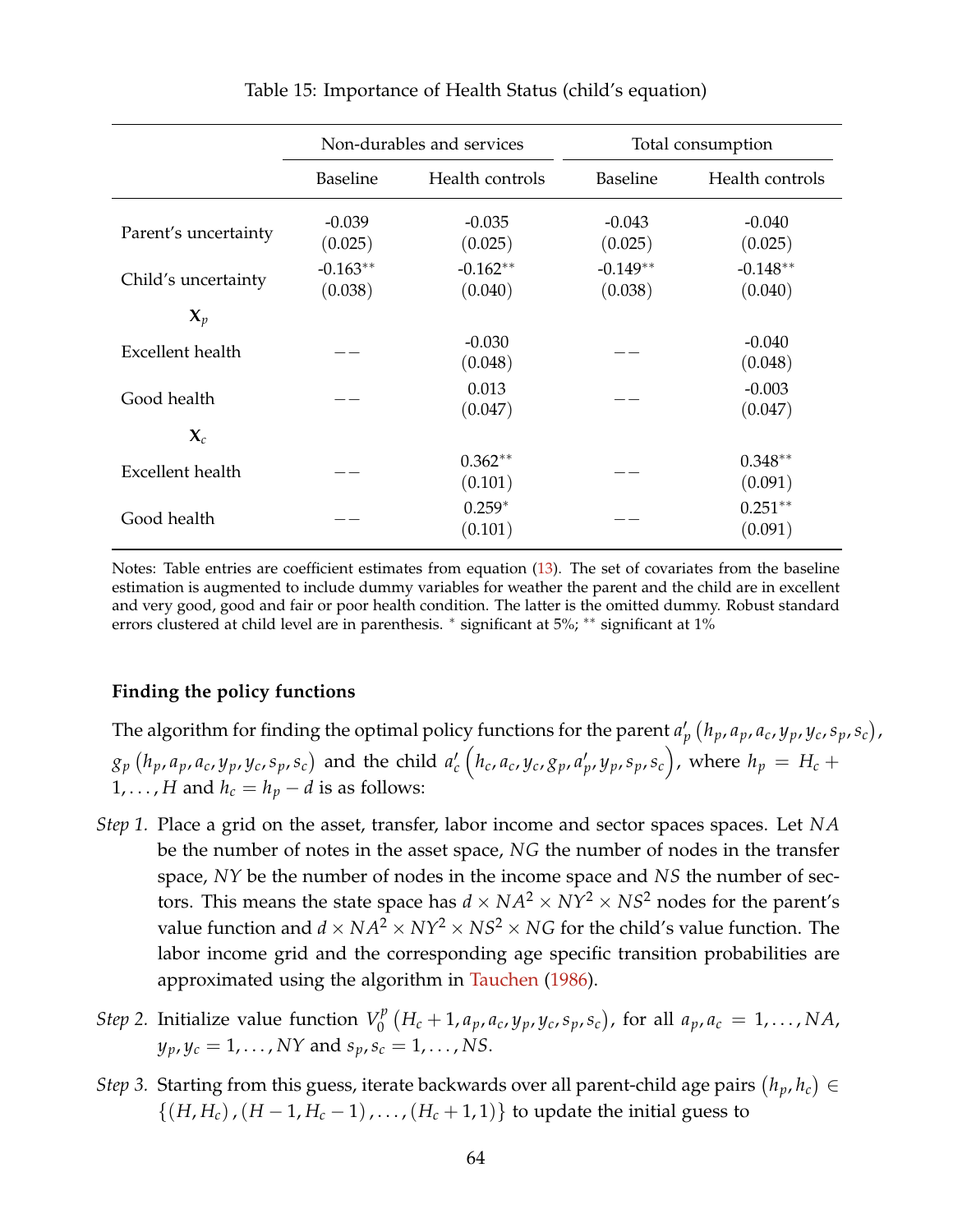<span id="page-63-0"></span>

|                         |                       | Non-durables and services | Total consumption     |                       |  |  |
|-------------------------|-----------------------|---------------------------|-----------------------|-----------------------|--|--|
|                         | <b>Baseline</b>       | Health controls           | <b>Baseline</b>       | Health controls       |  |  |
| Parent's uncertainty    | $-0.039$<br>(0.025)   | $-0.035$<br>(0.025)       | $-0.043$<br>(0.025)   | $-0.040$<br>(0.025)   |  |  |
| Child's uncertainty     | $-0.163**$<br>(0.038) | $-0.162**$<br>(0.040)     | $-0.149**$<br>(0.038) | $-0.148**$<br>(0.040) |  |  |
| $\mathbf{X}_p$          |                       |                           |                       |                       |  |  |
| Excellent health        |                       | $-0.030$<br>(0.048)       |                       | $-0.040$<br>(0.048)   |  |  |
| Good health             |                       | 0.013<br>(0.047)          |                       | $-0.003$<br>(0.047)   |  |  |
| $\mathbf{X}_c$          |                       |                           |                       |                       |  |  |
| <b>Excellent</b> health |                       | $0.362**$<br>(0.101)      |                       | $0.348**$<br>(0.091)  |  |  |
| Good health             |                       | $0.259*$<br>(0.101)       |                       | $0.251**$<br>(0.091)  |  |  |

Table 15: Importance of Health Status (child's equation)

Notes: Table entries are coefficient estimates from equation [\(13\)](#page-20-0). The set of covariates from the baseline estimation is augmented to include dummy variables for weather the parent and the child are in excellent and very good, good and fair or poor health condition. The latter is the omitted dummy. Robust standard errors clustered at child level are in parenthesis. <sup>∗</sup> significant at 5%; ∗∗ significant at 1%

#### **Finding the policy functions**

The algorithm for finding the optimal policy functions for the parent  $a'_p(h_p, a_p, a_c, y_p, y_c, s_p, s_c)$ ,  $g_p\left(h_p,a_p,a_c,y_p,y_c,s_p,s_c\right)$  and the child  $a_c'\left(h_c,a_c,y_c,g_p,a_p',y_p,s_p,s_c\right)$ , where  $h_p\,=\,H_c\,+\,$ 1, ..., *H* and  $h_c = h_p - d$  is as follows:

- *Step 1.* Place a grid on the asset, transfer, labor income and sector spaces spaces. Let *NA* be the number of notes in the asset space, *NG* the number of nodes in the transfer space, *NY* be the number of nodes in the income space and *NS* the number of sectors. This means the state space has  $d \times NA^2 \times NY^2 \times NS^2$  nodes for the parent's value function and  $d \times NA^2 \times NY^2 \times NS^2 \times NG$  for the child's value function. The labor income grid and the corresponding age specific transition probabilities are approximated using the algorithm in [Tauchen](#page-55-6) [\(1986\)](#page-55-6).
- *Step* 2. Initialize value function  $V_0^p$  $J_0^p(H_c+1, a_p, a_c, y_p, y_c, s_p, s_c)$ , for all  $a_p, a_c = 1, ..., N$ A,  $y_p, y_c = 1, ..., NY$  and  $s_p, s_c = 1, ..., NS$ .
- *Step 3.* Starting from this guess, iterate backwards over all parent-child age pairs  $(h_p, h_c) \in$  $\{(H, H_c), (H - 1, H_c - 1), \ldots, (H_c + 1, 1)\}\)$  to update the initial guess to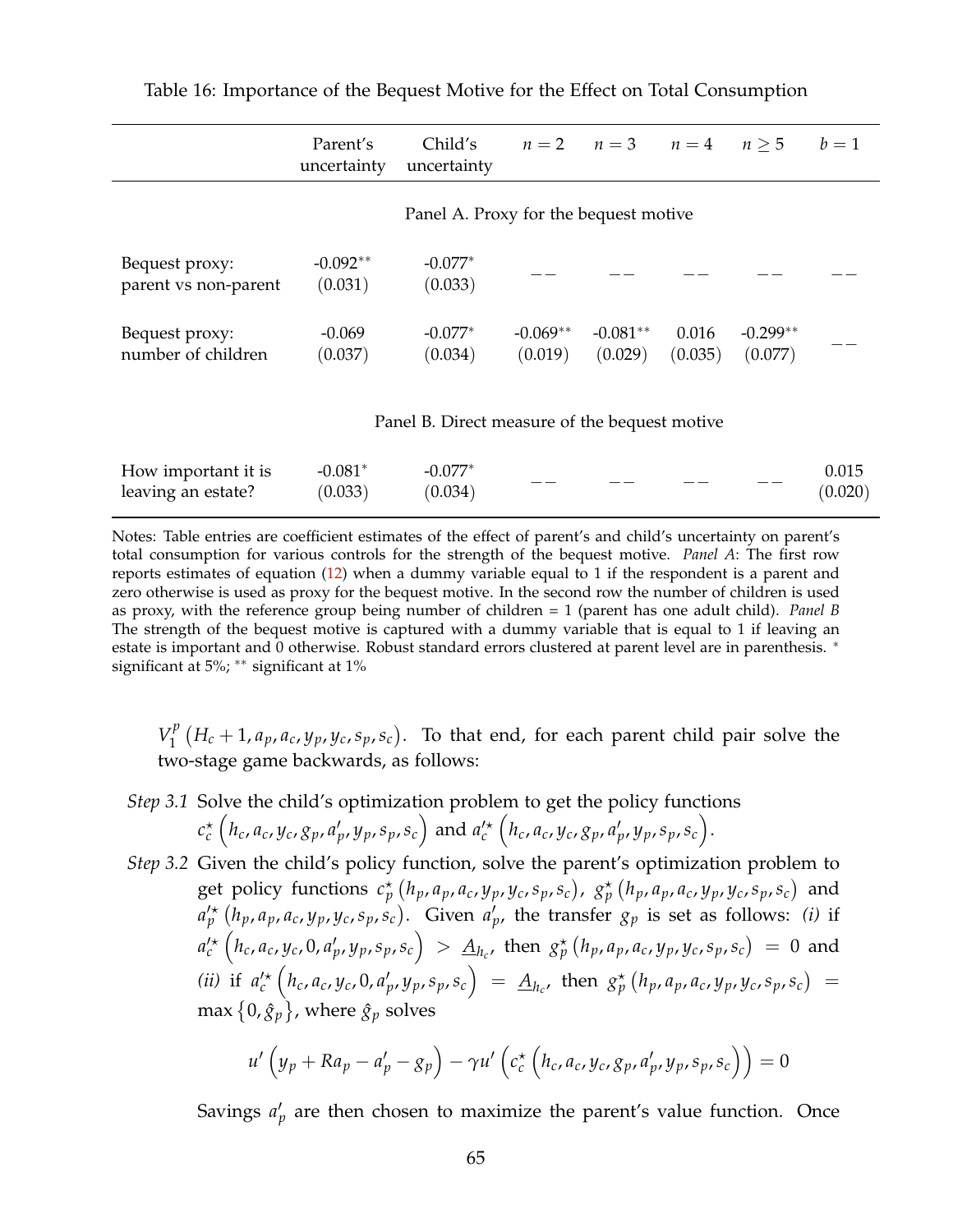|                                               | Parent's<br>uncertainty | Child's<br>uncertainty                |                       | $n=2$ $n=3$ $n=4$     |                  | n > 5                 | $b=1$ |  |
|-----------------------------------------------|-------------------------|---------------------------------------|-----------------------|-----------------------|------------------|-----------------------|-------|--|
|                                               |                         | Panel A. Proxy for the bequest motive |                       |                       |                  |                       |       |  |
| Bequest proxy:<br>parent vs non-parent        | $-0.092**$<br>(0.031)   | $-0.077*$<br>(0.033)                  |                       |                       |                  |                       |       |  |
| Bequest proxy:<br>number of children          | $-0.069$<br>(0.037)     | $-0.077*$<br>(0.034)                  | $-0.069**$<br>(0.019) | $-0.081**$<br>(0.029) | 0.016<br>(0.035) | $-0.299**$<br>(0.077) |       |  |
| Panel B. Direct measure of the bequest motive |                         |                                       |                       |                       |                  |                       |       |  |
| How important it is                           | $-0.081*$               | $-0.077*$                             |                       |                       |                  |                       | 0.015 |  |

−− −−− −−−

(0.020)

<span id="page-64-0"></span>Table 16: Importance of the Bequest Motive for the Effect on Total Consumption

Notes: Table entries are coefficient estimates of the effect of parent's and child's uncertainty on parent's total consumption for various controls for the strength of the bequest motive. *Panel A*: The first row reports estimates of equation [\(12\)](#page-19-0) when a dummy variable equal to 1 if the respondent is a parent and zero otherwise is used as proxy for the bequest motive. In the second row the number of children is used as proxy, with the reference group being number of children = 1 (parent has one adult child). *Panel B* The strength of the bequest motive is captured with a dummy variable that is equal to 1 if leaving an estate is important and 0 otherwise. Robust standard errors clustered at parent level are in parenthesis. <sup>∗</sup> significant at 5%; \*\* significant at 1%

(0.034)

leaving an estate?

(0.033)

 $V_1^p$  $H_1^p(H_c+1, a_p, a_c, y_p, y_c, s_p, s_c)$ . To that end, for each parent child pair solve the two-stage game backwards, as follows:

- *Step 3.1* Solve the child's optimization problem to get the policy functions  $c_c^{\star}\left(h_c,a_c,y_c,g_p,a'_p,y_p,s_p,s_c\right)$  and  $a_c^{\prime\star}\left(h_c,a_c,y_c,g_p,a'_p,y_p,s_p,s_c\right)$ .
- *Step 3.2* Given the child's policy function, solve the parent's optimization problem to get policy functions  $c_p^{\star}(h_p, a_p, a_c, y_p, y_c, s_p, s_c)$ ,  $g_p^{\star}(h_p, a_p, a_c, y_p, y_c, s_p, s_c)$  and  $a'^{\star}_{p}(h_{p},a_{p},a_{c},y_{p},y_{c},s_{p},s_{c})$ . Given  $a'_{p}$ , the transfer  $g_{p}$  is set as follows: (i) if  $a'^{\star}_c(h_c, a_c, y_c, 0, a'_p, y_p, s_p, s_c) > \underline{A}_{h_c}$ , then  $g_p^{\star}(h_p, a_p, a_c, y_p, y_c, s_p, s_c) = 0$  and (ii) if  $a_c'^\star (h_c, a_c, y_c, 0, a_p', y_p, s_p, s_c) = \underline{A}_{h_c'}$ , then  $g_p^\star (h_p, a_p, a_c, y_p, y_c, s_p, s_c) =$ max  $\{0,\hat{g}_p\}$ , where  $\hat{g}_p$  solves

$$
u'\left(y_p + Ra_p - a'_p - g_p\right) - \gamma u'\left(c_c^{\star}\left(h_c, a_c, y_c, g_p, a'_p, y_p, s_p, s_c\right)\right) = 0
$$

Savings  $a'_p$  are then chosen to maximize the parent's value function. Once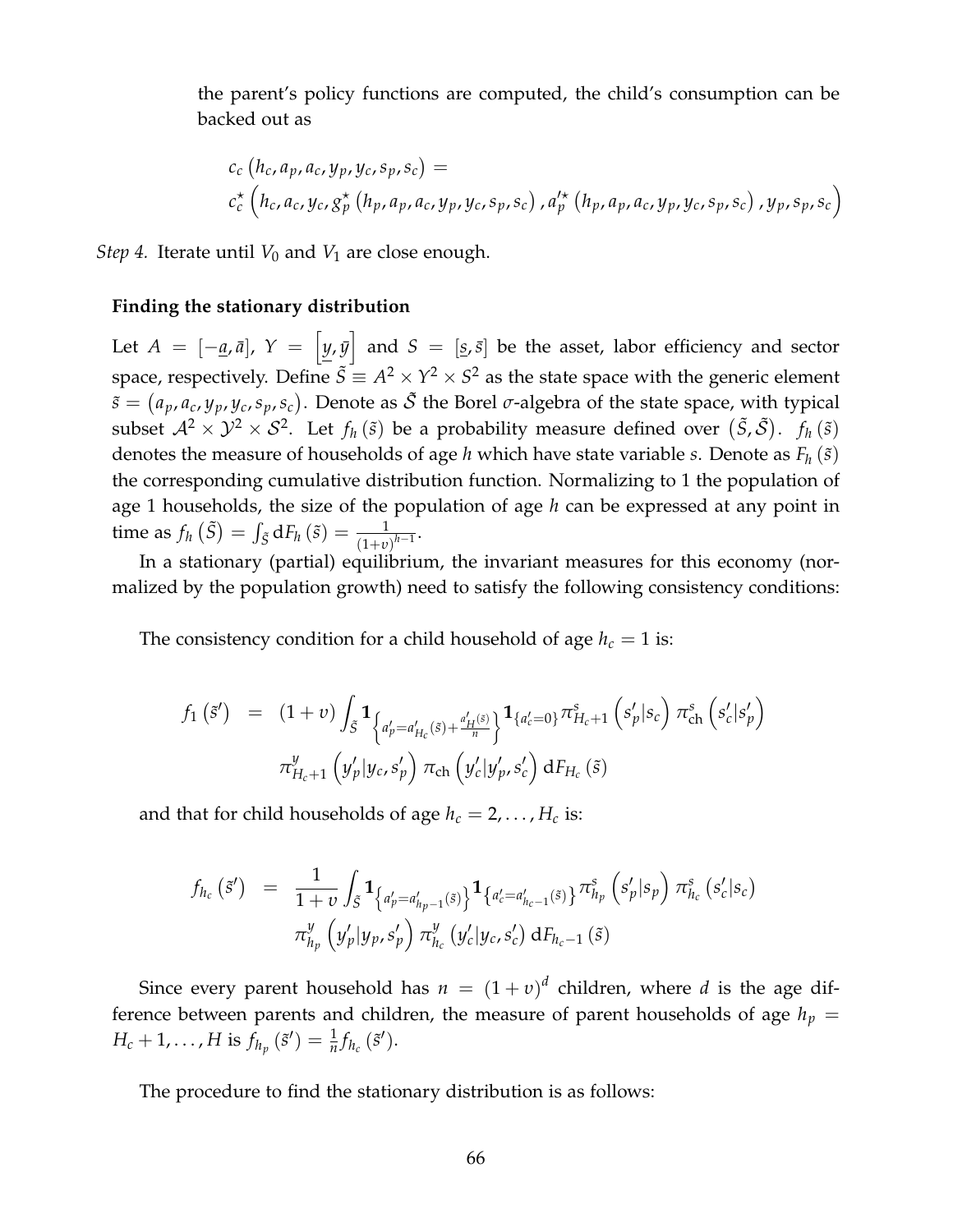the parent's policy functions are computed, the child's consumption can be backed out as

$$
c_c(h_c, a_p, a_c, y_p, y_c, s_p, s_c) =
$$
  
\n
$$
c_c^* (h_c, a_c, y_c, g_p^* (h_p, a_p, a_c, y_p, y_c, s_p, s_c), a_p'^* (h_p, a_p, a_c, y_p, y_c, s_p, s_c), y_p, s_p, s_c)
$$

*Step 4.* Iterate until  $V_0$  and  $V_1$  are close enough.

#### **Finding the stationary distribution**

Let  $A = [-\underline{a}, \bar{a}], Y = [y, \bar{y}]$  and  $S = [\underline{s}, \bar{s}]$  be the asset, labor efficiency and sector space, respectively. Define  $\tilde{S} \equiv A^2 \times Y^2 \times S^2$  as the state space with the generic element  $\tilde{s} = (a_p, a_c, y_p, y_c, s_p, s_c)$ . Denote as  $\tilde{S}$  the Borel *σ*-algebra of the state space, with typical subset  $\mathcal{A}^2 \times \mathcal{Y}^2 \times \mathcal{S}^2$ . Let  $f_h(\tilde{s})$  be a probability measure defined over  $(\tilde{S},\tilde{\mathcal{S}})$ .  $f_h(\tilde{s})$ denotes the measure of households of age *h* which have state variable *s*. Denote as  $F_h(\tilde{s})$ the corresponding cumulative distribution function. Normalizing to 1 the population of age 1 households, the size of the population of age *h* can be expressed at any point in time as  $f_h(\tilde{S}) = \int_{\tilde{S}} dF_h(\tilde{s}) = \frac{1}{(1+v)^{h-1}}$ .

In a stationary (partial) equilibrium, the invariant measures for this economy (normalized by the population growth) need to satisfy the following consistency conditions:

The consistency condition for a child household of age  $h_c = 1$  is:

$$
f_1(\tilde{s}') = (1+v) \int_{\tilde{S}} \mathbf{1}_{\left\{a'_p = a'_{H_c}(\tilde{s}) + \frac{a'_H(\tilde{s})}{n}\right\}} \mathbf{1}_{\left\{a'_c = 0\right\}} \pi^S_{H_c+1} \left(s'_p | s_c\right) \pi^S_{\text{ch}} \left(s'_c | s'_p\right)
$$

$$
\pi^y_{H_c+1} \left(y'_p | y_c, s'_p\right) \pi_{\text{ch}} \left(y'_c | y'_p, s'_c\right) \mathrm{d}F_{H_c}(\tilde{s})
$$

and that for child households of age  $h_c = 2, \ldots, H_c$  is:

$$
f_{h_c}(\tilde{s}') = \frac{1}{1+v} \int_{\tilde{S}} \mathbf{1}_{\left\{a'_p = a'_{h_p-1}(\tilde{s})\right\}} \mathbf{1}_{\left\{a'_c = a'_{h_c-1}(\tilde{s})\right\}} \pi_{h_p}^s \left(s'_p | s_p\right) \pi_{h_c}^s \left(s'_c | s_c\right)
$$

$$
\pi_{h_p}^y \left(y'_p | y_p, s'_p\right) \pi_{h_c}^y \left(y'_c | y_c, s'_c\right) \mathrm{d}F_{h_c-1}(\tilde{s})
$$

Since every parent household has  $n = (1 + v)^d$  children, where *d* is the age difference between parents and children, the measure of parent households of age  $h_p =$  $H_c + 1, \ldots, H$  is  $f_{h_p}(\tilde{s}') = \frac{1}{n} f_{h_c}(\tilde{s}')$ .

The procedure to find the stationary distribution is as follows: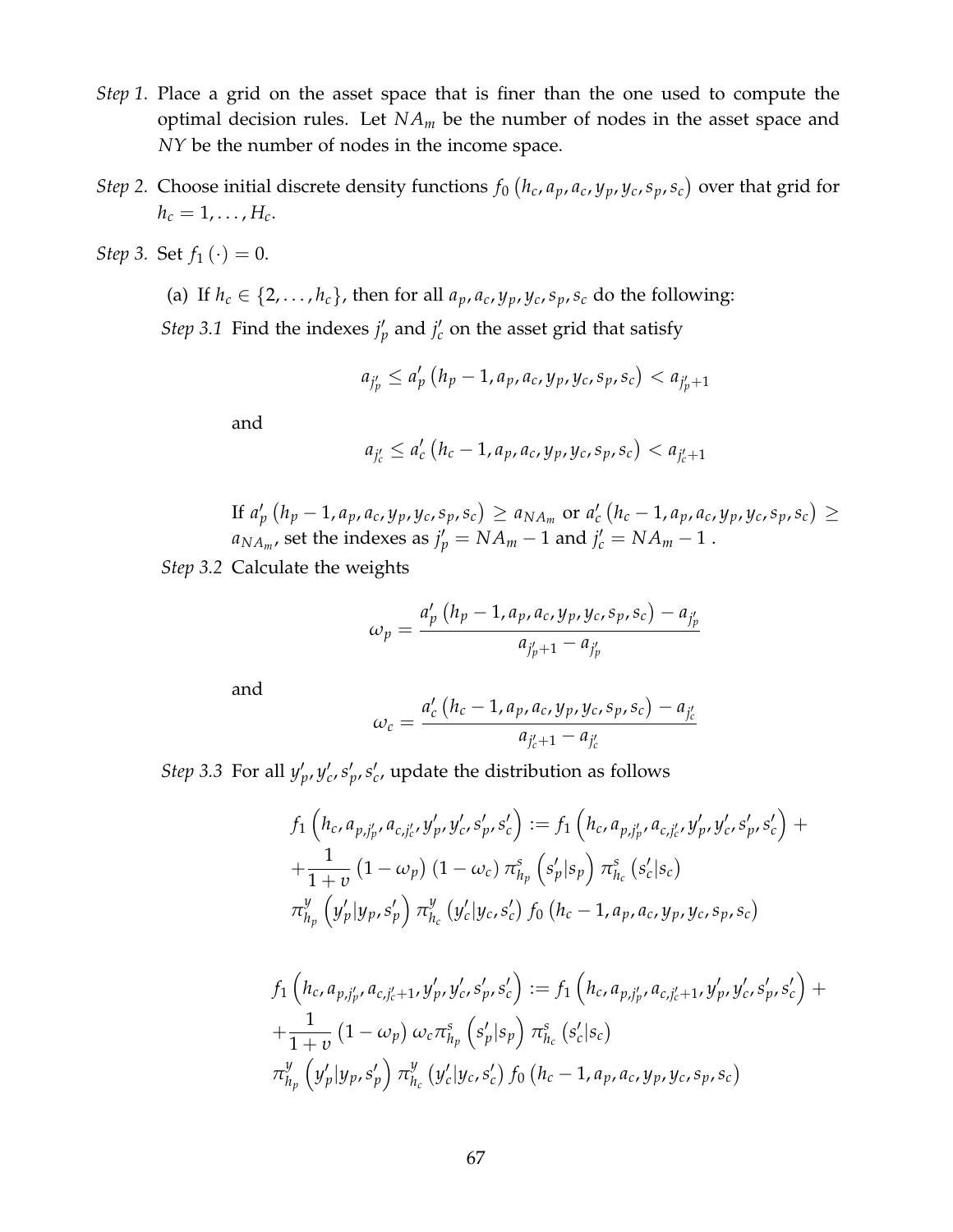- *Step 1.* Place a grid on the asset space that is finer than the one used to compute the optimal decision rules. Let *NA<sup>m</sup>* be the number of nodes in the asset space and *NY* be the number of nodes in the income space.
- *Step* 2. Choose initial discrete density functions  $f_0(h_c, a_p, a_c, y_p, y_c, s_p, s_c)$  over that grid for  $h_c = 1, \ldots, H_c$ .
- *Step 3.* Set  $f_1(\cdot) = 0$ .
	- (a) If  $h_c \in \{2, \ldots, h_c\}$ , then for all  $a_p, a_c, y_p, y_c, s_p, s_c$  do the following: *Step* 3.1 Find the indexes  $j'_p$  and  $j'_c$  on the asset grid that satisfy

$$
a_{j'_p} \le a'_p (h_p - 1, a_p, a_c, y_p, y_c, s_p, s_c) < a_{j'_p + 1}
$$

and

$$
a_{j'_c} \le a'_c (h_c - 1, a_p, a_c, y_p, y_c, s_p, s_c) < a_{j'_c + 1}
$$

If  $a'_{p}(h_{p}-1, a_{p}, a_{c}, y_{p}, y_{c}, s_{p}, s_{c}) \ge a_{NA_{m}}$  or  $a'_{c}(h_{c}-1, a_{p}, a_{c}, y_{p}, y_{c}, s_{p}, s_{c}) \ge$  $a_{NA_m}$ , set the indexes as  $j'_p = NA_m - 1$  and  $j'_c = NA_m - 1$  .

*Step 3.2* Calculate the weights

$$
\omega_p = \frac{a'_p (h_p - 1, a_p, a_c, y_p, y_c, s_p, s_c) - a_{j'_p}}{a_{j'_p + 1} - a_{j'_p}}
$$

and

$$
\omega_c = \frac{a'_c (h_c - 1, a_p, a_c, y_p, y_c, s_p, s_c) - a_{j'_c}}{a_{j'_c + 1} - a_{j'_c}}
$$

*Step* 3.3 For all  $y'_p$ ,  $y'_c$ ,  $s'_p$ ,  $s'_c$ , update the distribution as follows

$$
f_1\left(h_c, a_{p,j'_p}, a_{c,j'_c}, y'_p, y'_c, s'_p, s'_c\right) := f_1\left(h_c, a_{p,j'_p}, a_{c,j'_c}, y'_p, y'_c, s'_p, s'_c\right) + \frac{1}{1+v}\left(1-\omega_p\right)\left(1-\omega_c\right)\pi_{h_p}^s\left(s'_p|s_p\right)\pi_{h_c}^s\left(s'_c|s_c\right) \pi_{h_p}^y\left(y'_p|y_p, s'_p\right)\pi_{h_c}^y\left(y'_c|y_c, s'_c\right)f_0\left(h_c-1, a_p, a_c, y_p, y_c, s_p, s_c\right)
$$

$$
f_1\left(h_c, a_{p,j'_p}, a_{c,j'_c+1}, y'_p, y'_c, s'_p, s'_c\right) := f_1\left(h_c, a_{p,j'_p}, a_{c,j'_c+1}, y'_p, y'_c, s'_p, s'_c\right) ++ \frac{1}{1+v}\left(1-\omega_p\right)\omega_c \pi_{h_p}^s\left(s'_p|s_p\right) \pi_{h_c}^s\left(s'_c|s_c\right) \pi_{h_p}^y\left(y'_p|y_p, s'_p\right) \pi_{h_c}^y\left(y'_c|y_c, s'_c\right) f_0\left(h_c-1, a_p, a_c, y_p, y_c, s_p, s_c\right)
$$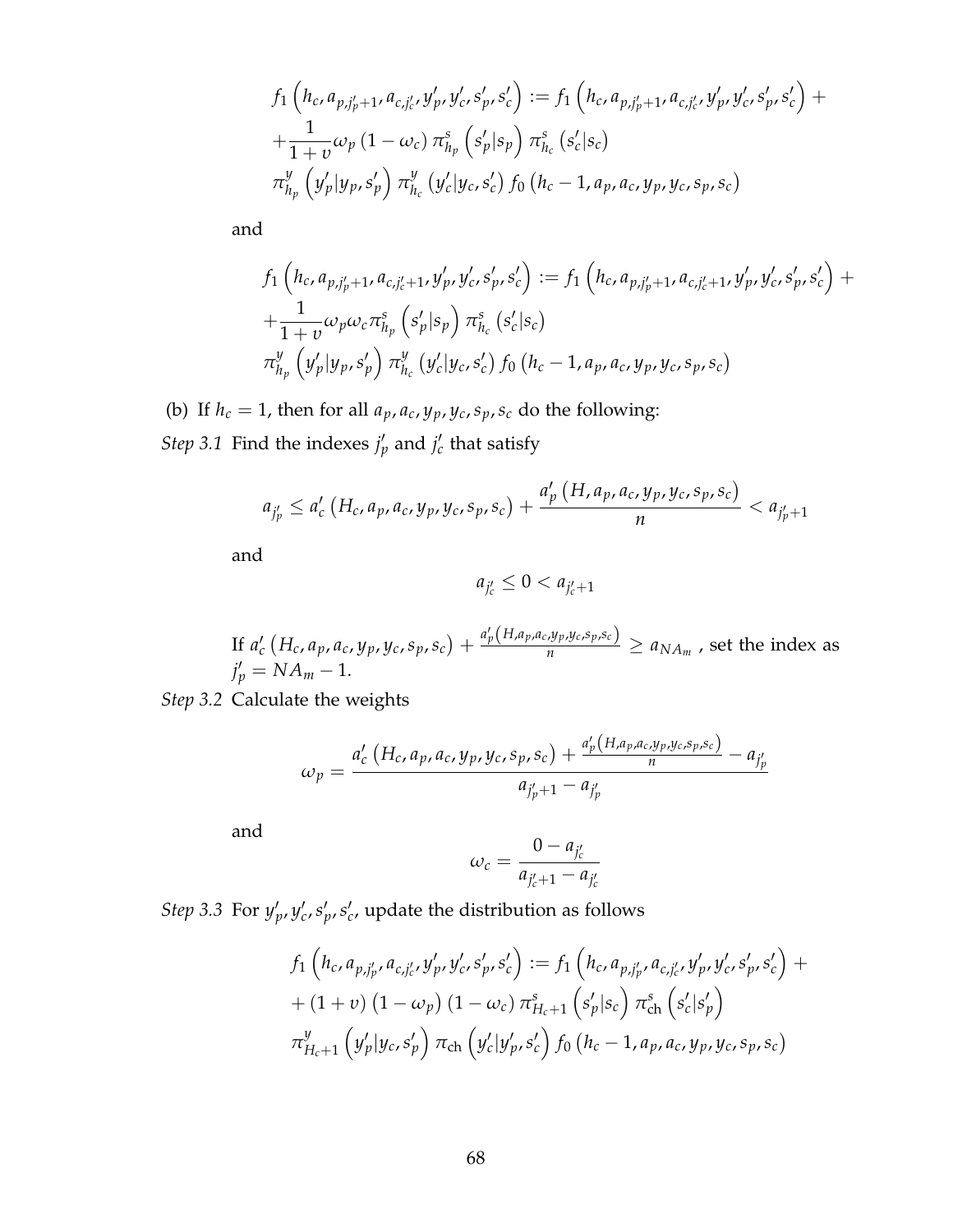$$
f_1\left(h_c, a_{p,j'_p+1}, a_{c,j'_c}, y'_p, y'_c, s'_p, s'_c\right) := f_1\left(h_c, a_{p,j'_p+1}, a_{c,j'_c}, y'_p, y'_c, s'_p, s'_c\right) ++ \frac{1}{1+v}\omega_p\left(1-\omega_c\right)\pi_{h_p}^s\left(s'_p|s_p\right)\pi_{h_c}^s\left(s'_c|s_c\right) \pi_{h_p}^y\left(y'_p|y_p, s'_p\right)\pi_{h_c}^y\left(y'_c|y_c, s'_c\right)f_0\left(h_c-1, a_p, a_c, y_p, y_c, s_p, s_c\right)
$$

and

$$
f_1\left(h_c, a_{p,j'_p+1}, a_{c,j'_c+1}, y'_p, y'_c, s'_p, s'_c\right) := f_1\left(h_c, a_{p,j'_p+1}, a_{c,j'_c+1}, y'_p, y'_c, s'_p, s'_c\right) + \frac{1}{1+v}\omega_p\omega_c\pi_{h_p}^s\left(s'_p|s_p\right)\pi_{h_c}^s\left(s'_c|s_c\right) \pi_{h_p}^y\left(y'_p|y_p, s'_p\right)\pi_{h_c}^y\left(y'_c|y_c, s'_c\right)f_0\left(h_c-1, a_p, a_c, y_p, y_c, s_p, s_c\right)
$$

(b) If  $h_c = 1$ , then for all  $a_p, a_c, y_p, y_c, s_p, s_c$  do the following: *Step* 3.1 Find the indexes  $j'_p$  and  $j'_c$  that satisfy

$$
a_{j'_p} \le a'_c \left( H_c, a_p, a_c, y_p, y_c, s_p, s_c \right) + \frac{a'_p \left( H, a_p, a_c, y_p, y_c, s_p, s_c \right)}{n} < a_{j'_p+1}
$$

and

$$
a_{j'_c} \leq 0 < a_{j'_c+1}
$$

If  $a'_{c}(H_c,a_p,a_c,y_p,y_c,s_p,s_c)+\frac{a'_p(H,a_p,a_c,y_p,y_c,s_p,s_c)}{n}\geq a_{NA_m}$  , set the index as  $j'_p = NA_m - 1.$ 

*Step 3.2* Calculate the weights

$$
\omega_p = \frac{a'_{c} (H_c, a_p, a_c, y_p, y_c, s_p, s_c) + \frac{a'_{p} (H_a, a_p, a_c, y_p, y_c, s_p, s_c)}{n} - a_{j'_p}}{a_{j'_p+1} - a_{j'_p}}
$$

and

$$
\omega_c = \frac{0 - a_{j'_c}}{a_{j'_c+1} - a_{j'_c}}
$$

*Step* 3.3 For  $y'_p$ ,  $y'_c$ ,  $s'_p$ ,  $s'_c$ , update the distribution as follows

$$
f_1\left(h_c, a_{p,j'_p}, a_{c,j'_c}, y'_p, y'_c, s'_p, s'_c\right) := f_1\left(h_c, a_{p,j'_p}, a_{c,j'_c}, y'_p, y'_c, s'_p, s'_c\right) + (1+\nu)\left(1-\omega_p\right)\left(1-\omega_c\right)\pi_{H_c+1}^s\left(s'_p|s_c\right)\pi_{ch}^s\left(s'_c|s'_p\right) + \pi_{H_c+1}^y\left(y'_p|y_c, s'_p\right)\pi_{ch}\left(y'_c|y'_p, s'_c\right)f_0\left(h_c-1, a_p, a_c, y_p, y_c, s_p, s_c\right)
$$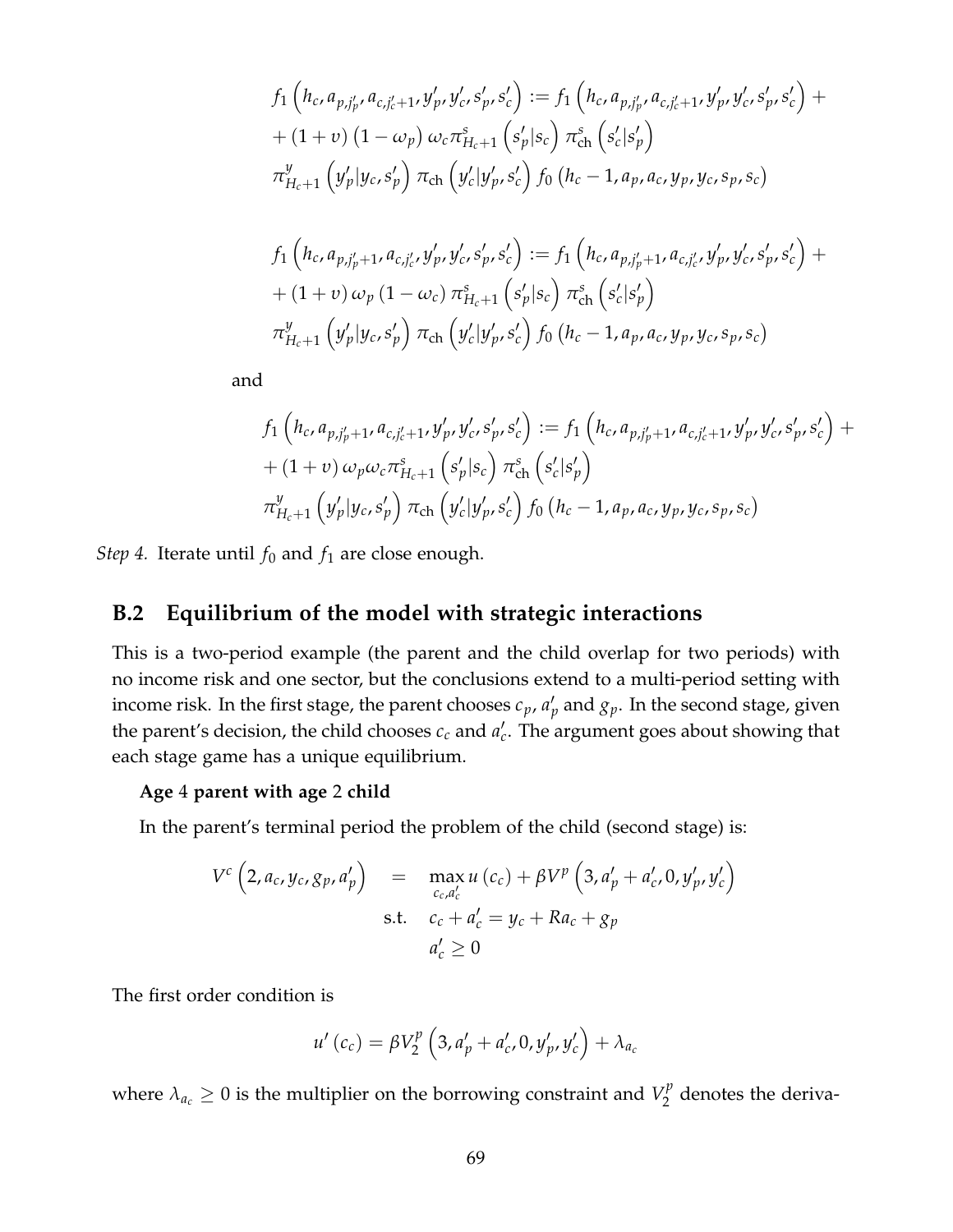$$
f_{1}\left(h_{c}, a_{p,j'_{p}}, a_{c,j'_{c}+1}, y'_{p}, y'_{c}, s'_{p}, s'_{c}\right) := f_{1}\left(h_{c}, a_{p,j'_{p}}, a_{c,j'_{c}+1}, y'_{p}, y'_{c}, s'_{p}, s'_{c}\right) +
$$
  
+ 
$$
(1 + v) (1 - \omega_{p}) \omega_{c} \pi_{H_{c}+1}^{s}\left(s'_{p}|s_{c}\right) \pi_{ch}^{s}\left(s'_{c}|s'_{p}\right)
$$
  

$$
\pi_{H_{c}+1}^{y}\left(y'_{p}|y_{c}, s'_{p}\right) \pi_{ch}\left(y'_{c}|y'_{p}, s'_{c}\right) f_{0}\left(h_{c}-1, a_{p}, a_{c}, y_{p}, y_{c}, s_{p}, s_{c}\right)
$$
  

$$
f_{1}\left(h_{c}, a_{p,j'_{p}+1}, a_{c,j'_{c}}, y'_{p}, y'_{c}, s'_{p}, s'_{c}\right) := f_{1}\left(h_{c}, a_{p,j'_{p}+1}, a_{c,j'_{c}}, y'_{p}, y'_{c}, s'_{p}, s'_{c}\right) +
$$
  
+ 
$$
(1 + v) \omega_{p} (1 - \omega_{c}) \pi_{H_{c}+1}^{s}\left(s'_{p}|s_{c}\right) \pi_{ch}^{s}\left(s'_{c}|s'_{p}\right)
$$
  

$$
\pi_{H_{c}+1}^{y}\left(y'_{p}|y_{c}, s'_{p}\right) \pi_{ch}\left(y'_{c}|y'_{p}, s'_{c}\right) f_{0}\left(h_{c}-1, a_{p}, a_{c}, y_{p}, y_{c}, s_{p}, s_{c}\right)
$$

and

$$
f_1\left(h_c, a_{p,j'_p+1}, a_{c,j'_c+1}, y'_p, y'_c, s'_p, s'_c\right) := f_1\left(h_c, a_{p,j'_p+1}, a_{c,j'_c+1}, y'_p, y'_c, s'_p, s'_c\right) + (1+v)\omega_p\omega_c\pi_{H_c+1}^s\left(s'_p|s_c\right)\pi_{ch}^s\left(s'_c|s'_p\right) \pi_{H_c+1}^y\left(y'_p|y_c, s'_p\right)\pi_{ch}\left(y'_c|y'_p, s'_c\right)f_0\left(h_c-1, a_p, a_c, y_p, y_c, s_p, s_c\right)
$$

*Step 4.* Iterate until  $f_0$  and  $f_1$  are close enough.

# **B.2 Equilibrium of the model with strategic interactions**

This is a two-period example (the parent and the child overlap for two periods) with no income risk and one sector, but the conclusions extend to a multi-period setting with income risk. In the first stage, the parent chooses  $c_p$ ,  $a'_p$  and  $g_p$ . In the second stage, given the parent's decision, the child chooses  $c_c$  and  $a'_c$ . The argument goes about showing that each stage game has a unique equilibrium.

#### **Age** 4 **parent with age** 2 **child**

In the parent's terminal period the problem of the child (second stage) is:

$$
V^{c} (2, a_{c}, y_{c}, g_{p}, a'_{p}) = \max_{c_{c}, a'_{c}} u (c_{c}) + \beta V^{p} (3, a'_{p} + a'_{c}, 0, y'_{p}, y'_{c})
$$
  
s.t.  $c_{c} + a'_{c} = y_{c} + Ra_{c} + g_{p}$   
 $a'_{c} \ge 0$ 

The first order condition is

$$
u'(c_c) = \beta V_2^p \left( 3, a'_p + a'_c, 0, y'_p, y'_c \right) + \lambda_{a_c}
$$

where  $\lambda_{a_c} \geq 0$  is the multiplier on the borrowing constraint and  $V^\mathcal{P}_2$  $\frac{7}{2}$  denotes the deriva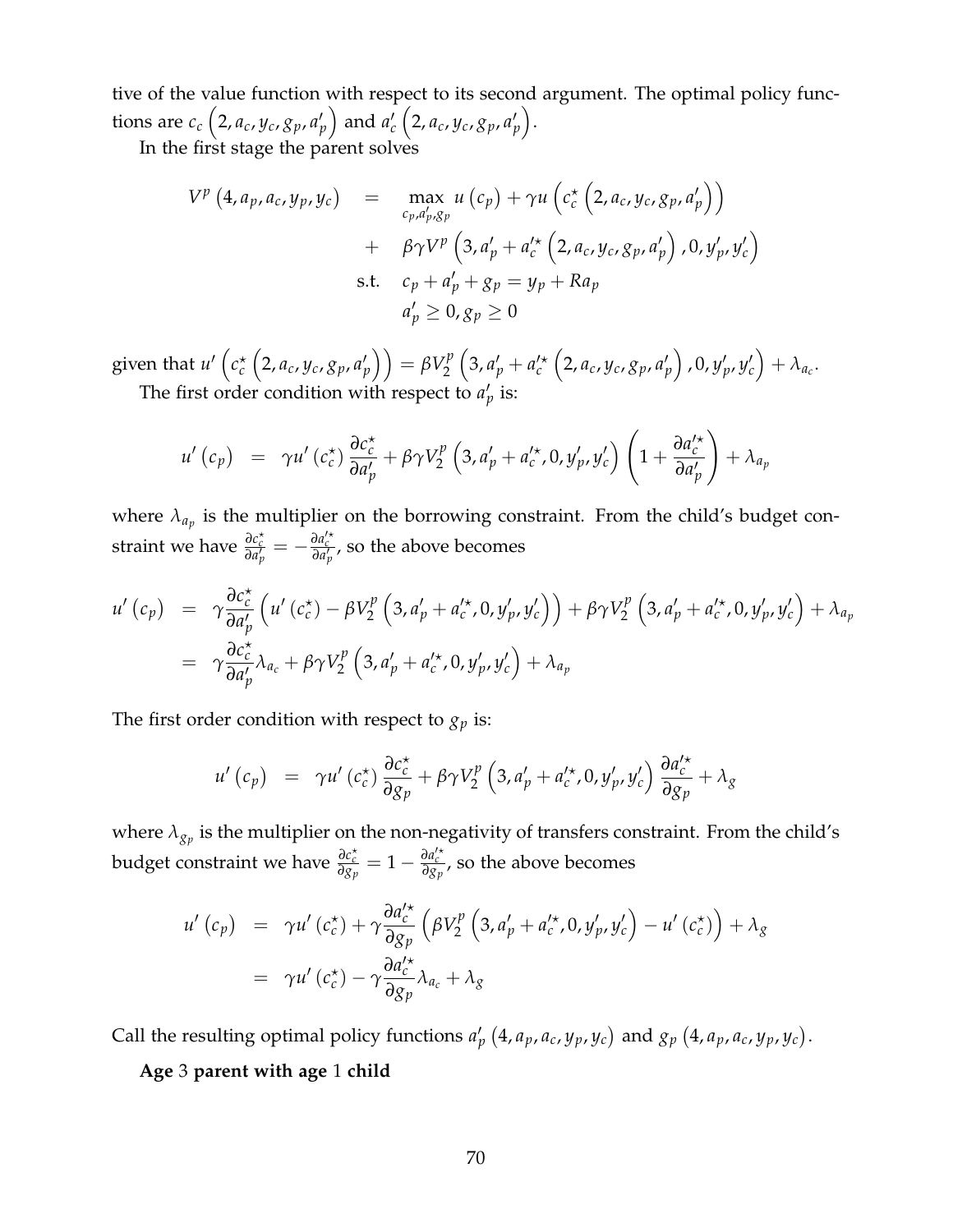tive of the value function with respect to its second argument. The optimal policy functions are  $c_c\left(2, a_c, y_c, g_p, a'_p\right)$  and  $a'_c\left(2, a_c, y_c, g_p, a'_p\right)$ .

In the first stage the parent solves

$$
V^{p}(4, a_{p}, a_{c}, y_{p}, y_{c}) = \max_{c_{p}, a'_{p}, g_{p}} u(c_{p}) + \gamma u\left(c_{c}^{*}\left(2, a_{c}, y_{c}, g_{p}, a'_{p}\right)\right) + \beta \gamma V^{p}\left(3, a'_{p} + a'_{c}^{*}\left(2, a_{c}, y_{c}, g_{p}, a'_{p}\right), 0, y'_{p}, y'_{c}\right) \text{s.t. } c_{p} + a'_{p} + g_{p} = y_{p} + Ra_{p} a'_{p} \ge 0, g_{p} \ge 0
$$

 $\text{given that } u' \left( c_c^\star \left( 2, a_c, y_c, g_p, a'_p \right) \right) = \beta V_2^p$ 2  $\left(3, a'_{p} + a'_{c} \left(2, a_{c}, y_{c}, g_{p}, a'_{p}\right), 0, y'_{p}, y'_{c}\right) + \lambda_{a_{c}}.$ The first order condition with respect to  $a'_p$  is:

$$
u'\left(c_{p}\right) = \gamma u'\left(c_{c}^{\star}\right)\frac{\partial c_{c}^{\star}}{\partial a'_{p}} + \beta\gamma V_{2}^{p}\left(3, a'_{p} + a'_{c}^{\star}, 0, y'_{p}, y'_{c}\right)\left(1 + \frac{\partial a'_{c}^{\star}}{\partial a'_{p}}\right) + \lambda_{a_{p}}
$$

where  $\lambda_{a_p}$  is the multiplier on the borrowing constraint. From the child's budget constraint we have  $\frac{\partial c_c^*}{\partial a_p'} = -\frac{\partial a_c'^*}{\partial a_p'}$ , so the above becomes

$$
u'\left(c_{p}\right) = \gamma \frac{\partial c_{c}^{*}}{\partial a'_{p}}\left(u'\left(c_{c}^{*}\right) - \beta V_{2}^{p}\left(3, a'_{p} + a'_{c}^{*}, 0, y'_{p}, y'_{c}\right)\right) + \beta \gamma V_{2}^{p}\left(3, a'_{p} + a'_{c}^{*}, 0, y'_{p}, y'_{c}\right) + \lambda_{a_{p}}
$$
  
=  $\gamma \frac{\partial c_{c}^{*}}{\partial a'_{p}} \lambda_{a_{c}} + \beta \gamma V_{2}^{p}\left(3, a'_{p} + a'_{c}^{*}, 0, y'_{p}, y'_{c}\right) + \lambda_{a_{p}}$ 

The first order condition with respect to  $g_p$  is:

$$
u'\left(c_{p}\right) = \gamma u'\left(c_{c}^{\star}\right) \frac{\partial c_{c}^{\star}}{\partial g_{p}} + \beta \gamma V_{2}^{p}\left(3, a'_{p} + a'_{c}^{\star}, 0, y'_{p}, y'_{c}\right) \frac{\partial a'_{c}^{\star}}{\partial g_{p}} + \lambda_{g}
$$

where  $\lambda_{g_p}$  is the multiplier on the non-negativity of transfers constraint. From the child's budget constraint we have  $\frac{\partial c_c^*}{\partial g_p} = 1 - \frac{\partial a_c'^*}{\partial g_p}$ , so the above becomes

$$
u'(c_p) = \gamma u'(c_c^*) + \gamma \frac{\partial a_c'^*}{\partial g_p} \left( \beta V_2^p \left( 3, a_p' + a_c'^*, 0, y_p', y_c' \right) - u'(c_c^*) \right) + \lambda_g
$$
  
=  $\gamma u'(c_c^*) - \gamma \frac{\partial a_c'^*}{\partial g_p} \lambda_{a_c} + \lambda_g$ 

Call the resulting optimal policy functions  $a'_p(4, a_p, a_c, y_p, y_c)$  and  $g_p(4, a_p, a_c, y_p, y_c)$ .

**Age** 3 **parent with age** 1 **child**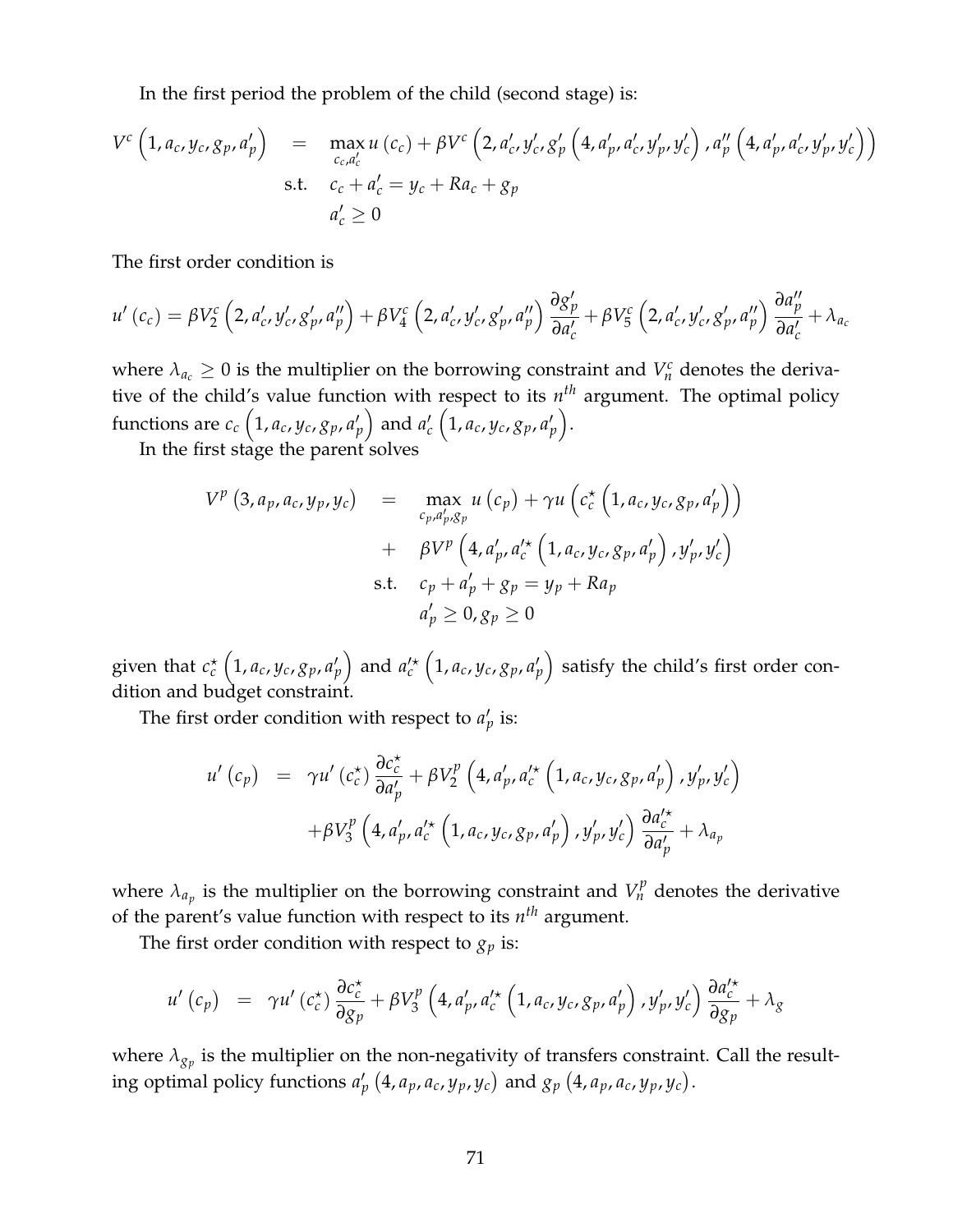In the first period the problem of the child (second stage) is:

$$
V^{c} (1, a_{c}, y_{c}, g_{p}, a'_{p}) = \max_{c_{c}, a'_{c}} u(c_{c}) + \beta V^{c} (2, a'_{c}, y'_{c}, g'_{p} (4, a'_{p}, a'_{c}, y'_{p}, y'_{c}), a''_{p} (4, a'_{p}, a'_{c}, y'_{p}, y'_{c}))
$$
  
s.t.  $c_{c} + a'_{c} = y_{c} + Ra_{c} + g_{p}$   
 $a'_{c} \ge 0$ 

The first order condition is

$$
u'(c_c) = \beta V_2^c \left( 2, a'_{c}, y'_{c}, g'_{p}, a''_{p} \right) + \beta V_4^c \left( 2, a'_{c}, y'_{c}, g'_{p}, a''_{p} \right) \frac{\partial g'_{p}}{\partial a'_{c}} + \beta V_5^c \left( 2, a'_{c}, y'_{c}, g'_{p}, a''_{p} \right) \frac{\partial a''_{p}}{\partial a'_{c}} + \lambda_{a_{c}}
$$

where  $\lambda_{a_c} \geq 0$  is the multiplier on the borrowing constraint and  $V_n^c$  denotes the derivative of the child's value function with respect to its *n th* argument. The optimal policy functions are  $c_c\left(1, a_c, y_c, g_p, a'_p\right)$  and  $a'_c\left(1, a_c, y_c, g_p, a'_p\right)$ .

In the first stage the parent solves

$$
V^{p} (3, a_{p}, a_{c}, y_{p}, y_{c}) = \max_{c_{p}, a'_{p}, g_{p}} u(c_{p}) + \gamma u(c_{c}^{*} (1, a_{c}, y_{c}, g_{p}, a'_{p}))
$$
  
+  $\beta V^{p} (4, a'_{p}, a'_{c}^{*} (1, a_{c}, y_{c}, g_{p}, a'_{p}), y'_{p}, y'_{c})$   
s.t.  $c_{p} + a'_{p} + g_{p} = y_{p} + Ra_{p}$   
 $a'_{p} \ge 0, g_{p} \ge 0$ 

given that  $c_c^\star\left(1,a_c,y_c,g_p,a_p'\right)$  and  $a_c'^\star\left(1,a_c,y_c,g_p,a_p'\right)$  satisfy the child's first order condition and budget constraint.

The first order condition with respect to  $a'_p$  is:

$$
u'(c_p) = \gamma u'(c_c^*) \frac{\partial c_c^*}{\partial a_p'} + \beta V_2^p \left( 4, a_p', a_c'^* \left( 1, a_c, y_c, g_p, a_p' \right), y_p', y_c' \right) + \beta V_3^p \left( 4, a_p', a_c'^* \left( 1, a_c, y_c, g_p, a_p' \right), y_p', y_c' \right) \frac{\partial a_c'^*}{\partial a_p'} + \lambda_{a_p}
$$

where  $\lambda_{a_p}$  is the multiplier on the borrowing constraint and  $V^p_n$  denotes the derivative of the parent's value function with respect to its *n th* argument.

The first order condition with respect to  $g_p$  is:

$$
u'(c_p) = \gamma u'(c_c^*) \frac{\partial c_c^*}{\partial g_p} + \beta V_3^p \left(4, a'_p, a_c'^\star \left(1, a_c, y_c, g_p, a'_p\right), y'_p, y'_c\right) \frac{\partial a_c'^\star}{\partial g_p} + \lambda_g
$$

where  $\lambda_{g_p}$  is the multiplier on the non-negativity of transfers constraint. Call the resulting optimal policy functions  $a'_p$   $(4, a_p, a_c, y_p, y_c)$  and  $g_p$   $(4, a_p, a_c, y_p, y_c)$ .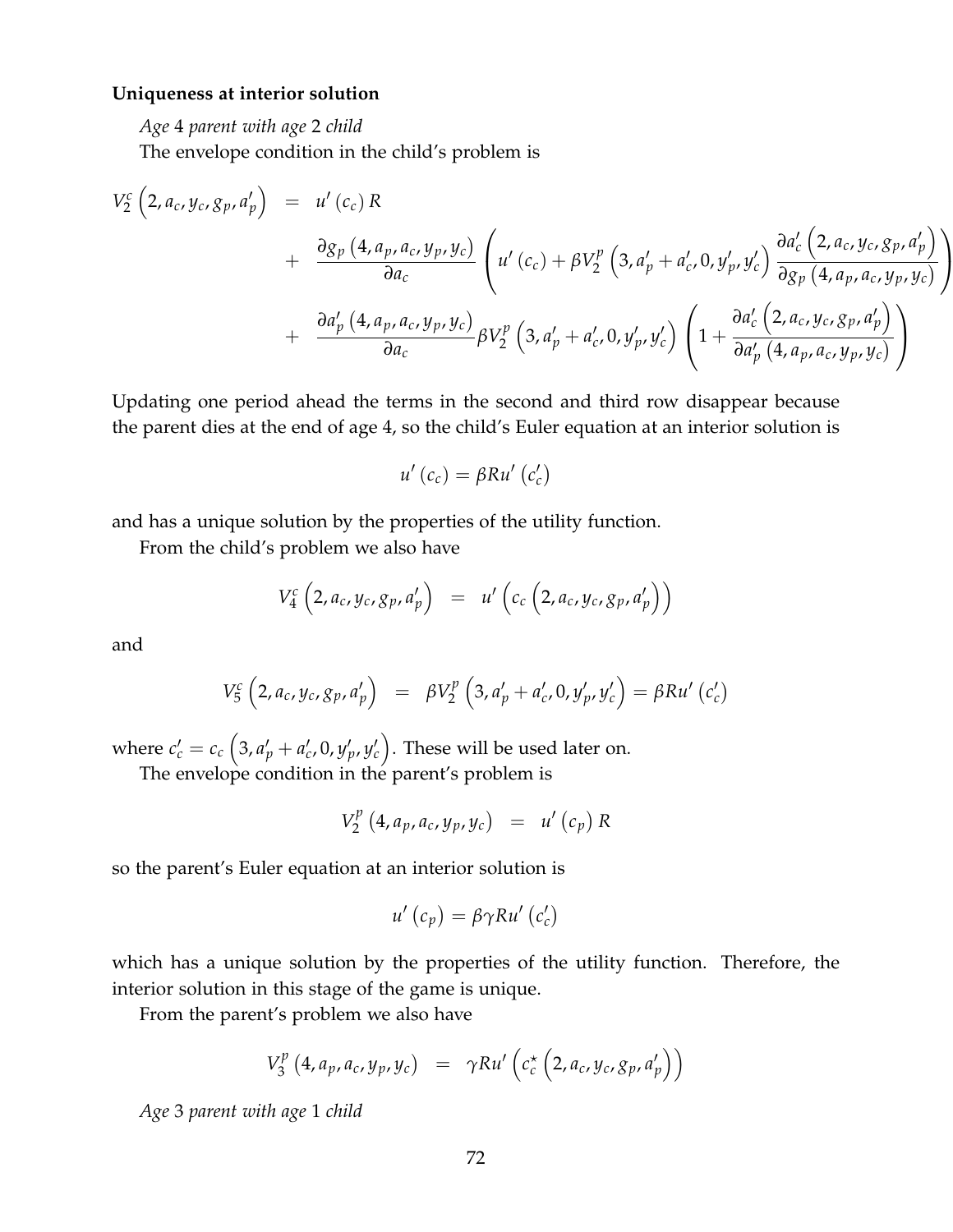#### **Uniqueness at interior solution**

*Age* 4 *parent with age* 2 *child*

The envelope condition in the child's problem is

$$
V_2^c \left(2, a_c, y_c, g_p, a'_p\right) = u'(c_c) R
$$
  
+ 
$$
\frac{\partial g_p \left(4, a_p, a_c, y_p, y_c\right)}{\partial a_c} \left(u'(c_c) + \beta V_2^p \left(3, a'_p + a'_c, 0, y'_p, y'_c\right) \frac{\partial a'_c \left(2, a_c, y_c, g_p, a'_p\right)}{\partial g_p \left(4, a_p, a_c, y_p, y_c\right)}\right)
$$
  
+ 
$$
\frac{\partial a'_p \left(4, a_p, a_c, y_p, y_c\right)}{\partial a_c} \beta V_2^p \left(3, a'_p + a'_c, 0, y'_p, y'_c\right) \left(1 + \frac{\partial a'_c \left(2, a_c, y_c, g_p, a'_p\right)}{\partial a'_p \left(4, a_p, a_c, y_p, y_c\right)}\right)
$$

Updating one period ahead the terms in the second and third row disappear because the parent dies at the end of age 4, so the child's Euler equation at an interior solution is

$$
u'(c_c) = \beta R u'(c_c')
$$

and has a unique solution by the properties of the utility function.

From the child's problem we also have

$$
V_4^c\left(2,a_c,y_c,g_p,a'_p\right) = u'\left(c_c\left(2,a_c,y_c,g_p,a'_p\right)\right)
$$

and

$$
V_5^c \left(2, a_c, y_c, g_p, a'_p\right) = \beta V_2^p \left(3, a'_p + a'_c, 0, y'_p, y'_c\right) = \beta R u' \left(c'_c\right)
$$

where  $c_c' = c_c \left( 3, a_p' + a_c', 0, y_p', y_c' \right)$ . These will be used later on.

The envelope condition in the parent's problem is

$$
V_{2}^{p} (4, a_{p}, a_{c}, y_{p}, y_{c}) = u'(c_{p}) R
$$

so the parent's Euler equation at an interior solution is

$$
u'\left(c_{p}\right)=\beta\gamma Ru'\left(c'_{c}\right)
$$

which has a unique solution by the properties of the utility function. Therefore, the interior solution in this stage of the game is unique.

From the parent's problem we also have

$$
V_3^p(4, a_p, a_c, y_p, y_c) = \gamma R u' \left( c_c^{\star} \left( 2, a_c, y_c, g_p, a'_p \right) \right)
$$

*Age* 3 *parent with age* 1 *child*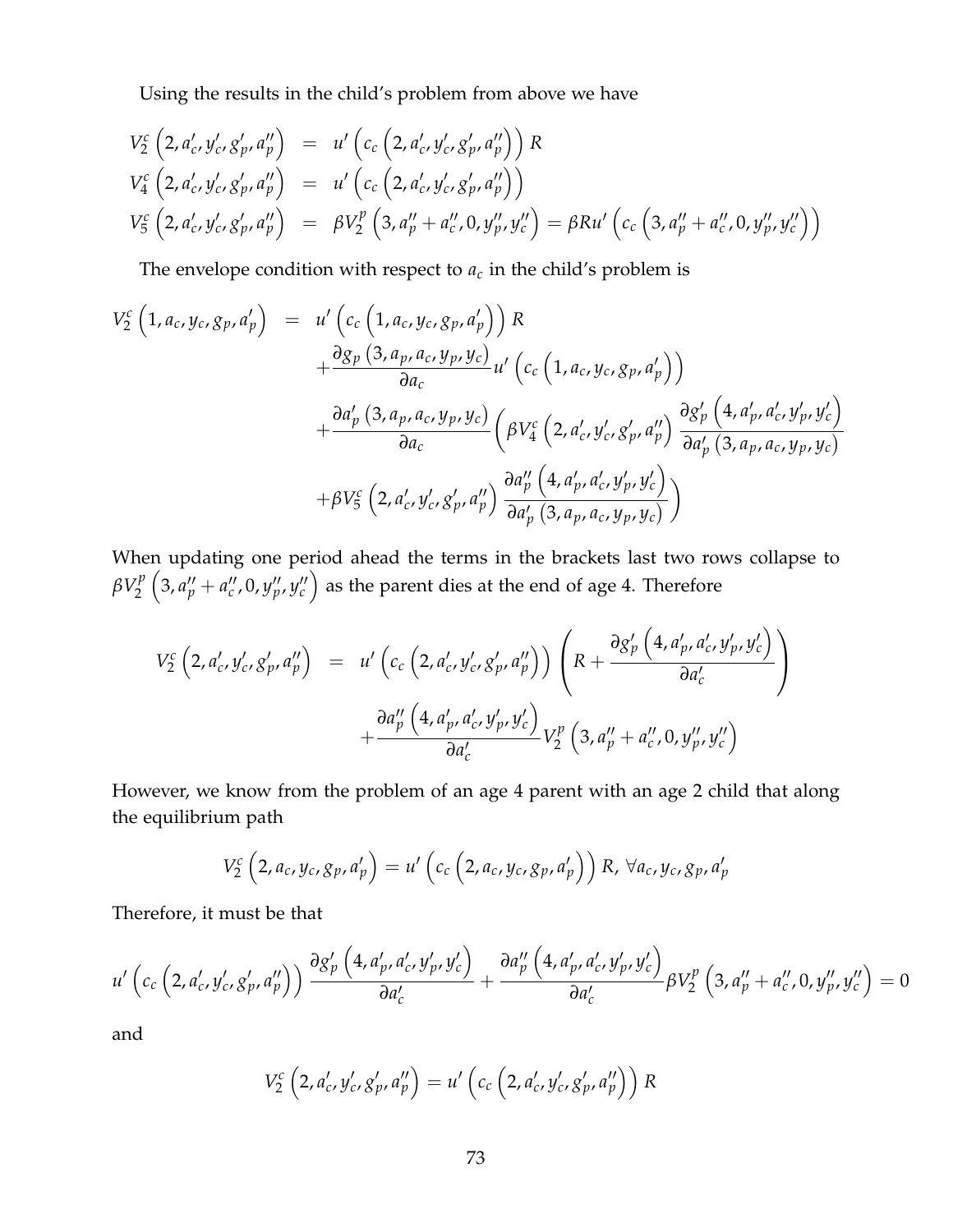Using the results in the child's problem from above we have

$$
V_2^c \left(2, a'_c, y'_c, g'_p, a''_p \right) = u' \left(c_c \left(2, a'_c, y'_c, g'_p, a''_p \right)\right) R
$$
  
\n
$$
V_4^c \left(2, a'_c, y'_c, g'_p, a''_p \right) = u' \left(c_c \left(2, a'_c, y'_c, g'_p, a''_p \right)\right)
$$
  
\n
$$
V_5^c \left(2, a'_c, y'_c, g'_p, a''_p \right) = \beta V_2^p \left(3, a''_p + a''_c, 0, y''_p, y''_c \right) = \beta R u' \left(c_c \left(3, a''_p + a''_c, 0, y''_p, y''_c \right)\right)
$$

The envelope condition with respect to  $a_c$  in the child's problem is

$$
V_2^c \left(1, a_c, y_c, g_p, a'_p\right) = u' \left(c_c \left(1, a_c, y_c, g_p, a'_p\right)\right) R + \frac{\partial g_p \left(3, a_p, a_c, y_p, y_c\right)}{\partial a_c} u' \left(c_c \left(1, a_c, y_c, g_p, a'_p\right)\right) + \frac{\partial a'_p \left(3, a_p, a_c, y_p, y_c\right)}{\partial a_c} \left(\beta V_4^c \left(2, a'_c, y'_c, g'_p, a''_p\right) \frac{\partial g'_p \left(4, a'_p, a'_c, y'_p, y'_c\right)}{\partial a'_p \left(3, a_p, a_c, y_p, y_c\right)} + \beta V_5^c \left(2, a'_c, y'_c, g'_p, a''_p\right) \frac{\partial a''_p \left(4, a'_p, a'_c, y'_p, y'_c\right)}{\partial a'_p \left(3, a_p, a_c, y_p, y_c\right)}\right)
$$

When updating one period ahead the terms in the brackets last two rows collapse to  $\beta V_2^p$ 2  $(3, a''_p + a''_c, 0, y''_p, y''_c)$  as the parent dies at the end of age 4. Therefore

$$
V_{2}^{c} (2, a'_{c}, y'_{c}, g'_{p}, a''_{p}) = u' (c_{c} (2, a'_{c}, y'_{c}, g'_{p}, a''_{p})) \left( R + \frac{\partial g'_{p} (4, a'_{p}, a'_{c}, y'_{p}, y'_{c})}{\partial a'_{c}} \right) + \frac{\partial a''_{p} (4, a'_{p}, a'_{c}, y'_{p}, y'_{c})}{\partial a'_{c}} V_{2}^{p} (3, a''_{p} + a''_{c}, 0, y''_{p}, y''_{c})
$$

However, we know from the problem of an age 4 parent with an age 2 child that along the equilibrium path

$$
V_2^c\left(2, a_c, y_c, g_p, a'_p\right) = u'\left(c_c\left(2, a_c, y_c, g_p, a'_p\right)\right)R, \ \forall a_c, y_c, g_p, a'_p
$$

Therefore, it must be that

$$
u'\left(c_c\left(2, a'_c, y'_c, g'_p, a''_p\right)\right)\frac{\partial g'_p\left(4, a'_p, a'_c, y'_p, y'_c\right)}{\partial a'_c} + \frac{\partial a''_p\left(4, a'_p, a'_c, y'_p, y'_c\right)}{\partial a'_c}\beta V_2^p\left(3, a''_p + a''_c, 0, y''_p, y''_c\right) = 0
$$

and

$$
V_2^c \left(2, a'_c, y'_c, g'_p, a''_p\right) = u' \left(c_c \left(2, a'_c, y'_c, g'_p, a''_p\right)\right) R
$$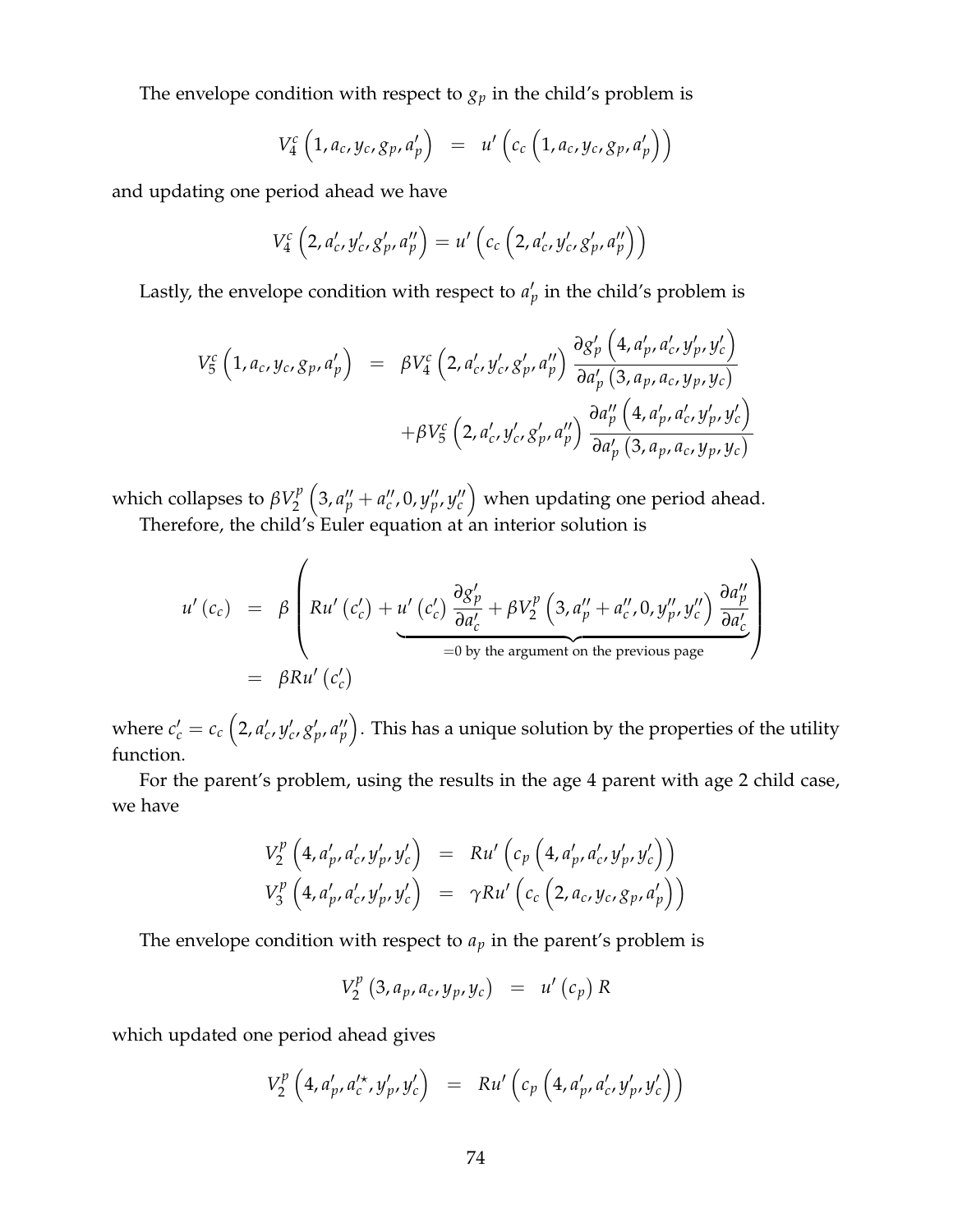The envelope condition with respect to  $g_p$  in the child's problem is

$$
V_4^c\left(1,a_c,y_c,g_p,a'_p\right) = u'\left(c_c\left(1,a_c,y_c,g_p,a'_p\right)\right)
$$

and updating one period ahead we have

$$
V_4^c\left(2, a'_c, y'_c, g'_p, a''_p\right) = u'\left(c_c\left(2, a'_c, y'_c, g'_p, a''_p\right)\right)
$$

Lastly, the envelope condition with respect to  $a'_p$  in the child's problem is

$$
V_5^c (1, a_c, y_c, g_p, a'_p) = \beta V_4^c (2, a'_c, y'_c, g'_p, a''_p) \frac{\partial g'_p (4, a'_p, a'_c, y'_p, y'_c)}{\partial a'_p (3, a_p, a_c, y_p, y_c)} + \beta V_5^c (2, a'_c, y'_c, g'_p, a''_p) \frac{\partial a''_p (4, a'_p, a'_c, y'_p, y'_c)}{\partial a'_p (3, a_p, a_c, y_p, y_c)}
$$

which collapses to  $\beta V_2^p$ 2  $(3, a''_p + a''_c, 0, y''_p, y''_c)$  when updating one period ahead. Therefore, the child's Euler equation at an interior solution is

$$
u'(c_c) = \beta \left(Ru'(c_c') + \underbrace{u'(c_c') \frac{\partial g_p'}{\partial a_c'} + \beta V_2^p \left(3, a_p'' + a_c'', 0, y_p'', y_c''\right) \frac{\partial a_p''}{\partial a_c'}}_{=0 \text{ by the argument on the previous page}}\right)
$$
  
=  $\beta Ru'(c_c')$ 

where  $c_c'=c_c\left(2,a_c',y_c',g_p',a_p''\right)$ . This has a unique solution by the properties of the utility function.

For the parent's problem, using the results in the age 4 parent with age 2 child case, we have

$$
V_2^p \left(4, a'_p, a'_c, y'_p, y'_c\right) = Ru' \left(c_p \left(4, a'_p, a'_c, y'_p, y'_c\right)\right)
$$
  

$$
V_3^p \left(4, a'_p, a'_c, y'_p, y'_c\right) = \gamma Ru' \left(c_c \left(2, a_c, y_c, g_p, a'_p\right)\right)
$$

The envelope condition with respect to  $a_p$  in the parent's problem is

$$
V_{2}^{p} (3, a_{p}, a_{c}, y_{p}, y_{c}) = u'(c_{p}) R
$$

which updated one period ahead gives

$$
V_2^p \left(4, a'_p, a'_c{}^{\star}, y'_p, y'_c\right) = R u' \left(c_p \left(4, a'_p, a'_c, y'_p, y'_c\right)\right)
$$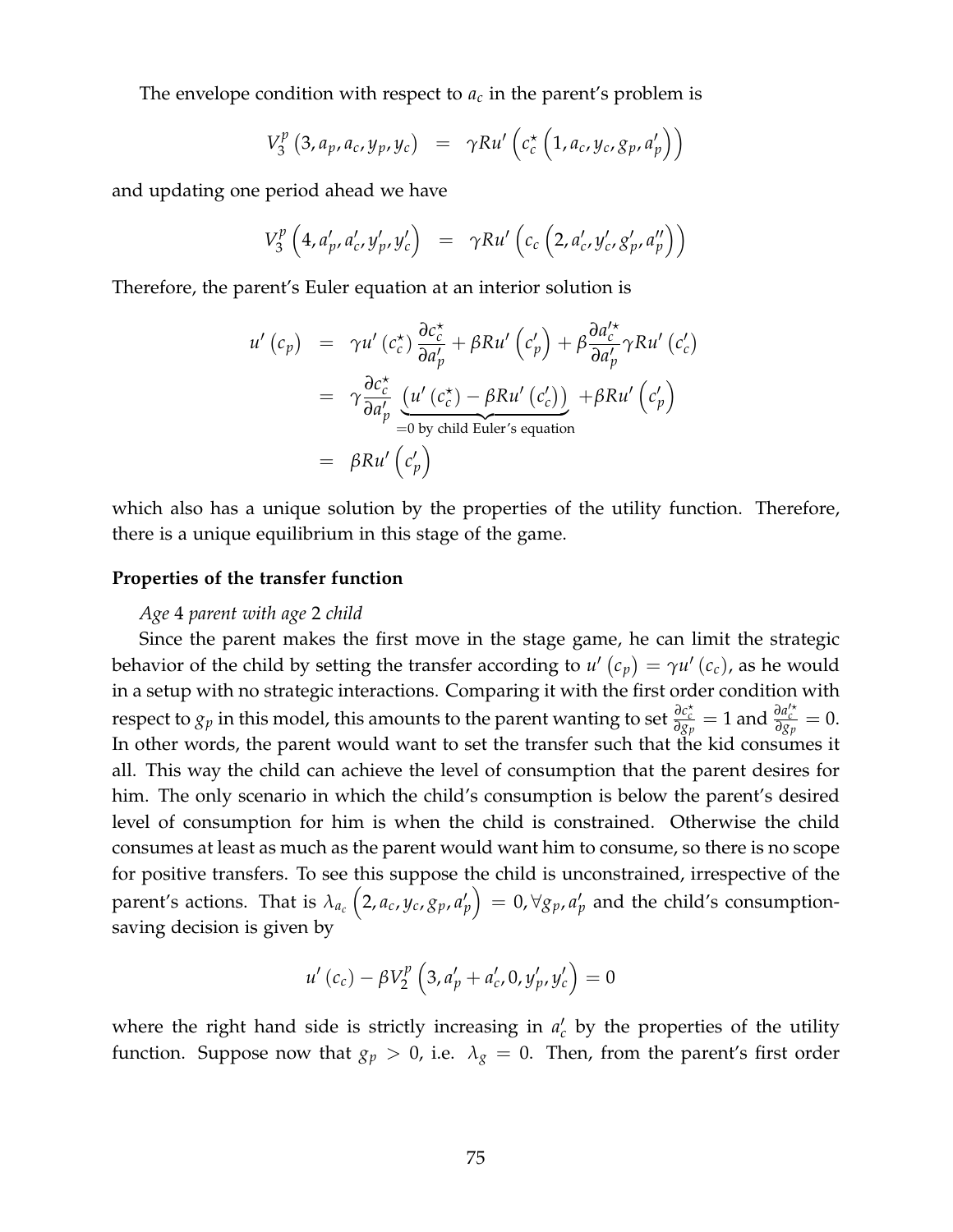The envelope condition with respect to  $a_c$  in the parent's problem is

$$
V_3^p(3, a_p, a_c, y_p, y_c) = \gamma R u' \left( c_c^{\star} \left( 1, a_c, y_c, g_p, a'_p \right) \right)
$$

and updating one period ahead we have

$$
V_3^p \left(4, a'_p, a'_c, y'_p, y'_c\right) = \gamma R u' \left(c_c \left(2, a'_c, y'_c, g'_p, a''_p\right)\right)
$$

Therefore, the parent's Euler equation at an interior solution is

$$
u'(c_p) = \gamma u'(c_c^*) \frac{\partial c_c^*}{\partial a_p'} + \beta R u'(c_p') + \beta \frac{\partial a_c'^*}{\partial a_p'} \gamma R u'(c_c')
$$
  
= 
$$
\gamma \frac{\partial c_c^*}{\partial a_p'} \underbrace{(u'(c_c^*) - \beta R u'(c_c'))}_{=0 \text{ by child Euler's equation}} + \beta R u'(c_p')
$$
  
= 
$$
\beta R u'(c_p')
$$

which also has a unique solution by the properties of the utility function. Therefore, there is a unique equilibrium in this stage of the game.

## **Properties of the transfer function**

## *Age* 4 *parent with age* 2 *child*

Since the parent makes the first move in the stage game, he can limit the strategic behavior of the child by setting the transfer according to  $u'$   $(c_p) = \gamma u'$   $(c_c)$ , as he would in a setup with no strategic interactions. Comparing it with the first order condition with respect to  $g_p$  in this model, this amounts to the parent wanting to set  $\frac{\partial c_c^*}{\partial g_p} = 1$  and  $\frac{\partial a_c^{\prime*}}{\partial g_p} = 0$ . In other words, the parent would want to set the transfer such that the kid consumes it all. This way the child can achieve the level of consumption that the parent desires for him. The only scenario in which the child's consumption is below the parent's desired level of consumption for him is when the child is constrained. Otherwise the child consumes at least as much as the parent would want him to consume, so there is no scope for positive transfers. To see this suppose the child is unconstrained, irrespective of the parent's actions. That is  $\lambda_{a_c}\left(2,a_c,y_c,g_p,a'_p\right)=0, \forall g_p,a'_p$  and the child's consumptionsaving decision is given by

$$
u'(c_c) - \beta V_2^p \left(3, a'_p + a'_c, 0, y'_p, y'_c\right) = 0
$$

where the right hand side is strictly increasing in  $a'_c$  by the properties of the utility function. Suppose now that  $g_p > 0$ , i.e.  $\lambda_g = 0$ . Then, from the parent's first order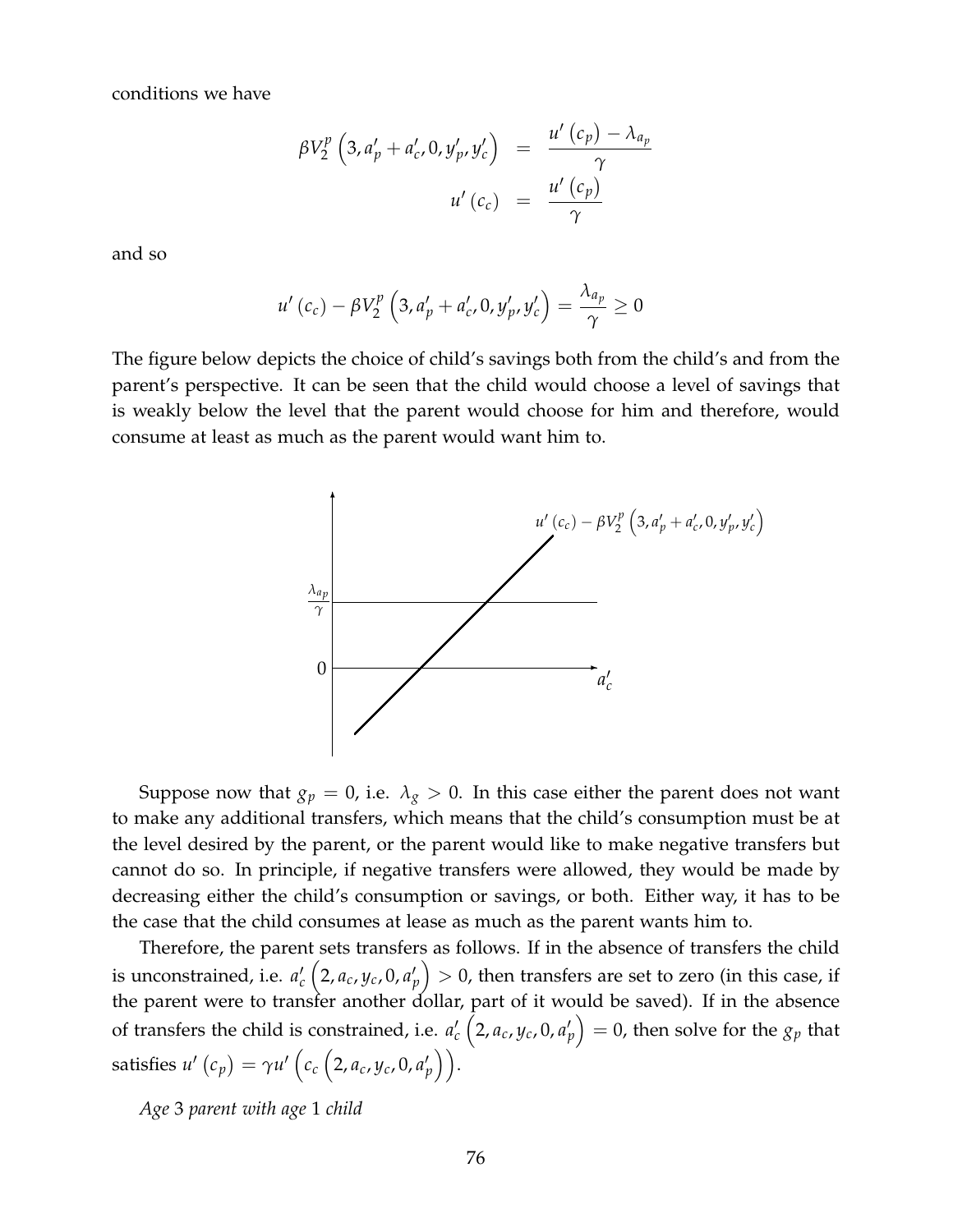conditions we have

$$
\beta V_2^p \left(3, a'_p + a'_c, 0, y'_p, y'_c \right) = \frac{u' \left(c_p\right) - \lambda_{a_p}}{\gamma}
$$

$$
u' \left(c_c\right) = \frac{u' \left(c_p\right)}{\gamma}
$$

and so

$$
u'\left(c_c\right) - \beta V_2^p\left(3, a'_p + a'_c, 0, y'_p, y'_c\right) = \frac{\lambda_{a_p}}{\gamma} \ge 0
$$

The figure below depicts the choice of child's savings both from the child's and from the parent's perspective. It can be seen that the child would choose a level of savings that is weakly below the level that the parent would choose for him and therefore, would consume at least as much as the parent would want him to.



Suppose now that  $g_p = 0$ , i.e.  $\lambda_g > 0$ . In this case either the parent does not want to make any additional transfers, which means that the child's consumption must be at the level desired by the parent, or the parent would like to make negative transfers but cannot do so. In principle, if negative transfers were allowed, they would be made by decreasing either the child's consumption or savings, or both. Either way, it has to be the case that the child consumes at lease as much as the parent wants him to.

Therefore, the parent sets transfers as follows. If in the absence of transfers the child is unconstrained, i.e.  $a_c^\prime\left(2, a_c, y_c, 0, a_p^\prime\right)>0$ , then transfers are set to zero (in this case, if the parent were to transfer another dollar, part of it would be saved). If in the absence of transfers the child is constrained, i.e.  $a_c'\left(2, a_c, y_c, 0, a_p'\right) = 0$ , then solve for the  $g_p$  that  $\text{satisfies } u' \left( c_p \right) = \gamma u' \left( c_c \left( 2, a_c, y_c, 0, a'_p \right) \right).$ 

*Age* 3 *parent with age* 1 *child*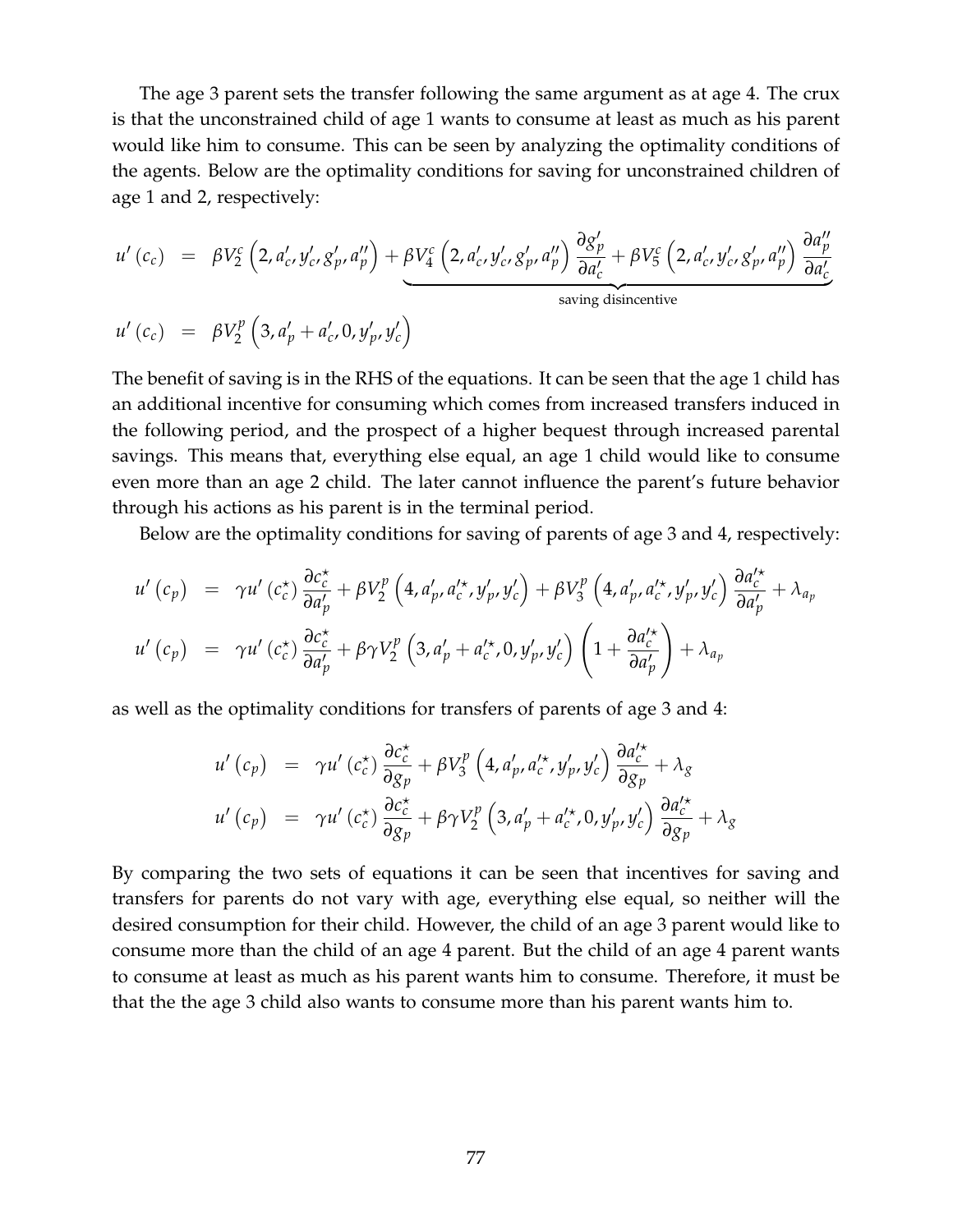The age 3 parent sets the transfer following the same argument as at age 4. The crux is that the unconstrained child of age 1 wants to consume at least as much as his parent would like him to consume. This can be seen by analyzing the optimality conditions of the agents. Below are the optimality conditions for saving for unconstrained children of age 1 and 2, respectively:

$$
u'(c_c) = \beta V_2^c \left(2, a'_c, y'_c, g'_p, a''_p\right) + \beta V_4^c \left(2, a'_c, y'_c, g'_p, a''_p\right) \frac{\partial g'_p}{\partial a'_c} + \beta V_5^c \left(2, a'_c, y'_c, g'_p, a''_p\right) \frac{\partial a''_p}{\partial a'_c}
$$
  
ssaving disincentive

$$
u'(c_c) = \beta V_2^p \left(3, a'_p + a'_c, 0, y'_p, y'_c\right)
$$

The benefit of saving is in the RHS of the equations. It can be seen that the age 1 child has an additional incentive for consuming which comes from increased transfers induced in the following period, and the prospect of a higher bequest through increased parental savings. This means that, everything else equal, an age 1 child would like to consume even more than an age 2 child. The later cannot influence the parent's future behavior through his actions as his parent is in the terminal period.

Below are the optimality conditions for saving of parents of age 3 and 4, respectively:

$$
u'(c_p) = \gamma u'(c_c^*) \frac{\partial c_c^*}{\partial a_p'} + \beta V_2^p \left( 4, a_p', a_c'^*, y_p', y_c' \right) + \beta V_3^p \left( 4, a_p', a_c'^*, y_p', y_c' \right) \frac{\partial a_c'^*}{\partial a_p'} + \lambda_{a_p}
$$
  

$$
u'(c_p) = \gamma u'(c_c^*) \frac{\partial c_c^*}{\partial a_p'} + \beta \gamma V_2^p \left( 3, a_p' + a_c'^*, 0, y_p', y_c' \right) \left( 1 + \frac{\partial a_c'^*}{\partial a_p'} \right) + \lambda_{a_p}
$$

as well as the optimality conditions for transfers of parents of age 3 and 4:

$$
u'(c_p) = \gamma u'(c_c^*) \frac{\partial c_c^*}{\partial g_p} + \beta V_3^p \left( 4, a'_p, a_c'^*, y'_p, y_c' \right) \frac{\partial a_c'^*}{\partial g_p} + \lambda_g
$$
  

$$
u'(c_p) = \gamma u'(c_c^*) \frac{\partial c_c^*}{\partial g_p} + \beta \gamma V_2^p \left( 3, a'_p + a_c'^*, 0, y'_p, y'_c \right) \frac{\partial a_c'^*}{\partial g_p} + \lambda_g
$$

By comparing the two sets of equations it can be seen that incentives for saving and transfers for parents do not vary with age, everything else equal, so neither will the desired consumption for their child. However, the child of an age 3 parent would like to consume more than the child of an age 4 parent. But the child of an age 4 parent wants to consume at least as much as his parent wants him to consume. Therefore, it must be that the the age 3 child also wants to consume more than his parent wants him to.